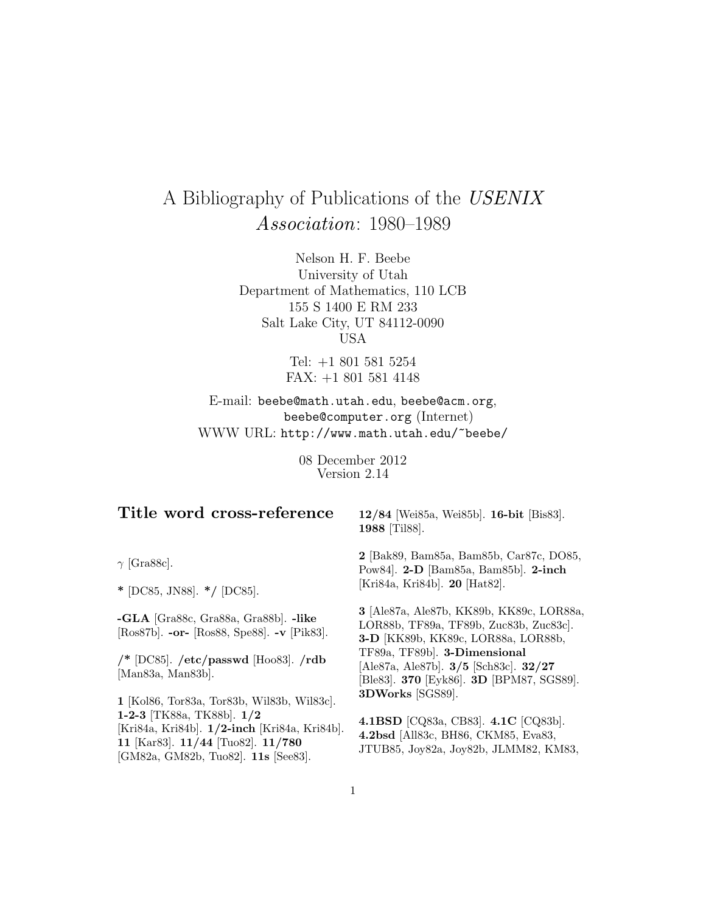# A Bibliography of Publications of the USENIX Association: 1980–1989

Nelson H. F. Beebe University of Utah Department of Mathematics, 110 LCB 155 S 1400 E RM 233 Salt Lake City, UT 84112-0090 USA

> Tel: +1 801 581 5254 FAX: +1 801 581 4148

E-mail: beebe@math.utah.edu, beebe@acm.org, beebe@computer.org (Internet) WWW URL: http://www.math.utah.edu/~beebe/

> 08 December 2012 Version 2.14

# **Title word cross-reference**

 $\gamma$  [Gra88c].

**\*** [DC85, JN88]. **\*/** [DC85].

**-GLA** [Gra88c, Gra88a, Gra88b]. **-like** [Ros87b]. **-or-** [Ros88, Spe88]. **-v** [Pik83].

**/\*** [DC85]. **/etc/passwd** [Hoo83]. **/rdb** [Man83a, Man83b].

**1** [Kol86, Tor83a, Tor83b, Wil83b, Wil83c]. **1-2-3** [TK88a, TK88b]. **1/2** [Kri84a, Kri84b]. **1/2-inch** [Kri84a, Kri84b]. **11** [Kar83]. **11/44** [Tuo82]. **11/780** [GM82a, GM82b, Tuo82]. **11s** [See83].

**12/84** [Wei85a, Wei85b]. **16-bit** [Bis83]. **1988** [Til88].

**2** [Bak89, Bam85a, Bam85b, Car87c, DO85, Pow84]. **2-D** [Bam85a, Bam85b]. **2-inch** [Kri84a, Kri84b]. **20** [Hat82].

**3** [Ale87a, Ale87b, KK89b, KK89c, LOR88a, LOR88b, TF89a, TF89b, Zuc83b, Zuc83c]. **3-D** [KK89b, KK89c, LOR88a, LOR88b, TF89a, TF89b]. **3-Dimensional** [Ale87a, Ale87b]. **3/5** [Sch83c]. **32/27** [Ble83]. **370** [Eyk86]. **3D** [BPM87, SGS89]. **3DWorks** [SGS89].

**4.1BSD** [CQ83a, CB83]. **4.1C** [CQ83b]. **4.2bsd** [All83c, BH86, CKM85, Eva83, JTUB85, Joy82a, Joy82b, JLMM82, KM83,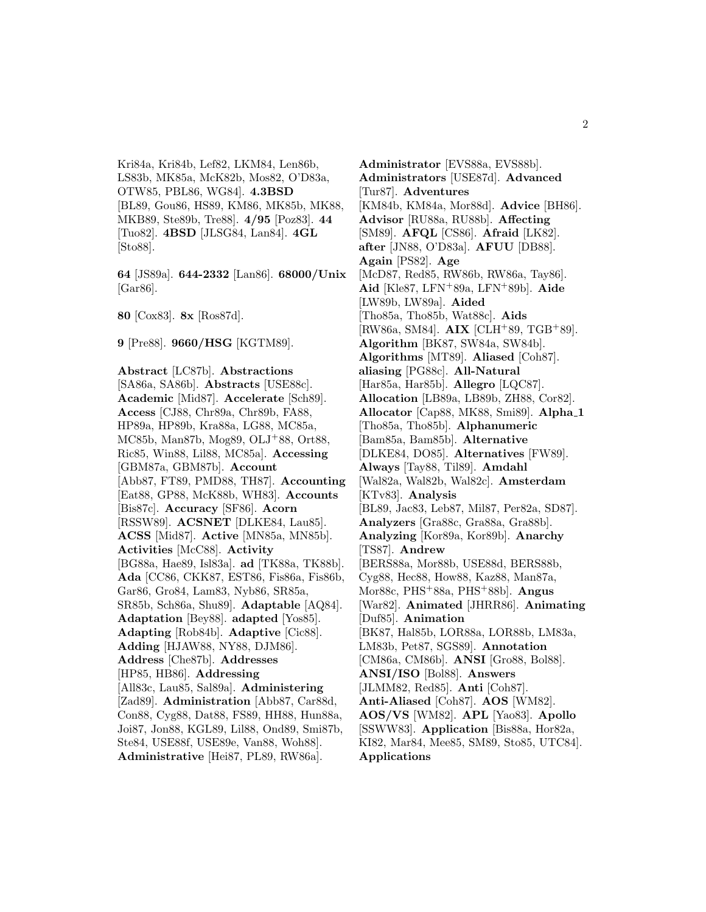Kri84a, Kri84b, Lef82, LKM84, Len86b, LS83b, MK85a, McK82b, Mos82, O'D83a, OTW85, PBL86, WG84]. **4.3BSD** [BL89, Gou86, HS89, KM86, MK85b, MK88, MKB89, Ste89b, Tre88]. **4/95** [Poz83]. **44** [Tuo82]. **4BSD** [JLSG84, Lan84]. **4GL** [Sto88].

**64** [JS89a]. **644-2332** [Lan86]. **68000/Unix** [Gar86].

**80** [Cox83]. **8x** [Ros87d].

**9** [Pre88]. **9660/HSG** [KGTM89].

**Abstract** [LC87b]. **Abstractions** [SA86a, SA86b]. **Abstracts** [USE88c]. **Academic** [Mid87]. **Accelerate** [Sch89]. **Access** [CJ88, Chr89a, Chr89b, FA88, HP89a, HP89b, Kra88a, LG88, MC85a, MC85b, Man87b, Mog89, OLJ<sup>+</sup>88, Ort88, Ric85, Win88, Lil88, MC85a]. **Accessing** [GBM87a, GBM87b]. **Account** [Abb87, FT89, PMD88, TH87]. **Accounting** [Eat88, GP88, McK88b, WH83]. **Accounts** [Bis87c]. **Accuracy** [SF86]. **Acorn** [RSSW89]. **ACSNET** [DLKE84, Lau85]. **ACSS** [Mid87]. **Active** [MN85a, MN85b]. **Activities** [McC88]. **Activity** [BG88a, Hae89, Isl83a]. **ad** [TK88a, TK88b]. **Ada** [CC86, CKK87, EST86, Fis86a, Fis86b, Gar86, Gro84, Lam83, Nyb86, SR85a, SR85b, Sch86a, Shu89]. **Adaptable** [AQ84]. **Adaptation** [Bey88]. **adapted** [Yos85]. **Adapting** [Rob84b]. **Adaptive** [Cic88]. **Adding** [HJAW88, NY88, DJM86]. **Address** [Che87b]. **Addresses** [HP85, HB86]. **Addressing** [All83c, Lau85, Sal89a]. **Administering** [Zad89]. **Administration** [Abb87, Car88d, Con88, Cyg88, Dat88, FS89, HH88, Hun88a, Joi87, Jon88, KGL89, Lil88, Ond89, Smi87b, Ste84, USE88f, USE89e, Van88, Woh88]. **Administrative** [Hei87, PL89, RW86a].

**Administrator** [EVS88a, EVS88b]. **Administrators** [USE87d]. **Advanced** [Tur87]. **Adventures** [KM84b, KM84a, Mor88d]. **Advice** [BH86]. **Advisor** [RU88a, RU88b]. **Affecting** [SM89]. **AFQL** [CS86]. **Afraid** [LK82]. **after** [JN88, O'D83a]. **AFUU** [DB88]. **Again** [PS82]. **Age** [McD87, Red85, RW86b, RW86a, Tay86]. **Aid** [Kle87, LFN<sup>+</sup>89a, LFN<sup>+</sup>89b]. **Aide** [LW89b, LW89a]. **Aided** [Tho85a, Tho85b, Wat88c]. **Aids** [RW86a, SM84]. **AIX** [CLH<sup>+</sup>89, TGB<sup>+</sup>89]. **Algorithm** [BK87, SW84a, SW84b]. **Algorithms** [MT89]. **Aliased** [Coh87]. **aliasing** [PG88c]. **All-Natural** [Har85a, Har85b]. **Allegro** [LQC87]. **Allocation** [LB89a, LB89b, ZH88, Cor82]. **Allocator** [Cap88, MK88, Smi89]. **Alpha 1** [Tho85a, Tho85b]. **Alphanumeric** [Bam85a, Bam85b]. **Alternative** [DLKE84, DO85]. **Alternatives** [FW89]. **Always** [Tay88, Til89]. **Amdahl** [Wal82a, Wal82b, Wal82c]. **Amsterdam** [KTv83]. **Analysis** [BL89, Jac83, Leb87, Mil87, Per82a, SD87]. **Analyzers** [Gra88c, Gra88a, Gra88b]. **Analyzing** [Kor89a, Kor89b]. **Anarchy** [TS87]. **Andrew** [BERS88a, Mor88b, USE88d, BERS88b, Cyg88, Hec88, How88, Kaz88, Man87a, Mor88c, PHS<sup>+</sup>88a, PHS<sup>+</sup>88b]. **Angus** [War82]. **Animated** [JHRR86]. **Animating** [Duf85]. **Animation** [BK87, Hal85b, LOR88a, LOR88b, LM83a, LM83b, Pet87, SGS89]. **Annotation** [CM86a, CM86b]. **ANSI** [Gro88, Bol88]. **ANSI/ISO** [Bol88]. **Answers** [JLMM82, Red85]. **Anti** [Coh87]. **Anti-Aliased** [Coh87]. **AOS** [WM82]. **AOS/VS** [WM82]. **APL** [Yao83]. **Apollo** [SSWW83]. **Application** [Bis88a, Hor82a, KI82, Mar84, Mee85, SM89, Sto85, UTC84]. **Applications**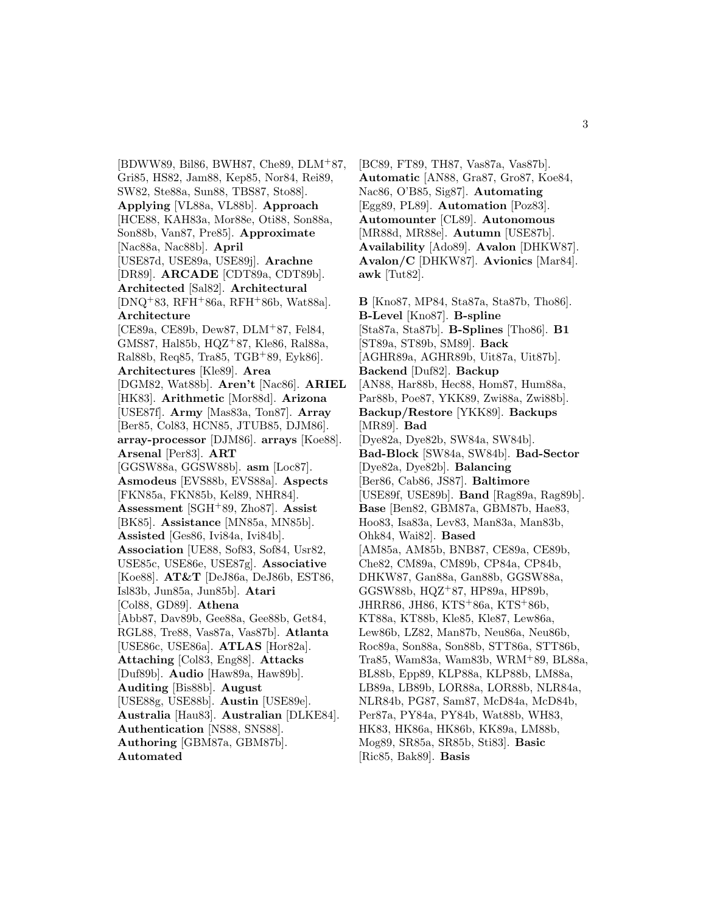[BDWW89, Bil86, BWH87, Che89, DLM<sup>+</sup>87, Gri85, HS82, Jam88, Kep85, Nor84, Rei89, SW82, Ste88a, Sun88, TBS87, Sto88]. **Applying** [VL88a, VL88b]. **Approach** [HCE88, KAH83a, Mor88e, Oti88, Son88a, Son88b, Van87, Pre85]. **Approximate** [Nac88a, Nac88b]. **April** [USE87d, USE89a, USE89j]. **Arachne** [DR89]. **ARCADE** [CDT89a, CDT89b]. **Architected** [Sal82]. **Architectural** [DNQ<sup>+</sup>83, RFH<sup>+</sup>86a, RFH<sup>+</sup>86b, Wat88a]. **Architecture** [CE89a, CE89b, Dew87, DLM<sup>+</sup>87, Fel84, GMS87, Hal85b, HQZ<sup>+</sup>87, Kle86, Ral88a, Ral88b, Req85, Tra85, TGB<sup>+</sup>89, Eyk86]. **Architectures** [Kle89]. **Area** [DGM82, Wat88b]. **Aren't** [Nac86]. **ARIEL** [HK83]. **Arithmetic** [Mor88d]. **Arizona** [USE87f]. **Army** [Mas83a, Ton87]. **Array** [Ber85, Col83, HCN85, JTUB85, DJM86]. **array-processor** [DJM86]. **arrays** [Koe88]. **Arsenal** [Per83]. **ART** [GGSW88a, GGSW88b]. **asm** [Loc87]. **Asmodeus** [EVS88b, EVS88a]. **Aspects** [FKN85a, FKN85b, Kel89, NHR84]. **Assessment** [SGH<sup>+</sup>89, Zho87]. **Assist** [BK85]. **Assistance** [MN85a, MN85b]. **Assisted** [Ges86, Ivi84a, Ivi84b]. **Association** [UE88, Sof83, Sof84, Usr82, USE85c, USE86e, USE87g]. **Associative** [Koe88]. **AT&T** [DeJ86a, DeJ86b, EST86, Isl83b, Jun85a, Jun85b]. **Atari** [Col88, GD89]. **Athena** [Abb87, Dav89b, Gee88a, Gee88b, Get84, RGL88, Tre88, Vas87a, Vas87b]. **Atlanta** [USE86c, USE86a]. **ATLAS** [Hor82a]. **Attaching** [Col83, Eng88]. **Attacks** [Duf89b]. **Audio** [Haw89a, Haw89b]. **Auditing** [Bis88b]. **August** [USE88g, USE88b]. **Austin** [USE89e]. **Australia** [Hau83]. **Australian** [DLKE84]. **Authentication** [NS88, SNS88]. **Authoring** [GBM87a, GBM87b]. **Automated**

[BC89, FT89, TH87, Vas87a, Vas87b]. **Automatic** [AN88, Gra87, Gro87, Koe84, Nac86, O'B85, Sig87]. **Automating** [Egg89, PL89]. **Automation** [Poz83]. **Automounter** [CL89]. **Autonomous** [MR88d, MR88e]. **Autumn** [USE87b]. **Availability** [Ado89]. **Avalon** [DHKW87]. **Avalon/C** [DHKW87]. **Avionics** [Mar84]. **awk** [Tut82].

**B** [Kno87, MP84, Sta87a, Sta87b, Tho86]. **B-Level** [Kno87]. **B-spline** [Sta87a, Sta87b]. **B-Splines** [Tho86]. **B1** [ST89a, ST89b, SM89]. **Back** [AGHR89a, AGHR89b, Uit87a, Uit87b]. **Backend** [Duf82]. **Backup** [AN88, Har88b, Hec88, Hom87, Hum88a, Par88b, Poe87, YKK89, Zwi88a, Zwi88b]. **Backup/Restore** [YKK89]. **Backups** [MR89]. **Bad** [Dye82a, Dye82b, SW84a, SW84b]. **Bad-Block** [SW84a, SW84b]. **Bad-Sector** [Dye82a, Dye82b]. **Balancing** [Ber86, Cab86, JS87]. **Baltimore** [USE89f, USE89b]. **Band** [Rag89a, Rag89b]. **Base** [Ben82, GBM87a, GBM87b, Hae83, Hoo83, Isa83a, Lev83, Man83a, Man83b, Ohk84, Wai82]. **Based** [AM85a, AM85b, BNB87, CE89a, CE89b, Che82, CM89a, CM89b, CP84a, CP84b, DHKW87, Gan88a, Gan88b, GGSW88a, GGSW88b, HQZ<sup>+</sup>87, HP89a, HP89b, JHRR86, JH86, KTS<sup>+</sup>86a, KTS<sup>+</sup>86b, KT88a, KT88b, Kle85, Kle87, Lew86a, Lew86b, LZ82, Man87b, Neu86a, Neu86b, Roc89a, Son88a, Son88b, STT86a, STT86b, Tra85, Wam83a, Wam83b, WRM<sup>+</sup>89, BL88a, BL88b, Epp89, KLP88a, KLP88b, LM88a, LB89a, LB89b, LOR88a, LOR88b, NLR84a, NLR84b, PG87, Sam87, McD84a, McD84b, Per87a, PY84a, PY84b, Wat88b, WH83, HK83, HK86a, HK86b, KK89a, LM88b, Mog89, SR85a, SR85b, Sti83]. **Basic** [Ric85, Bak89]. **Basis**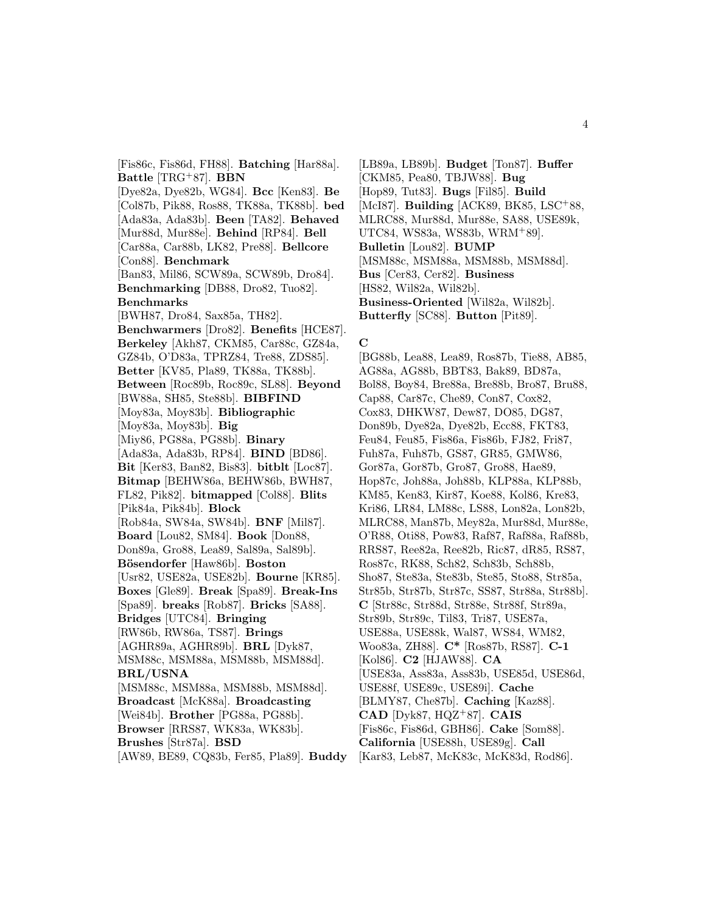[Fis86c, Fis86d, FH88]. **Batching** [Har88a]. **Battle** [TRG<sup>+</sup>87]. **BBN** [Dye82a, Dye82b, WG84]. **Bcc** [Ken83]. **Be** [Col87b, Pik88, Ros88, TK88a, TK88b]. **bed** [Ada83a, Ada83b]. **Been** [TA82]. **Behaved** [Mur88d, Mur88e]. **Behind** [RP84]. **Bell** [Car88a, Car88b, LK82, Pre88]. **Bellcore** [Con88]. **Benchmark** [Ban83, Mil86, SCW89a, SCW89b, Dro84]. **Benchmarking** [DB88, Dro82, Tuo82]. **Benchmarks** [BWH87, Dro84, Sax85a, TH82]. **Benchwarmers** [Dro82]. **Benefits** [HCE87]. **Berkeley** [Akh87, CKM85, Car88c, GZ84a, GZ84b, O'D83a, TPRZ84, Tre88, ZDS85]. **Better** [KV85, Pla89, TK88a, TK88b]. **Between** [Roc89b, Roc89c, SL88]. **Beyond** [BW88a, SH85, Ste88b]. **BIBFIND** [Moy83a, Moy83b]. **Bibliographic** [Moy83a, Moy83b]. **Big** [Miy86, PG88a, PG88b]. **Binary** [Ada83a, Ada83b, RP84]. **BIND** [BD86]. **Bit** [Ker83, Ban82, Bis83]. **bitblt** [Loc87]. **Bitmap** [BEHW86a, BEHW86b, BWH87, FL82, Pik82]. **bitmapped** [Col88]. **Blits** [Pik84a, Pik84b]. **Block** [Rob84a, SW84a, SW84b]. **BNF** [Mil87]. **Board** [Lou82, SM84]. **Book** [Don88, Don89a, Gro88, Lea89, Sal89a, Sal89b]. **B¨osendorfer** [Haw86b]. **Boston** [Usr82, USE82a, USE82b]. **Bourne** [KR85]. **Boxes** [Gle89]. **Break** [Spa89]. **Break-Ins** [Spa89]. **breaks** [Rob87]. **Bricks** [SA88]. **Bridges** [UTC84]. **Bringing** [RW86b, RW86a, TS87]. **Brings** [AGHR89a, AGHR89b]. **BRL** [Dyk87, MSM88c, MSM88a, MSM88b, MSM88d]. **BRL/USNA** [MSM88c, MSM88a, MSM88b, MSM88d]. **Broadcast** [McK88a]. **Broadcasting** [Wei84b]. **Brother** [PG88a, PG88b]. **Browser** [RRS87, WK83a, WK83b]. **Brushes** [Str87a]. **BSD** [AW89, BE89, CQ83b, Fer85, Pla89]. **Buddy**

[LB89a, LB89b]. **Budget** [Ton87]. **Buffer** [CKM85, Pea80, TBJW88]. **Bug** [Hop89, Tut83]. **Bugs** [Fil85]. **Build** [McI87]. **Building** [ACK89, BK85, LSC<sup>+</sup>88, MLRC88, Mur88d, Mur88e, SA88, USE89k, UTC84, WS83a, WS83b, WRM<sup>+</sup>89]. **Bulletin** [Lou82]. **BUMP** [MSM88c, MSM88a, MSM88b, MSM88d]. **Bus** [Cer83, Cer82]. **Business** [HS82, Wil82a, Wil82b]. **Business-Oriented** [Wil82a, Wil82b]. **Butterfly** [SC88]. **Button** [Pit89].

#### **C**

[BG88b, Lea88, Lea89, Ros87b, Tie88, AB85, AG88a, AG88b, BBT83, Bak89, BD87a, Bol88, Boy84, Bre88a, Bre88b, Bro87, Bru88, Cap88, Car87c, Che89, Con87, Cox82, Cox83, DHKW87, Dew87, DO85, DG87, Don89b, Dye82a, Dye82b, Ecc88, FKT83, Feu84, Feu85, Fis86a, Fis86b, FJ82, Fri87, Fuh87a, Fuh87b, GS87, GR85, GMW86, Gor87a, Gor87b, Gro87, Gro88, Hae89, Hop87c, Joh88a, Joh88b, KLP88a, KLP88b, KM85, Ken83, Kir87, Koe88, Kol86, Kre83, Kri86, LR84, LM88c, LS88, Lon82a, Lon82b, MLRC88, Man87b, Mey82a, Mur88d, Mur88e, O'R88, Oti88, Pow83, Raf87, Raf88a, Raf88b, RRS87, Ree82a, Ree82b, Ric87, dR85, RS87, Ros87c, RK88, Sch82, Sch83b, Sch88b, Sho87, Ste83a, Ste83b, Ste85, Sto88, Str85a, Str85b, Str87b, Str87c, SS87, Str88a, Str88b]. **C** [Str88c, Str88d, Str88e, Str88f, Str89a, Str89b, Str89c, Til83, Tri87, USE87a, USE88a, USE88k, Wal87, WS84, WM82, Woo83a, ZH88]. **C\*** [Ros87b, RS87]. **C-1** [Kol86]. **C2** [HJAW88]. **CA** [USE83a, Ass83a, Ass83b, USE85d, USE86d, USE88f, USE89c, USE89i]. **Cache** [BLMY87, Che87b]. **Caching** [Kaz88]. **CAD** [Dyk87, HQZ<sup>+</sup>87]. **CAIS** [Fis86c, Fis86d, GBH86]. **Cake** [Som88]. **California** [USE88h, USE89g]. **Call** [Kar83, Leb87, McK83c, McK83d, Rod86].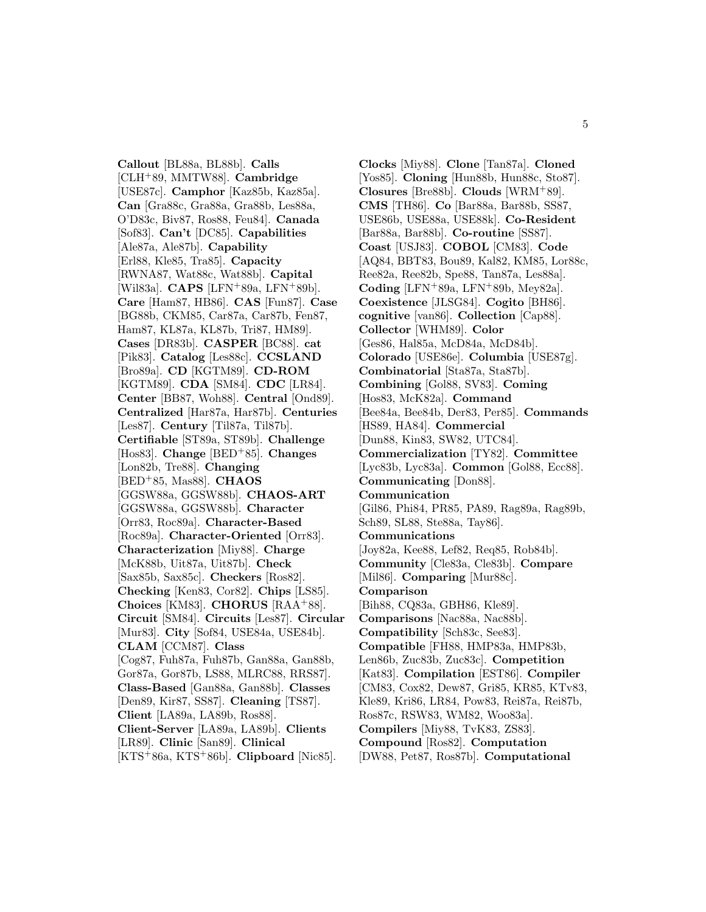**Callout** [BL88a, BL88b]. **Calls** [CLH<sup>+</sup>89, MMTW88]. **Cambridge** [USE87c]. **Camphor** [Kaz85b, Kaz85a]. **Can** [Gra88c, Gra88a, Gra88b, Les88a, O'D83c, Biv87, Ros88, Feu84]. **Canada** [Sof83]. **Can't** [DC85]. **Capabilities** [Ale87a, Ale87b]. **Capability** [Erl88, Kle85, Tra85]. **Capacity** [RWNA87, Wat88c, Wat88b]. **Capital** [Wil83a]. **CAPS** [LFN<sup>+</sup>89a, LFN<sup>+</sup>89b]. **Care** [Ham87, HB86]. **CAS** [Fun87]. **Case** [BG88b, CKM85, Car87a, Car87b, Fen87, Ham87, KL87a, KL87b, Tri87, HM89]. **Cases** [DR83b]. **CASPER** [BC88]. **cat** [Pik83]. **Catalog** [Les88c]. **CCSLAND** [Bro89a]. **CD** [KGTM89]. **CD-ROM** [KGTM89]. **CDA** [SM84]. **CDC** [LR84]. **Center** [BB87, Woh88]. **Central** [Ond89]. **Centralized** [Har87a, Har87b]. **Centuries** [Les87]. **Century** [Til87a, Til87b]. **Certifiable** [ST89a, ST89b]. **Challenge** [Hos83]. **Change** [BED<sup>+</sup>85]. **Changes** [Lon82b, Tre88]. **Changing** [BED<sup>+</sup>85, Mas88]. **CHAOS** [GGSW88a, GGSW88b]. **CHAOS-ART** [GGSW88a, GGSW88b]. **Character** [Orr83, Roc89a]. **Character-Based** [Roc89a]. **Character-Oriented** [Orr83]. **Characterization** [Miy88]. **Charge** [McK88b, Uit87a, Uit87b]. **Check** [Sax85b, Sax85c]. **Checkers** [Ros82]. **Checking** [Ken83, Cor82]. **Chips** [LS85]. **Choices** [KM83]. **CHORUS** [RAA<sup>+</sup>88]. **Circuit** [SM84]. **Circuits** [Les87]. **Circular** [Mur83]. **City** [Sof84, USE84a, USE84b]. **CLAM** [CCM87]. **Class** [Cog87, Fuh87a, Fuh87b, Gan88a, Gan88b, Gor87a, Gor87b, LS88, MLRC88, RRS87]. **Class-Based** [Gan88a, Gan88b]. **Classes** [Den89, Kir87, SS87]. **Cleaning** [TS87]. **Client** [LA89a, LA89b, Ros88]. **Client-Server** [LA89a, LA89b]. **Clients** [LR89]. **Clinic** [San89]. **Clinical** [KTS<sup>+</sup>86a, KTS<sup>+</sup>86b]. **Clipboard** [Nic85].

**Clocks** [Miy88]. **Clone** [Tan87a]. **Cloned** [Yos85]. **Cloning** [Hun88b, Hun88c, Sto87]. **Closures** [Bre88b]. **Clouds** [WRM<sup>+</sup>89]. **CMS** [TH86]. **Co** [Bar88a, Bar88b, SS87, USE86b, USE88a, USE88k]. **Co-Resident** [Bar88a, Bar88b]. **Co-routine** [SS87]. **Coast** [USJ83]. **COBOL** [CM83]. **Code** [AQ84, BBT83, Bou89, Kal82, KM85, Lor88c, Ree82a, Ree82b, Spe88, Tan87a, Les88a]. **Coding** [LFN<sup>+</sup>89a, LFN<sup>+</sup>89b, Mey82a]. **Coexistence** [JLSG84]. **Cogito** [BH86]. **cognitive** [van86]. **Collection** [Cap88]. **Collector** [WHM89]. **Color** [Ges86, Hal85a, McD84a, McD84b]. **Colorado** [USE86e]. **Columbia** [USE87g]. **Combinatorial** [Sta87a, Sta87b]. **Combining** [Gol88, SV83]. **Coming** [Hos83, McK82a]. **Command** [Bee84a, Bee84b, Der83, Per85]. **Commands** [HS89, HA84]. **Commercial** [Dun88, Kin83, SW82, UTC84]. **Commercialization** [TY82]. **Committee** [Lyc83b, Lyc83a]. **Common** [Gol88, Ecc88]. **Communicating** [Don88]. **Communication** [Gil86, Phi84, PR85, PA89, Rag89a, Rag89b, Sch89, SL88, Ste88a, Tay86]. **Communications** [Joy82a, Kee88, Lef82, Req85, Rob84b]. **Community** [Cle83a, Cle83b]. **Compare** [Mil86]. **Comparing** [Mur88c]. **Comparison** [Bih88, CQ83a, GBH86, Kle89]. **Comparisons** [Nac88a, Nac88b]. **Compatibility** [Sch83c, See83]. **Compatible** [FH88, HMP83a, HMP83b, Len86b, Zuc83b, Zuc83c]. **Competition** [Kat83]. **Compilation** [EST86]. **Compiler** [CM83, Cox82, Dew87, Gri85, KR85, KTv83, Kle89, Kri86, LR84, Pow83, Rei87a, Rei87b, Ros87c, RSW83, WM82, Woo83a]. **Compilers** [Miy88, TvK83, ZS83]. **Compound** [Ros82]. **Computation** [DW88, Pet87, Ros87b]. **Computational**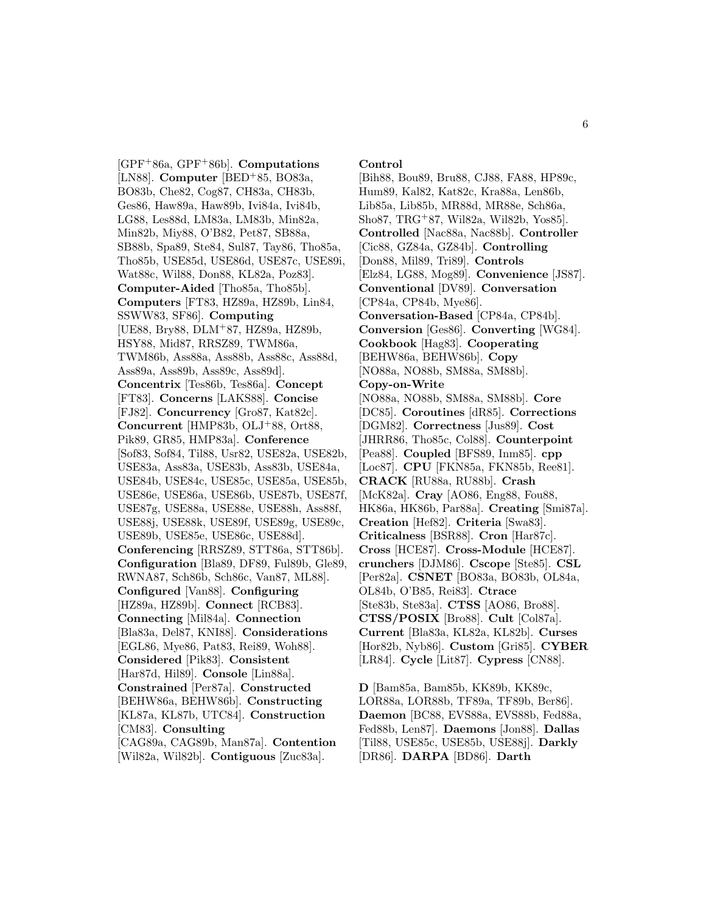[GPF<sup>+</sup>86a, GPF<sup>+</sup>86b]. **Computations** [LN88]. **Computer** [BED<sup>+</sup>85, BO83a, BO83b, Che82, Cog87, CH83a, CH83b, Ges86, Haw89a, Haw89b, Ivi84a, Ivi84b, LG88, Les88d, LM83a, LM83b, Min82a, Min82b, Miy88, O'B82, Pet87, SB88a, SB88b, Spa89, Ste84, Sul87, Tay86, Tho85a, Tho85b, USE85d, USE86d, USE87c, USE89i, Wat88c, Wil88, Don88, KL82a, Poz83]. **Computer-Aided** [Tho85a, Tho85b]. **Computers** [FT83, HZ89a, HZ89b, Lin84, SSWW83, SF86]. **Computing** [UE88, Bry88, DLM<sup>+</sup>87, HZ89a, HZ89b, HSY88, Mid87, RRSZ89, TWM86a, TWM86b, Ass88a, Ass88b, Ass88c, Ass88d, Ass89a, Ass89b, Ass89c, Ass89d]. **Concentrix** [Tes86b, Tes86a]. **Concept** [FT83]. **Concerns** [LAKS88]. **Concise** [FJ82]. **Concurrency** [Gro87, Kat82c]. **Concurrent** [HMP83b, OLJ<sup>+</sup>88, Ort88, Pik89, GR85, HMP83a]. **Conference** [Sof83, Sof84, Til88, Usr82, USE82a, USE82b, USE83a, Ass83a, USE83b, Ass83b, USE84a, USE84b, USE84c, USE85c, USE85a, USE85b, USE86e, USE86a, USE86b, USE87b, USE87f, USE87g, USE88a, USE88e, USE88h, Ass88f, USE88j, USE88k, USE89f, USE89g, USE89c, USE89b, USE85e, USE86c, USE88d]. **Conferencing** [RRSZ89, STT86a, STT86b]. **Configuration** [Bla89, DF89, Ful89b, Gle89, RWNA87, Sch86b, Sch86c, Van87, ML88]. **Configured** [Van88]. **Configuring** [HZ89a, HZ89b]. **Connect** [RCB83]. **Connecting** [Mil84a]. **Connection** [Bla83a, Del87, KNI88]. **Considerations** [EGL86, Mye86, Pat83, Rei89, Woh88]. **Considered** [Pik83]. **Consistent** [Har87d, Hil89]. **Console** [Lin88a]. **Constrained** [Per87a]. **Constructed** [BEHW86a, BEHW86b]. **Constructing** [KL87a, KL87b, UTC84]. **Construction** [CM83]. **Consulting**

[CAG89a, CAG89b, Man87a]. **Contention** [Wil82a, Wil82b]. **Contiguous** [Zuc83a].

#### **Control**

[Bih88, Bou89, Bru88, CJ88, FA88, HP89c, Hum89, Kal82, Kat82c, Kra88a, Len86b, Lib85a, Lib85b, MR88d, MR88e, Sch86a, Sho87, TRG<sup>+</sup>87, Wil82a, Wil82b, Yos85]. **Controlled** [Nac88a, Nac88b]. **Controller** [Cic88, GZ84a, GZ84b]. **Controlling** [Don88, Mil89, Tri89]. **Controls** [Elz84, LG88, Mog89]. **Convenience** [JS87]. **Conventional** [DV89]. **Conversation** [CP84a, CP84b, Mye86]. **Conversation-Based** [CP84a, CP84b]. **Conversion** [Ges86]. **Converting** [WG84]. **Cookbook** [Hag83]. **Cooperating** [BEHW86a, BEHW86b]. **Copy** [NO88a, NO88b, SM88a, SM88b]. **Copy-on-Write** [NO88a, NO88b, SM88a, SM88b]. **Core** [DC85]. **Coroutines** [dR85]. **Corrections** [DGM82]. **Correctness** [Jus89]. **Cost** [JHRR86, Tho85c, Col88]. **Counterpoint** [Pea88]. **Coupled** [BFS89, Inm85]. **cpp** [Loc87]. **CPU** [FKN85a, FKN85b, Ree81]. **CRACK** [RU88a, RU88b]. **Crash** [McK82a]. **Cray** [AO86, Eng88, Fou88, HK86a, HK86b, Par88a]. **Creating** [Smi87a]. **Creation** [Hef82]. **Criteria** [Swa83]. **Criticalness** [BSR88]. **Cron** [Har87c]. **Cross** [HCE87]. **Cross-Module** [HCE87]. **crunchers** [DJM86]. **Cscope** [Ste85]. **CSL** [Per82a]. **CSNET** [BO83a, BO83b, OL84a, OL84b, O'B85, Rei83]. **Ctrace** [Ste83b, Ste83a]. **CTSS** [AO86, Bro88]. **CTSS/POSIX** [Bro88]. **Cult** [Col87a]. **Current** [Bla83a, KL82a, KL82b]. **Curses** [Hor82b, Nyb86]. **Custom** [Gri85]. **CYBER** [LR84]. **Cycle** [Lit87]. **Cypress** [CN88].

**D** [Bam85a, Bam85b, KK89b, KK89c, LOR88a, LOR88b, TF89a, TF89b, Ber86]. **Daemon** [BC88, EVS88a, EVS88b, Fed88a, Fed88b, Len87]. **Daemons** [Jon88]. **Dallas** [Til88, USE85c, USE85b, USE88j]. **Darkly** [DR86]. **DARPA** [BD86]. **Darth**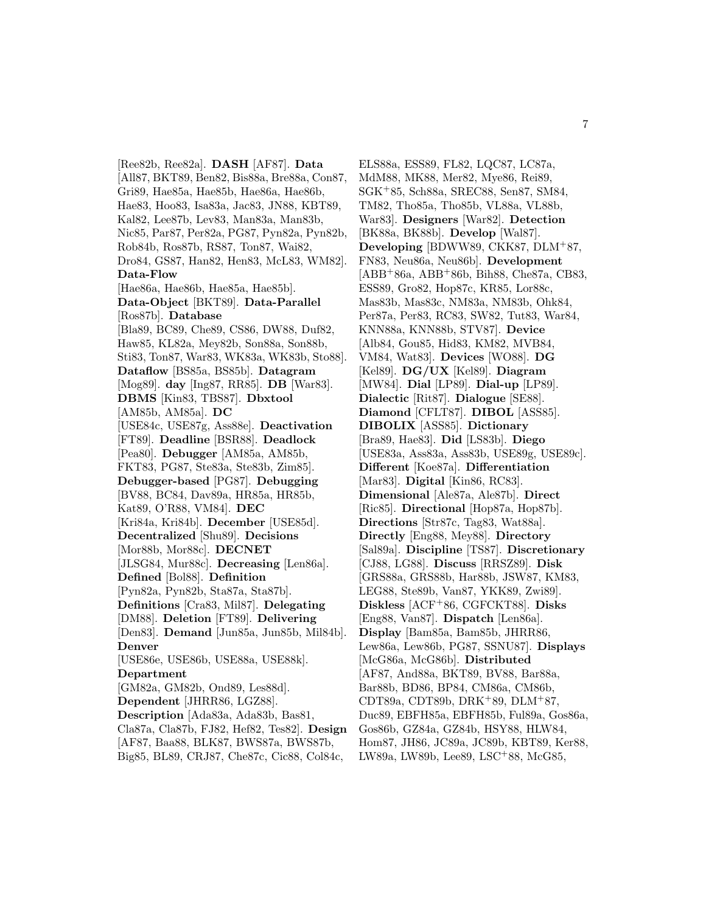[Ree82b, Ree82a]. **DASH** [AF87]. **Data** [All87, BKT89, Ben82, Bis88a, Bre88a, Con87, Gri89, Hae85a, Hae85b, Hae86a, Hae86b, Hae83, Hoo83, Isa83a, Jac83, JN88, KBT89, Kal82, Lee87b, Lev83, Man83a, Man83b, Nic85, Par87, Per82a, PG87, Pyn82a, Pyn82b, Rob84b, Ros87b, RS87, Ton87, Wai82, Dro84, GS87, Han82, Hen83, McL83, WM82]. **Data-Flow** [Hae86a, Hae86b, Hae85a, Hae85b]. **Data-Object** [BKT89]. **Data-Parallel** [Ros87b]. **Database** [Bla89, BC89, Che89, CS86, DW88, Duf82, Haw85, KL82a, Mey82b, Son88a, Son88b, Sti83, Ton87, War83, WK83a, WK83b, Sto88]. **Dataflow** [BS85a, BS85b]. **Datagram** [Mog89]. **day** [Ing87, RR85]. **DB** [War83]. **DBMS** [Kin83, TBS87]. **Dbxtool** [AM85b, AM85a]. **DC** [USE84c, USE87g, Ass88e]. **Deactivation** [FT89]. **Deadline** [BSR88]. **Deadlock** [Pea80]. **Debugger** [AM85a, AM85b, FKT83, PG87, Ste83a, Ste83b, Zim85]. **Debugger-based** [PG87]. **Debugging** [BV88, BC84, Dav89a, HR85a, HR85b, Kat89, O'R88, VM84]. **DEC** [Kri84a, Kri84b]. **December** [USE85d]. **Decentralized** [Shu89]. **Decisions** [Mor88b, Mor88c]. **DECNET** [JLSG84, Mur88c]. **Decreasing** [Len86a]. **Defined** [Bol88]. **Definition** [Pyn82a, Pyn82b, Sta87a, Sta87b]. **Definitions** [Cra83, Mil87]. **Delegating** [DM88]. **Deletion** [FT89]. **Delivering** [Den83]. **Demand** [Jun85a, Jun85b, Mil84b]. **Denver** [USE86e, USE86b, USE88a, USE88k]. **Department** [GM82a, GM82b, Ond89, Les88d]. **Dependent** [JHRR86, LGZ88]. **Description** [Ada83a, Ada83b, Bas81, Cla87a, Cla87b, FJ82, Hef82, Tes82]. **Design** [AF87, Baa88, BLK87, BWS87a, BWS87b, Big85, BL89, CRJ87, Che87c, Cic88, Col84c,

ELS88a, ESS89, FL82, LQC87, LC87a, MdM88, MK88, Mer82, Mye86, Rei89, SGK<sup>+</sup>85, Sch88a, SREC88, Sen87, SM84, TM82, Tho85a, Tho85b, VL88a, VL88b, War83]. **Designers** [War82]. **Detection** [BK88a, BK88b]. **Develop** [Wal87]. **Developing** [BDWW89, CKK87, DLM<sup>+</sup>87, FN83, Neu86a, Neu86b]. **Development** [ABB<sup>+</sup>86a, ABB<sup>+</sup>86b, Bih88, Che87a, CB83, ESS89, Gro82, Hop87c, KR85, Lor88c, Mas83b, Mas83c, NM83a, NM83b, Ohk84, Per87a, Per83, RC83, SW82, Tut83, War84, KNN88a, KNN88b, STV87]. **Device** [Alb84, Gou85, Hid83, KM82, MVB84, VM84, Wat83]. **Devices** [WO88]. **DG** [Kel89]. **DG/UX** [Kel89]. **Diagram** [MW84]. **Dial** [LP89]. **Dial-up** [LP89]. **Dialectic** [Rit87]. **Dialogue** [SE88]. **Diamond** [CFLT87]. **DIBOL** [ASS85]. **DIBOLIX** [ASS85]. **Dictionary** [Bra89, Hae83]. **Did** [LS83b]. **Diego** [USE83a, Ass83a, Ass83b, USE89g, USE89c]. **Different** [Koe87a]. **Differentiation** [Mar83]. **Digital** [Kin86, RC83]. **Dimensional** [Ale87a, Ale87b]. **Direct** [Ric85]. **Directional** [Hop87a, Hop87b]. **Directions** [Str87c, Tag83, Wat88a]. **Directly** [Eng88, Mey88]. **Directory** [Sal89a]. **Discipline** [TS87]. **Discretionary** [CJ88, LG88]. **Discuss** [RRSZ89]. **Disk** [GRS88a, GRS88b, Har88b, JSW87, KM83, LEG88, Ste89b, Van87, YKK89, Zwi89]. **Diskless** [ACF<sup>+</sup>86, CGFCKT88]. **Disks** [Eng88, Van87]. **Dispatch** [Len86a]. **Display** [Bam85a, Bam85b, JHRR86, Lew86a, Lew86b, PG87, SSNU87]. **Displays** [McG86a, McG86b]. **Distributed** [AF87, And88a, BKT89, BV88, Bar88a, Bar88b, BD86, BP84, CM86a, CM86b, CDT89a, CDT89b, DRK<sup>+</sup>89, DLM<sup>+</sup>87, Duc89, EBFH85a, EBFH85b, Ful89a, Gos86a, Gos86b, GZ84a, GZ84b, HSY88, HLW84, Hom87, JH86, JC89a, JC89b, KBT89, Ker88, LW89a, LW89b, Lee89, LSC<sup>+</sup>88, McG85,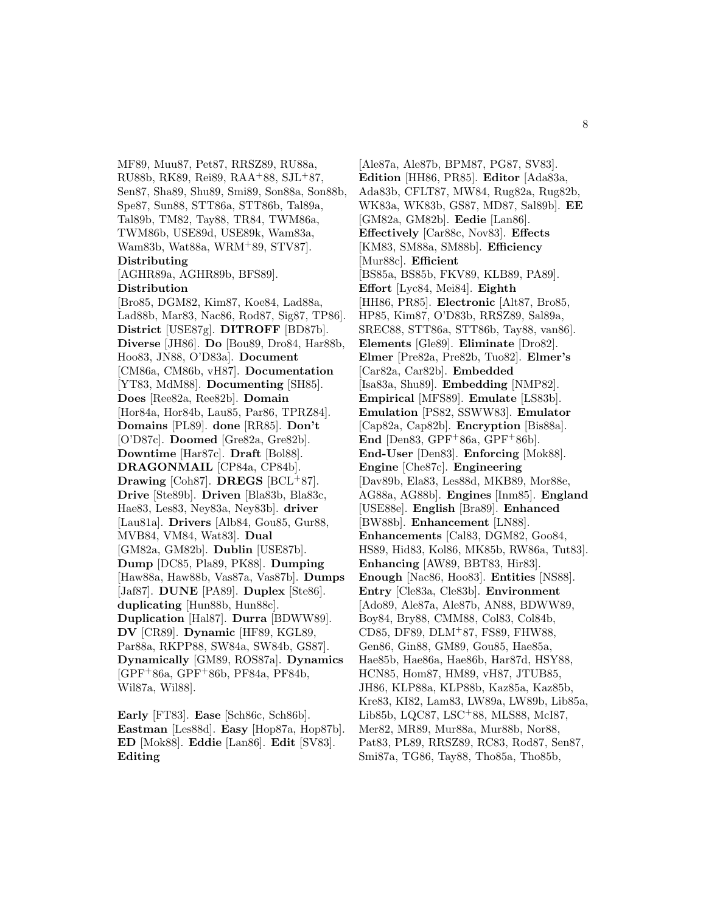MF89, Muu87, Pet87, RRSZ89, RU88a, RU88b, RK89, Rei89, RAA<sup>+</sup>88, SJL<sup>+</sup>87, Sen87, Sha89, Shu89, Smi89, Son88a, Son88b, Spe87, Sun88, STT86a, STT86b, Tal89a, Tal89b, TM82, Tay88, TR84, TWM86a, TWM86b, USE89d, USE89k, Wam83a, Wam83b, Wat88a, WRM<sup>+</sup>89, STV87]. **Distributing** [AGHR89a, AGHR89b, BFS89]. **Distribution** [Bro85, DGM82, Kim87, Koe84, Lad88a, Lad88b, Mar83, Nac86, Rod87, Sig87, TP86]. **District** [USE87g]. **DITROFF** [BD87b]. **Diverse** [JH86]. **Do** [Bou89, Dro84, Har88b, Hoo83, JN88, O'D83a]. **Document** [CM86a, CM86b, vH87]. **Documentation** [YT83, MdM88]. **Documenting** [SH85]. **Does** [Ree82a, Ree82b]. **Domain** [Hor84a, Hor84b, Lau85, Par86, TPRZ84]. **Domains** [PL89]. **done** [RR85]. **Don't** [O'D87c]. **Doomed** [Gre82a, Gre82b]. **Downtime** [Har87c]. **Draft** [Bol88]. **DRAGONMAIL** [CP84a, CP84b]. **Drawing** [Coh87]. **DREGS** [BCL<sup>+</sup>87]. **Drive** [Ste89b]. **Driven** [Bla83b, Bla83c, Hae83, Les83, Ney83a, Ney83b]. **driver** [Lau81a]. **Drivers** [Alb84, Gou85, Gur88, MVB84, VM84, Wat83]. **Dual** [GM82a, GM82b]. **Dublin** [USE87b]. **Dump** [DC85, Pla89, PK88]. **Dumping** [Haw88a, Haw88b, Vas87a, Vas87b]. **Dumps** [Jaf87]. **DUNE** [PA89]. **Duplex** [Ste86]. **duplicating** [Hun88b, Hun88c]. **Duplication** [Hal87]. **Durra** [BDWW89]. **DV** [CR89]. **Dynamic** [HF89, KGL89, Par88a, RKPP88, SW84a, SW84b, GS87]. **Dynamically** [GM89, ROS87a]. **Dynamics** [GPF<sup>+</sup>86a, GPF<sup>+</sup>86b, PF84a, PF84b, Wil87a, Wil88].

**Early** [FT83]. **Ease** [Sch86c, Sch86b]. **Eastman** [Les88d]. **Easy** [Hop87a, Hop87b]. **ED** [Mok88]. **Eddie** [Lan86]. **Edit** [SV83]. **Editing**

[Ale87a, Ale87b, BPM87, PG87, SV83]. **Edition** [HH86, PR85]. **Editor** [Ada83a, Ada83b, CFLT87, MW84, Rug82a, Rug82b, WK83a, WK83b, GS87, MD87, Sal89b]. **EE** [GM82a, GM82b]. **Eedie** [Lan86]. **Effectively** [Car88c, Nov83]. **Effects** [KM83, SM88a, SM88b]. **Efficiency** [Mur88c]. **Efficient** [BS85a, BS85b, FKV89, KLB89, PA89]. **Effort** [Lyc84, Mei84]. **Eighth** [HH86, PR85]. **Electronic** [Alt87, Bro85, HP85, Kim87, O'D83b, RRSZ89, Sal89a, SREC88, STT86a, STT86b, Tay88, van86]. **Elements** [Gle89]. **Eliminate** [Dro82]. **Elmer** [Pre82a, Pre82b, Tuo82]. **Elmer's** [Car82a, Car82b]. **Embedded** [Isa83a, Shu89]. **Embedding** [NMP82]. **Empirical** [MFS89]. **Emulate** [LS83b]. **Emulation** [PS82, SSWW83]. **Emulator** [Cap82a, Cap82b]. **Encryption** [Bis88a]. **End** [Den83, GPF<sup>+</sup>86a, GPF<sup>+</sup>86b]. **End-User** [Den83]. **Enforcing** [Mok88]. **Engine** [Che87c]. **Engineering** [Dav89b, Ela83, Les88d, MKB89, Mor88e, AG88a, AG88b]. **Engines** [Inm85]. **England** [USE88e]. **English** [Bra89]. **Enhanced** [BW88b]. **Enhancement** [LN88]. **Enhancements** [Cal83, DGM82, Goo84, HS89, Hid83, Kol86, MK85b, RW86a, Tut83]. **Enhancing** [AW89, BBT83, Hir83]. **Enough** [Nac86, Hoo83]. **Entities** [NS88]. **Entry** [Cle83a, Cle83b]. **Environment** [Ado89, Ale87a, Ale87b, AN88, BDWW89, Boy84, Bry88, CMM88, Col83, Col84b, CD85, DF89, DLM<sup>+</sup>87, FS89, FHW88, Gen86, Gin88, GM89, Gou85, Hae85a, Hae85b, Hae86a, Hae86b, Har87d, HSY88, HCN85, Hom87, HM89, vH87, JTUB85, JH86, KLP88a, KLP88b, Kaz85a, Kaz85b, Kre83, KI82, Lam83, LW89a, LW89b, Lib85a, Lib85b, LQC87, LSC<sup>+</sup>88, MLS88, McI87, Mer82, MR89, Mur88a, Mur88b, Nor88, Pat83, PL89, RRSZ89, RC83, Rod87, Sen87, Smi87a, TG86, Tay88, Tho85a, Tho85b,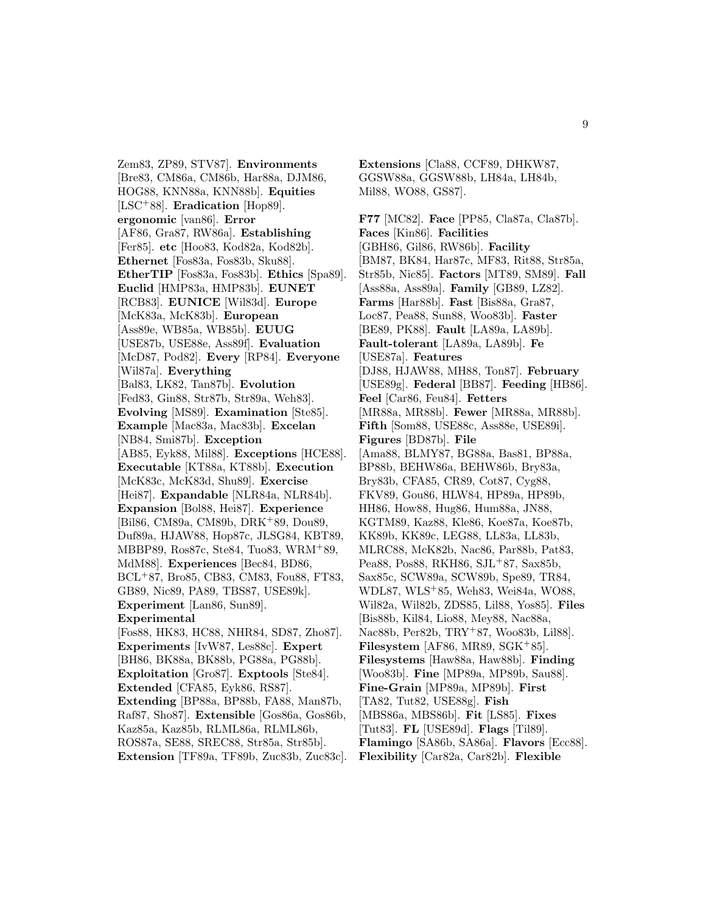Zem83, ZP89, STV87]. **Environments** [Bre83, CM86a, CM86b, Har88a, DJM86, HOG88, KNN88a, KNN88b]. **Equities** [LSC<sup>+</sup>88]. **Eradication** [Hop89]. **ergonomic** [van86]. **Error** [AF86, Gra87, RW86a]. **Establishing** [Fer85]. **etc** [Hoo83, Kod82a, Kod82b]. **Ethernet** [Fos83a, Fos83b, Sku88]. **EtherTIP** [Fos83a, Fos83b]. **Ethics** [Spa89]. **Euclid** [HMP83a, HMP83b]. **EUNET** [RCB83]. **EUNICE** [Wil83d]. **Europe** [McK83a, McK83b]. **European** [Ass89e, WB85a, WB85b]. **EUUG** [USE87b, USE88e, Ass89f]. **Evaluation** [McD87, Pod82]. **Every** [RP84]. **Everyone** [Wil87a]. **Everything** [Bal83, LK82, Tan87b]. **Evolution** [Fed83, Gin88, Str87b, Str89a, Weh83]. **Evolving** [MS89]. **Examination** [Ste85]. **Example** [Mac83a, Mac83b]. **Excelan** [NB84, Smi87b]. **Exception** [AB85, Eyk88, Mil88]. **Exceptions** [HCE88]. **Executable** [KT88a, KT88b]. **Execution** [McK83c, McK83d, Shu89]. **Exercise** [Hei87]. **Expandable** [NLR84a, NLR84b]. **Expansion** [Bol88, Hei87]. **Experience** [Bil86, CM89a, CM89b, DRK<sup>+</sup>89, Dou89, Duf89a, HJAW88, Hop87c, JLSG84, KBT89, MBBP89, Ros87c, Ste84, Tuo83, WRM<sup>+</sup>89, MdM88]. **Experiences** [Bec84, BD86, BCL<sup>+</sup>87, Bro85, CB83, CM83, Fou88, FT83, GB89, Nic89, PA89, TBS87, USE89k]. **Experiment** [Lan86, Sun89]. **Experimental** [Fos88, HK83, HC88, NHR84, SD87, Zho87]. **Experiments** [IvW87, Les88c]. **Expert** [BH86, BK88a, BK88b, PG88a, PG88b]. **Exploitation** [Gro87]. **Exptools** [Ste84]. **Extended** [CFA85, Eyk86, RS87]. **Extending** [BP88a, BP88b, FA88, Man87b, Raf87, Sho87]. **Extensible** [Gos86a, Gos86b, Kaz85a, Kaz85b, RLML86a, RLML86b, ROS87a, SE88, SREC88, Str85a, Str85b]. **Extension** [TF89a, TF89b, Zuc83b, Zuc83c].

**Extensions** [Cla88, CCF89, DHKW87, GGSW88a, GGSW88b, LH84a, LH84b, Mil88, WO88, GS87].

**F77** [MC82]. **Face** [PP85, Cla87a, Cla87b]. **Faces** [Kin86]. **Facilities** [GBH86, Gil86, RW86b]. **Facility** [BM87, BK84, Har87c, MF83, Rit88, Str85a, Str85b, Nic85]. **Factors** [MT89, SM89]. **Fall** [Ass88a, Ass89a]. **Family** [GB89, LZ82]. **Farms** [Har88b]. **Fast** [Bis88a, Gra87, Loc87, Pea88, Sun88, Woo83b]. **Faster** [BE89, PK88]. **Fault** [LA89a, LA89b]. **Fault-tolerant** [LA89a, LA89b]. **Fe** [USE87a]. **Features** [DJ88, HJAW88, MH88, Ton87]. **February** [USE89g]. **Federal** [BB87]. **Feeding** [HB86]. **Feel** [Car86, Feu84]. **Fetters** [MR88a, MR88b]. **Fewer** [MR88a, MR88b]. **Fifth** [Som88, USE88c, Ass88e, USE89i]. **Figures** [BD87b]. **File** [Ama88, BLMY87, BG88a, Bas81, BP88a, BP88b, BEHW86a, BEHW86b, Bry83a, Bry83b, CFA85, CR89, Cot87, Cyg88, FKV89, Gou86, HLW84, HP89a, HP89b, HH86, How88, Hug86, Hum88a, JN88, KGTM89, Kaz88, Kle86, Koe87a, Koe87b, KK89b, KK89c, LEG88, LL83a, LL83b, MLRC88, McK82b, Nac86, Par88b, Pat83, Pea88, Pos88, RKH86, SJL+87, Sax85b, Sax85c, SCW89a, SCW89b, Spe89, TR84, WDL87, WLS<sup>+</sup>85, Weh83, Wei84a, WO88, Wil82a, Wil82b, ZDS85, Lil88, Yos85]. **Files** [Bis88b, Kil84, Lio88, Mey88, Nac88a, Nac88b, Per82b, TRY<sup>+</sup>87, Woo83b, Lil88]. **Filesystem** [AF86, MR89, SGK<sup>+</sup>85]. **Filesystems** [Haw88a, Haw88b]. **Finding** [Woo83b]. **Fine** [MP89a, MP89b, Sau88]. **Fine-Grain** [MP89a, MP89b]. **First** [TA82, Tut82, USE88g]. **Fish** [MBS86a, MBS86b]. **Fit** [LS85]. **Fixes** [Tut83]. **FL** [USE89d]. **Flags** [Til89]. **Flamingo** [SA86b, SA86a]. **Flavors** [Ecc88]. **Flexibility** [Car82a, Car82b]. **Flexible**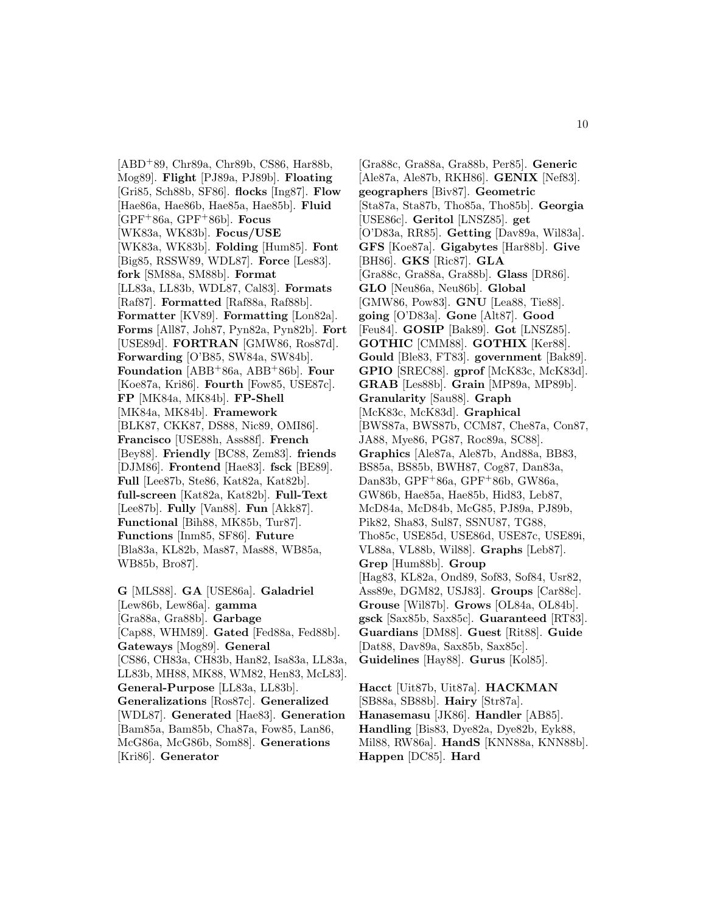[ABD<sup>+</sup>89, Chr89a, Chr89b, CS86, Har88b, Mog89]. **Flight** [PJ89a, PJ89b]. **Floating** [Gri85, Sch88b, SF86]. **flocks** [Ing87]. **Flow** [Hae86a, Hae86b, Hae85a, Hae85b]. **Fluid** [GPF<sup>+</sup>86a, GPF<sup>+</sup>86b]. **Focus** [WK83a, WK83b]. **Focus/USE** [WK83a, WK83b]. **Folding** [Hum85]. **Font** [Big85, RSSW89, WDL87]. **Force** [Les83]. **fork** [SM88a, SM88b]. **Format** [LL83a, LL83b, WDL87, Cal83]. **Formats** [Raf87]. **Formatted** [Raf88a, Raf88b]. **Formatter** [KV89]. **Formatting** [Lon82a]. **Forms** [All87, Joh87, Pyn82a, Pyn82b]. **Fort** [USE89d]. **FORTRAN** [GMW86, Ros87d]. **Forwarding** [O'B85, SW84a, SW84b]. **Foundation** [ABB<sup>+</sup>86a, ABB<sup>+</sup>86b]. **Four** [Koe87a, Kri86]. **Fourth** [Fow85, USE87c]. **FP** [MK84a, MK84b]. **FP-Shell** [MK84a, MK84b]. **Framework** [BLK87, CKK87, DS88, Nic89, OMI86]. **Francisco** [USE88h, Ass88f]. **French** [Bey88]. **Friendly** [BC88, Zem83]. **friends** [DJM86]. **Frontend** [Hae83]. **fsck** [BE89]. **Full** [Lee87b, Ste86, Kat82a, Kat82b]. **full-screen** [Kat82a, Kat82b]. **Full-Text** [Lee87b]. **Fully** [Van88]. **Fun** [Akk87]. **Functional** [Bih88, MK85b, Tur87]. **Functions** [Inm85, SF86]. **Future** [Bla83a, KL82b, Mas87, Mas88, WB85a, WB85b, Bro87].

**G** [MLS88]. **GA** [USE86a]. **Galadriel** [Lew86b, Lew86a]. **gamma** [Gra88a, Gra88b]. **Garbage** [Cap88, WHM89]. **Gated** [Fed88a, Fed88b]. **Gateways** [Mog89]. **General** [CS86, CH83a, CH83b, Han82, Isa83a, LL83a, LL83b, MH88, MK88, WM82, Hen83, McL83]. **General-Purpose** [LL83a, LL83b]. **Generalizations** [Ros87c]. **Generalized** [WDL87]. **Generated** [Hae83]. **Generation** [Bam85a, Bam85b, Cha87a, Fow85, Lan86, McG86a, McG86b, Som88]. **Generations** [Kri86]. **Generator**

[Gra88c, Gra88a, Gra88b, Per85]. **Generic** [Ale87a, Ale87b, RKH86]. **GENIX** [Nef83]. **geographers** [Biv87]. **Geometric** [Sta87a, Sta87b, Tho85a, Tho85b]. **Georgia** [USE86c]. **Geritol** [LNSZ85]. **get** [O'D83a, RR85]. **Getting** [Dav89a, Wil83a]. **GFS** [Koe87a]. **Gigabytes** [Har88b]. **Give** [BH86]. **GKS** [Ric87]. **GLA** [Gra88c, Gra88a, Gra88b]. **Glass** [DR86]. **GLO** [Neu86a, Neu86b]. **Global** [GMW86, Pow83]. **GNU** [Lea88, Tie88]. **going** [O'D83a]. **Gone** [Alt87]. **Good** [Feu84]. **GOSIP** [Bak89]. **Got** [LNSZ85]. **GOTHIC** [CMM88]. **GOTHIX** [Ker88]. **Gould** [Ble83, FT83]. **government** [Bak89]. **GPIO** [SREC88]. **gprof** [McK83c, McK83d]. **GRAB** [Les88b]. **Grain** [MP89a, MP89b]. **Granularity** [Sau88]. **Graph** [McK83c, McK83d]. **Graphical** [BWS87a, BWS87b, CCM87, Che87a, Con87, JA88, Mye86, PG87, Roc89a, SC88]. **Graphics** [Ale87a, Ale87b, And88a, BB83, BS85a, BS85b, BWH87, Cog87, Dan83a, Dan83b, GPF<sup>+</sup>86a, GPF<sup>+</sup>86b, GW86a, GW86b, Hae85a, Hae85b, Hid83, Leb87, McD84a, McD84b, McG85, PJ89a, PJ89b, Pik82, Sha83, Sul87, SSNU87, TG88, Tho85c, USE85d, USE86d, USE87c, USE89i, VL88a, VL88b, Wil88]. **Graphs** [Leb87]. **Grep** [Hum88b]. **Group** [Hag83, KL82a, Ond89, Sof83, Sof84, Usr82, Ass89e, DGM82, USJ83]. **Groups** [Car88c]. **Grouse** [Wil87b]. **Grows** [OL84a, OL84b]. **gsck** [Sax85b, Sax85c]. **Guaranteed** [RT83]. **Guardians** [DM88]. **Guest** [Rit88]. **Guide** [Dat88, Dav89a, Sax85b, Sax85c]. **Guidelines** [Hay88]. **Gurus** [Kol85].

**Hacct** [Uit87b, Uit87a]. **HACKMAN** [SB88a, SB88b]. **Hairy** [Str87a]. **Hanasemasu** [JK86]. **Handler** [AB85]. **Handling** [Bis83, Dye82a, Dye82b, Eyk88, Mil88, RW86a]. **HandS** [KNN88a, KNN88b]. **Happen** [DC85]. **Hard**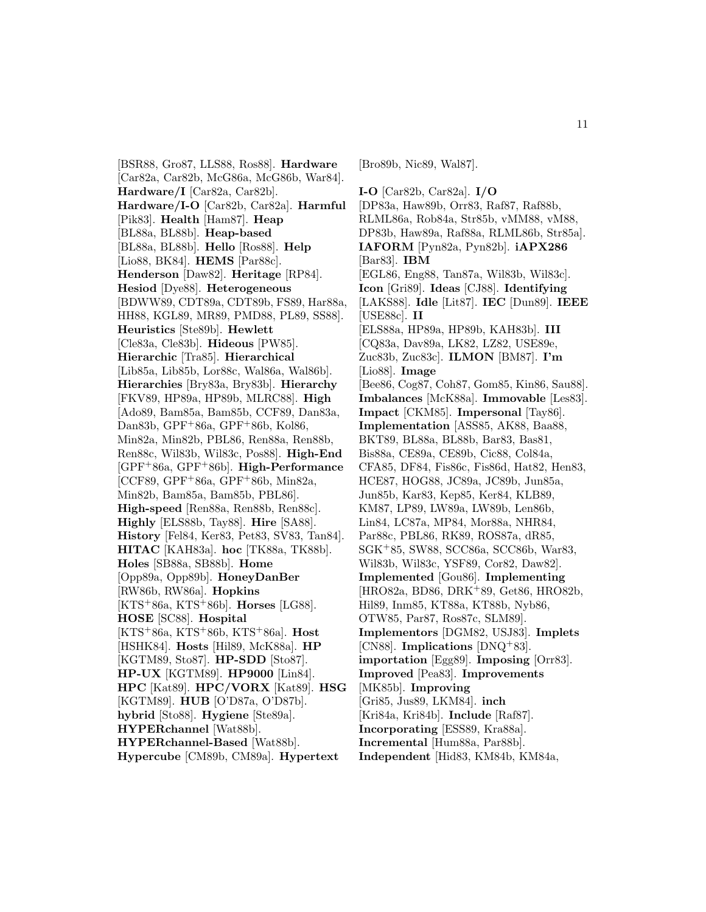[BSR88, Gro87, LLS88, Ros88]. **Hardware** [Car82a, Car82b, McG86a, McG86b, War84]. **Hardware/I** [Car82a, Car82b]. **Hardware/I-O** [Car82b, Car82a]. **Harmful** [Pik83]. **Health** [Ham87]. **Heap** [BL88a, BL88b]. **Heap-based** [BL88a, BL88b]. **Hello** [Ros88]. **Help** [Lio88, BK84]. **HEMS** [Par88c]. **Henderson** [Daw82]. **Heritage** [RP84]. **Hesiod** [Dye88]. **Heterogeneous** [BDWW89, CDT89a, CDT89b, FS89, Har88a, HH88, KGL89, MR89, PMD88, PL89, SS88]. **Heuristics** [Ste89b]. **Hewlett** [Cle83a, Cle83b]. **Hideous** [PW85]. **Hierarchic** [Tra85]. **Hierarchical** [Lib85a, Lib85b, Lor88c, Wal86a, Wal86b]. **Hierarchies** [Bry83a, Bry83b]. **Hierarchy** [FKV89, HP89a, HP89b, MLRC88]. **High** [Ado89, Bam85a, Bam85b, CCF89, Dan83a, Dan83b, GPF<sup>+</sup>86a, GPF<sup>+</sup>86b, Kol86, Min82a, Min82b, PBL86, Ren88a, Ren88b, Ren88c, Wil83b, Wil83c, Pos88]. **High-End** [GPF<sup>+</sup>86a, GPF<sup>+</sup>86b]. **High-Performance** [CCF89, GPF<sup>+</sup>86a, GPF<sup>+</sup>86b, Min82a, Min82b, Bam85a, Bam85b, PBL86]. **High-speed** [Ren88a, Ren88b, Ren88c]. **Highly** [ELS88b, Tay88]. **Hire** [SA88]. **History** [Fel84, Ker83, Pet83, SV83, Tan84]. **HITAC** [KAH83a]. **hoc** [TK88a, TK88b]. **Holes** [SB88a, SB88b]. **Home** [Opp89a, Opp89b]. **HoneyDanBer** [RW86b, RW86a]. **Hopkins** [KTS<sup>+</sup>86a, KTS<sup>+</sup>86b]. **Horses** [LG88]. **HOSE** [SC88]. **Hospital** [KTS<sup>+</sup>86a, KTS<sup>+</sup>86b, KTS<sup>+</sup>86a]. **Host** [HSHK84]. **Hosts** [Hil89, McK88a]. **HP** [KGTM89, Sto87]. **HP-SDD** [Sto87]. **HP-UX** [KGTM89]. **HP9000** [Lin84]. **HPC** [Kat89]. **HPC/VORX** [Kat89]. **HSG** [KGTM89]. **HUB** [O'D87a, O'D87b]. **hybrid** [Sto88]. **Hygiene** [Ste89a]. **HYPERchannel** [Wat88b]. **HYPERchannel-Based** [Wat88b]. **Hypercube** [CM89b, CM89a]. **Hypertext**

[Bro89b, Nic89, Wal87].

**I-O** [Car82b, Car82a]. **I/O** [DP83a, Haw89b, Orr83, Raf87, Raf88b, RLML86a, Rob84a, Str85b, vMM88, vM88, DP83b, Haw89a, Raf88a, RLML86b, Str85a]. **IAFORM** [Pyn82a, Pyn82b]. **iAPX286** [Bar83]. **IBM** [EGL86, Eng88, Tan87a, Wil83b, Wil83c]. **Icon** [Gri89]. **Ideas** [CJ88]. **Identifying** [LAKS88]. **Idle** [Lit87]. **IEC** [Dun89]. **IEEE** [USE88c]. **II** [ELS88a, HP89a, HP89b, KAH83b]. **III** [CQ83a, Dav89a, LK82, LZ82, USE89e, Zuc83b, Zuc83c]. **ILMON** [BM87]. **I'm** [Lio88]. **Image** [Bee86, Cog87, Coh87, Gom85, Kin86, Sau88]. **Imbalances** [McK88a]. **Immovable** [Les83]. **Impact** [CKM85]. **Impersonal** [Tay86]. **Implementation** [ASS85, AK88, Baa88, BKT89, BL88a, BL88b, Bar83, Bas81, Bis88a, CE89a, CE89b, Cic88, Col84a, CFA85, DF84, Fis86c, Fis86d, Hat82, Hen83, HCE87, HOG88, JC89a, JC89b, Jun85a, Jun85b, Kar83, Kep85, Ker84, KLB89, KM87, LP89, LW89a, LW89b, Len86b, Lin84, LC87a, MP84, Mor88a, NHR84, Par88c, PBL86, RK89, ROS87a, dR85, SGK<sup>+</sup>85, SW88, SCC86a, SCC86b, War83, Wil83b, Wil83c, YSF89, Cor82, Daw82]. **Implemented** [Gou86]. **Implementing** [HRO82a, BD86, DRK<sup>+</sup>89, Get86, HRO82b, Hil89, Inm85, KT88a, KT88b, Nyb86, OTW85, Par87, Ros87c, SLM89]. **Implementors** [DGM82, USJ83]. **Implets** [CN88]. **Implications** [DNQ<sup>+</sup>83]. **importation** [Egg89]. **Imposing** [Orr83]. **Improved** [Pea83]. **Improvements** [MK85b]. **Improving** [Gri85, Jus89, LKM84]. **inch** [Kri84a, Kri84b]. **Include** [Raf87]. **Incorporating** [ESS89, Kra88a]. **Incremental** [Hum88a, Par88b]. **Independent** [Hid83, KM84b, KM84a,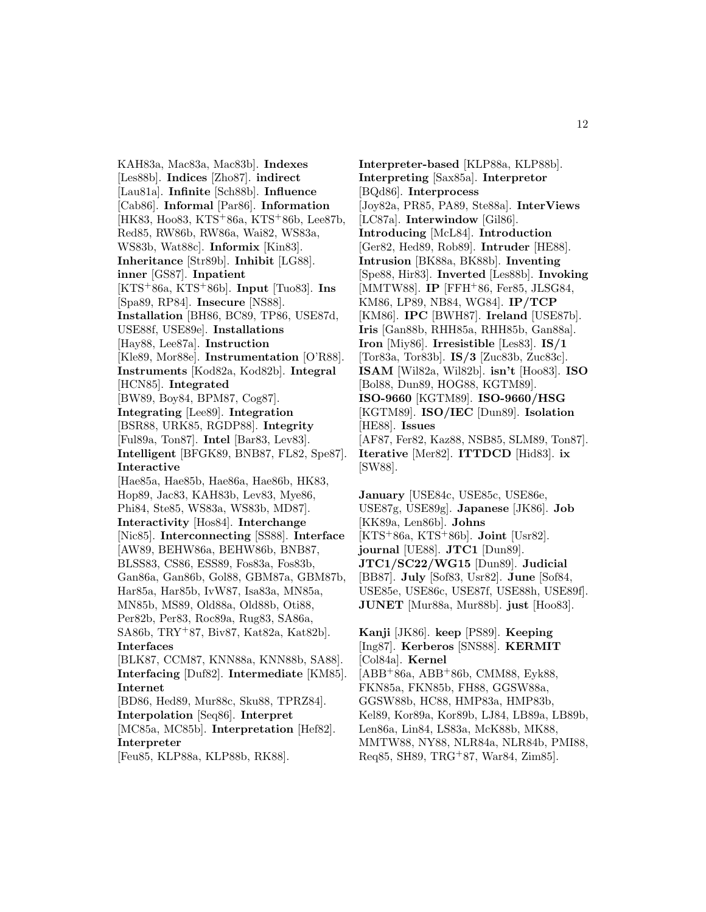KAH83a, Mac83a, Mac83b]. **Indexes** [Les88b]. **Indices** [Zho87]. **indirect** [Lau81a]. **Infinite** [Sch88b]. **Influence** [Cab86]. **Informal** [Par86]. **Information** [HK83, Hoo83, KTS<sup>+</sup>86a, KTS<sup>+</sup>86b, Lee87b, Red85, RW86b, RW86a, Wai82, WS83a, WS83b, Wat88c]. **Informix** [Kin83]. **Inheritance** [Str89b]. **Inhibit** [LG88]. **inner** [GS87]. **Inpatient** [KTS<sup>+</sup>86a, KTS<sup>+</sup>86b]. **Input** [Tuo83]. **Ins** [Spa89, RP84]. **Insecure** [NS88]. **Installation** [BH86, BC89, TP86, USE87d, USE88f, USE89e]. **Installations** [Hay88, Lee87a]. **Instruction** [Kle89, Mor88e]. **Instrumentation** [O'R88]. **Instruments** [Kod82a, Kod82b]. **Integral** [HCN85]. **Integrated** [BW89, Boy84, BPM87, Cog87]. **Integrating** [Lee89]. **Integration** [BSR88, URK85, RGDP88]. **Integrity** [Ful89a, Ton87]. **Intel** [Bar83, Lev83]. **Intelligent** [BFGK89, BNB87, FL82, Spe87]. **Interactive** [Hae85a, Hae85b, Hae86a, Hae86b, HK83, Hop89, Jac83, KAH83b, Lev83, Mye86, Phi84, Ste85, WS83a, WS83b, MD87]. **Interactivity** [Hos84]. **Interchange** [Nic85]. **Interconnecting** [SS88]. **Interface** [AW89, BEHW86a, BEHW86b, BNB87, BLSS83, CS86, ESS89, Fos83a, Fos83b, Gan86a, Gan86b, Gol88, GBM87a, GBM87b, Har85a, Har85b, IvW87, Isa83a, MN85a, MN85b, MS89, Old88a, Old88b, Oti88, Per82b, Per83, Roc89a, Rug83, SA86a, SA86b, TRY<sup>+</sup>87, Biv87, Kat82a, Kat82b]. **Interfaces** [BLK87, CCM87, KNN88a, KNN88b, SA88]. **Interfacing** [Duf82]. **Intermediate** [KM85]. **Internet** [BD86, Hed89, Mur88c, Sku88, TPRZ84]. **Interpolation** [Seq86]. **Interpret** [MC85a, MC85b]. **Interpretation** [Hef82]. **Interpreter** [Feu85, KLP88a, KLP88b, RK88].

**Interpreter-based** [KLP88a, KLP88b]. **Interpreting** [Sax85a]. **Interpretor** [BQd86]. **Interprocess** [Joy82a, PR85, PA89, Ste88a]. **InterViews** [LC87a]. **Interwindow** [Gil86]. **Introducing** [McL84]. **Introduction** [Ger82, Hed89, Rob89]. **Intruder** [HE88]. **Intrusion** [BK88a, BK88b]. **Inventing** [Spe88, Hir83]. **Inverted** [Les88b]. **Invoking** [MMTW88]. **IP** [FFH<sup>+</sup>86, Fer85, JLSG84, KM86, LP89, NB84, WG84]. **IP/TCP** [KM86]. **IPC** [BWH87]. **Ireland** [USE87b]. **Iris** [Gan88b, RHH85a, RHH85b, Gan88a]. **Iron** [Miy86]. **Irresistible** [Les83]. **IS/1** [Tor83a, Tor83b]. **IS/3** [Zuc83b, Zuc83c]. **ISAM** [Wil82a, Wil82b]. **isn't** [Hoo83]. **ISO** [Bol88, Dun89, HOG88, KGTM89]. **ISO-9660** [KGTM89]. **ISO-9660/HSG** [KGTM89]. **ISO/IEC** [Dun89]. **Isolation** [HE88]. **Issues** [AF87, Fer82, Kaz88, NSB85, SLM89, Ton87]. **Iterative** [Mer82]. **ITTDCD** [Hid83]. **ix** [SW88].

**January** [USE84c, USE85c, USE86e, USE87g, USE89g]. **Japanese** [JK86]. **Job** [KK89a, Len86b]. **Johns** [KTS<sup>+</sup>86a, KTS<sup>+</sup>86b]. **Joint** [Usr82]. **journal** [UE88]. **JTC1** [Dun89]. **JTC1/SC22/WG15** [Dun89]. **Judicial** [BB87]. **July** [Sof83, Usr82]. **June** [Sof84, USE85e, USE86c, USE87f, USE88h, USE89f]. **JUNET** [Mur88a, Mur88b]. **just** [Hoo83].

**Kanji** [JK86]. **keep** [PS89]. **Keeping** [Ing87]. **Kerberos** [SNS88]. **KERMIT** [Col84a]. **Kernel** [ABB<sup>+</sup>86a, ABB<sup>+</sup>86b, CMM88, Eyk88, FKN85a, FKN85b, FH88, GGSW88a, GGSW88b, HC88, HMP83a, HMP83b, Kel89, Kor89a, Kor89b, LJ84, LB89a, LB89b, Len86a, Lin84, LS83a, McK88b, MK88, MMTW88, NY88, NLR84a, NLR84b, PMI88, Req85, SH89, TRG<sup>+</sup>87, War84, Zim85].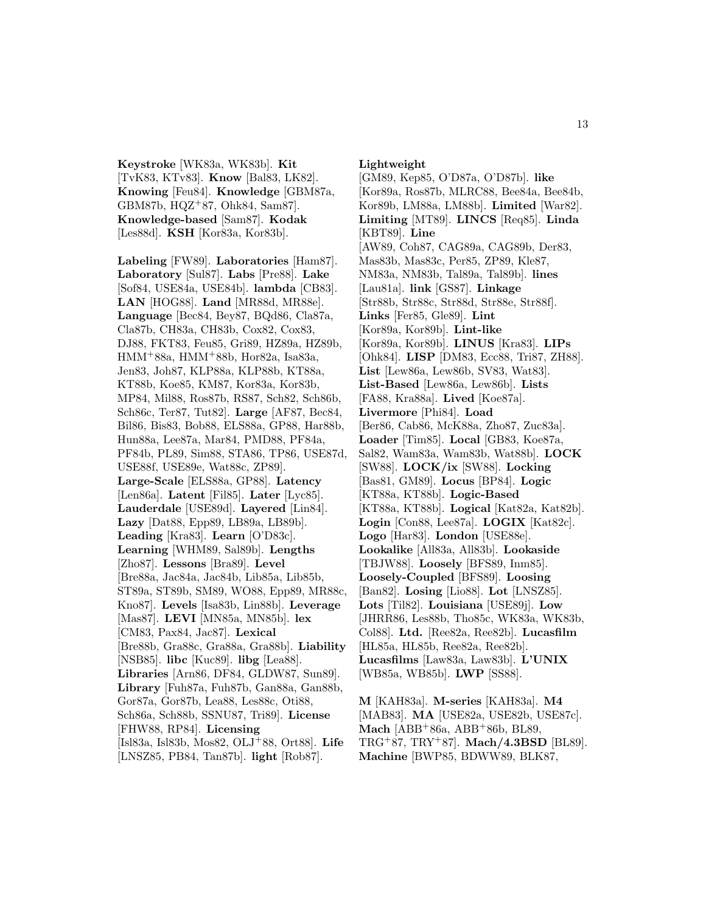**Keystroke** [WK83a, WK83b]. **Kit** [TvK83, KTv83]. **Know** [Bal83, LK82]. **Knowing** [Feu84]. **Knowledge** [GBM87a, GBM87b, HQZ<sup>+</sup>87, Ohk84, Sam87]. **Knowledge-based** [Sam87]. **Kodak** [Les88d]. **KSH** [Kor83a, Kor83b].

**Labeling** [FW89]. **Laboratories** [Ham87]. **Laboratory** [Sul87]. **Labs** [Pre88]. **Lake** [Sof84, USE84a, USE84b]. **lambda** [CB83]. **LAN** [HOG88]. **Land** [MR88d, MR88e]. **Language** [Bec84, Bey87, BQd86, Cla87a, Cla87b, CH83a, CH83b, Cox82, Cox83, DJ88, FKT83, Feu85, Gri89, HZ89a, HZ89b, HMM<sup>+</sup>88a, HMM<sup>+</sup>88b, Hor82a, Isa83a, Jen83, Joh87, KLP88a, KLP88b, KT88a, KT88b, Koe85, KM87, Kor83a, Kor83b, MP84, Mil88, Ros87b, RS87, Sch82, Sch86b, Sch86c, Ter87, Tut82]. **Large** [AF87, Bec84, Bil86, Bis83, Bob88, ELS88a, GP88, Har88b, Hun88a, Lee87a, Mar84, PMD88, PF84a, PF84b, PL89, Sim88, STA86, TP86, USE87d, USE88f, USE89e, Wat88c, ZP89]. **Large-Scale** [ELS88a, GP88]. **Latency** [Len86a]. **Latent** [Fil85]. **Later** [Lyc85]. **Lauderdale** [USE89d]. **Layered** [Lin84]. **Lazy** [Dat88, Epp89, LB89a, LB89b]. **Leading** [Kra83]. **Learn** [O'D83c]. **Learning** [WHM89, Sal89b]. **Lengths** [Zho87]. **Lessons** [Bra89]. **Level** [Bre88a, Jac84a, Jac84b, Lib85a, Lib85b, ST89a, ST89b, SM89, WO88, Epp89, MR88c, Kno87]. **Levels** [Isa83b, Lin88b]. **Leverage** [Mas87]. **LEVI** [MN85a, MN85b]. **lex** [CM83, Pax84, Jac87]. **Lexical** [Bre88b, Gra88c, Gra88a, Gra88b]. **Liability** [NSB85]. **libc** [Kuc89]. **libg** [Lea88]. **Libraries** [Arn86, DF84, GLDW87, Sun89]. **Library** [Fuh87a, Fuh87b, Gan88a, Gan88b, Gor87a, Gor87b, Lea88, Les88c, Oti88, Sch86a, Sch88b, SSNU87, Tri89]. **License** [FHW88, RP84]. **Licensing** [Isl83a, Isl83b, Mos82, OLJ<sup>+</sup>88, Ort88]. **Life** [LNSZ85, PB84, Tan87b]. **light** [Rob87].

**Lightweight**

[GM89, Kep85, O'D87a, O'D87b]. **like** [Kor89a, Ros87b, MLRC88, Bee84a, Bee84b, Kor89b, LM88a, LM88b]. **Limited** [War82]. **Limiting** [MT89]. **LINCS** [Req85]. **Linda** [KBT89]. **Line** [AW89, Coh87, CAG89a, CAG89b, Der83, Mas83b, Mas83c, Per85, ZP89, Kle87, NM83a, NM83b, Tal89a, Tal89b]. **lines** [Lau81a]. **link** [GS87]. **Linkage** [Str88b, Str88c, Str88d, Str88e, Str88f]. **Links** [Fer85, Gle89]. **Lint** [Kor89a, Kor89b]. **Lint-like** [Kor89a, Kor89b]. **LINUS** [Kra83]. **LIPs** [Ohk84]. **LISP** [DM83, Ecc88, Tri87, ZH88]. **List** [Lew86a, Lew86b, SV83, Wat83]. **List-Based** [Lew86a, Lew86b]. **Lists** [FA88, Kra88a]. **Lived** [Koe87a]. **Livermore** [Phi84]. **Load** [Ber86, Cab86, McK88a, Zho87, Zuc83a]. **Loader** [Tim85]. **Local** [GB83, Koe87a, Sal82, Wam83a, Wam83b, Wat88b]. **LOCK** [SW88]. **LOCK/ix** [SW88]. **Locking** [Bas81, GM89]. **Locus** [BP84]. **Logic** [KT88a, KT88b]. **Logic-Based** [KT88a, KT88b]. **Logical** [Kat82a, Kat82b]. **Login** [Con88, Lee87a]. **LOGIX** [Kat82c]. **Logo** [Har83]. **London** [USE88e]. **Lookalike** [All83a, All83b]. **Lookaside** [TBJW88]. **Loosely** [BFS89, Inm85]. **Loosely-Coupled** [BFS89]. **Loosing** [Ban82]. **Losing** [Lio88]. **Lot** [LNSZ85]. **Lots** [Til82]. **Louisiana** [USE89j]. **Low** [JHRR86, Les88b, Tho85c, WK83a, WK83b, Col88]. **Ltd.** [Ree82a, Ree82b]. **Lucasfilm** [HL85a, HL85b, Ree82a, Ree82b]. **Lucasfilms** [Law83a, Law83b]. **L'UNIX** [WB85a, WB85b]. **LWP** [SS88].

**M** [KAH83a]. **M-series** [KAH83a]. **M4** [MAB83]. **MA** [USE82a, USE82b, USE87c]. **Mach** [ABB<sup>+</sup>86a, ABB<sup>+</sup>86b, BL89, TRG<sup>+</sup>87, TRY<sup>+</sup>87]. **Mach/4.3BSD** [BL89]. **Machine** [BWP85, BDWW89, BLK87,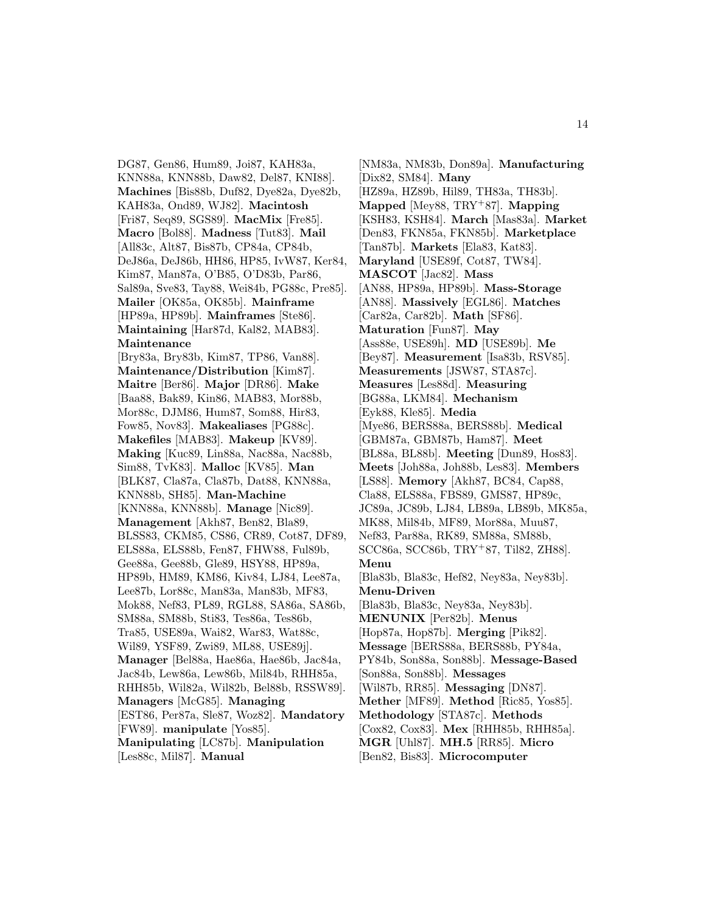DG87, Gen86, Hum89, Joi87, KAH83a, KNN88a, KNN88b, Daw82, Del87, KNI88]. **Machines** [Bis88b, Duf82, Dye82a, Dye82b, KAH83a, Ond89, WJ82]. **Macintosh** [Fri87, Seq89, SGS89]. **MacMix** [Fre85]. **Macro** [Bol88]. **Madness** [Tut83]. **Mail** [All83c, Alt87, Bis87b, CP84a, CP84b, DeJ86a, DeJ86b, HH86, HP85, IvW87, Ker84, Kim87, Man87a, O'B85, O'D83b, Par86, Sal89a, Sve83, Tay88, Wei84b, PG88c, Pre85]. **Mailer** [OK85a, OK85b]. **Mainframe** [HP89a, HP89b]. **Mainframes** [Ste86]. **Maintaining** [Har87d, Kal82, MAB83]. **Maintenance** [Bry83a, Bry83b, Kim87, TP86, Van88]. **Maintenance/Distribution** [Kim87]. **Maitre** [Ber86]. **Major** [DR86]. **Make** [Baa88, Bak89, Kin86, MAB83, Mor88b, Mor88c, DJM86, Hum87, Som88, Hir83, Fow85, Nov83]. **Makealiases** [PG88c]. **Makefiles** [MAB83]. **Makeup** [KV89]. **Making** [Kuc89, Lin88a, Nac88a, Nac88b, Sim88, TvK83]. **Malloc** [KV85]. **Man** [BLK87, Cla87a, Cla87b, Dat88, KNN88a, KNN88b, SH85]. **Man-Machine** [KNN88a, KNN88b]. **Manage** [Nic89].

**Management** [Akh87, Ben82, Bla89, BLSS83, CKM85, CS86, CR89, Cot87, DF89, ELS88a, ELS88b, Fen87, FHW88, Ful89b, Gee88a, Gee88b, Gle89, HSY88, HP89a, HP89b, HM89, KM86, Kiv84, LJ84, Lee87a, Lee87b, Lor88c, Man83a, Man83b, MF83, Mok88, Nef83, PL89, RGL88, SA86a, SA86b, SM88a, SM88b, Sti83, Tes86a, Tes86b, Tra85, USE89a, Wai82, War83, Wat88c, Wil89, YSF89, Zwi89, ML88, USE89j]. **Manager** [Bel88a, Hae86a, Hae86b, Jac84a, Jac84b, Lew86a, Lew86b, Mil84b, RHH85a, RHH85b, Wil82a, Wil82b, Bel88b, RSSW89]. **Managers** [McG85]. **Managing** [EST86, Per87a, Sle87, Woz82]. **Mandatory** [FW89]. **manipulate** [Yos85].

**Manipulating** [LC87b]. **Manipulation** [Les88c, Mil87]. **Manual**

[NM83a, NM83b, Don89a]. **Manufacturing** [Dix82, SM84]. **Many** [HZ89a, HZ89b, Hil89, TH83a, TH83b]. **Mapped** [Mey88, TRY<sup>+</sup>87]. **Mapping** [KSH83, KSH84]. **March** [Mas83a]. **Market** [Den83, FKN85a, FKN85b]. **Marketplace** [Tan87b]. **Markets** [Ela83, Kat83]. **Maryland** [USE89f, Cot87, TW84]. **MASCOT** [Jac82]. **Mass** [AN88, HP89a, HP89b]. **Mass-Storage** [AN88]. **Massively** [EGL86]. **Matches** [Car82a, Car82b]. **Math** [SF86]. **Maturation** [Fun87]. **May** [Ass88e, USE89h]. **MD** [USE89b]. **Me** [Bey87]. **Measurement** [Isa83b, RSV85]. **Measurements** [JSW87, STA87c]. **Measures** [Les88d]. **Measuring** [BG88a, LKM84]. **Mechanism** [Eyk88, Kle85]. **Media** [Mye86, BERS88a, BERS88b]. **Medical** [GBM87a, GBM87b, Ham87]. **Meet** [BL88a, BL88b]. **Meeting** [Dun89, Hos83]. **Meets** [Joh88a, Joh88b, Les83]. **Members** [LS88]. **Memory** [Akh87, BC84, Cap88, Cla88, ELS88a, FBS89, GMS87, HP89c, JC89a, JC89b, LJ84, LB89a, LB89b, MK85a, MK88, Mil84b, MF89, Mor88a, Muu87, Nef83, Par88a, RK89, SM88a, SM88b, SCC86a, SCC86b, TRY<sup>+</sup>87, Til82, ZH88]. **Menu** [Bla83b, Bla83c, Hef82, Ney83a, Ney83b]. **Menu-Driven** [Bla83b, Bla83c, Ney83a, Ney83b]. **MENUNIX** [Per82b]. **Menus** [Hop87a, Hop87b]. **Merging** [Pik82]. **Message** [BERS88a, BERS88b, PY84a, PY84b, Son88a, Son88b]. **Message-Based** [Son88a, Son88b]. **Messages** [Wil87b, RR85]. **Messaging** [DN87]. **Mether** [MF89]. **Method** [Ric85, Yos85]. **Methodology** [STA87c]. **Methods** [Cox82, Cox83]. **Mex** [RHH85b, RHH85a]. **MGR** [Uhl87]. **MH.5** [RR85]. **Micro** [Ben82, Bis83]. **Microcomputer**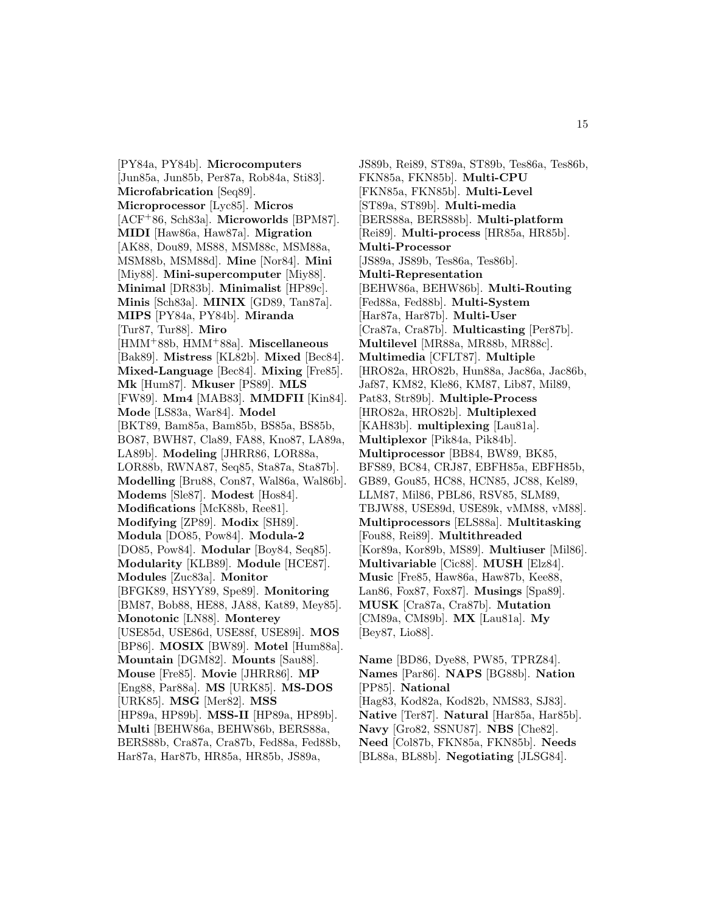[PY84a, PY84b]. **Microcomputers** [Jun85a, Jun85b, Per87a, Rob84a, Sti83]. **Microfabrication** [Seq89]. **Microprocessor** [Lyc85]. **Micros** [ACF<sup>+</sup>86, Sch83a]. **Microworlds** [BPM87]. **MIDI** [Haw86a, Haw87a]. **Migration** [AK88, Dou89, MS88, MSM88c, MSM88a, MSM88b, MSM88d]. **Mine** [Nor84]. **Mini** [Miy88]. **Mini-supercomputer** [Miy88]. **Minimal** [DR83b]. **Minimalist** [HP89c]. **Minis** [Sch83a]. **MINIX** [GD89, Tan87a]. **MIPS** [PY84a, PY84b]. **Miranda** [Tur87, Tur88]. **Miro** [HMM<sup>+</sup>88b, HMM<sup>+</sup>88a]. **Miscellaneous** [Bak89]. **Mistress** [KL82b]. **Mixed** [Bec84]. **Mixed-Language** [Bec84]. **Mixing** [Fre85]. **Mk** [Hum87]. **Mkuser** [PS89]. **MLS** [FW89]. **Mm4** [MAB83]. **MMDFII** [Kin84]. **Mode** [LS83a, War84]. **Model** [BKT89, Bam85a, Bam85b, BS85a, BS85b, BO87, BWH87, Cla89, FA88, Kno87, LA89a, LA89b]. **Modeling** [JHRR86, LOR88a, LOR88b, RWNA87, Seq85, Sta87a, Sta87b]. **Modelling** [Bru88, Con87, Wal86a, Wal86b]. **Modems** [Sle87]. **Modest** [Hos84]. **Modifications** [McK88b, Ree81]. **Modifying** [ZP89]. **Modix** [SH89]. **Modula** [DO85, Pow84]. **Modula-2** [DO85, Pow84]. **Modular** [Boy84, Seq85]. **Modularity** [KLB89]. **Module** [HCE87]. **Modules** [Zuc83a]. **Monitor** [BFGK89, HSYY89, Spe89]. **Monitoring** [BM87, Bob88, HE88, JA88, Kat89, Mey85]. **Monotonic** [LN88]. **Monterey** [USE85d, USE86d, USE88f, USE89i]. **MOS** [BP86]. **MOSIX** [BW89]. **Motel** [Hum88a]. **Mountain** [DGM82]. **Mounts** [Sau88]. **Mouse** [Fre85]. **Movie** [JHRR86]. **MP** [Eng88, Par88a]. **MS** [URK85]. **MS-DOS** [URK85]. **MSG** [Mer82]. **MSS** [HP89a, HP89b]. **MSS-II** [HP89a, HP89b]. **Multi** [BEHW86a, BEHW86b, BERS88a, BERS88b, Cra87a, Cra87b, Fed88a, Fed88b, Har87a, Har87b, HR85a, HR85b, JS89a,

JS89b, Rei89, ST89a, ST89b, Tes86a, Tes86b, FKN85a, FKN85b]. **Multi-CPU** [FKN85a, FKN85b]. **Multi-Level** [ST89a, ST89b]. **Multi-media** [BERS88a, BERS88b]. **Multi-platform** [Rei89]. **Multi-process** [HR85a, HR85b]. **Multi-Processor** [JS89a, JS89b, Tes86a, Tes86b]. **Multi-Representation** [BEHW86a, BEHW86b]. **Multi-Routing** [Fed88a, Fed88b]. **Multi-System** [Har87a, Har87b]. **Multi-User** [Cra87a, Cra87b]. **Multicasting** [Per87b]. **Multilevel** [MR88a, MR88b, MR88c]. **Multimedia** [CFLT87]. **Multiple** [HRO82a, HRO82b, Hun88a, Jac86a, Jac86b, Jaf87, KM82, Kle86, KM87, Lib87, Mil89, Pat83, Str89b]. **Multiple-Process** [HRO82a, HRO82b]. **Multiplexed** [KAH83b]. **multiplexing** [Lau81a]. **Multiplexor** [Pik84a, Pik84b]. **Multiprocessor** [BB84, BW89, BK85, BFS89, BC84, CRJ87, EBFH85a, EBFH85b, GB89, Gou85, HC88, HCN85, JC88, Kel89, LLM87, Mil86, PBL86, RSV85, SLM89, TBJW88, USE89d, USE89k, vMM88, vM88]. **Multiprocessors** [ELS88a]. **Multitasking** [Fou88, Rei89]. **Multithreaded** [Kor89a, Kor89b, MS89]. **Multiuser** [Mil86]. **Multivariable** [Cic88]. **MUSH** [Elz84]. **Music** [Fre85, Haw86a, Haw87b, Kee88, Lan86, Fox87, Fox87]. **Musings** [Spa89]. **MUSK** [Cra87a, Cra87b]. **Mutation** [CM89a, CM89b]. **MX** [Lau81a]. **My** [Bey87, Lio88].

**Name** [BD86, Dye88, PW85, TPRZ84]. **Names** [Par86]. **NAPS** [BG88b]. **Nation** [PP85]. **National** [Hag83, Kod82a, Kod82b, NMS83, SJ83]. **Native** [Ter87]. **Natural** [Har85a, Har85b]. **Navy** [Gro82, SSNU87]. **NBS** [Che82]. **Need** [Col87b, FKN85a, FKN85b]. **Needs** [BL88a, BL88b]. **Negotiating** [JLSG84].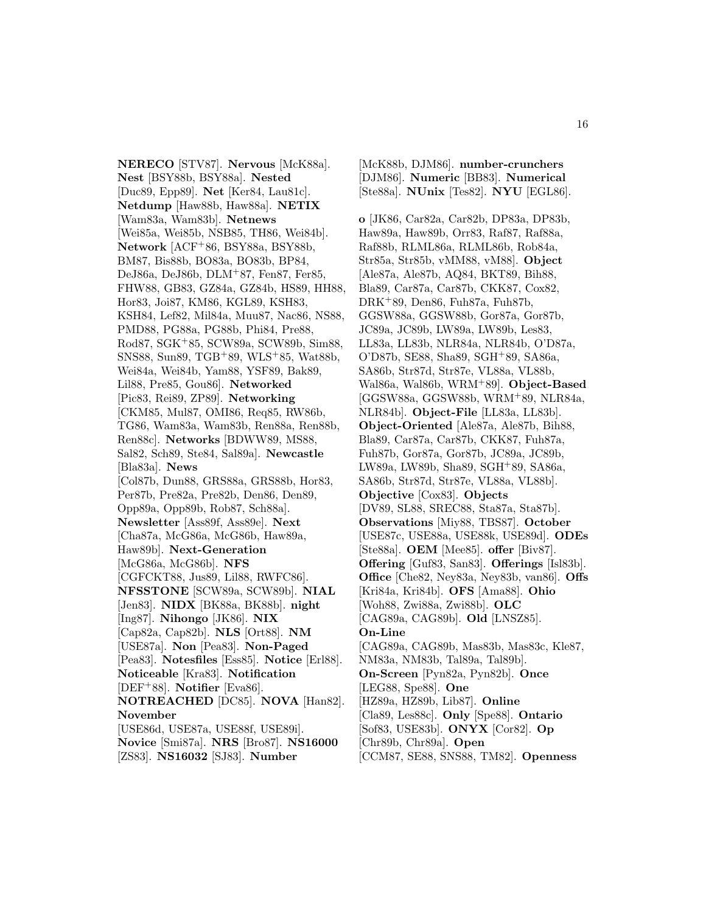**NERECO** [STV87]. **Nervous** [McK88a]. **Nest** [BSY88b, BSY88a]. **Nested** [Duc89, Epp89]. **Net** [Ker84, Lau81c]. **Netdump** [Haw88b, Haw88a]. **NETIX** [Wam83a, Wam83b]. **Netnews** [Wei85a, Wei85b, NSB85, TH86, Wei84b]. **Network** [ACF<sup>+</sup>86, BSY88a, BSY88b, BM87, Bis88b, BO83a, BO83b, BP84, DeJ86a, DeJ86b, DLM<sup>+</sup>87, Fen87, Fer85, FHW88, GB83, GZ84a, GZ84b, HS89, HH88, Hor83, Joi87, KM86, KGL89, KSH83, KSH84, Lef82, Mil84a, Muu87, Nac86, NS88, PMD88, PG88a, PG88b, Phi84, Pre88, Rod87, SGK<sup>+</sup>85, SCW89a, SCW89b, Sim88, SNS88, Sun89, TGB<sup>+</sup>89, WLS<sup>+</sup>85, Wat88b, Wei84a, Wei84b, Yam88, YSF89, Bak89, Lil88, Pre85, Gou86]. **Networked** [Pic83, Rei89, ZP89]. **Networking** [CKM85, Mul87, OMI86, Req85, RW86b, TG86, Wam83a, Wam83b, Ren88a, Ren88b, Ren88c]. **Networks** [BDWW89, MS88, Sal82, Sch89, Ste84, Sal89a]. **Newcastle** [Bla83a]. **News** [Col87b, Dun88, GRS88a, GRS88b, Hor83, Per87b, Pre82a, Pre82b, Den86, Den89, Opp89a, Opp89b, Rob87, Sch88a]. **Newsletter** [Ass89f, Ass89e]. **Next** [Cha87a, McG86a, McG86b, Haw89a, Haw89b]. **Next-Generation** [McG86a, McG86b]. **NFS** [CGFCKT88, Jus89, Lil88, RWFC86]. **NFSSTONE** [SCW89a, SCW89b]. **NIAL** [Jen83]. **NIDX** [BK88a, BK88b]. **night** [Ing87]. **Nihongo** [JK86]. **NIX** [Cap82a, Cap82b]. **NLS** [Ort88]. **NM** [USE87a]. **Non** [Pea83]. **Non-Paged** [Pea83]. **Notesfiles** [Ess85]. **Notice** [Erl88]. **Noticeable** [Kra83]. **Notification** [DEF<sup>+</sup>88]. **Notifier** [Eva86]. **NOTREACHED** [DC85]. **NOVA** [Han82]. **November** [USE86d, USE87a, USE88f, USE89i]. **Novice** [Smi87a]. **NRS** [Bro87]. **NS16000** [ZS83]. **NS16032** [SJ83]. **Number**

[McK88b, DJM86]. **number-crunchers** [DJM86]. **Numeric** [BB83]. **Numerical** [Ste88a]. **NUnix** [Tes82]. **NYU** [EGL86].

**o** [JK86, Car82a, Car82b, DP83a, DP83b, Haw89a, Haw89b, Orr83, Raf87, Raf88a, Raf88b, RLML86a, RLML86b, Rob84a, Str85a, Str85b, vMM88, vM88]. **Object** [Ale87a, Ale87b, AQ84, BKT89, Bih88, Bla89, Car87a, Car87b, CKK87, Cox82, DRK<sup>+</sup>89, Den86, Fuh87a, Fuh87b, GGSW88a, GGSW88b, Gor87a, Gor87b, JC89a, JC89b, LW89a, LW89b, Les83, LL83a, LL83b, NLR84a, NLR84b, O'D87a, O'D87b, SE88, Sha89, SGH<sup>+</sup>89, SA86a, SA86b, Str87d, Str87e, VL88a, VL88b, Wal86a, Wal86b, WRM<sup>+</sup>89]. **Object-Based** [GGSW88a, GGSW88b, WRM<sup>+</sup>89, NLR84a, NLR84b]. **Object-File** [LL83a, LL83b]. **Object-Oriented** [Ale87a, Ale87b, Bih88, Bla89, Car87a, Car87b, CKK87, Fuh87a, Fuh87b, Gor87a, Gor87b, JC89a, JC89b, LW89a, LW89b, Sha89, SGH<sup>+</sup>89, SA86a, SA86b, Str87d, Str87e, VL88a, VL88b]. **Objective** [Cox83]. **Objects** [DV89, SL88, SREC88, Sta87a, Sta87b]. **Observations** [Miy88, TBS87]. **October** [USE87c, USE88a, USE88k, USE89d]. **ODEs** [Ste88a]. **OEM** [Mee85]. **offer** [Biv87]. **Offering** [Guf83, San83]. **Offerings** [Isl83b]. **Office** [Che82, Ney83a, Ney83b, van86]. **Offs** [Kri84a, Kri84b]. **OFS** [Ama88]. **Ohio** [Woh88, Zwi88a, Zwi88b]. **OLC** [CAG89a, CAG89b]. **Old** [LNSZ85]. **On-Line** [CAG89a, CAG89b, Mas83b, Mas83c, Kle87, NM83a, NM83b, Tal89a, Tal89b]. **On-Screen** [Pyn82a, Pyn82b]. **Once** [LEG88, Spe88]. **One** [HZ89a, HZ89b, Lib87]. **Online** [Cla89, Les88c]. **Only** [Spe88]. **Ontario** [Sof83, USE83b]. **ONYX** [Cor82]. **Op** [Chr89b, Chr89a]. **Open** [CCM87, SE88, SNS88, TM82]. **Openness**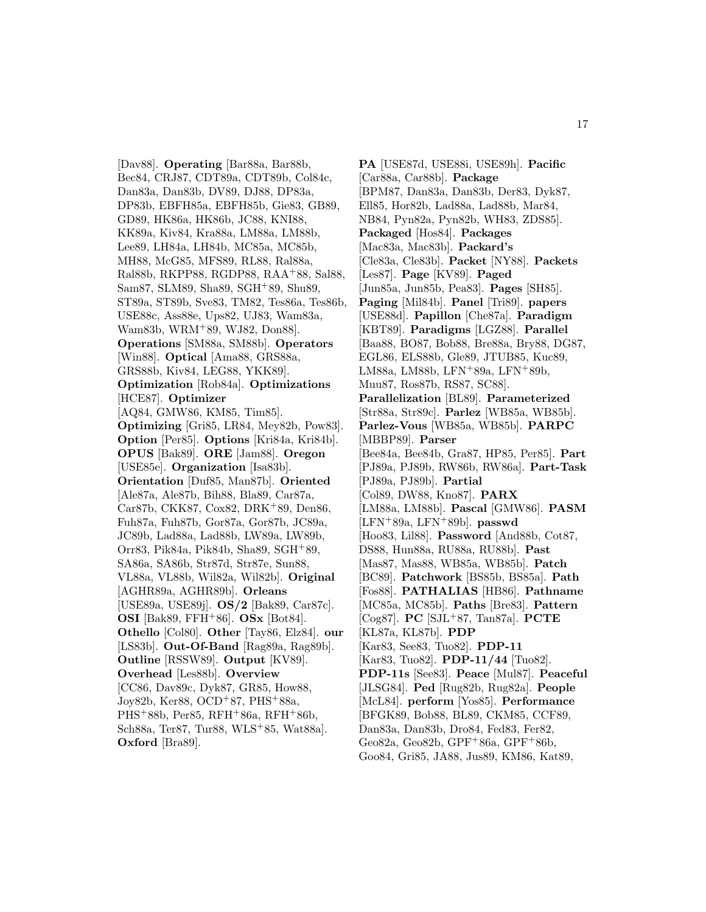[Dav88]. **Operating** [Bar88a, Bar88b, Bec84, CRJ87, CDT89a, CDT89b, Col84c, Dan83a, Dan83b, DV89, DJ88, DP83a, DP83b, EBFH85a, EBFH85b, Gie83, GB89, GD89, HK86a, HK86b, JC88, KNI88, KK89a, Kiv84, Kra88a, LM88a, LM88b, Lee89, LH84a, LH84b, MC85a, MC85b, MH88, McG85, MFS89, RL88, Ral88a, Ral88b, RKPP88, RGDP88, RAA<sup>+</sup>88, Sal88, Sam87, SLM89, Sha89, SGH<sup>+</sup>89, Shu89, ST89a, ST89b, Sve83, TM82, Tes86a, Tes86b, USE88c, Ass88e, Ups82, UJ83, Wam83a, Wam83b, WRM<sup>+</sup>89, WJ82, Don88]. **Operations** [SM88a, SM88b]. **Operators** [Win88]. **Optical** [Ama88, GRS88a, GRS88b, Kiv84, LEG88, YKK89]. **Optimization** [Rob84a]. **Optimizations** [HCE87]. **Optimizer** [AQ84, GMW86, KM85, Tim85]. **Optimizing** [Gri85, LR84, Mey82b, Pow83]. **Option** [Per85]. **Options** [Kri84a, Kri84b]. **OPUS** [Bak89]. **ORE** [Jam88]. **Oregon** [USE85e]. **Organization** [Isa83b]. **Orientation** [Duf85, Man87b]. **Oriented** [Ale87a, Ale87b, Bih88, Bla89, Car87a, Car87b, CKK87, Cox82, DRK<sup>+</sup>89, Den86, Fuh87a, Fuh87b, Gor87a, Gor87b, JC89a, JC89b, Lad88a, Lad88b, LW89a, LW89b, Orr83, Pik84a, Pik84b, Sha89, SGH<sup>+</sup>89, SA86a, SA86b, Str87d, Str87e, Sun88, VL88a, VL88b, Wil82a, Wil82b]. **Original** [AGHR89a, AGHR89b]. **Orleans** [USE89a, USE89j]. **OS/2** [Bak89, Car87c]. **OSI** [Bak89, FFH<sup>+</sup>86]. **OSx** [Bot84]. **Othello** [Col80]. **Other** [Tay86, Elz84]. **our** [LS83b]. **Out-Of-Band** [Rag89a, Rag89b]. **Outline** [RSSW89]. **Output** [KV89]. **Overhead** [Les88b]. **Overview** [CC86, Dav89c, Dyk87, GR85, How88, Joy82b, Ker88, OCD<sup>+</sup>87, PHS<sup>+</sup>88a, PHS<sup>+</sup>88b, Per85, RFH<sup>+</sup>86a, RFH<sup>+</sup>86b, Sch88a, Ter87, Tur88, WLS<sup>+</sup>85, Wat88a]. **Oxford** [Bra89].

**PA** [USE87d, USE88i, USE89h]. **Pacific** [Car88a, Car88b]. **Package** [BPM87, Dan83a, Dan83b, Der83, Dyk87, Ell85, Hor82b, Lad88a, Lad88b, Mar84, NB84, Pyn82a, Pyn82b, WH83, ZDS85]. **Packaged** [Hos84]. **Packages** [Mac83a, Mac83b]. **Packard's** [Cle83a, Cle83b]. **Packet** [NY88]. **Packets** [Les87]. **Page** [KV89]. **Paged** [Jun85a, Jun85b, Pea83]. **Pages** [SH85]. **Paging** [Mil84b]. **Panel** [Tri89]. **papers** [USE88d]. **Papillon** [Che87a]. **Paradigm** [KBT89]. **Paradigms** [LGZ88]. **Parallel** [Baa88, BO87, Bob88, Bre88a, Bry88, DG87, EGL86, ELS88b, Gle89, JTUB85, Kuc89, LM88a, LM88b, LFN<sup>+</sup>89a, LFN<sup>+</sup>89b, Muu87, Ros87b, RS87, SC88]. **Parallelization** [BL89]. **Parameterized** [Str88a, Str89c]. **Parlez** [WB85a, WB85b]. **Parlez-Vous** [WB85a, WB85b]. **PARPC** [MBBP89]. **Parser** [Bee84a, Bee84b, Gra87, HP85, Per85]. **Part** [PJ89a, PJ89b, RW86b, RW86a]. **Part-Task** [PJ89a, PJ89b]. **Partial** [Col89, DW88, Kno87]. **PARX** [LM88a, LM88b]. **Pascal** [GMW86]. **PASM** [LFN<sup>+</sup>89a, LFN<sup>+</sup>89b]. **passwd** [Hoo83, Lil88]. **Password** [And88b, Cot87, DS88, Hun88a, RU88a, RU88b]. **Past** [Mas87, Mas88, WB85a, WB85b]. **Patch** [BC89]. **Patchwork** [BS85b, BS85a]. **Path** [Fos88]. **PATHALIAS** [HB86]. **Pathname** [MC85a, MC85b]. **Paths** [Bre83]. **Pattern** [Cog87]. **PC** [SJL<sup>+</sup>87, Tan87a]. **PCTE** [KL87a, KL87b]. **PDP** [Kar83, See83, Tuo82]. **PDP-11** [Kar83, Tuo82]. **PDP-11/44** [Tuo82]. **PDP-11s** [See83]. **Peace** [Mul87]. **Peaceful** [JLSG84]. **Ped** [Rug82b, Rug82a]. **People** [McL84]. **perform** [Yos85]. **Performance** [BFGK89, Bob88, BL89, CKM85, CCF89, Dan83a, Dan83b, Dro84, Fed83, Fer82, Geo82a, Geo82b, GPF<sup>+</sup>86a, GPF<sup>+</sup>86b, Goo84, Gri85, JA88, Jus89, KM86, Kat89,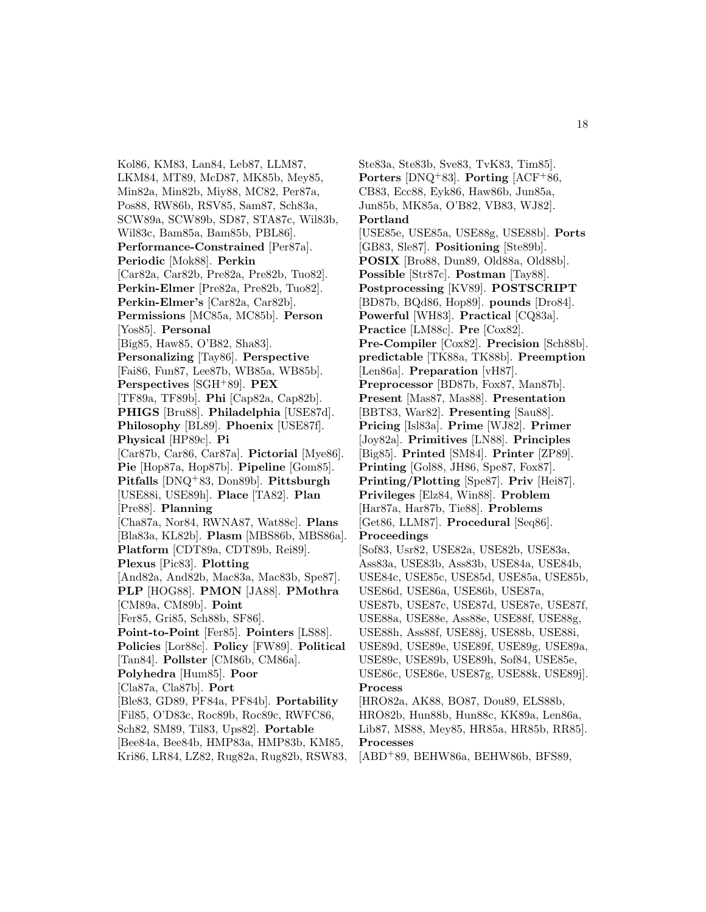Kol86, KM83, Lan84, Leb87, LLM87, LKM84, MT89, McD87, MK85b, Mey85, Min82a, Min82b, Miy88, MC82, Per87a, Pos88, RW86b, RSV85, Sam87, Sch83a, SCW89a, SCW89b, SD87, STA87c, Wil83b, Wil83c, Bam85a, Bam85b, PBL86]. **Performance-Constrained** [Per87a]. **Periodic** [Mok88]. **Perkin** [Car82a, Car82b, Pre82a, Pre82b, Tuo82]. **Perkin-Elmer** [Pre82a, Pre82b, Tuo82]. **Perkin-Elmer's** [Car82a, Car82b]. **Permissions** [MC85a, MC85b]. **Person** [Yos85]. **Personal** [Big85, Haw85, O'B82, Sha83]. **Personalizing** [Tay86]. **Perspective** [Fai86, Fun87, Lee87b, WB85a, WB85b]. **Perspectives** [SGH<sup>+</sup>89]. **PEX** [TF89a, TF89b]. **Phi** [Cap82a, Cap82b]. **PHIGS** [Bru88]. **Philadelphia** [USE87d]. **Philosophy** [BL89]. **Phoenix** [USE87f]. **Physical** [HP89c]. **Pi** [Car87b, Car86, Car87a]. **Pictorial** [Mye86]. **Pie** [Hop87a, Hop87b]. **Pipeline** [Gom85]. **Pitfalls** [DNQ<sup>+</sup>83, Don89b]. **Pittsburgh** [USE88i, USE89h]. **Place** [TA82]. **Plan** [Pre88]. **Planning** [Cha87a, Nor84, RWNA87, Wat88c]. **Plans** [Bla83a, KL82b]. **Plasm** [MBS86b, MBS86a]. **Platform** [CDT89a, CDT89b, Rei89]. **Plexus** [Pic83]. **Plotting** [And82a, And82b, Mac83a, Mac83b, Spe87]. **PLP** [HOG88]. **PMON** [JA88]. **PMothra** [CM89a, CM89b]. **Point** [Fer85, Gri85, Sch88b, SF86]. **Point-to-Point** [Fer85]. **Pointers** [LS88]. **Policies** [Lor88c]. **Policy** [FW89]. **Political** [Tan84]. **Pollster** [CM86b, CM86a]. **Polyhedra** [Hum85]. **Poor** [Cla87a, Cla87b]. **Port** [Ble83, GD89, PF84a, PF84b]. **Portability** [Fil85, O'D83c, Roc89b, Roc89c, RWFC86, Sch82, SM89, Til83, Ups82]. **Portable** [Bee84a, Bee84b, HMP83a, HMP83b, KM85,

Kri86, LR84, LZ82, Rug82a, Rug82b, RSW83,

Ste83a, Ste83b, Sve83, TvK83, Tim85]. **Porters** [DNQ<sup>+</sup>83]. **Porting** [ACF<sup>+</sup>86, CB83, Ecc88, Eyk86, Haw86b, Jun85a, Jun85b, MK85a, O'B82, VB83, WJ82]. **Portland** [USE85e, USE85a, USE88g, USE88b]. **Ports** [GB83, Sle87]. **Positioning** [Ste89b]. **POSIX** [Bro88, Dun89, Old88a, Old88b]. **Possible** [Str87c]. **Postman** [Tay88]. **Postprocessing** [KV89]. **POSTSCRIPT** [BD87b, BQd86, Hop89]. **pounds** [Dro84]. **Powerful** [WH83]. **Practical** [CQ83a]. **Practice** [LM88c]. **Pre** [Cox82]. **Pre-Compiler** [Cox82]. **Precision** [Sch88b]. **predictable** [TK88a, TK88b]. **Preemption** [Len86a]. **Preparation** [vH87]. **Preprocessor** [BD87b, Fox87, Man87b]. **Present** [Mas87, Mas88]. **Presentation** [BBT83, War82]. **Presenting** [Sau88]. **Pricing** [Isl83a]. **Prime** [WJ82]. **Primer** [Joy82a]. **Primitives** [LN88]. **Principles** [Big85]. **Printed** [SM84]. **Printer** [ZP89]. **Printing** [Gol88, JH86, Spe87, Fox87]. **Printing/Plotting** [Spe87]. **Priv** [Hei87]. **Privileges** [Elz84, Win88]. **Problem** [Har87a, Har87b, Tie88]. **Problems** [Get86, LLM87]. **Procedural** [Seq86]. **Proceedings** [Sof83, Usr82, USE82a, USE82b, USE83a, Ass83a, USE83b, Ass83b, USE84a, USE84b, USE84c, USE85c, USE85d, USE85a, USE85b, USE86d, USE86a, USE86b, USE87a, USE87b, USE87c, USE87d, USE87e, USE87f, USE88a, USE88e, Ass88e, USE88f, USE88g, USE88h, Ass88f, USE88j, USE88b, USE88i, USE89d, USE89e, USE89f, USE89g, USE89a, USE89c, USE89b, USE89h, Sof84, USE85e, USE86c, USE86e, USE87g, USE88k, USE89j]. **Process** [HRO82a, AK88, BO87, Dou89, ELS88b, HRO82b, Hun88b, Hun88c, KK89a, Len86a, Lib87, MS88, Mey85, HR85a, HR85b, RR85]. **Processes**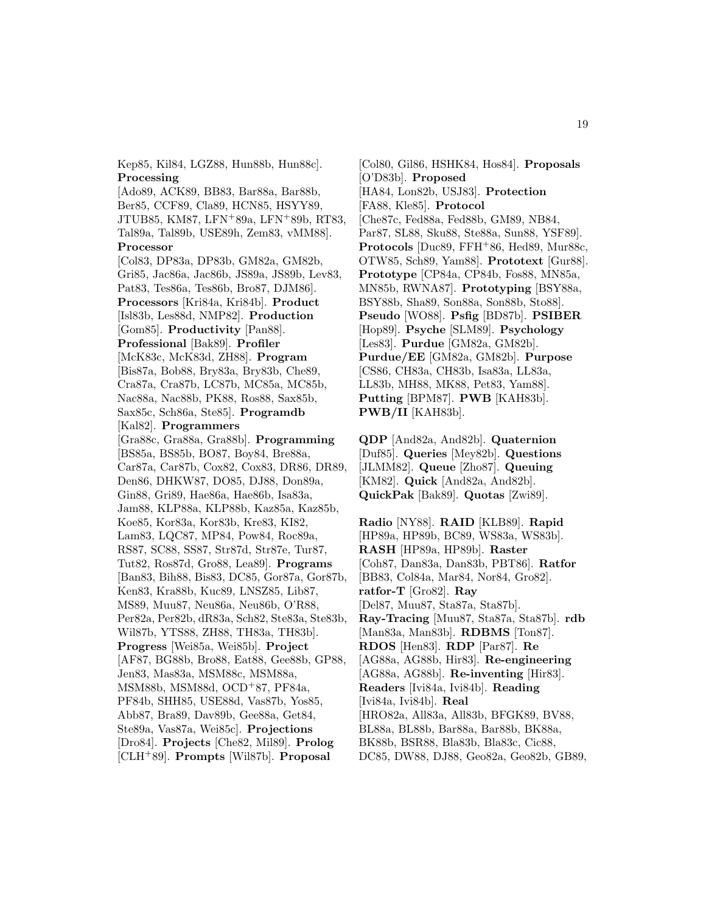Kep85, Kil84, LGZ88, Hun88b, Hun88c]. **Processing**

[Ado89, ACK89, BB83, Bar88a, Bar88b, Ber85, CCF89, Cla89, HCN85, HSYY89, JTUB85, KM87, LFN<sup>+</sup>89a, LFN<sup>+</sup>89b, RT83, Tal89a, Tal89b, USE89h, Zem83, vMM88]. **Processor** [Col83, DP83a, DP83b, GM82a, GM82b, Gri85, Jac86a, Jac86b, JS89a, JS89b, Lev83, Pat83, Tes86a, Tes86b, Bro87, DJM86]. **Processors** [Kri84a, Kri84b]. **Product** [Isl83b, Les88d, NMP82]. **Production** [Gom85]. **Productivity** [Pan88]. **Professional** [Bak89]. **Profiler** [McK83c, McK83d, ZH88]. **Program** [Bis87a, Bob88, Bry83a, Bry83b, Che89, Cra87a, Cra87b, LC87b, MC85a, MC85b, Nac88a, Nac88b, PK88, Ros88, Sax85b, Sax85c, Sch86a, Ste85]. **Programdb** [Kal82]. **Programmers** [Gra88c, Gra88a, Gra88b]. **Programming** [BS85a, BS85b, BO87, Boy84, Bre88a, Car87a, Car87b, Cox82, Cox83, DR86, DR89, Den86, DHKW87, DO85, DJ88, Don89a, Gin88, Gri89, Hae86a, Hae86b, Isa83a, Jam88, KLP88a, KLP88b, Kaz85a, Kaz85b, Koe85, Kor83a, Kor83b, Kre83, KI82, Lam83, LQC87, MP84, Pow84, Roc89a, RS87, SC88, SS87, Str87d, Str87e, Tur87, Tut82, Ros87d, Gro88, Lea89]. **Programs** [Ban83, Bih88, Bis83, DC85, Gor87a, Gor87b, Ken83, Kra88b, Kuc89, LNSZ85, Lib87, MS89, Muu87, Neu86a, Neu86b, O'R88, Per82a, Per82b, dR83a, Sch82, Ste83a, Ste83b, Wil87b, YTS88, ZH88, TH83a, TH83b]. **Progress** [Wei85a, Wei85b]. **Project** [AF87, BG88b, Bro88, Eat88, Gee88b, GP88, Jen83, Mas83a, MSM88c, MSM88a, MSM88b, MSM88d, OCD<sup>+</sup>87, PF84a, PF84b, SHH85, USE88d, Vas87b, Yos85, Abb87, Bra89, Dav89b, Gee88a, Get84, Ste89a, Vas87a, Wei85c]. **Projections** [Dro84]. **Projects** [Che82, Mil89]. **Prolog** [CLH<sup>+</sup>89]. **Prompts** [Wil87b]. **Proposal**

[Col80, Gil86, HSHK84, Hos84]. **Proposals** [O'D83b]. **Proposed** [HA84, Lon82b, USJ83]. **Protection** [FA88, Kle85]. **Protocol** [Che87c, Fed88a, Fed88b, GM89, NB84, Par87, SL88, Sku88, Ste88a, Sun88, YSF89]. **Protocols** [Duc89, FFH<sup>+</sup>86, Hed89, Mur88c, OTW85, Sch89, Yam88]. **Prototext** [Gur88]. **Prototype** [CP84a, CP84b, Fos88, MN85a, MN85b, RWNA87]. **Prototyping** [BSY88a, BSY88b, Sha89, Son88a, Son88b, Sto88]. **Pseudo** [WO88]. **Psfig** [BD87b]. **PSIBER** [Hop89]. **Psyche** [SLM89]. **Psychology** [Les83]. **Purdue** [GM82a, GM82b]. **Purdue/EE** [GM82a, GM82b]. **Purpose** [CS86, CH83a, CH83b, Isa83a, LL83a, LL83b, MH88, MK88, Pet83, Yam88]. **Putting** [BPM87]. **PWB** [KAH83b]. **PWB/II** [KAH83b].

**QDP** [And82a, And82b]. **Quaternion** [Duf85]. **Queries** [Mey82b]. **Questions** [JLMM82]. **Queue** [Zho87]. **Queuing** [KM82]. **Quick** [And82a, And82b]. **QuickPak** [Bak89]. **Quotas** [Zwi89].

**Radio** [NY88]. **RAID** [KLB89]. **Rapid** [HP89a, HP89b, BC89, WS83a, WS83b]. **RASH** [HP89a, HP89b]. **Raster** [Coh87, Dan83a, Dan83b, PBT86]. **Ratfor** [BB83, Col84a, Mar84, Nor84, Gro82]. **ratfor-T** [Gro82]. **Ray** [Del87, Muu87, Sta87a, Sta87b]. **Ray-Tracing** [Muu87, Sta87a, Sta87b]. **rdb** [Man83a, Man83b]. **RDBMS** [Ton87]. **RDOS** [Hen83]. **RDP** [Par87]. **Re** [AG88a, AG88b, Hir83]. **Re-engineering** [AG88a, AG88b]. **Re-inventing** [Hir83]. **Readers** [Ivi84a, Ivi84b]. **Reading** [Ivi84a, Ivi84b]. **Real** [HRO82a, All83a, All83b, BFGK89, BV88, BL88a, BL88b, Bar88a, Bar88b, BK88a, BK88b, BSR88, Bla83b, Bla83c, Cic88, DC85, DW88, DJ88, Geo82a, Geo82b, GB89,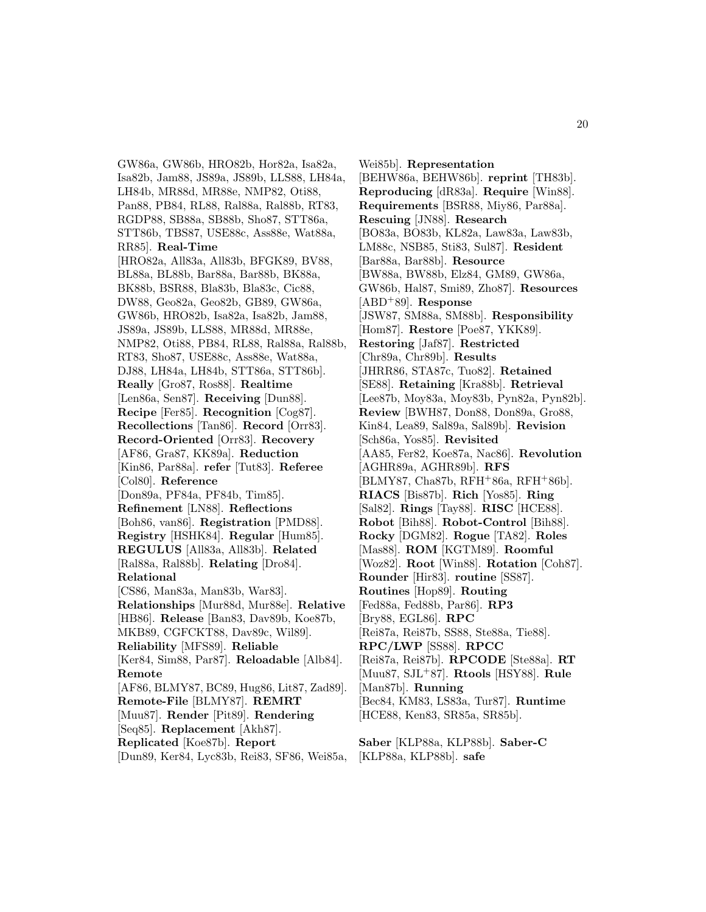GW86a, GW86b, HRO82b, Hor82a, Isa82a, Isa82b, Jam88, JS89a, JS89b, LLS88, LH84a, LH84b, MR88d, MR88e, NMP82, Oti88, Pan88, PB84, RL88, Ral88a, Ral88b, RT83, RGDP88, SB88a, SB88b, Sho87, STT86a, STT86b, TBS87, USE88c, Ass88e, Wat88a, RR85]. **Real-Time** [HRO82a, All83a, All83b, BFGK89, BV88, BL88a, BL88b, Bar88a, Bar88b, BK88a, BK88b, BSR88, Bla83b, Bla83c, Cic88, DW88, Geo82a, Geo82b, GB89, GW86a, GW86b, HRO82b, Isa82a, Isa82b, Jam88, JS89a, JS89b, LLS88, MR88d, MR88e, NMP82, Oti88, PB84, RL88, Ral88a, Ral88b, RT83, Sho87, USE88c, Ass88e, Wat88a, DJ88, LH84a, LH84b, STT86a, STT86b]. **Really** [Gro87, Ros88]. **Realtime** [Len86a, Sen87]. **Receiving** [Dun88]. **Recipe** [Fer85]. **Recognition** [Cog87]. **Recollections** [Tan86]. **Record** [Orr83]. **Record-Oriented** [Orr83]. **Recovery** [AF86, Gra87, KK89a]. **Reduction** [Kin86, Par88a]. **refer** [Tut83]. **Referee** [Col80]. **Reference** [Don89a, PF84a, PF84b, Tim85]. **Refinement** [LN88]. **Reflections** [Boh86, van86]. **Registration** [PMD88]. **Registry** [HSHK84]. **Regular** [Hum85]. **REGULUS** [All83a, All83b]. **Related** [Ral88a, Ral88b]. **Relating** [Dro84]. **Relational** [CS86, Man83a, Man83b, War83]. **Relationships** [Mur88d, Mur88e]. **Relative** [HB86]. **Release** [Ban83, Dav89b, Koe87b, MKB89, CGFCKT88, Dav89c, Wil89]. **Reliability** [MFS89]. **Reliable** [Ker84, Sim88, Par87]. **Reloadable** [Alb84]. **Remote** [AF86, BLMY87, BC89, Hug86, Lit87, Zad89]. **Remote-File** [BLMY87]. **REMRT** [Muu87]. **Render** [Pit89]. **Rendering** [Seq85]. **Replacement** [Akh87]. **Replicated** [Koe87b]. **Report** [Dun89, Ker84, Lyc83b, Rei83, SF86, Wei85a,

Wei85b]. **Representation** [BEHW86a, BEHW86b]. **reprint** [TH83b]. **Reproducing** [dR83a]. **Require** [Win88]. **Requirements** [BSR88, Miy86, Par88a]. **Rescuing** [JN88]. **Research** [BO83a, BO83b, KL82a, Law83a, Law83b, LM88c, NSB85, Sti83, Sul87]. **Resident** [Bar88a, Bar88b]. **Resource** [BW88a, BW88b, Elz84, GM89, GW86a, GW86b, Hal87, Smi89, Zho87]. **Resources** [ABD<sup>+</sup>89]. **Response** [JSW87, SM88a, SM88b]. **Responsibility** [Hom87]. **Restore** [Poe87, YKK89]. **Restoring** [Jaf87]. **Restricted** [Chr89a, Chr89b]. **Results** [JHRR86, STA87c, Tuo82]. **Retained** [SE88]. **Retaining** [Kra88b]. **Retrieval** [Lee87b, Moy83a, Moy83b, Pyn82a, Pyn82b]. **Review** [BWH87, Don88, Don89a, Gro88, Kin84, Lea89, Sal89a, Sal89b]. **Revision** [Sch86a, Yos85]. **Revisited** [AA85, Fer82, Koe87a, Nac86]. **Revolution** [AGHR89a, AGHR89b]. **RFS** [BLMY87, Cha87b, RFH<sup>+</sup>86a, RFH<sup>+</sup>86b]. **RIACS** [Bis87b]. **Rich** [Yos85]. **Ring** [Sal82]. **Rings** [Tay88]. **RISC** [HCE88]. **Robot** [Bih88]. **Robot-Control** [Bih88]. **Rocky** [DGM82]. **Rogue** [TA82]. **Roles** [Mas88]. **ROM** [KGTM89]. **Roomful** [Woz82]. **Root** [Win88]. **Rotation** [Coh87]. **Rounder** [Hir83]. **routine** [SS87]. **Routines** [Hop89]. **Routing** [Fed88a, Fed88b, Par86]. **RP3** [Bry88, EGL86]. **RPC** [Rei87a, Rei87b, SS88, Ste88a, Tie88]. **RPC/LWP** [SS88]. **RPCC** [Rei87a, Rei87b]. **RPCODE** [Ste88a]. **RT** [Muu87, SJL<sup>+</sup>87]. **Rtools** [HSY88]. **Rule** [Man87b]. **Running** [Bec84, KM83, LS83a, Tur87]. **Runtime** [HCE88, Ken83, SR85a, SR85b].

**Saber** [KLP88a, KLP88b]. **Saber-C** [KLP88a, KLP88b]. **safe**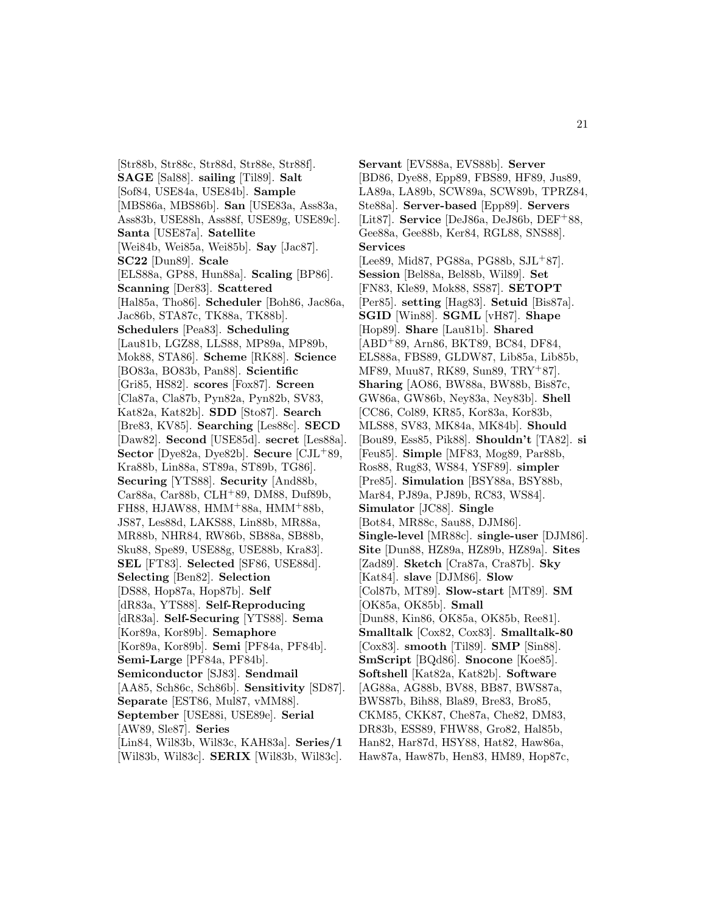[Str88b, Str88c, Str88d, Str88e, Str88f]. **SAGE** [Sal88]. **sailing** [Til89]. **Salt** [Sof84, USE84a, USE84b]. **Sample** [MBS86a, MBS86b]. **San** [USE83a, Ass83a, Ass83b, USE88h, Ass88f, USE89g, USE89c]. **Santa** [USE87a]. **Satellite** [Wei84b, Wei85a, Wei85b]. **Say** [Jac87]. **SC22** [Dun89]. **Scale** [ELS88a, GP88, Hun88a]. **Scaling** [BP86]. **Scanning** [Der83]. **Scattered** [Hal85a, Tho86]. **Scheduler** [Boh86, Jac86a, Jac86b, STA87c, TK88a, TK88b]. **Schedulers** [Pea83]. **Scheduling** [Lau81b, LGZ88, LLS88, MP89a, MP89b, Mok88, STA86]. **Scheme** [RK88]. **Science** [BO83a, BO83b, Pan88]. **Scientific** [Gri85, HS82]. **scores** [Fox87]. **Screen** [Cla87a, Cla87b, Pyn82a, Pyn82b, SV83, Kat82a, Kat82b]. **SDD** [Sto87]. **Search** [Bre83, KV85]. **Searching** [Les88c]. **SECD** [Daw82]. **Second** [USE85d]. **secret** [Les88a]. **Sector** [Dye82a, Dye82b]. **Secure** [CJL<sup>+</sup>89, Kra88b, Lin88a, ST89a, ST89b, TG86]. **Securing** [YTS88]. **Security** [And88b, Car88a, Car88b, CLH<sup>+</sup>89, DM88, Duf89b, FH88, HJAW88, HMM<sup>+</sup>88a, HMM<sup>+</sup>88b, JS87, Les88d, LAKS88, Lin88b, MR88a, MR88b, NHR84, RW86b, SB88a, SB88b, Sku88, Spe89, USE88g, USE88b, Kra83]. **SEL** [FT83]. **Selected** [SF86, USE88d]. **Selecting** [Ben82]. **Selection** [DS88, Hop87a, Hop87b]. **Self** [dR83a, YTS88]. **Self-Reproducing** [dR83a]. **Self-Securing** [YTS88]. **Sema** [Kor89a, Kor89b]. **Semaphore** [Kor89a, Kor89b]. **Semi** [PF84a, PF84b]. **Semi-Large** [PF84a, PF84b]. **Semiconductor** [SJ83]. **Sendmail** [AA85, Sch86c, Sch86b]. **Sensitivity** [SD87]. **Separate** [EST86, Mul87, vMM88]. **September** [USE88i, USE89e]. **Serial** [AW89, Sle87]. **Series** [Lin84, Wil83b, Wil83c, KAH83a]. **Series/1** [Wil83b, Wil83c]. **SERIX** [Wil83b, Wil83c].

**Servant** [EVS88a, EVS88b]. **Server** [BD86, Dye88, Epp89, FBS89, HF89, Jus89, LA89a, LA89b, SCW89a, SCW89b, TPRZ84, Ste88a]. **Server-based** [Epp89]. **Servers** [Lit87]. **Service** [DeJ86a, DeJ86b, DEF<sup>+</sup>88, Gee88a, Gee88b, Ker84, RGL88, SNS88]. **Services** [Lee89, Mid87, PG88a, PG88b, SJL<sup>+</sup>87]. **Session** [Bel88a, Bel88b, Wil89]. **Set** [FN83, Kle89, Mok88, SS87]. **SETOPT** [Per85]. **setting** [Hag83]. **Setuid** [Bis87a]. **SGID** [Win88]. **SGML** [vH87]. **Shape** [Hop89]. **Share** [Lau81b]. **Shared** [ABD<sup>+</sup>89, Arn86, BKT89, BC84, DF84, ELS88a, FBS89, GLDW87, Lib85a, Lib85b, MF89, Muu87, RK89, Sun89, TRY<sup>+</sup>87]. **Sharing** [AO86, BW88a, BW88b, Bis87c, GW86a, GW86b, Ney83a, Ney83b]. **Shell** [CC86, Col89, KR85, Kor83a, Kor83b, MLS88, SV83, MK84a, MK84b]. **Should** [Bou89, Ess85, Pik88]. **Shouldn't** [TA82]. **si** [Feu85]. **Simple** [MF83, Mog89, Par88b, Ros88, Rug83, WS84, YSF89]. **simpler** [Pre85]. **Simulation** [BSY88a, BSY88b, Mar84, PJ89a, PJ89b, RC83, WS84]. **Simulator** [JC88]. **Single** [Bot84, MR88c, Sau88, DJM86]. **Single-level** [MR88c]. **single-user** [DJM86]. **Site** [Dun88, HZ89a, HZ89b, HZ89a]. **Sites** [Zad89]. **Sketch** [Cra87a, Cra87b]. **Sky** [Kat84]. **slave** [DJM86]. **Slow** [Col87b, MT89]. **Slow-start** [MT89]. **SM** [OK85a, OK85b]. **Small** [Dun88, Kin86, OK85a, OK85b, Ree81]. **Smalltalk** [Cox82, Cox83]. **Smalltalk-80** [Cox83]. **smooth** [Til89]. **SMP** [Sin88]. **SmScript** [BQd86]. **Snocone** [Koe85]. **Softshell** [Kat82a, Kat82b]. **Software** [AG88a, AG88b, BV88, BB87, BWS87a, BWS87b, Bih88, Bla89, Bre83, Bro85, CKM85, CKK87, Che87a, Che82, DM83, DR83b, ESS89, FHW88, Gro82, Hal85b, Han82, Har87d, HSY88, Hat82, Haw86a, Haw87a, Haw87b, Hen83, HM89, Hop87c,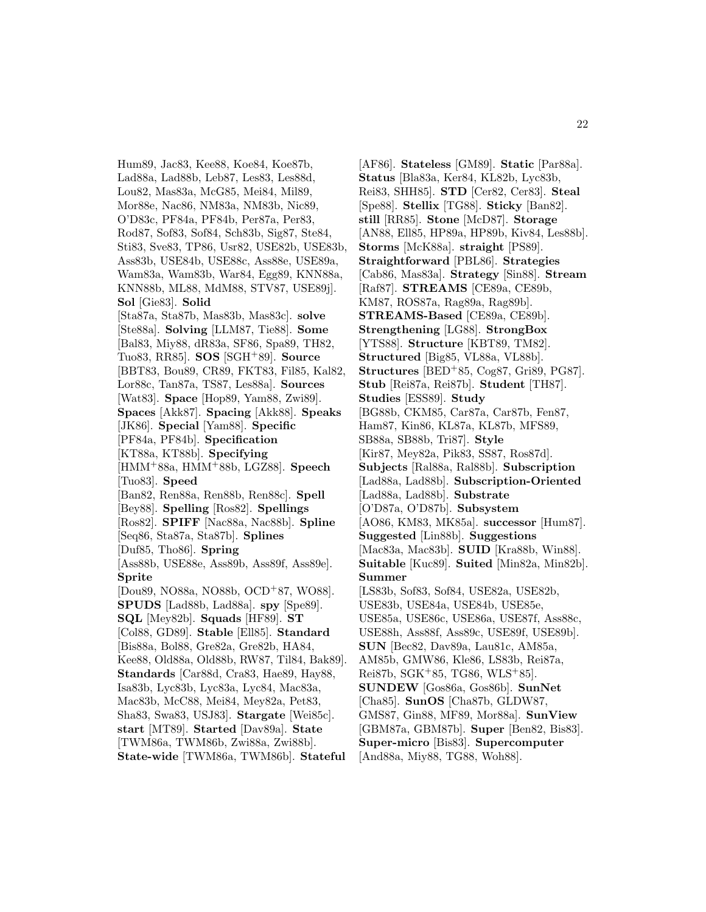Hum89, Jac83, Kee88, Koe84, Koe87b, Lad88a, Lad88b, Leb87, Les83, Les88d, Lou82, Mas83a, McG85, Mei84, Mil89, Mor88e, Nac86, NM83a, NM83b, Nic89, O'D83c, PF84a, PF84b, Per87a, Per83, Rod87, Sof83, Sof84, Sch83b, Sig87, Ste84, Sti83, Sve83, TP86, Usr82, USE82b, USE83b, Ass83b, USE84b, USE88c, Ass88e, USE89a, Wam83a, Wam83b, War84, Egg89, KNN88a, KNN88b, ML88, MdM88, STV87, USE89j]. **Sol** [Gie83]. **Solid** [Sta87a, Sta87b, Mas83b, Mas83c]. **solve** [Ste88a]. **Solving** [LLM87, Tie88]. **Some** [Bal83, Miy88, dR83a, SF86, Spa89, TH82, Tuo83, RR85]. **SOS** [SGH<sup>+</sup>89]. **Source** [BBT83, Bou89, CR89, FKT83, Fil85, Kal82, Lor88c, Tan87a, TS87, Les88a]. **Sources** [Wat83]. **Space** [Hop89, Yam88, Zwi89]. **Spaces** [Akk87]. **Spacing** [Akk88]. **Speaks** [JK86]. **Special** [Yam88]. **Specific** [PF84a, PF84b]. **Specification** [KT88a, KT88b]. **Specifying** [HMM<sup>+</sup>88a, HMM<sup>+</sup>88b, LGZ88]. **Speech** [Tuo83]. **Speed** [Ban82, Ren88a, Ren88b, Ren88c]. **Spell** [Bey88]. **Spelling** [Ros82]. **Spellings** [Ros82]. **SPIFF** [Nac88a, Nac88b]. **Spline** [Seq86, Sta87a, Sta87b]. **Splines** [Duf85, Tho86]. **Spring** [Ass88b, USE88e, Ass89b, Ass89f, Ass89e]. **Sprite** [Dou89, NO88a, NO88b, OCD<sup>+</sup>87, WO88]. **SPUDS** [Lad88b, Lad88a]. **spy** [Spe89]. **SQL** [Mey82b]. **Squads** [HF89]. **ST** [Col88, GD89]. **Stable** [Ell85]. **Standard** [Bis88a, Bol88, Gre82a, Gre82b, HA84, Kee88, Old88a, Old88b, RW87, Til84, Bak89]. **Standards** [Car88d, Cra83, Hae89, Hay88, Isa83b, Lyc83b, Lyc83a, Lyc84, Mac83a, Mac83b, McC88, Mei84, Mey82a, Pet83, Sha83, Swa83, USJ83]. **Stargate** [Wei85c]. **start** [MT89]. **Started** [Dav89a]. **State** [TWM86a, TWM86b, Zwi88a, Zwi88b]. **State-wide** [TWM86a, TWM86b]. **Stateful**

[AF86]. **Stateless** [GM89]. **Static** [Par88a]. **Status** [Bla83a, Ker84, KL82b, Lyc83b, Rei83, SHH85]. **STD** [Cer82, Cer83]. **Steal** [Spe88]. **Stellix** [TG88]. **Sticky** [Ban82]. **still** [RR85]. **Stone** [McD87]. **Storage** [AN88, Ell85, HP89a, HP89b, Kiv84, Les88b]. **Storms** [McK88a]. **straight** [PS89]. **Straightforward** [PBL86]. **Strategies** [Cab86, Mas83a]. **Strategy** [Sin88]. **Stream** [Raf87]. **STREAMS** [CE89a, CE89b, KM87, ROS87a, Rag89a, Rag89b]. **STREAMS-Based** [CE89a, CE89b]. **Strengthening** [LG88]. **StrongBox** [YTS88]. **Structure** [KBT89, TM82]. **Structured** [Big85, VL88a, VL88b]. **Structures** [BED<sup>+</sup>85, Cog87, Gri89, PG87]. **Stub** [Rei87a, Rei87b]. **Student** [TH87]. **Studies** [ESS89]. **Study** [BG88b, CKM85, Car87a, Car87b, Fen87, Ham87, Kin86, KL87a, KL87b, MFS89, SB88a, SB88b, Tri87]. **Style** [Kir87, Mey82a, Pik83, SS87, Ros87d]. **Subjects** [Ral88a, Ral88b]. **Subscription** [Lad88a, Lad88b]. **Subscription-Oriented** [Lad88a, Lad88b]. **Substrate** [O'D87a, O'D87b]. **Subsystem** [AO86, KM83, MK85a]. **successor** [Hum87]. **Suggested** [Lin88b]. **Suggestions** [Mac83a, Mac83b]. **SUID** [Kra88b, Win88]. **Suitable** [Kuc89]. **Suited** [Min82a, Min82b]. **Summer** [LS83b, Sof83, Sof84, USE82a, USE82b, USE83b, USE84a, USE84b, USE85e, USE85a, USE86c, USE86a, USE87f, Ass88c, USE88h, Ass88f, Ass89c, USE89f, USE89b]. **SUN** [Bec82, Dav89a, Lau81c, AM85a, AM85b, GMW86, Kle86, LS83b, Rei87a, Rei87b, SGK<sup>+</sup>85, TG86, WLS<sup>+</sup>85]. **SUNDEW** [Gos86a, Gos86b]. **SunNet** [Cha85]. **SunOS** [Cha87b, GLDW87, GMS87, Gin88, MF89, Mor88a]. **SunView** [GBM87a, GBM87b]. **Super** [Ben82, Bis83]. **Super-micro** [Bis83]. **Supercomputer** [And88a, Miy88, TG88, Woh88].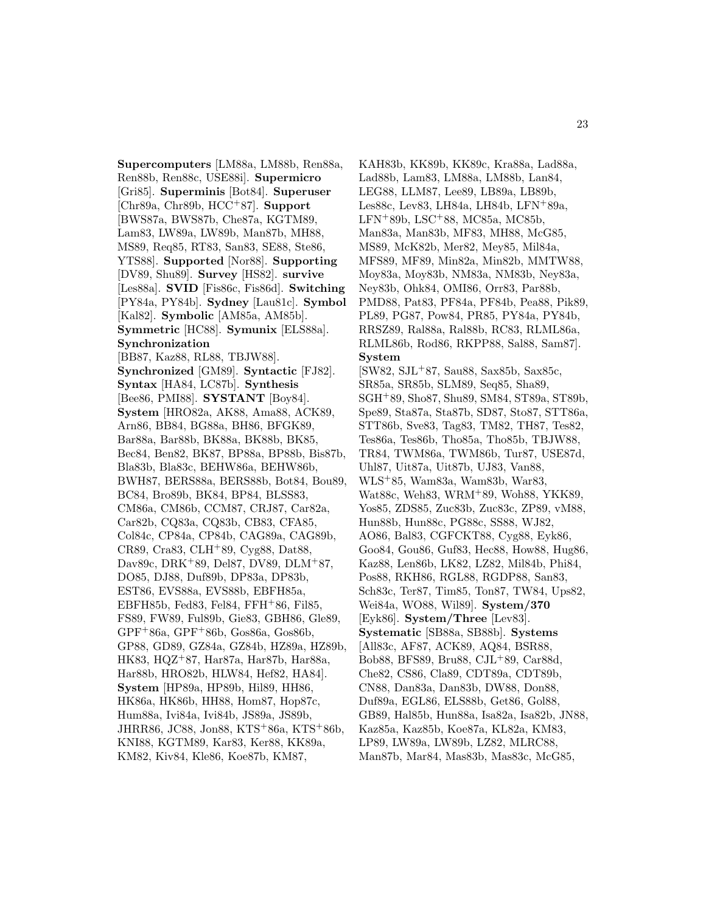**Supercomputers** [LM88a, LM88b, Ren88a, Ren88b, Ren88c, USE88i]. **Supermicro** [Gri85]. **Superminis** [Bot84]. **Superuser** [Chr89a, Chr89b, HCC<sup>+</sup>87]. **Support** [BWS87a, BWS87b, Che87a, KGTM89, Lam83, LW89a, LW89b, Man87b, MH88, MS89, Req85, RT83, San83, SE88, Ste86, YTS88]. **Supported** [Nor88]. **Supporting** [DV89, Shu89]. **Survey** [HS82]. **survive** [Les88a]. **SVID** [Fis86c, Fis86d]. **Switching** [PY84a, PY84b]. **Sydney** [Lau81c]. **Symbol** [Kal82]. **Symbolic** [AM85a, AM85b]. **Symmetric** [HC88]. **Symunix** [ELS88a]. **Synchronization** [BB87, Kaz88, RL88, TBJW88]. **Synchronized** [GM89]. **Syntactic** [FJ82]. **Syntax** [HA84, LC87b]. **Synthesis** [Bee86, PMI88]. **SYSTANT** [Boy84]. **System** [HRO82a, AK88, Ama88, ACK89, Arn86, BB84, BG88a, BH86, BFGK89, Bar88a, Bar88b, BK88a, BK88b, BK85, Bec84, Ben82, BK87, BP88a, BP88b, Bis87b, Bla83b, Bla83c, BEHW86a, BEHW86b, BWH87, BERS88a, BERS88b, Bot84, Bou89, BC84, Bro89b, BK84, BP84, BLSS83, CM86a, CM86b, CCM87, CRJ87, Car82a, Car82b, CQ83a, CQ83b, CB83, CFA85, Col84c, CP84a, CP84b, CAG89a, CAG89b, CR89, Cra83, CLH<sup>+</sup>89, Cyg88, Dat88, Dav89c, DRK<sup>+</sup>89, Del87, DV89, DLM<sup>+</sup>87, DO85, DJ88, Duf89b, DP83a, DP83b, EST86, EVS88a, EVS88b, EBFH85a, EBFH85b, Fed83, Fel84, FFH<sup>+</sup>86, Fil85, FS89, FW89, Ful89b, Gie83, GBH86, Gle89, GPF<sup>+</sup>86a, GPF<sup>+</sup>86b, Gos86a, Gos86b, GP88, GD89, GZ84a, GZ84b, HZ89a, HZ89b, HK83, HQZ<sup>+</sup>87, Har87a, Har87b, Har88a, Har88b, HRO82b, HLW84, Hef82, HA84]. **System** [HP89a, HP89b, Hil89, HH86, HK86a, HK86b, HH88, Hom87, Hop87c, Hum88a, Ivi84a, Ivi84b, JS89a, JS89b, JHRR86, JC88, Jon88, KTS<sup>+</sup>86a, KTS<sup>+</sup>86b, KNI88, KGTM89, Kar83, Ker88, KK89a, KM82, Kiv84, Kle86, Koe87b, KM87,

KAH83b, KK89b, KK89c, Kra88a, Lad88a, Lad88b, Lam83, LM88a, LM88b, Lan84, LEG88, LLM87, Lee89, LB89a, LB89b, Les88c, Lev83, LH84a, LH84b, LFN<sup>+</sup>89a, LFN<sup>+</sup>89b, LSC<sup>+</sup>88, MC85a, MC85b, Man83a, Man83b, MF83, MH88, McG85, MS89, McK82b, Mer82, Mey85, Mil84a, MFS89, MF89, Min82a, Min82b, MMTW88, Moy83a, Moy83b, NM83a, NM83b, Ney83a, Ney83b, Ohk84, OMI86, Orr83, Par88b, PMD88, Pat83, PF84a, PF84b, Pea88, Pik89, PL89, PG87, Pow84, PR85, PY84a, PY84b, RRSZ89, Ral88a, Ral88b, RC83, RLML86a, RLML86b, Rod86, RKPP88, Sal88, Sam87]. **System** [SW82, SJL<sup>+</sup>87, Sau88, Sax85b, Sax85c, SR85a, SR85b, SLM89, Seq85, Sha89,

SGH<sup>+</sup>89, Sho87, Shu89, SM84, ST89a, ST89b, Spe89, Sta87a, Sta87b, SD87, Sto87, STT86a, STT86b, Sve83, Tag83, TM82, TH87, Tes82, Tes86a, Tes86b, Tho85a, Tho85b, TBJW88, TR84, TWM86a, TWM86b, Tur87, USE87d, Uhl87, Uit87a, Uit87b, UJ83, Van88, WLS<sup>+</sup>85, Wam83a, Wam83b, War83, Wat88c, Weh83, WRM<sup>+</sup>89, Woh88, YKK89, Yos85, ZDS85, Zuc83b, Zuc83c, ZP89, vM88, Hun88b, Hun88c, PG88c, SS88, WJ82, AO86, Bal83, CGFCKT88, Cyg88, Eyk86, Goo84, Gou86, Guf83, Hec88, How88, Hug86, Kaz88, Len86b, LK82, LZ82, Mil84b, Phi84, Pos88, RKH86, RGL88, RGDP88, San83, Sch83c, Ter87, Tim85, Ton87, TW84, Ups82, Wei84a, WO88, Wil89]. **System/370** [Eyk86]. **System/Three** [Lev83]. **Systematic** [SB88a, SB88b]. **Systems** [All83c, AF87, ACK89, AQ84, BSR88, Bob88, BFS89, Bru88, CJL<sup>+</sup>89, Car88d, Che82, CS86, Cla89, CDT89a, CDT89b, CN88, Dan83a, Dan83b, DW88, Don88, Duf89a, EGL86, ELS88b, Get86, Gol88, GB89, Hal85b, Hun88a, Isa82a, Isa82b, JN88, Kaz85a, Kaz85b, Koe87a, KL82a, KM83, LP89, LW89a, LW89b, LZ82, MLRC88, Man87b, Mar84, Mas83b, Mas83c, McG85,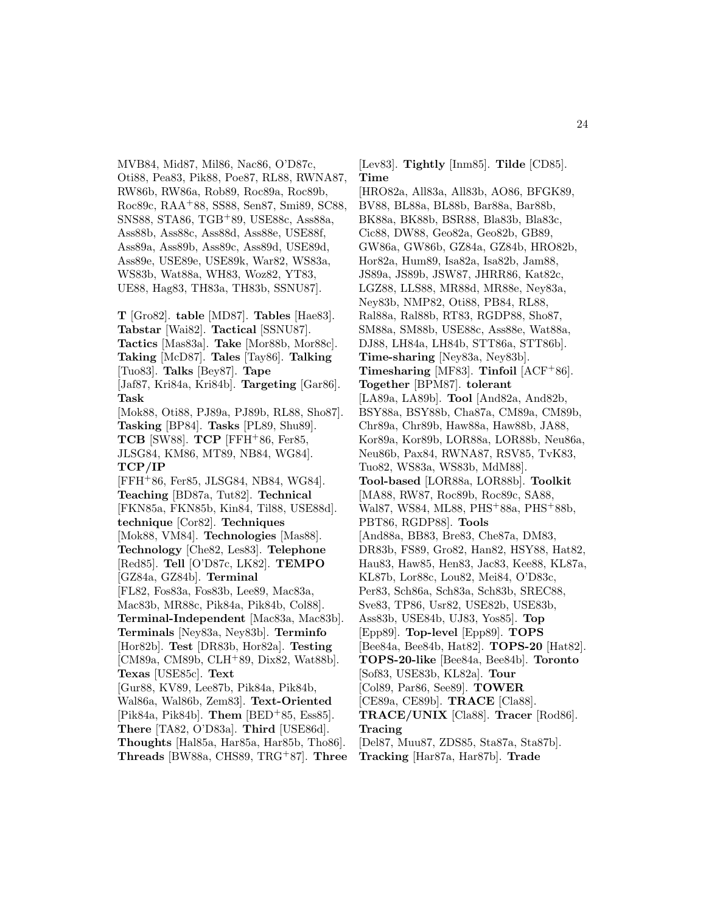MVB84, Mid87, Mil86, Nac86, O'D87c, Oti88, Pea83, Pik88, Poe87, RL88, RWNA87, RW86b, RW86a, Rob89, Roc89a, Roc89b, Roc89c, RAA<sup>+</sup>88, SS88, Sen87, Smi89, SC88, SNS88, STA86, TGB<sup>+</sup>89, USE88c, Ass88a, Ass88b, Ass88c, Ass88d, Ass88e, USE88f, Ass89a, Ass89b, Ass89c, Ass89d, USE89d, Ass89e, USE89e, USE89k, War82, WS83a, WS83b, Wat88a, WH83, Woz82, YT83, UE88, Hag83, TH83a, TH83b, SSNU87].

**T** [Gro82]. **table** [MD87]. **Tables** [Hae83]. **Tabstar** [Wai82]. **Tactical** [SSNU87]. **Tactics** [Mas83a]. **Take** [Mor88b, Mor88c]. **Taking** [McD87]. **Tales** [Tay86]. **Talking** [Tuo83]. **Talks** [Bey87]. **Tape** [Jaf87, Kri84a, Kri84b]. **Targeting** [Gar86]. **Task** [Mok88, Oti88, PJ89a, PJ89b, RL88, Sho87]. **Tasking** [BP84]. **Tasks** [PL89, Shu89]. **TCB** [SW88]. **TCP** [FFH<sup>+</sup>86, Fer85, JLSG84, KM86, MT89, NB84, WG84]. **TCP/IP** [FFH<sup>+</sup>86, Fer85, JLSG84, NB84, WG84]. **Teaching** [BD87a, Tut82]. **Technical** [FKN85a, FKN85b, Kin84, Til88, USE88d]. **technique** [Cor82]. **Techniques** [Mok88, VM84]. **Technologies** [Mas88]. **Technology** [Che82, Les83]. **Telephone** [Red85]. **Tell** [O'D87c, LK82]. **TEMPO** [GZ84a, GZ84b]. **Terminal** [FL82, Fos83a, Fos83b, Lee89, Mac83a, Mac83b, MR88c, Pik84a, Pik84b, Col88]. **Terminal-Independent** [Mac83a, Mac83b]. **Terminals** [Ney83a, Ney83b]. **Terminfo** [Hor82b]. **Test** [DR83b, Hor82a]. **Testing** [CM89a, CM89b, CLH<sup>+</sup>89, Dix82, Wat88b]. **Texas** [USE85c]. **Text** [Gur88, KV89, Lee87b, Pik84a, Pik84b, Wal86a, Wal86b, Zem83]. **Text-Oriented** [Pik84a, Pik84b]. **Them** [BED<sup>+</sup>85, Ess85]. **There** [TA82, O'D83a]. **Third** [USE86d]. **Thoughts** [Hal85a, Har85a, Har85b, Tho86]. **Threads** [BW88a, CHS89, TRG<sup>+</sup>87]. **Three**

[Lev83]. **Tightly** [Inm85]. **Tilde** [CD85]. **Time**

[HRO82a, All83a, All83b, AO86, BFGK89, BV88, BL88a, BL88b, Bar88a, Bar88b, BK88a, BK88b, BSR88, Bla83b, Bla83c, Cic88, DW88, Geo82a, Geo82b, GB89, GW86a, GW86b, GZ84a, GZ84b, HRO82b, Hor82a, Hum89, Isa82a, Isa82b, Jam88, JS89a, JS89b, JSW87, JHRR86, Kat82c, LGZ88, LLS88, MR88d, MR88e, Ney83a, Ney83b, NMP82, Oti88, PB84, RL88, Ral88a, Ral88b, RT83, RGDP88, Sho87, SM88a, SM88b, USE88c, Ass88e, Wat88a, DJ88, LH84a, LH84b, STT86a, STT86b]. **Time-sharing** [Ney83a, Ney83b]. **Timesharing** [MF83]. **Tinfoil** [ACF<sup>+</sup>86]. **Together** [BPM87]. **tolerant** [LA89a, LA89b]. **Tool** [And82a, And82b, BSY88a, BSY88b, Cha87a, CM89a, CM89b, Chr89a, Chr89b, Haw88a, Haw88b, JA88, Kor89a, Kor89b, LOR88a, LOR88b, Neu86a, Neu86b, Pax84, RWNA87, RSV85, TvK83, Tuo82, WS83a, WS83b, MdM88]. **Tool-based** [LOR88a, LOR88b]. **Toolkit** [MA88, RW87, Roc89b, Roc89c, SA88, Wal87, WS84, ML88, PHS<sup>+</sup>88a, PHS<sup>+</sup>88b, PBT86, RGDP88]. **Tools** [And88a, BB83, Bre83, Che87a, DM83, DR83b, FS89, Gro82, Han82, HSY88, Hat82, Hau83, Haw85, Hen83, Jac83, Kee88, KL87a, KL87b, Lor88c, Lou82, Mei84, O'D83c, Per83, Sch86a, Sch83a, Sch83b, SREC88, Sve83, TP86, Usr82, USE82b, USE83b, Ass83b, USE84b, UJ83, Yos85]. **Top** [Epp89]. **Top-level** [Epp89]. **TOPS** [Bee84a, Bee84b, Hat82]. **TOPS-20** [Hat82]. **TOPS-20-like** [Bee84a, Bee84b]. **Toronto** [Sof83, USE83b, KL82a]. **Tour** [Col89, Par86, See89]. **TOWER** [CE89a, CE89b]. **TRACE** [Cla88]. **TRACE/UNIX** [Cla88]. **Tracer** [Rod86]. **Tracing** [Del87, Muu87, ZDS85, Sta87a, Sta87b]. **Tracking** [Har87a, Har87b]. **Trade**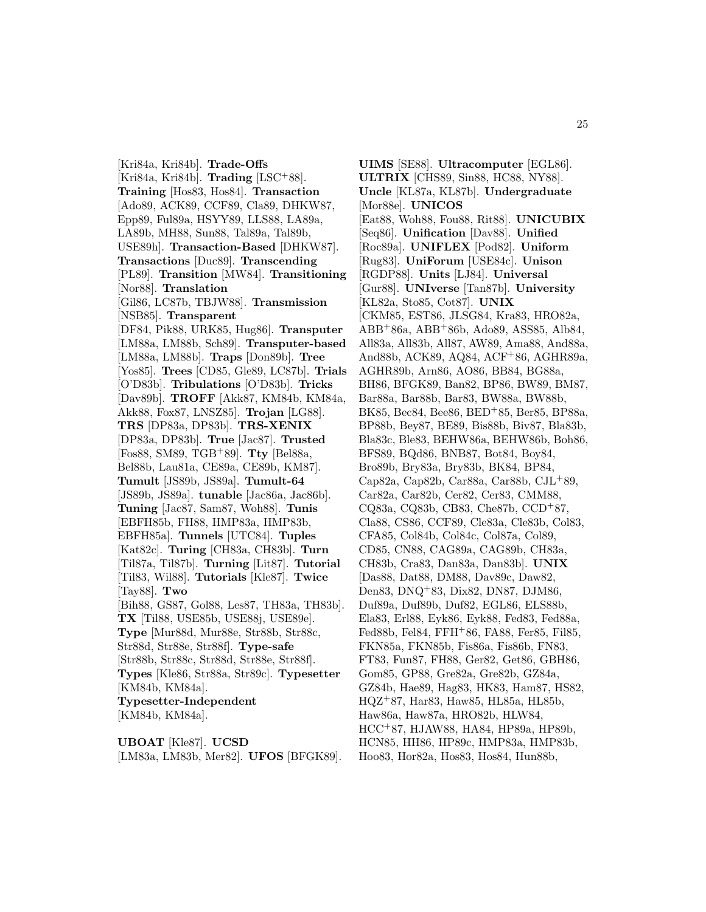[Kri84a, Kri84b]. **Trade-Offs** [Kri84a, Kri84b]. **Trading** [LSC<sup>+</sup>88]. **Training** [Hos83, Hos84]. **Transaction** [Ado89, ACK89, CCF89, Cla89, DHKW87, Epp89, Ful89a, HSYY89, LLS88, LA89a, LA89b, MH88, Sun88, Tal89a, Tal89b, USE89h]. **Transaction-Based** [DHKW87]. **Transactions** [Duc89]. **Transcending** [PL89]. **Transition** [MW84]. **Transitioning** [Nor88]. **Translation** [Gil86, LC87b, TBJW88]. **Transmission** [NSB85]. **Transparent** [DF84, Pik88, URK85, Hug86]. **Transputer** [LM88a, LM88b, Sch89]. **Transputer-based** [LM88a, LM88b]. **Traps** [Don89b]. **Tree** [Yos85]. **Trees** [CD85, Gle89, LC87b]. **Trials** [O'D83b]. **Tribulations** [O'D83b]. **Tricks** [Dav89b]. **TROFF** [Akk87, KM84b, KM84a, Akk88, Fox87, LNSZ85]. **Trojan** [LG88]. **TRS** [DP83a, DP83b]. **TRS-XENIX** [DP83a, DP83b]. **True** [Jac87]. **Trusted** [Fos88, SM89, TGB<sup>+</sup>89]. **Tty** [Bel88a, Bel88b, Lau81a, CE89a, CE89b, KM87]. **Tumult** [JS89b, JS89a]. **Tumult-64** [JS89b, JS89a]. **tunable** [Jac86a, Jac86b]. **Tuning** [Jac87, Sam87, Woh88]. **Tunis** [EBFH85b, FH88, HMP83a, HMP83b, EBFH85a]. **Tunnels** [UTC84]. **Tuples** [Kat82c]. **Turing** [CH83a, CH83b]. **Turn** [Til87a, Til87b]. **Turning** [Lit87]. **Tutorial** [Til83, Wil88]. **Tutorials** [Kle87]. **Twice** [Tay88]. **Two** [Bih88, GS87, Gol88, Les87, TH83a, TH83b]. **TX** [Til88, USE85b, USE88j, USE89e]. **Type** [Mur88d, Mur88e, Str88b, Str88c, Str88d, Str88e, Str88f]. **Type-safe** [Str88b, Str88c, Str88d, Str88e, Str88f]. **Types** [Kle86, Str88a, Str89c]. **Typesetter** [KM84b, KM84a]. **Typesetter-Independent** [KM84b, KM84a].

**UBOAT** [Kle87]. **UCSD** [LM83a, LM83b, Mer82]. **UFOS** [BFGK89].

**UIMS** [SE88]. **Ultracomputer** [EGL86]. **ULTRIX** [CHS89, Sin88, HC88, NY88]. **Uncle** [KL87a, KL87b]. **Undergraduate** [Mor88e]. **UNICOS** [Eat88, Woh88, Fou88, Rit88]. **UNICUBIX** [Seq86]. **Unification** [Dav88]. **Unified** [Roc89a]. **UNIFLEX** [Pod82]. **Uniform** [Rug83]. **UniForum** [USE84c]. **Unison** [RGDP88]. **Units** [LJ84]. **Universal** [Gur88]. **UNIverse** [Tan87b]. **University** [KL82a, Sto85, Cot87]. **UNIX** [CKM85, EST86, JLSG84, Kra83, HRO82a, ABB<sup>+</sup>86a, ABB<sup>+</sup>86b, Ado89, ASS85, Alb84, All83a, All83b, All87, AW89, Ama88, And88a, And88b, ACK89, AQ84, ACF<sup>+</sup>86, AGHR89a, AGHR89b, Arn86, AO86, BB84, BG88a, BH86, BFGK89, Ban82, BP86, BW89, BM87, Bar88a, Bar88b, Bar83, BW88a, BW88b, BK85, Bec84, Bee86, BED<sup>+</sup>85, Ber85, BP88a, BP88b, Bey87, BE89, Bis88b, Biv87, Bla83b, Bla83c, Ble83, BEHW86a, BEHW86b, Boh86, BFS89, BQd86, BNB87, Bot84, Boy84, Bro89b, Bry83a, Bry83b, BK84, BP84, Cap82a, Cap82b, Car88a, Car88b, CJL<sup>+</sup>89, Car82a, Car82b, Cer82, Cer83, CMM88, CQ83a, CQ83b, CB83, Che87b, CCD<sup>+</sup>87, Cla88, CS86, CCF89, Cle83a, Cle83b, Col83, CFA85, Col84b, Col84c, Col87a, Col89, CD85, CN88, CAG89a, CAG89b, CH83a, CH83b, Cra83, Dan83a, Dan83b]. **UNIX** [Das88, Dat88, DM88, Dav89c, Daw82, Den83, DNQ<sup>+</sup>83, Dix82, DN87, DJM86, Duf89a, Duf89b, Duf82, EGL86, ELS88b, Ela83, Erl88, Eyk86, Eyk88, Fed83, Fed88a, Fed88b, Fel84, FFH<sup>+</sup>86, FA88, Fer85, Fil85, FKN85a, FKN85b, Fis86a, Fis86b, FN83, FT83, Fun87, FH88, Ger82, Get86, GBH86, Gom85, GP88, Gre82a, Gre82b, GZ84a, GZ84b, Hae89, Hag83, HK83, Ham87, HS82, HQZ<sup>+</sup>87, Har83, Haw85, HL85a, HL85b, Haw86a, Haw87a, HRO82b, HLW84, HCC<sup>+</sup>87, HJAW88, HA84, HP89a, HP89b, HCN85, HH86, HP89c, HMP83a, HMP83b, Hoo83, Hor82a, Hos83, Hos84, Hun88b,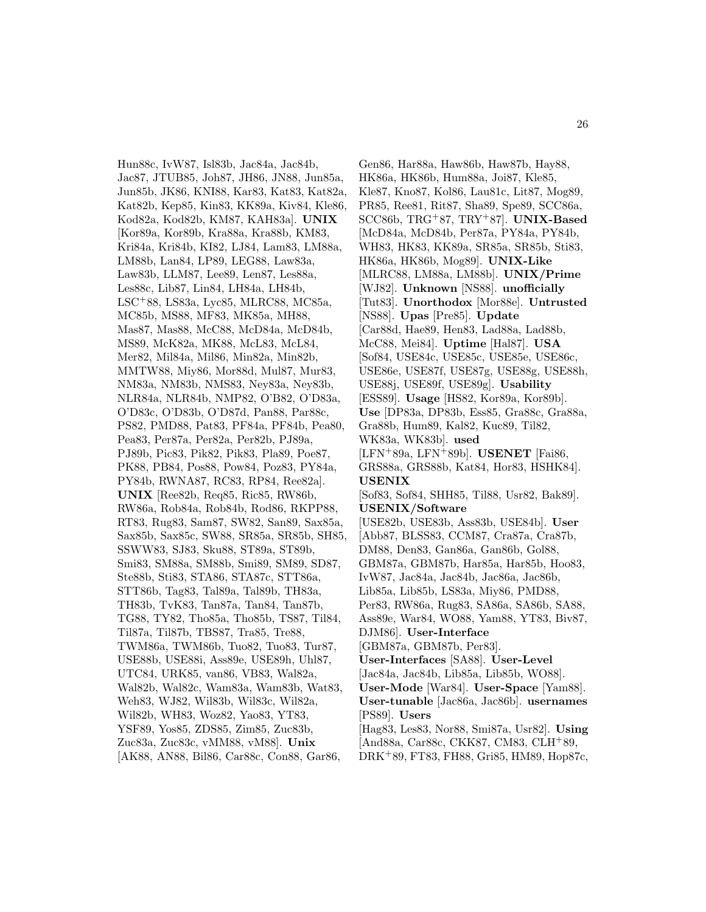Hun88c, IvW87, Isl83b, Jac84a, Jac84b, Jac87, JTUB85, Joh87, JH86, JN88, Jun85a, Jun85b, JK86, KNI88, Kar83, Kat83, Kat82a, Kat82b, Kep85, Kin83, KK89a, Kiv84, Kle86, Kod82a, Kod82b, KM87, KAH83a]. **UNIX** [Kor89a, Kor89b, Kra88a, Kra88b, KM83, Kri84a, Kri84b, KI82, LJ84, Lam83, LM88a, LM88b, Lan84, LP89, LEG88, Law83a, Law83b, LLM87, Lee89, Len87, Les88a, Les88c, Lib87, Lin84, LH84a, LH84b, LSC<sup>+</sup>88, LS83a, Lyc85, MLRC88, MC85a, MC85b, MS88, MF83, MK85a, MH88, Mas87, Mas88, McC88, McD84a, McD84b, MS89, McK82a, MK88, McL83, McL84, Mer82, Mil84a, Mil86, Min82a, Min82b, MMTW88, Miy86, Mor88d, Mul87, Mur83, NM83a, NM83b, NMS83, Ney83a, Ney83b, NLR84a, NLR84b, NMP82, O'B82, O'D83a, O'D83c, O'D83b, O'D87d, Pan88, Par88c, PS82, PMD88, Pat83, PF84a, PF84b, Pea80, Pea83, Per87a, Per82a, Per82b, PJ89a, PJ89b, Pic83, Pik82, Pik83, Pla89, Poe87, PK88, PB84, Pos88, Pow84, Poz83, PY84a, PY84b, RWNA87, RC83, RP84, Ree82a]. **UNIX** [Ree82b, Req85, Ric85, RW86b, RW86a, Rob84a, Rob84b, Rod86, RKPP88, RT83, Rug83, Sam87, SW82, San89, Sax85a, Sax85b, Sax85c, SW88, SR85a, SR85b, SH85, SSWW83, SJ83, Sku88, ST89a, ST89b, Smi83, SM88a, SM88b, Smi89, SM89, SD87, Ste88b, Sti83, STA86, STA87c, STT86a, STT86b, Tag83, Tal89a, Tal89b, TH83a, TH83b, TvK83, Tan87a, Tan84, Tan87b, TG88, TY82, Tho85a, Tho85b, TS87, Til84, Til87a, Til87b, TBS87, Tra85, Tre88, TWM86a, TWM86b, Tuo82, Tuo83, Tur87, USE88b, USE88i, Ass89e, USE89h, Uhl87, UTC84, URK85, van86, VB83, Wal82a, Wal82b, Wal82c, Wam83a, Wam83b, Wat83, Weh83, WJ82, Wil83b, Wil83c, Wil82a, Wil82b, WH83, Woz82, Yao83, YT83, YSF89, Yos85, ZDS85, Zim85, Zuc83b, Zuc83a, Zuc83c, vMM88, vM88]. **Unix** [AK88, AN88, Bil86, Car88c, Con88, Gar86,

Gen86, Har88a, Haw86b, Haw87b, Hay88, HK86a, HK86b, Hum88a, Joi87, Kle85, Kle87, Kno87, Kol86, Lau81c, Lit87, Mog89, PR85, Ree81, Rit87, Sha89, Spe89, SCC86a, SCC86b, TRG<sup>+</sup>87, TRY<sup>+</sup>87]. **UNIX-Based** [McD84a, McD84b, Per87a, PY84a, PY84b, WH83, HK83, KK89a, SR85a, SR85b, Sti83, HK86a, HK86b, Mog89]. **UNIX-Like** [MLRC88, LM88a, LM88b]. **UNIX/Prime** [WJ82]. **Unknown** [NS88]. **unofficially** [Tut83]. **Unorthodox** [Mor88e]. **Untrusted** [NS88]. **Upas** [Pre85]. **Update** [Car88d, Hae89, Hen83, Lad88a, Lad88b, McC88, Mei84]. **Uptime** [Hal87]. **USA** [Sof84, USE84c, USE85c, USE85e, USE86c, USE86e, USE87f, USE87g, USE88g, USE88h, USE88j, USE89f, USE89g]. **Usability** [ESS89]. **Usage** [HS82, Kor89a, Kor89b]. **Use** [DP83a, DP83b, Ess85, Gra88c, Gra88a, Gra88b, Hum89, Kal82, Kuc89, Til82, WK83a, WK83b]. **used** [LFN<sup>+</sup>89a, LFN<sup>+</sup>89b]. **USENET** [Fai86, GRS88a, GRS88b, Kat84, Hor83, HSHK84]. **USENIX** [Sof83, Sof84, SHH85, Til88, Usr82, Bak89]. **USENIX/Software** [USE82b, USE83b, Ass83b, USE84b]. **User** [Abb87, BLSS83, CCM87, Cra87a, Cra87b, DM88, Den83, Gan86a, Gan86b, Gol88, GBM87a, GBM87b, Har85a, Har85b, Hoo83, IvW87, Jac84a, Jac84b, Jac86a, Jac86b, Lib85a, Lib85b, LS83a, Miy86, PMD88, Per83, RW86a, Rug83, SA86a, SA86b, SA88, Ass89e, War84, WO88, Yam88, YT83, Biv87, DJM86]. **User-Interface** [GBM87a, GBM87b, Per83]. **User-Interfaces** [SA88]. **User-Level** [Jac84a, Jac84b, Lib85a, Lib85b, WO88]. **User-Mode** [War84]. **User-Space** [Yam88]. **User-tunable** [Jac86a, Jac86b]. **usernames** [PS89]. **Users** [Hag83, Les83, Nor88, Smi87a, Usr82]. **Using** [And88a, Car88c, CKK87, CM83, CLH<sup>+</sup>89, DRK<sup>+</sup>89, FT83, FH88, Gri85, HM89, Hop87c,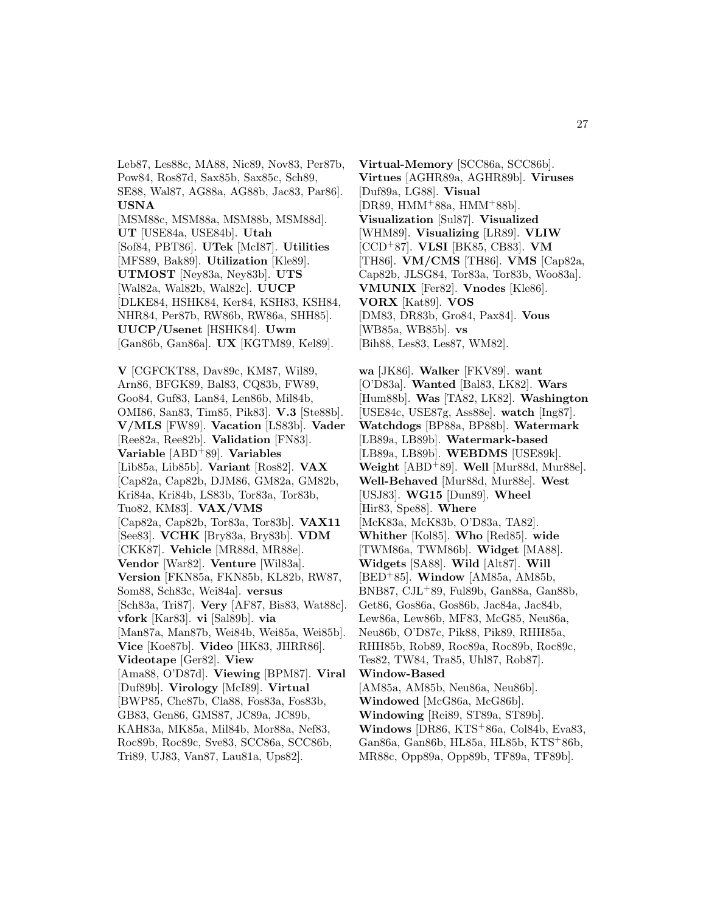Leb87, Les88c, MA88, Nic89, Nov83, Per87b, Pow84, Ros87d, Sax85b, Sax85c, Sch89, SE88, Wal87, AG88a, AG88b, Jac83, Par86]. **USNA** [MSM88c, MSM88a, MSM88b, MSM88d]. **UT** [USE84a, USE84b]. **Utah** [Sof84, PBT86]. **UTek** [McI87]. **Utilities** [MFS89, Bak89]. **Utilization** [Kle89]. **UTMOST** [Ney83a, Ney83b]. **UTS** [Wal82a, Wal82b, Wal82c]. **UUCP** [DLKE84, HSHK84, Ker84, KSH83, KSH84, NHR84, Per87b, RW86b, RW86a, SHH85]. **UUCP/Usenet** [HSHK84]. **Uwm** [Gan86b, Gan86a]. **UX** [KGTM89, Kel89].

**V** [CGFCKT88, Dav89c, KM87, Wil89, Arn86, BFGK89, Bal83, CQ83b, FW89, Goo84, Guf83, Lan84, Len86b, Mil84b, OMI86, San83, Tim85, Pik83]. **V.3** [Ste88b]. **V/MLS** [FW89]. **Vacation** [LS83b]. **Vader** [Ree82a, Ree82b]. **Validation** [FN83]. **Variable** [ABD<sup>+</sup>89]. **Variables** [Lib85a, Lib85b]. **Variant** [Ros82]. **VAX** [Cap82a, Cap82b, DJM86, GM82a, GM82b, Kri84a, Kri84b, LS83b, Tor83a, Tor83b, Tuo82, KM83]. **VAX/VMS** [Cap82a, Cap82b, Tor83a, Tor83b]. **VAX11** [See83]. **VCHK** [Bry83a, Bry83b]. **VDM** [CKK87]. **Vehicle** [MR88d, MR88e]. **Vendor** [War82]. **Venture** [Wil83a]. **Version** [FKN85a, FKN85b, KL82b, RW87, Som88, Sch83c, Wei84a]. **versus** [Sch83a, Tri87]. **Very** [AF87, Bis83, Wat88c]. **vfork** [Kar83]. **vi** [Sal89b]. **via** [Man87a, Man87b, Wei84b, Wei85a, Wei85b]. **Vice** [Koe87b]. **Video** [HK83, JHRR86]. **Videotape** [Ger82]. **View** [Ama88, O'D87d]. **Viewing** [BPM87]. **Viral** [Duf89b]. **Virology** [McI89]. **Virtual** [BWP85, Che87b, Cla88, Fos83a, Fos83b, GB83, Gen86, GMS87, JC89a, JC89b, KAH83a, MK85a, Mil84b, Mor88a, Nef83, Roc89b, Roc89c, Sve83, SCC86a, SCC86b, Tri89, UJ83, Van87, Lau81a, Ups82].

**Virtual-Memory** [SCC86a, SCC86b]. **Virtues** [AGHR89a, AGHR89b]. **Viruses** [Duf89a, LG88]. **Visual** [DR89, HMM<sup>+</sup>88a, HMM<sup>+</sup>88b]. **Visualization** [Sul87]. **Visualized** [WHM89]. **Visualizing** [LR89]. **VLIW** [CCD<sup>+</sup>87]. **VLSI** [BK85, CB83]. **VM** [TH86]. **VM/CMS** [TH86]. **VMS** [Cap82a, Cap82b, JLSG84, Tor83a, Tor83b, Woo83a]. **VMUNIX** [Fer82]. **Vnodes** [Kle86]. **VORX** [Kat89]. **VOS** [DM83, DR83b, Gro84, Pax84]. **Vous** [WB85a, WB85b]. **vs** [Bih88, Les83, Les87, WM82].

**wa** [JK86]. **Walker** [FKV89]. **want** [O'D83a]. **Wanted** [Bal83, LK82]. **Wars** [Hum88b]. **Was** [TA82, LK82]. **Washington** [USE84c, USE87g, Ass88e]. **watch** [Ing87]. **Watchdogs** [BP88a, BP88b]. **Watermark** [LB89a, LB89b]. **Watermark-based** [LB89a, LB89b]. **WEBDMS** [USE89k]. **Weight** [ABD<sup>+</sup>89]. **Well** [Mur88d, Mur88e]. **Well-Behaved** [Mur88d, Mur88e]. **West** [USJ83]. **WG15** [Dun89]. **Wheel** [Hir83, Spe88]. **Where** [McK83a, McK83b, O'D83a, TA82]. **Whither** [Kol85]. **Who** [Red85]. **wide** [TWM86a, TWM86b]. **Widget** [MA88]. **Widgets** [SA88]. **Wild** [Alt87]. **Will** [BED<sup>+</sup>85]. **Window** [AM85a, AM85b, BNB87, CJL<sup>+</sup>89, Ful89b, Gan88a, Gan88b, Get86, Gos86a, Gos86b, Jac84a, Jac84b, Lew86a, Lew86b, MF83, McG85, Neu86a, Neu86b, O'D87c, Pik88, Pik89, RHH85a, RHH85b, Rob89, Roc89a, Roc89b, Roc89c, Tes82, TW84, Tra85, Uhl87, Rob87]. **Window-Based** [AM85a, AM85b, Neu86a, Neu86b]. **Windowed** [McG86a, McG86b]. **Windowing** [Rei89, ST89a, ST89b]. **Windows** [DR86, KTS<sup>+</sup>86a, Col84b, Eva83, Gan86a, Gan86b, HL85a, HL85b, KTS<sup>+</sup>86b, MR88c, Opp89a, Opp89b, TF89a, TF89b].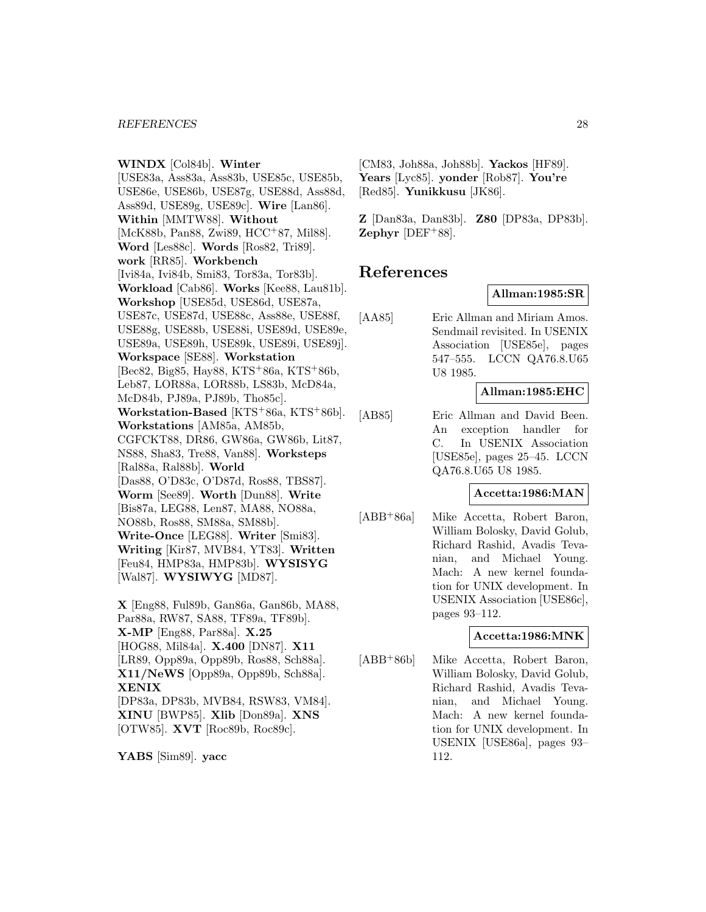**WINDX** [Col84b]. **Winter** [USE83a, Ass83a, Ass83b, USE85c, USE85b, USE86e, USE86b, USE87g, USE88d, Ass88d, Ass89d, USE89g, USE89c]. **Wire** [Lan86]. **Within** [MMTW88]. **Without** [McK88b, Pan88, Zwi89, HCC+87, Mil88]. **Word** [Les88c]. **Words** [Ros82, Tri89]. **work** [RR85]. **Workbench** [Ivi84a, Ivi84b, Smi83, Tor83a, Tor83b]. **Workload** [Cab86]. **Works** [Kee88, Lau81b]. **Workshop** [USE85d, USE86d, USE87a, USE87c, USE87d, USE88c, Ass88e, USE88f, USE88g, USE88b, USE88i, USE89d, USE89e, USE89a, USE89h, USE89k, USE89i, USE89j]. **Workspace** [SE88]. **Workstation** [Bec82, Big85, Hay88, KTS<sup>+</sup>86a, KTS<sup>+</sup>86b, Leb87, LOR88a, LOR88b, LS83b, McD84a, McD84b, PJ89a, PJ89b, Tho85c]. **Workstation-Based** [KTS<sup>+</sup>86a, KTS<sup>+</sup>86b]. **Workstations** [AM85a, AM85b, CGFCKT88, DR86, GW86a, GW86b, Lit87, NS88, Sha83, Tre88, Van88]. **Worksteps** [Ral88a, Ral88b]. **World** [Das88, O'D83c, O'D87d, Ros88, TBS87]. **Worm** [See89]. **Worth** [Dun88]. **Write** [Bis87a, LEG88, Len87, MA88, NO88a, NO88b, Ros88, SM88a, SM88b]. **Write-Once** [LEG88]. **Writer** [Smi83]. **Writing** [Kir87, MVB84, YT83]. **Written** [Feu84, HMP83a, HMP83b]. **WYSISYG** [Wal87]. **WYSIWYG** [MD87]. **X** [Eng88, Ful89b, Gan86a, Gan86b, MA88,

Par88a, RW87, SA88, TF89a, TF89b]. **X-MP** [Eng88, Par88a]. **X.25** [HOG88, Mil84a]. **X.400** [DN87]. **X11** [LR89, Opp89a, Opp89b, Ros88, Sch88a]. **X11/NeWS** [Opp89a, Opp89b, Sch88a]. **XENIX** [DP83a, DP83b, MVB84, RSW83, VM84]. **XINU** [BWP85]. **Xlib** [Don89a]. **XNS** [OTW85]. **XVT** [Roc89b, Roc89c].

**YABS** [Sim89]. **yacc**

[CM83, Joh88a, Joh88b]. **Yackos** [HF89]. **Years** [Lyc85]. **yonder** [Rob87]. **You're** [Red85]. **Yunikkusu** [JK86].

**Z** [Dan83a, Dan83b]. **Z80** [DP83a, DP83b]. **Zephyr** [DEF<sup>+</sup>88].

# **References**

#### **Allman:1985:SR**

[AA85] Eric Allman and Miriam Amos. Sendmail revisited. In USENIX Association [USE85e], pages 547–555. LCCN QA76.8.U65 U8 1985.

#### **Allman:1985:EHC**

[AB85] Eric Allman and David Been. An exception handler for C. In USENIX Association [USE85e], pages 25–45. LCCN QA76.8.U65 U8 1985.

#### **Accetta:1986:MAN**

[ABB<sup>+</sup>86a] Mike Accetta, Robert Baron, William Bolosky, David Golub, Richard Rashid, Avadis Tevanian, and Michael Young. Mach: A new kernel foundation for UNIX development. In USENIX Association [USE86c], pages 93–112.

#### **Accetta:1986:MNK**

[ABB<sup>+</sup>86b] Mike Accetta, Robert Baron, William Bolosky, David Golub, Richard Rashid, Avadis Tevanian, and Michael Young. Mach: A new kernel foundation for UNIX development. In USENIX [USE86a], pages 93– 112.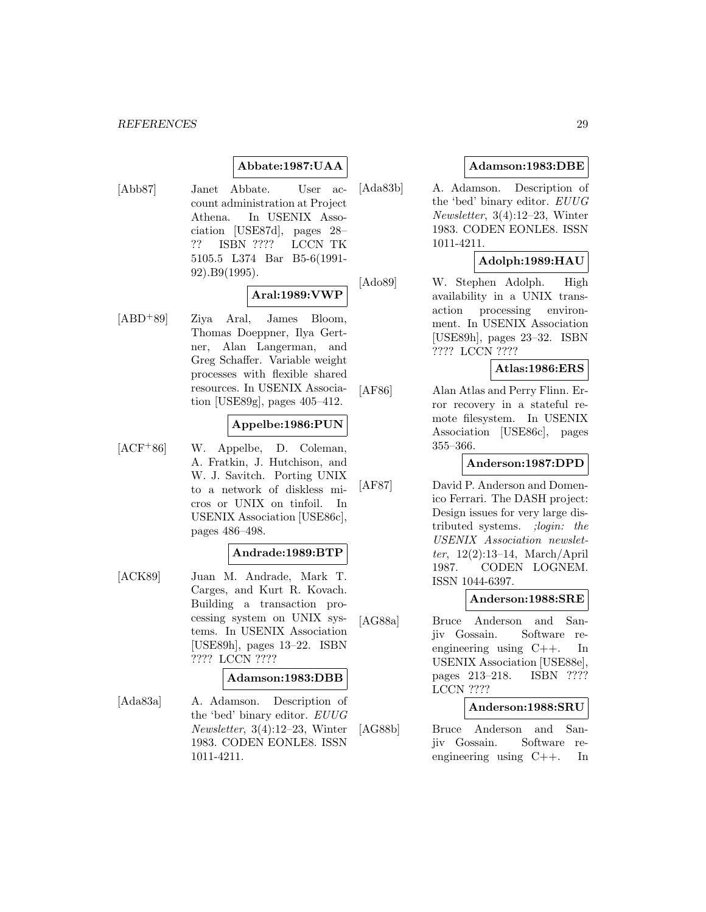### **Abbate:1987:UAA**

[Abb87] Janet Abbate. User account administration at Project Athena. In USENIX Association [USE87d], pages 28– ?? ISBN ???? LCCN TK 5105.5 L374 Bar B5-6(1991- 92).B9(1995).

# **Aral:1989:VWP**

[ABD<sup>+</sup>89] Ziya Aral, James Bloom, Thomas Doeppner, Ilya Gertner, Alan Langerman, and Greg Schaffer. Variable weight processes with flexible shared resources. In USENIX Association [USE89g], pages 405–412.

### **Appelbe:1986:PUN**

[ACF<sup>+</sup>86] W. Appelbe, D. Coleman, A. Fratkin, J. Hutchison, and W. J. Savitch. Porting UNIX to a network of diskless micros or UNIX on tinfoil. In USENIX Association [USE86c], pages 486–498.

### **Andrade:1989:BTP**

[ACK89] Juan M. Andrade, Mark T. Carges, and Kurt R. Kovach. Building a transaction processing system on UNIX systems. In USENIX Association [USE89h], pages 13–22. ISBN ???? LCCN ????

#### **Adamson:1983:DBB**

[Ada83a] A. Adamson. Description of the 'bed' binary editor. EUUG Newsletter, 3(4):12–23, Winter 1983. CODEN EONLE8. ISSN 1011-4211.

### **Adamson:1983:DBE**

[Ada83b] A. Adamson. Description of the 'bed' binary editor. EUUG Newsletter, 3(4):12–23, Winter 1983. CODEN EONLE8. ISSN 1011-4211.

### **Adolph:1989:HAU**

[Ado89] W. Stephen Adolph. High availability in a UNIX transaction processing environment. In USENIX Association [USE89h], pages 23–32. ISBN ???? LCCN ????

#### **Atlas:1986:ERS**

[AF86] Alan Atlas and Perry Flinn. Error recovery in a stateful remote filesystem. In USENIX Association [USE86c], pages 355–366.

#### **Anderson:1987:DPD**

[AF87] David P. Anderson and Domenico Ferrari. The DASH project: Design issues for very large distributed systems. ;login: the USENIX Association newsletter, 12(2):13–14, March/April 1987. CODEN LOGNEM. ISSN 1044-6397.

#### **Anderson:1988:SRE**

[AG88a] Bruce Anderson and Sanjiv Gossain. Software reengineering using C++. In USENIX Association [USE88e], pages 213–218. ISBN ???? LCCN ????

#### **Anderson:1988:SRU**

[AG88b] Bruce Anderson and Sanjiv Gossain. Software reengineering using C++. In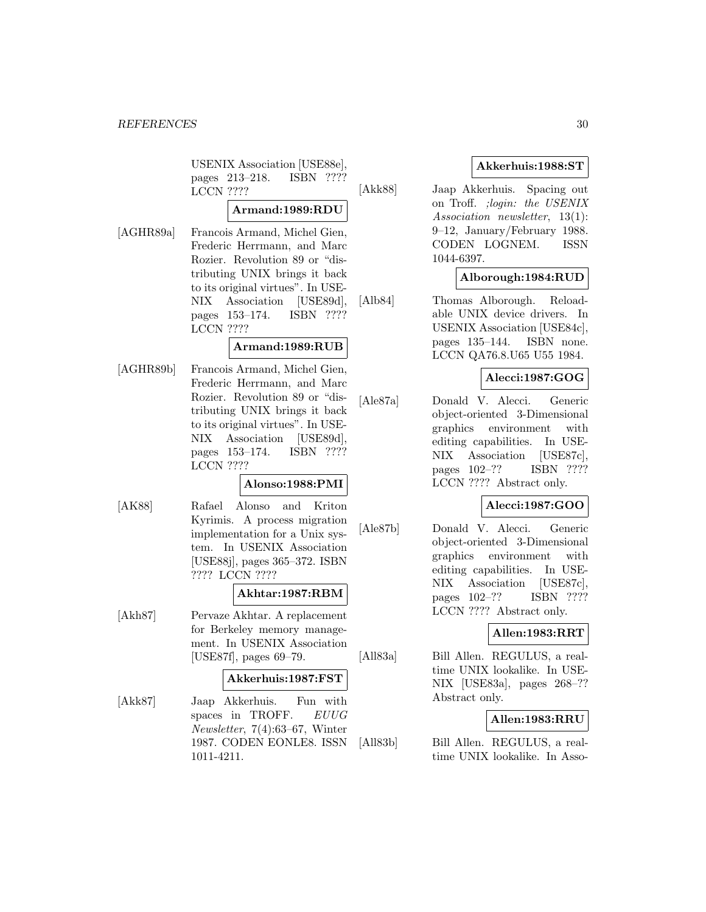USENIX Association [USE88e], pages 213–218. ISBN ???? LCCN ????

### **Armand:1989:RDU**

[AGHR89a] Francois Armand, Michel Gien, Frederic Herrmann, and Marc Rozier. Revolution 89 or "distributing UNIX brings it back to its original virtues". In USE-NIX Association [USE89d], pages 153–174. ISBN ???? LCCN ????

#### **Armand:1989:RUB**

[AGHR89b] Francois Armand, Michel Gien, Frederic Herrmann, and Marc Rozier. Revolution 89 or "distributing UNIX brings it back to its original virtues". In USE-NIX Association [USE89d], pages 153–174. ISBN ???? LCCN ????

### **Alonso:1988:PMI**

[AK88] Rafael Alonso and Kriton Kyrimis. A process migration implementation for a Unix system. In USENIX Association [USE88j], pages 365–372. ISBN ???? LCCN ????

#### **Akhtar:1987:RBM**

[Akh87] Pervaze Akhtar. A replacement for Berkeley memory management. In USENIX Association [USE87f], pages 69–79.

#### **Akkerhuis:1987:FST**

[Akk87] Jaap Akkerhuis. Fun with spaces in TROFF. EUUG Newsletter, 7(4):63–67, Winter 1987. CODEN EONLE8. ISSN 1011-4211.

### **Akkerhuis:1988:ST**

[Akk88] Jaap Akkerhuis. Spacing out on Troff. ;login: the USENIX Association newsletter, 13(1): 9–12, January/February 1988. CODEN LOGNEM. ISSN 1044-6397.

### **Alborough:1984:RUD**

[Alb84] Thomas Alborough. Reloadable UNIX device drivers. In USENIX Association [USE84c], pages 135–144. ISBN none. LCCN QA76.8.U65 U55 1984.

### **Alecci:1987:GOG**

[Ale87a] Donald V. Alecci. Generic object-oriented 3-Dimensional graphics environment with editing capabilities. In USE-NIX Association [USE87c], pages 102–?? ISBN ???? LCCN ???? Abstract only.

### **Alecci:1987:GOO**

[Ale87b] Donald V. Alecci. Generic object-oriented 3-Dimensional graphics environment with editing capabilities. In USE-NIX Association [USE87c], pages 102–?? ISBN ???? LCCN ???? Abstract only.

### **Allen:1983:RRT**

[All83a] Bill Allen. REGULUS, a realtime UNIX lookalike. In USE-NIX [USE83a], pages 268–?? Abstract only.

### **Allen:1983:RRU**

[All83b] Bill Allen. REGULUS, a realtime UNIX lookalike. In Asso-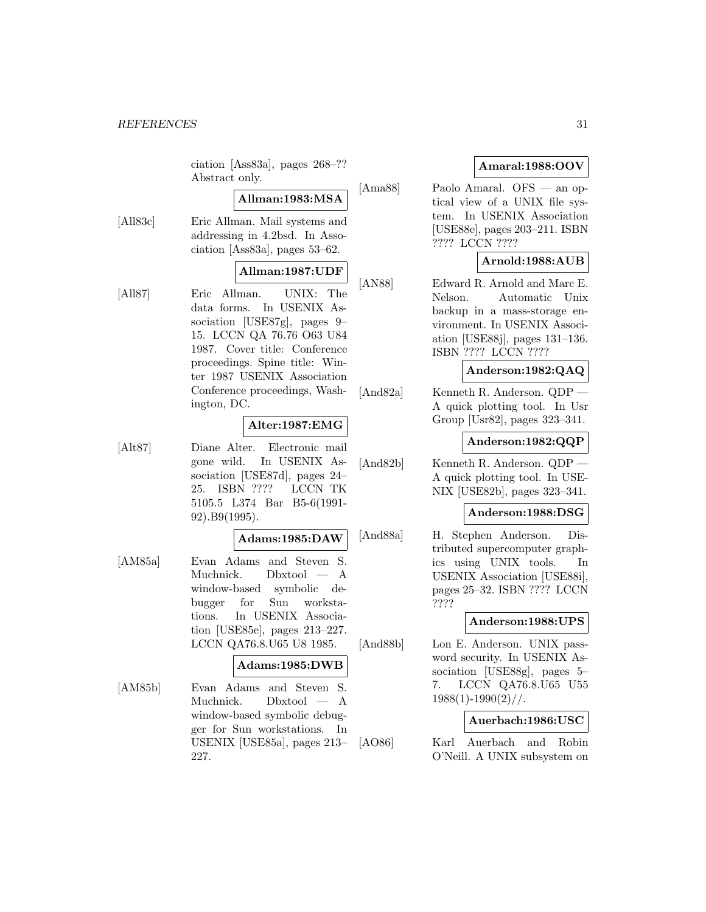#### *REFERENCES* 31

ciation [Ass83a], pages 268–?? Abstract only.

## **Allman:1983:MSA**

[All83c] Eric Allman. Mail systems and addressing in 4.2bsd. In Association [Ass83a], pages 53–62.

### **Allman:1987:UDF**

[All87] Eric Allman. UNIX: The data forms. In USENIX Association [USE87g], pages 9– 15. LCCN QA 76.76 O63 U84 1987. Cover title: Conference proceedings. Spine title: Winter 1987 USENIX Association Conference proceedings, Washington, DC.

### **Alter:1987:EMG**

[Alt87] Diane Alter. Electronic mail gone wild. In USENIX Association [USE87d], pages 24– 25. ISBN ???? LCCN TK 5105.5 L374 Bar B5-6(1991- 92).B9(1995).

#### **Adams:1985:DAW**

[AM85a] Evan Adams and Steven S. Muchnick. Dbxtool — A window-based symbolic debugger for Sun workstations. In USENIX Association [USE85e], pages 213–227. LCCN QA76.8.U65 U8 1985.

### **Adams:1985:DWB**

[AM85b] Evan Adams and Steven S. Muchnick. Dbxtool — A window-based symbolic debugger for Sun workstations. In USENIX [USE85a], pages 213– 227.

### **Amaral:1988:OOV**

[Ama88] Paolo Amaral. OFS — an optical view of a UNIX file system. In USENIX Association [USE88e], pages 203–211. ISBN ???? LCCN ????

### **Arnold:1988:AUB**

[AN88] Edward R. Arnold and Marc E. Nelson. Automatic Unix backup in a mass-storage environment. In USENIX Association [USE88j], pages 131–136. ISBN ???? LCCN ????

#### **Anderson:1982:QAQ**

[And82a] Kenneth R. Anderson. QDP — A quick plotting tool. In Usr Group [Usr82], pages 323–341.

### **Anderson:1982:QQP**

[And82b] Kenneth R. Anderson. QDP — A quick plotting tool. In USE-NIX [USE82b], pages 323–341.

### **Anderson:1988:DSG**

[And88a] H. Stephen Anderson. Distributed supercomputer graphics using UNIX tools. In USENIX Association [USE88i], pages 25–32. ISBN ???? LCCN ????

### **Anderson:1988:UPS**

[And88b] Lon E. Anderson. UNIX password security. In USENIX Association [USE88g], pages 5– 7. LCCN QA76.8.U65 U55  $1988(1)-1990(2)/$ .

### **Auerbach:1986:USC**

[AO86] Karl Auerbach and Robin O'Neill. A UNIX subsystem on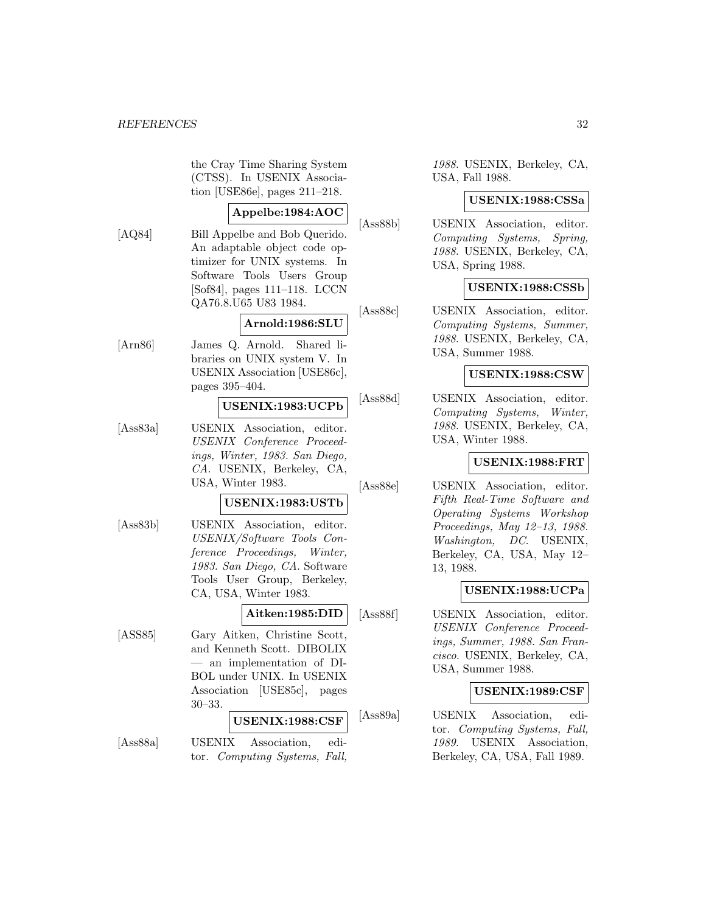the Cray Time Sharing System (CTSS). In USENIX Association [USE86e], pages 211–218.

### **Appelbe:1984:AOC**

[AQ84] Bill Appelbe and Bob Querido. An adaptable object code optimizer for UNIX systems. In Software Tools Users Group [Sof84], pages 111–118. LCCN QA76.8.U65 U83 1984.

#### **Arnold:1986:SLU**

[Arn86] James Q. Arnold. Shared libraries on UNIX system V. In USENIX Association [USE86c], pages 395–404.

### **USENIX:1983:UCPb**

[Ass83a] USENIX Association, editor. USENIX Conference Proceedings, Winter, 1983. San Diego, CA. USENIX, Berkeley, CA, USA, Winter 1983.

#### **USENIX:1983:USTb**

[Ass83b] USENIX Association, editor. USENIX/Software Tools Conference Proceedings, Winter, 1983. San Diego, CA. Software Tools User Group, Berkeley, CA, USA, Winter 1983.

**Aitken:1985:DID**

[ASS85] Gary Aitken, Christine Scott, and Kenneth Scott. DIBOLIX — an implementation of DI-BOL under UNIX. In USENIX Association [USE85c], pages 30–33.

### **USENIX:1988:CSF**

[Ass88a] USENIX Association, editor. Computing Systems, Fall, 1988. USENIX, Berkeley, CA, USA, Fall 1988.

#### **USENIX:1988:CSSa**

[Ass88b] USENIX Association, editor. Computing Systems, Spring, 1988. USENIX, Berkeley, CA, USA, Spring 1988.

#### **USENIX:1988:CSSb**

[Ass88c] USENIX Association, editor. Computing Systems, Summer, 1988. USENIX, Berkeley, CA, USA, Summer 1988.

#### **USENIX:1988:CSW**

[Ass88d] USENIX Association, editor. Computing Systems, Winter, 1988. USENIX, Berkeley, CA, USA, Winter 1988.

### **USENIX:1988:FRT**

[Ass88e] USENIX Association, editor. Fifth Real-Time Software and Operating Systems Workshop Proceedings, May 12–13, 1988. Washington, DC. USENIX, Berkeley, CA, USA, May 12– 13, 1988.

#### **USENIX:1988:UCPa**

[Ass88f] USENIX Association, editor. USENIX Conference Proceedings, Summer, 1988. San Francisco. USENIX, Berkeley, CA, USA, Summer 1988.

### **USENIX:1989:CSF**

[Ass89a] USENIX Association, editor. Computing Systems, Fall, 1989. USENIX Association, Berkeley, CA, USA, Fall 1989.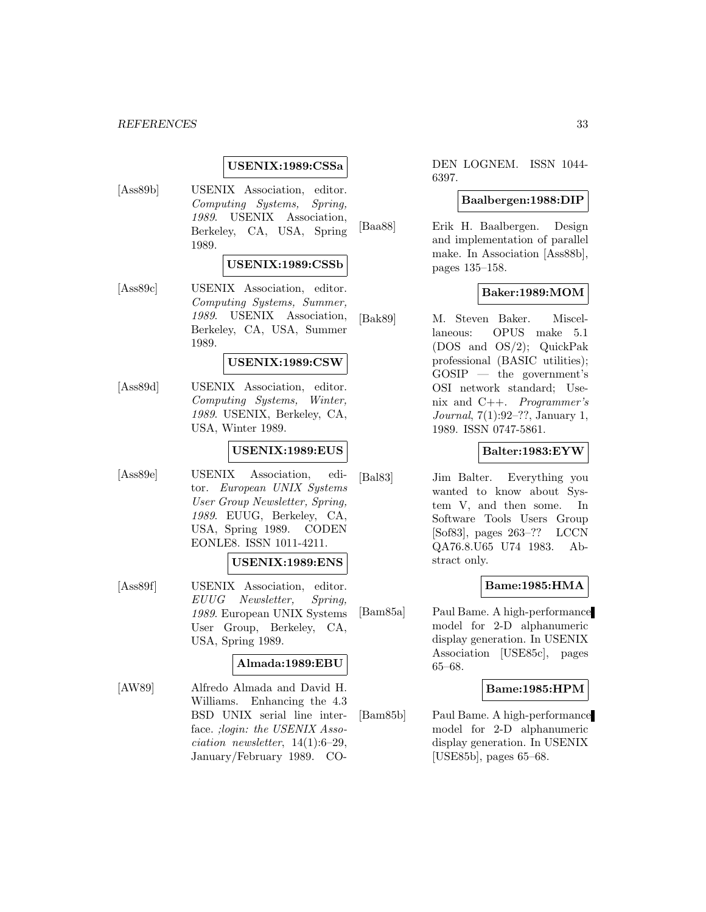#### *REFERENCES* 33

#### **USENIX:1989:CSSa**

[Ass89b] USENIX Association, editor. Computing Systems, Spring, 1989. USENIX Association, Berkeley, CA, USA, Spring 1989.

#### **USENIX:1989:CSSb**

[Ass89c] USENIX Association, editor. Computing Systems, Summer, 1989. USENIX Association, Berkeley, CA, USA, Summer 1989.

### **USENIX:1989:CSW**

[Ass89d] USENIX Association, editor. Computing Systems, Winter, 1989. USENIX, Berkeley, CA, USA, Winter 1989.

### **USENIX:1989:EUS**

[Ass89e] USENIX Association, editor. European UNIX Systems User Group Newsletter, Spring, 1989. EUUG, Berkeley, CA, USA, Spring 1989. CODEN EONLE8. ISSN 1011-4211.

#### **USENIX:1989:ENS**

[Ass89f] USENIX Association, editor. EUUG Newsletter, Spring, 1989. European UNIX Systems User Group, Berkeley, CA, USA, Spring 1989.

### **Almada:1989:EBU**

[AW89] Alfredo Almada and David H. Williams. Enhancing the 4.3 BSD UNIX serial line interface. ;login: the USENIX Asso $ciation$  newsletter,  $14(1):6-29$ , January/February 1989. CO-

DEN LOGNEM. ISSN 1044- 6397.

#### **Baalbergen:1988:DIP**

[Baa88] Erik H. Baalbergen. Design and implementation of parallel make. In Association [Ass88b], pages 135–158.

### **Baker:1989:MOM**

[Bak89] M. Steven Baker. Miscellaneous: OPUS make 5.1 (DOS and OS/2); QuickPak professional (BASIC utilities); GOSIP — the government's OSI network standard; Usenix and C++. Programmer's Journal, 7(1):92–??, January 1, 1989. ISSN 0747-5861.

### **Balter:1983:EYW**

[Bal83] Jim Balter. Everything you wanted to know about System V, and then some. In Software Tools Users Group [Sof83], pages 263–?? LCCN QA76.8.U65 U74 1983. Abstract only.

### **Bame:1985:HMA**

[Bam85a] Paul Bame. A high-performance model for 2-D alphanumeric display generation. In USENIX Association [USE85c], pages 65–68.

### **Bame:1985:HPM**

[Bam85b] Paul Bame. A high-performance model for 2-D alphanumeric display generation. In USENIX [USE85b], pages 65–68.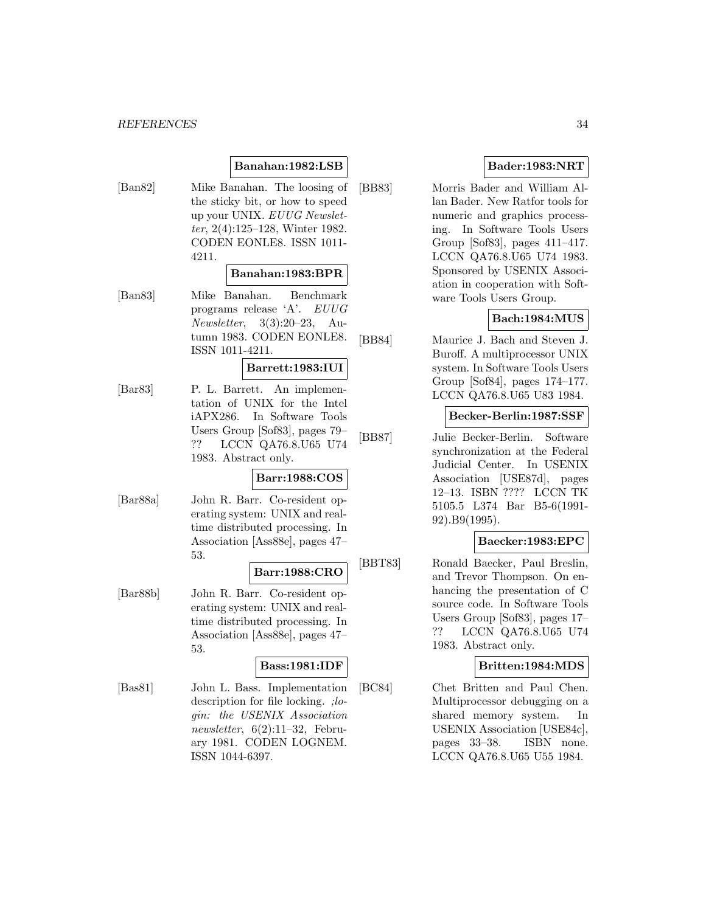### **Banahan:1982:LSB**

[Ban82] Mike Banahan. The loosing of the sticky bit, or how to speed up your UNIX. EUUG Newsletter, 2(4):125–128, Winter 1982. CODEN EONLE8. ISSN 1011- 4211.

#### **Banahan:1983:BPR**

[Ban83] Mike Banahan. Benchmark programs release 'A'. EUUG Newsletter, 3(3):20–23, Autumn 1983. CODEN EONLE8. ISSN 1011-4211.

### **Barrett:1983:IUI**

[Bar83] P. L. Barrett. An implementation of UNIX for the Intel iAPX286. In Software Tools Users Group [Sof83], pages 79– ?? LCCN QA76.8.U65 U74 1983. Abstract only.

### **Barr:1988:COS**

[Bar88a] John R. Barr. Co-resident operating system: UNIX and realtime distributed processing. In Association [Ass88e], pages 47– 53.

### **Barr:1988:CRO**

[Bar88b] John R. Barr. Co-resident operating system: UNIX and realtime distributed processing. In Association [Ass88e], pages 47– 53.

### **Bass:1981:IDF**

[Bas81] John L. Bass. Implementation description for file locking. ;login: the USENIX Association newsletter,  $6(2):11-32$ , February 1981. CODEN LOGNEM. ISSN 1044-6397.

### **Bader:1983:NRT**

[BB83] Morris Bader and William Allan Bader. New Ratfor tools for numeric and graphics processing. In Software Tools Users Group [Sof83], pages 411–417. LCCN QA76.8.U65 U74 1983. Sponsored by USENIX Association in cooperation with Software Tools Users Group.

### **Bach:1984:MUS**

[BB84] Maurice J. Bach and Steven J. Buroff. A multiprocessor UNIX system. In Software Tools Users Group [Sof84], pages 174–177. LCCN QA76.8.U65 U83 1984.

### **Becker-Berlin:1987:SSF**

[BB87] Julie Becker-Berlin. Software synchronization at the Federal Judicial Center. In USENIX Association [USE87d], pages 12–13. ISBN ???? LCCN TK 5105.5 L374 Bar B5-6(1991- 92).B9(1995).

### **Baecker:1983:EPC**

[BBT83] Ronald Baecker, Paul Breslin, and Trevor Thompson. On enhancing the presentation of C source code. In Software Tools Users Group [Sof83], pages 17– ?? LCCN QA76.8.U65 U74 1983. Abstract only.

#### **Britten:1984:MDS**

[BC84] Chet Britten and Paul Chen. Multiprocessor debugging on a shared memory system. In USENIX Association [USE84c], pages 33–38. ISBN none. LCCN QA76.8.U65 U55 1984.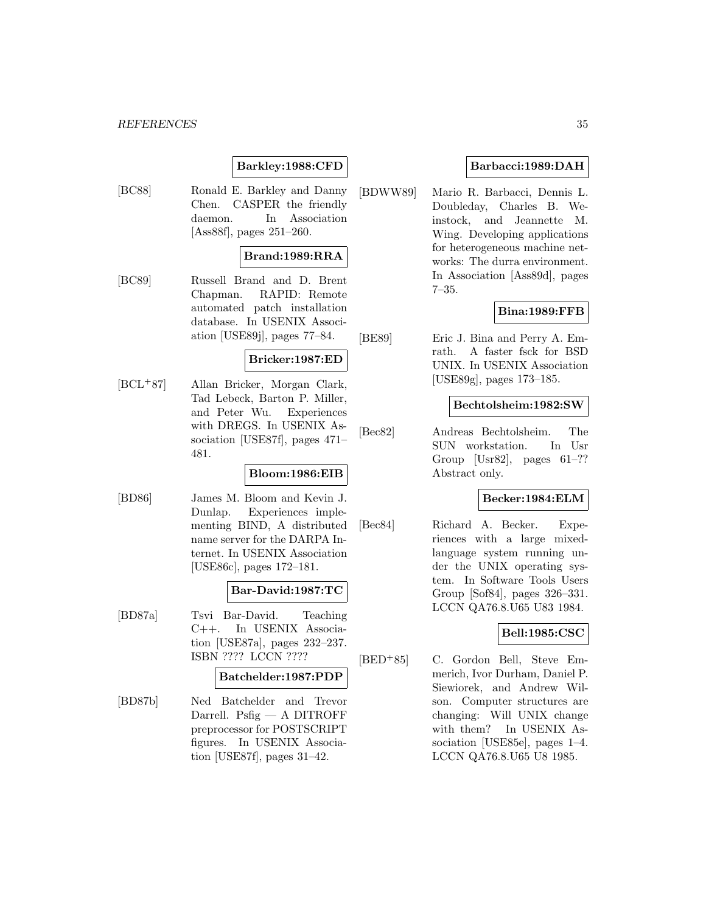### **Barkley:1988:CFD**

[BC88] Ronald E. Barkley and Danny Chen. CASPER the friendly daemon. In Association [Ass88f], pages 251–260.

### **Brand:1989:RRA**

[BC89] Russell Brand and D. Brent Chapman. RAPID: Remote automated patch installation database. In USENIX Association [USE89j], pages 77–84.

### **Bricker:1987:ED**

[BCL<sup>+</sup>87] Allan Bricker, Morgan Clark, Tad Lebeck, Barton P. Miller, and Peter Wu. Experiences with DREGS. In USENIX Association [USE87f], pages 471– 481.

### **Bloom:1986:EIB**

[BD86] James M. Bloom and Kevin J. Dunlap. Experiences implementing BIND, A distributed name server for the DARPA Internet. In USENIX Association [USE86c], pages 172–181.

### **Bar-David:1987:TC**

[BD87a] Tsvi Bar-David. Teaching C++. In USENIX Association [USE87a], pages 232–237. ISBN ???? LCCN ????

### **Batchelder:1987:PDP**

[BD87b] Ned Batchelder and Trevor Darrell. Psfig — A DITROFF preprocessor for POSTSCRIPT figures. In USENIX Association [USE87f], pages 31–42.

### **Barbacci:1989:DAH**

[BDWW89] Mario R. Barbacci, Dennis L. Doubleday, Charles B. Weinstock, and Jeannette M. Wing. Developing applications for heterogeneous machine networks: The durra environment. In Association [Ass89d], pages 7–35.

### **Bina:1989:FFB**

[BE89] Eric J. Bina and Perry A. Emrath. A faster fsck for BSD UNIX. In USENIX Association [USE89g], pages 173–185.

#### **Bechtolsheim:1982:SW**

[Bec82] Andreas Bechtolsheim. The SUN workstation. In Usr Group [Usr82], pages 61–?? Abstract only.

### **Becker:1984:ELM**

[Bec84] Richard A. Becker. Experiences with a large mixedlanguage system running under the UNIX operating system. In Software Tools Users Group [Sof84], pages 326–331. LCCN QA76.8.U65 U83 1984.

### **Bell:1985:CSC**

[BED<sup>+</sup>85] C. Gordon Bell, Steve Emmerich, Ivor Durham, Daniel P. Siewiorek, and Andrew Wilson. Computer structures are changing: Will UNIX change with them? In USENIX Association [USE85e], pages 1–4. LCCN QA76.8.U65 U8 1985.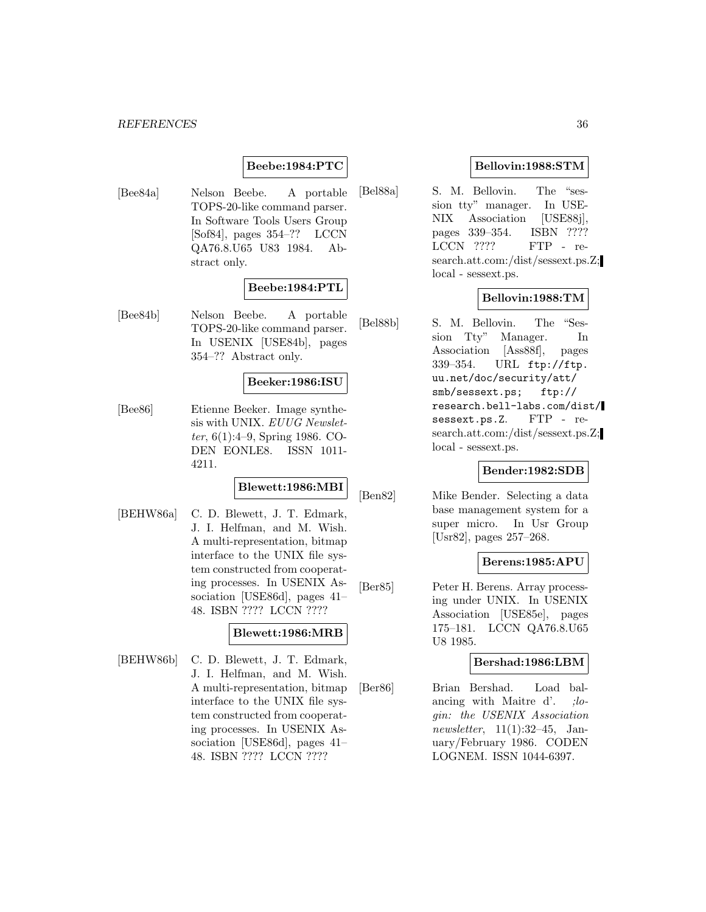### **Beebe:1984:PTC**

[Bee84a] Nelson Beebe. A portable TOPS-20-like command parser. In Software Tools Users Group [Sof84], pages 354–?? LCCN QA76.8.U65 U83 1984. Abstract only.

### **Beebe:1984:PTL**

[Bee84b] Nelson Beebe. A portable TOPS-20-like command parser. In USENIX [USE84b], pages 354–?? Abstract only.

#### **Beeker:1986:ISU**

[Bee86] Etienne Beeker. Image synthesis with UNIX. EUUG Newsletter, 6(1):4–9, Spring 1986. CO-DEN EONLE8. ISSN 1011- 4211.

### **Blewett:1986:MBI**

[BEHW86a] C. D. Blewett, J. T. Edmark, J. I. Helfman, and M. Wish. A multi-representation, bitmap interface to the UNIX file system constructed from cooperating processes. In USENIX Association [USE86d], pages 41– 48. ISBN ???? LCCN ????

### **Blewett:1986:MRB**

[BEHW86b] C. D. Blewett, J. T. Edmark, J. I. Helfman, and M. Wish. A multi-representation, bitmap interface to the UNIX file system constructed from cooperating processes. In USENIX Association [USE86d], pages 41– 48. ISBN ???? LCCN ????

### **Bellovin:1988:STM**

[Bel88a] S. M. Bellovin. The "session tty" manager. In USE-NIX Association [USE88j], pages 339–354. ISBN ???? LCCN ???? FTP - research.att.com:/dist/sessext.ps.Z; local - sessext.ps.

### **Bellovin:1988:TM**

[Bel88b] S. M. Bellovin. The "Session Tty" Manager. In Association [Ass88f], pages 339–354. URL ftp://ftp. uu.net/doc/security/att/ smb/sessext.ps; ftp:// research.bell-labs.com/dist/ sessext.ps.Z. FTP - research.att.com:/dist/sessext.ps.Z; local - sessext.ps.

### **Bender:1982:SDB**

[Ben82] Mike Bender. Selecting a data base management system for a super micro. In Usr Group [Usr82], pages 257–268.

#### **Berens:1985:APU**

[Ber85] Peter H. Berens. Array processing under UNIX. In USENIX Association [USE85e], pages 175–181. LCCN QA76.8.U65 U8 1985.

#### **Bershad:1986:LBM**

[Ber86] Brian Bershad. Load balancing with Maitre d'. ; login: the USENIX Association newsletter,  $11(1):32-45$ , January/February 1986. CODEN LOGNEM. ISSN 1044-6397.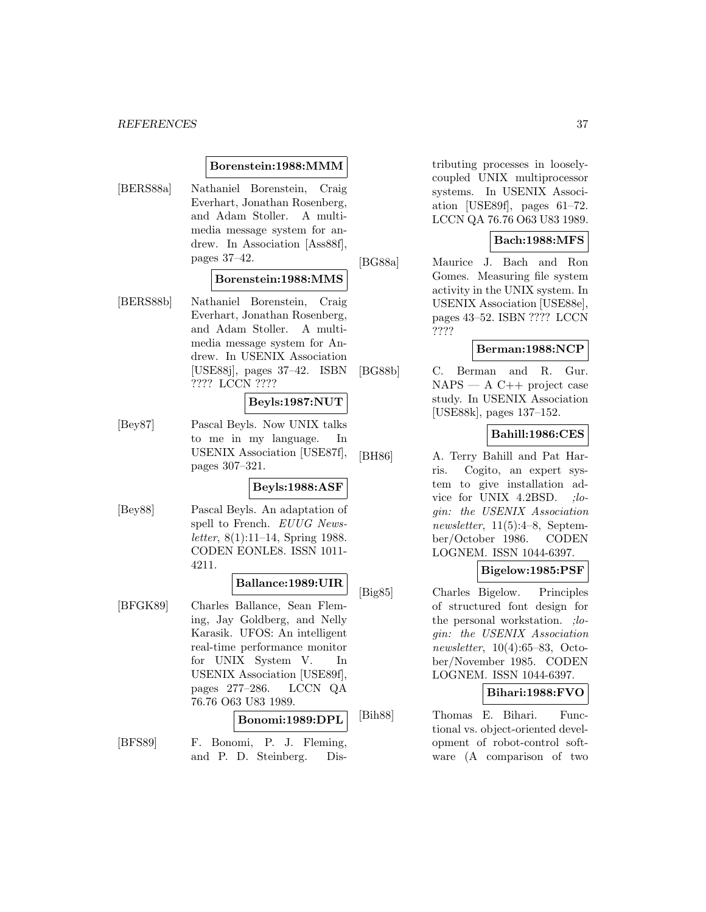#### **Borenstein:1988:MMM**

[BERS88a] Nathaniel Borenstein, Craig Everhart, Jonathan Rosenberg, and Adam Stoller. A multimedia message system for andrew. In Association [Ass88f], pages 37–42.

#### **Borenstein:1988:MMS**

[BERS88b] Nathaniel Borenstein, Craig Everhart, Jonathan Rosenberg, and Adam Stoller. A multimedia message system for Andrew. In USENIX Association [USE88j], pages 37–42. ISBN ???? LCCN ????

# **Beyls:1987:NUT**

[Bey87] Pascal Beyls. Now UNIX talks to me in my language. In USENIX Association [USE87f], pages 307–321.

# **Beyls:1988:ASF**

[Bey88] Pascal Beyls. An adaptation of spell to French. EUUG Newsletter, 8(1):11–14, Spring 1988. CODEN EONLE8. ISSN 1011- 4211.

#### **Ballance:1989:UIR**

[BFGK89] Charles Ballance, Sean Fleming, Jay Goldberg, and Nelly Karasik. UFOS: An intelligent real-time performance monitor for UNIX System V. In USENIX Association [USE89f], pages 277–286. LCCN QA 76.76 O63 U83 1989.

#### **Bonomi:1989:DPL**

[BFS89] F. Bonomi, P. J. Fleming, and P. D. Steinberg. Distributing processes in looselycoupled UNIX multiprocessor systems. In USENIX Association [USE89f], pages 61–72. LCCN QA 76.76 O63 U83 1989.

## **Bach:1988:MFS**

[BG88a] Maurice J. Bach and Ron Gomes. Measuring file system activity in the UNIX system. In USENIX Association [USE88e], pages 43–52. ISBN ???? LCCN ????

### **Berman:1988:NCP**

[BG88b] C. Berman and R. Gur.  $NAPS - A C++ project case$ study. In USENIX Association [USE88k], pages 137–152.

# **Bahill:1986:CES**

[BH86] A. Terry Bahill and Pat Harris. Cogito, an expert system to give installation advice for UNIX 4.2BSD. ; login: the USENIX Association newsletter, 11(5):4–8, September/October 1986. CODEN LOGNEM. ISSN 1044-6397.

# **Bigelow:1985:PSF**

[Big85] Charles Bigelow. Principles of structured font design for the personal workstation. *;lo*gin: the USENIX Association newsletter, 10(4):65–83, October/November 1985. CODEN LOGNEM. ISSN 1044-6397.

### **Bihari:1988:FVO**

[Bih88] Thomas E. Bihari. Functional vs. object-oriented development of robot-control software (A comparison of two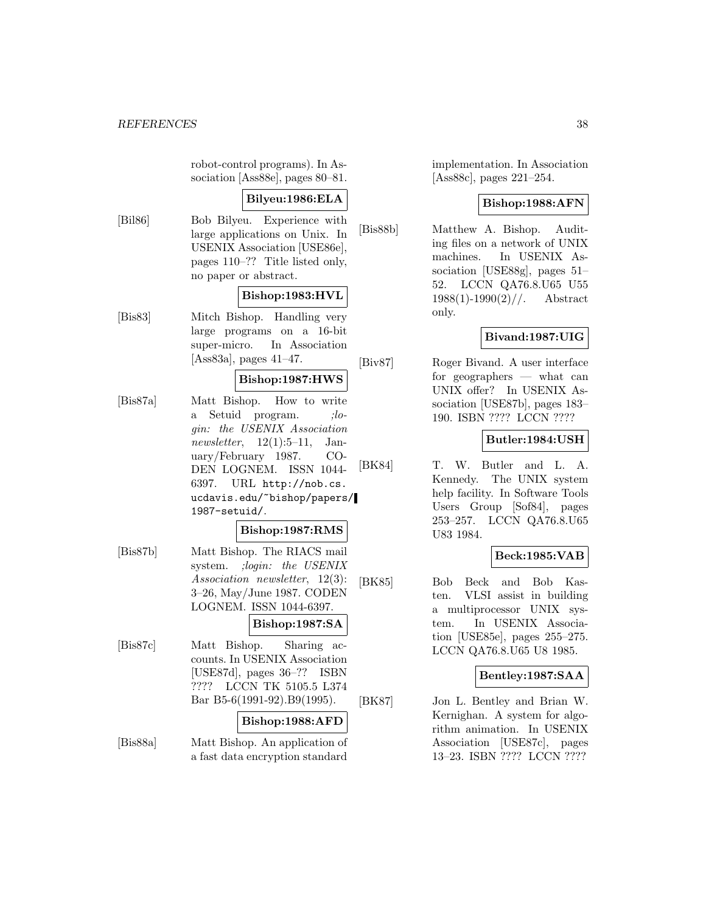robot-control programs). In Association [Ass88e], pages 80–81.

# **Bilyeu:1986:ELA**

[Bil86] Bob Bilyeu. Experience with large applications on Unix. In USENIX Association [USE86e], pages 110–?? Title listed only, no paper or abstract.

# **Bishop:1983:HVL**

[Bis83] Mitch Bishop. Handling very large programs on a 16-bit super-micro. In Association [Ass83a], pages 41–47.

# **Bishop:1987:HWS**

[Bis87a] Matt Bishop. How to write a Setuid program. ; *lo*gin: the USENIX Association newsletter,  $12(1):5-11$ , January/February 1987. CO-DEN LOGNEM. ISSN 1044- 6397. URL http://nob.cs. ucdavis.edu/~bishop/papers/ 1987-setuid/.

### **Bishop:1987:RMS**

[Bis87b] Matt Bishop. The RIACS mail system. ;login: the USENIX Association newsletter, 12(3): 3–26, May/June 1987. CODEN LOGNEM. ISSN 1044-6397.

# **Bishop:1987:SA**

[Bis87c] Matt Bishop. Sharing accounts. In USENIX Association [USE87d], pages 36–?? ISBN ???? LCCN TK 5105.5 L374 Bar B5-6(1991-92).B9(1995).

### **Bishop:1988:AFD**

[Bis88a] Matt Bishop. An application of a fast data encryption standard

implementation. In Association [Ass88c], pages 221–254.

# **Bishop:1988:AFN**

[Bis88b] Matthew A. Bishop. Auditing files on a network of UNIX machines. In USENIX Association [USE88g], pages 51– 52. LCCN QA76.8.U65 U55  $1988(1)$ -1990 $(2)$ //. Abstract only.

# **Bivand:1987:UIG**

[Biv87] Roger Bivand. A user interface for geographers — what can UNIX offer? In USENIX Association [USE87b], pages 183– 190. ISBN ???? LCCN ????

## **Butler:1984:USH**

[BK84] T. W. Butler and L. A. Kennedy. The UNIX system help facility. In Software Tools Users Group [Sof84], pages 253–257. LCCN QA76.8.U65 U83 1984.

# **Beck:1985:VAB**

[BK85] Bob Beck and Bob Kasten. VLSI assist in building a multiprocessor UNIX system. In USENIX Association [USE85e], pages 255–275. LCCN QA76.8.U65 U8 1985.

## **Bentley:1987:SAA**

[BK87] Jon L. Bentley and Brian W. Kernighan. A system for algorithm animation. In USENIX Association [USE87c], pages 13–23. ISBN ???? LCCN ????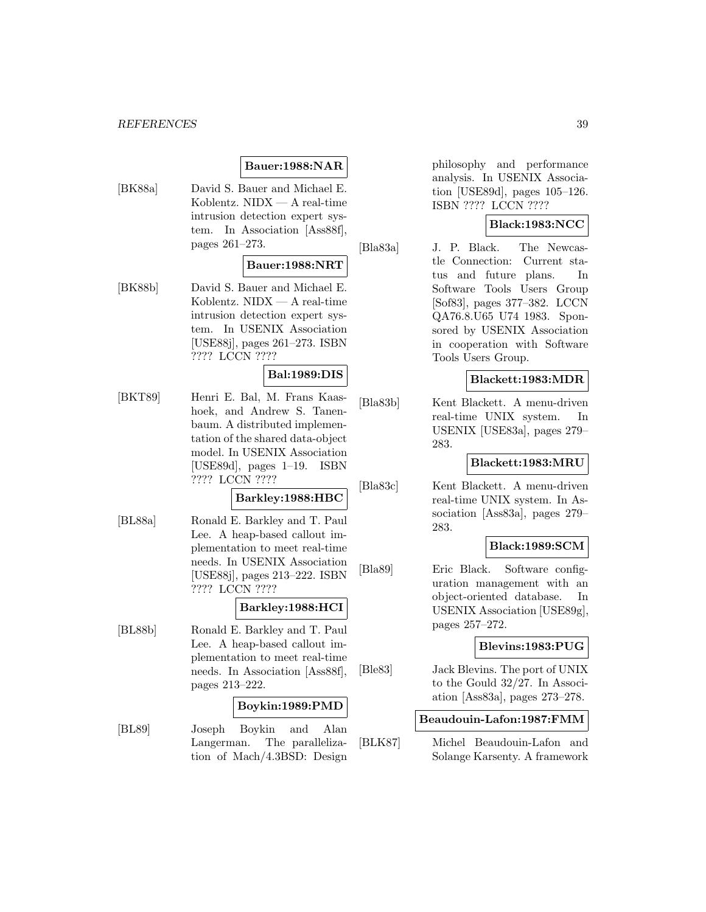# **Bauer:1988:NAR**

[BK88a] David S. Bauer and Michael E. Koblentz. NIDX — A real-time intrusion detection expert system. In Association [Ass88f], pages 261–273.

#### **Bauer:1988:NRT**

[BK88b] David S. Bauer and Michael E. Koblentz. NIDX — A real-time intrusion detection expert system. In USENIX Association [USE88j], pages 261–273. ISBN ???? LCCN ????

### **Bal:1989:DIS**

[BKT89] Henri E. Bal, M. Frans Kaashoek, and Andrew S. Tanenbaum. A distributed implementation of the shared data-object model. In USENIX Association [USE89d], pages 1–19. ISBN ???? LCCN ????

## **Barkley:1988:HBC**

[BL88a] Ronald E. Barkley and T. Paul Lee. A heap-based callout implementation to meet real-time needs. In USENIX Association [USE88j], pages 213–222. ISBN ???? LCCN ????

## **Barkley:1988:HCI**

[BL88b] Ronald E. Barkley and T. Paul Lee. A heap-based callout implementation to meet real-time needs. In Association [Ass88f], pages 213–222.

# **Boykin:1989:PMD**

[BL89] Joseph Boykin and Alan Langerman. The parallelization of Mach/4.3BSD: Design

philosophy and performance analysis. In USENIX Association [USE89d], pages 105–126. ISBN ???? LCCN ????

## **Black:1983:NCC**

[Bla83a] J. P. Black. The Newcastle Connection: Current status and future plans. In Software Tools Users Group [Sof83], pages 377–382. LCCN QA76.8.U65 U74 1983. Sponsored by USENIX Association in cooperation with Software Tools Users Group.

# **Blackett:1983:MDR**

[Bla83b] Kent Blackett. A menu-driven real-time UNIX system. In USENIX [USE83a], pages 279– 283.

#### **Blackett:1983:MRU**

[Bla83c] Kent Blackett. A menu-driven real-time UNIX system. In Association [Ass83a], pages 279– 283.

#### **Black:1989:SCM**

[Bla89] Eric Black. Software configuration management with an object-oriented database. In USENIX Association [USE89g], pages 257–272.

## **Blevins:1983:PUG**

[Ble83] Jack Blevins. The port of UNIX to the Gould 32/27. In Association [Ass83a], pages 273–278.

### **Beaudouin-Lafon:1987:FMM**

[BLK87] Michel Beaudouin-Lafon and Solange Karsenty. A framework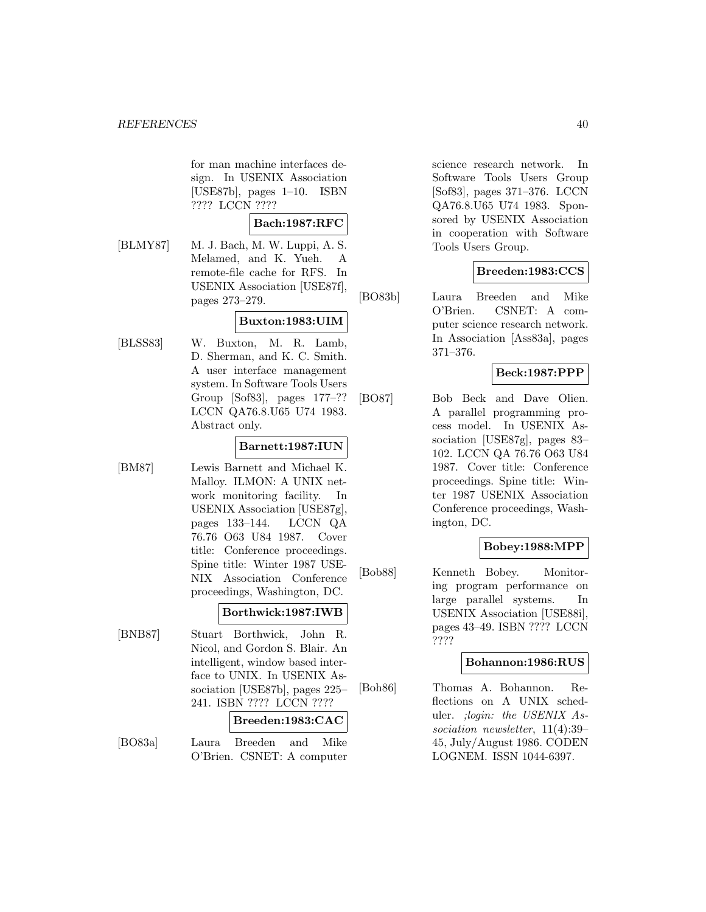for man machine interfaces design. In USENIX Association [USE87b], pages 1–10. ISBN ???? LCCN ????

### **Bach:1987:RFC**

[BLMY87] M. J. Bach, M. W. Luppi, A. S. Melamed, and K. Yueh. A remote-file cache for RFS. In USENIX Association [USE87f], pages 273–279.

# **Buxton:1983:UIM**

[BLSS83] W. Buxton, M. R. Lamb, D. Sherman, and K. C. Smith. A user interface management system. In Software Tools Users Group [Sof83], pages 177–?? LCCN QA76.8.U65 U74 1983. Abstract only.

# **Barnett:1987:IUN**

[BM87] Lewis Barnett and Michael K. Malloy. ILMON: A UNIX network monitoring facility. In USENIX Association [USE87g], pages 133–144. LCCN QA 76.76 O63 U84 1987. Cover title: Conference proceedings. Spine title: Winter 1987 USE-NIX Association Conference proceedings, Washington, DC.

## **Borthwick:1987:IWB**

[BNB87] Stuart Borthwick, John R. Nicol, and Gordon S. Blair. An intelligent, window based interface to UNIX. In USENIX Association [USE87b], pages 225– 241. ISBN ???? LCCN ????

### **Breeden:1983:CAC**

[BO83a] Laura Breeden and Mike O'Brien. CSNET: A computer

science research network. In Software Tools Users Group [Sof83], pages 371–376. LCCN QA76.8.U65 U74 1983. Sponsored by USENIX Association in cooperation with Software Tools Users Group.

# **Breeden:1983:CCS**

[BO83b] Laura Breeden and Mike O'Brien. CSNET: A computer science research network. In Association [Ass83a], pages 371–376.

# **Beck:1987:PPP**

[BO87] Bob Beck and Dave Olien. A parallel programming process model. In USENIX Association [USE87g], pages 83– 102. LCCN QA 76.76 O63 U84 1987. Cover title: Conference proceedings. Spine title: Winter 1987 USENIX Association Conference proceedings, Washington, DC.

# **Bobey:1988:MPP**

[Bob88] Kenneth Bobey. Monitoring program performance on large parallel systems. In USENIX Association [USE88i], pages 43–49. ISBN ???? LCCN ????

## **Bohannon:1986:RUS**

[Boh86] Thomas A. Bohannon. Reflections on A UNIX scheduler. ;login: the USENIX Association newsletter, 11(4):39– 45, July/August 1986. CODEN LOGNEM. ISSN 1044-6397.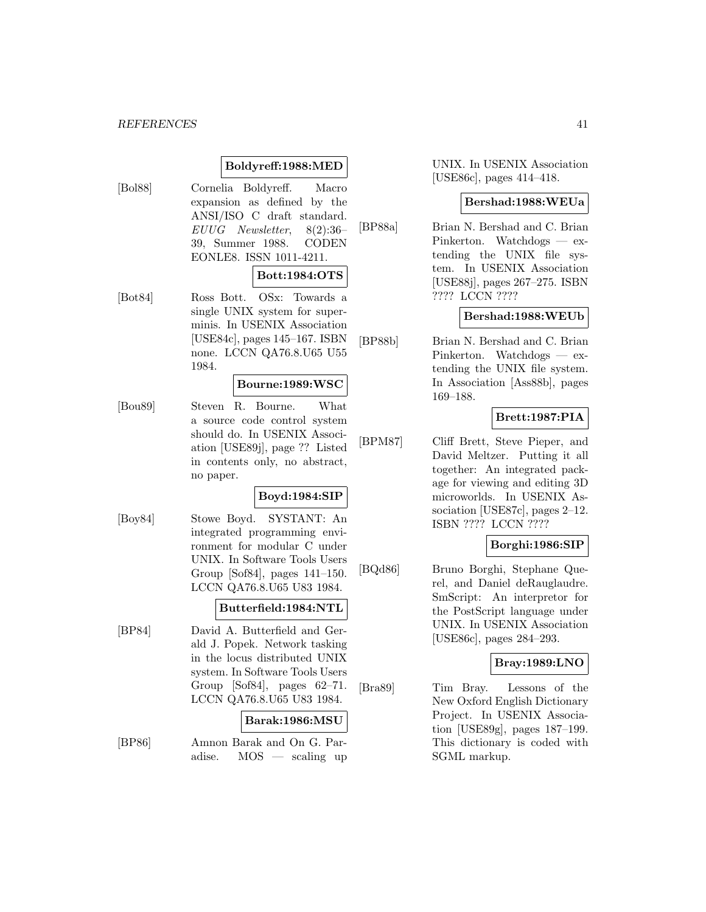# **Boldyreff:1988:MED**

[Bol88] Cornelia Boldyreff. Macro expansion as defined by the ANSI/ISO C draft standard. EUUG Newsletter, 8(2):36– 39, Summer 1988. CODEN EONLE8. ISSN 1011-4211.

## **Bott:1984:OTS**

[Bot84] Ross Bott. OSx: Towards a single UNIX system for superminis. In USENIX Association [USE84c], pages 145–167. ISBN none. LCCN QA76.8.U65 U55 1984.

### **Bourne:1989:WSC**

[Bou89] Steven R. Bourne. What a source code control system should do. In USENIX Association [USE89j], page ?? Listed in contents only, no abstract, no paper.

#### **Boyd:1984:SIP**

[Boy84] Stowe Boyd. SYSTANT: An integrated programming environment for modular C under UNIX. In Software Tools Users Group [Sof84], pages 141–150. LCCN QA76.8.U65 U83 1984.

### **Butterfield:1984:NTL**

[BP84] David A. Butterfield and Gerald J. Popek. Network tasking in the locus distributed UNIX system. In Software Tools Users Group [Sof84], pages 62–71. LCCN QA76.8.U65 U83 1984.

# **Barak:1986:MSU**

[BP86] Amnon Barak and On G. Paradise. MOS — scaling up UNIX. In USENIX Association [USE86c], pages 414–418.

### **Bershad:1988:WEUa**

[BP88a] Brian N. Bershad and C. Brian Pinkerton. Watchdogs — extending the UNIX file system. In USENIX Association [USE88j], pages 267–275. ISBN ???? LCCN ????

# **Bershad:1988:WEUb**

[BP88b] Brian N. Bershad and C. Brian Pinkerton. Watchdogs — extending the UNIX file system. In Association [Ass88b], pages 169–188.

# **Brett:1987:PIA**

[BPM87] Cliff Brett, Steve Pieper, and David Meltzer. Putting it all together: An integrated package for viewing and editing 3D microworlds. In USENIX Association [USE87c], pages 2–12. ISBN ???? LCCN ????

# **Borghi:1986:SIP**

[BQd86] Bruno Borghi, Stephane Querel, and Daniel deRauglaudre. SmScript: An interpretor for the PostScript language under UNIX. In USENIX Association [USE86c], pages 284–293.

## **Bray:1989:LNO**

[Bra89] Tim Bray. Lessons of the New Oxford English Dictionary Project. In USENIX Association [USE89g], pages 187–199. This dictionary is coded with SGML markup.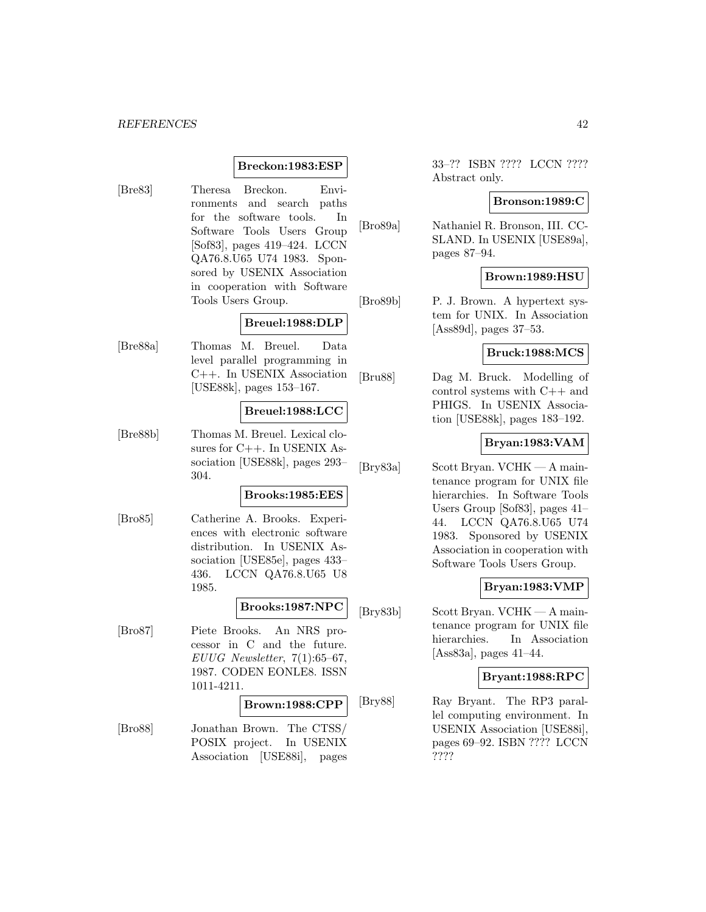### **Breckon:1983:ESP**

[Bre83] Theresa Breckon. Environments and search paths for the software tools. In Software Tools Users Group [Sof83], pages 419–424. LCCN QA76.8.U65 U74 1983. Sponsored by USENIX Association in cooperation with Software Tools Users Group.

# **Breuel:1988:DLP**

[Bre88a] Thomas M. Breuel. Data level parallel programming in C++. In USENIX Association [USE88k], pages 153–167.

### **Breuel:1988:LCC**

[Bre88b] Thomas M. Breuel. Lexical closures for C++. In USENIX Association [USE88k], pages 293– 304.

#### **Brooks:1985:EES**

[Bro85] Catherine A. Brooks. Experiences with electronic software distribution. In USENIX Association [USE85e], pages 433– 436. LCCN QA76.8.U65 U8 1985.

# **Brooks:1987:NPC**

[Bro87] Piete Brooks. An NRS processor in C and the future. EUUG Newsletter,  $7(1):65-67$ , 1987. CODEN EONLE8. ISSN 1011-4211.

#### **Brown:1988:CPP**

[Bro88] Jonathan Brown. The CTSS/ POSIX project. In USENIX Association [USE88i], pages 33–?? ISBN ???? LCCN ???? Abstract only.

#### **Bronson:1989:C**

[Bro89a] Nathaniel R. Bronson, III. CC-SLAND. In USENIX [USE89a], pages 87–94.

### **Brown:1989:HSU**

[Bro89b] P. J. Brown. A hypertext system for UNIX. In Association [Ass89d], pages 37–53.

# **Bruck:1988:MCS**

[Bru88] Dag M. Bruck. Modelling of control systems with C++ and PHIGS. In USENIX Association [USE88k], pages 183–192.

### **Bryan:1983:VAM**

[Bry83a] Scott Bryan. VCHK — A maintenance program for UNIX file hierarchies. In Software Tools Users Group [Sof83], pages 41– 44. LCCN QA76.8.U65 U74 1983. Sponsored by USENIX Association in cooperation with Software Tools Users Group.

## **Bryan:1983:VMP**

[Bry83b] Scott Bryan. VCHK — A maintenance program for UNIX file hierarchies. In Association [Ass83a], pages 41–44.

#### **Bryant:1988:RPC**

[Bry88] Ray Bryant. The RP3 parallel computing environment. In USENIX Association [USE88i], pages 69–92. ISBN ???? LCCN ????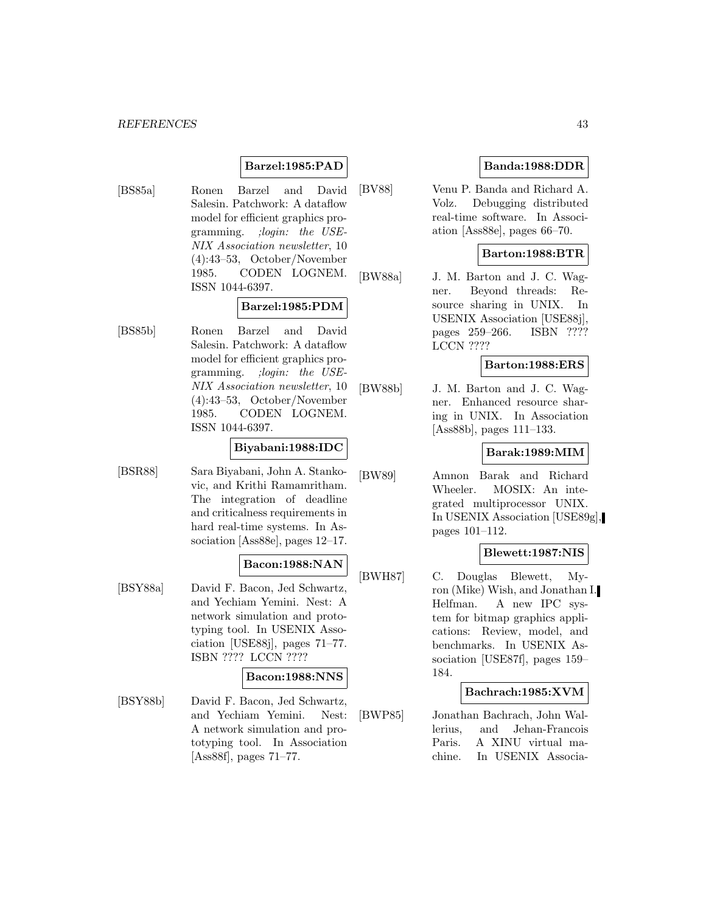# **Barzel:1985:PAD**

[BS85a] Ronen Barzel and David Salesin. Patchwork: A dataflow model for efficient graphics programming. ;login: the USE-NIX Association newsletter, 10 (4):43–53, October/November 1985. CODEN LOGNEM. ISSN 1044-6397.

## **Barzel:1985:PDM**

[BS85b] Ronen Barzel and David Salesin. Patchwork: A dataflow model for efficient graphics programming. ;login: the USE-NIX Association newsletter, 10 (4):43–53, October/November 1985. CODEN LOGNEM. ISSN 1044-6397.

### **Biyabani:1988:IDC**

[BSR88] Sara Biyabani, John A. Stankovic, and Krithi Ramamritham. The integration of deadline and criticalness requirements in hard real-time systems. In Association [Ass88e], pages 12–17.

## **Bacon:1988:NAN**

[BSY88a] David F. Bacon, Jed Schwartz, and Yechiam Yemini. Nest: A network simulation and prototyping tool. In USENIX Association [USE88j], pages 71–77. ISBN ???? LCCN ????

### **Bacon:1988:NNS**

[BSY88b] David F. Bacon, Jed Schwartz, and Yechiam Yemini. Nest: A network simulation and prototyping tool. In Association [Ass88f], pages 71–77.

# **Banda:1988:DDR**

[BV88] Venu P. Banda and Richard A. Volz. Debugging distributed real-time software. In Association [Ass88e], pages 66–70.

# **Barton:1988:BTR**

[BW88a] J. M. Barton and J. C. Wagner. Beyond threads: Resource sharing in UNIX. In USENIX Association [USE88j], pages 259–266. ISBN ???? LCCN ????

# **Barton:1988:ERS**

[BW88b] J. M. Barton and J. C. Wagner. Enhanced resource sharing in UNIX. In Association [Ass88b], pages 111–133.

### **Barak:1989:MIM**

[BW89] Amnon Barak and Richard Wheeler. MOSIX: An integrated multiprocessor UNIX. In USENIX Association [USE89g], pages 101–112.

# **Blewett:1987:NIS**

[BWH87] C. Douglas Blewett, Myron (Mike) Wish, and Jonathan I. Helfman. A new IPC system for bitmap graphics applications: Review, model, and benchmarks. In USENIX Association [USE87f], pages 159– 184.

#### **Bachrach:1985:XVM**

[BWP85] Jonathan Bachrach, John Wallerius, and Jehan-Francois Paris. A XINU virtual machine. In USENIX Associa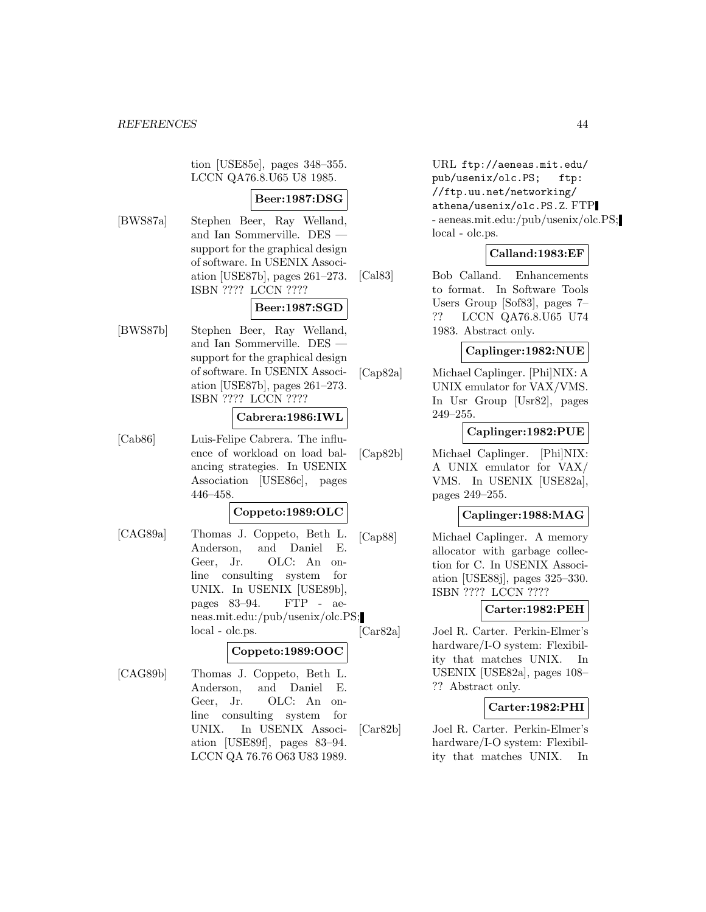tion [USE85e], pages 348–355. LCCN QA76.8.U65 U8 1985.

# **Beer:1987:DSG**

[BWS87a] Stephen Beer, Ray Welland, and Ian Sommerville. DES support for the graphical design of software. In USENIX Association [USE87b], pages 261–273. ISBN ???? LCCN ????

# **Beer:1987:SGD**

[BWS87b] Stephen Beer, Ray Welland, and Ian Sommerville. DES support for the graphical design of software. In USENIX Association [USE87b], pages 261–273. ISBN ???? LCCN ????

# **Cabrera:1986:IWL**

[Cab86] Luis-Felipe Cabrera. The influence of workload on load balancing strategies. In USENIX Association [USE86c], pages 446–458.

# **Coppeto:1989:OLC**

[CAG89a] Thomas J. Coppeto, Beth L. Anderson, and Daniel E. Geer, Jr. OLC: An online consulting system for UNIX. In USENIX [USE89b], pages 83–94. FTP - aeneas.mit.edu:/pub/usenix/olc.PS; local - olc.ps.

# **Coppeto:1989:OOC**

[CAG89b] Thomas J. Coppeto, Beth L. Anderson, and Daniel E. Geer, Jr. OLC: An online consulting system for UNIX. In USENIX Association [USE89f], pages 83–94. LCCN QA 76.76 O63 U83 1989.

URL ftp://aeneas.mit.edu/ pub/usenix/olc.PS; ftp: //ftp.uu.net/networking/ athena/usenix/olc.PS.Z. FTP - aeneas.mit.edu:/pub/usenix/olc.PS; local - olc.ps.

# **Calland:1983:EF**

[Cal83] Bob Calland. Enhancements to format. In Software Tools Users Group [Sof83], pages 7– ?? LCCN QA76.8.U65 U74 1983. Abstract only.

## **Caplinger:1982:NUE**

[Cap82a] Michael Caplinger. [Phi]NIX: A UNIX emulator for VAX/VMS. In Usr Group [Usr82], pages 249–255.

# **Caplinger:1982:PUE**

[Cap82b] Michael Caplinger. [Phi]NIX: A UNIX emulator for VAX/ VMS. In USENIX [USE82a], pages 249–255.

# **Caplinger:1988:MAG**

[Cap88] Michael Caplinger. A memory allocator with garbage collection for C. In USENIX Association [USE88j], pages 325–330. ISBN ???? LCCN ????

# **Carter:1982:PEH**

[Car82a] Joel R. Carter. Perkin-Elmer's hardware/I-O system: Flexibility that matches UNIX. In USENIX [USE82a], pages 108– ?? Abstract only.

# **Carter:1982:PHI**

[Car82b] Joel R. Carter. Perkin-Elmer's hardware/I-O system: Flexibility that matches UNIX. In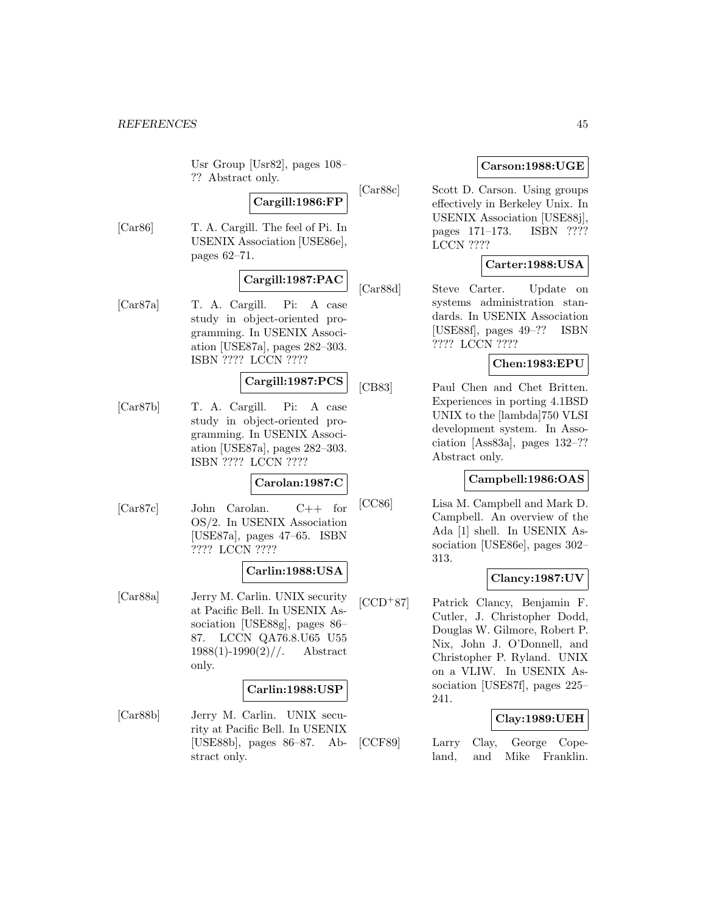Usr Group [Usr82], pages 108– ?? Abstract only.

# **Cargill:1986:FP**

[Car86] T. A. Cargill. The feel of Pi. In USENIX Association [USE86e], pages 62–71.

# **Cargill:1987:PAC**

[Car87a] T. A. Cargill. Pi: A case study in object-oriented programming. In USENIX Association [USE87a], pages 282–303. ISBN ???? LCCN ????

# **Cargill:1987:PCS**

[Car87b] T. A. Cargill. Pi: A case study in object-oriented programming. In USENIX Association [USE87a], pages 282–303. ISBN ???? LCCN ????

# **Carolan:1987:C**

[Car87c] John Carolan. C++ for OS/2. In USENIX Association [USE87a], pages 47–65. ISBN ???? LCCN ????

#### **Carlin:1988:USA**

[Car88a] Jerry M. Carlin. UNIX security at Pacific Bell. In USENIX Association [USE88g], pages 86– 87. LCCN QA76.8.U65 U55  $1988(1)$ -1990 $(2)$ //. Abstract only.

# **Carlin:1988:USP**

[Car88b] Jerry M. Carlin. UNIX security at Pacific Bell. In USENIX [USE88b], pages 86–87. Abstract only.

# **Carson:1988:UGE**

[Car88c] Scott D. Carson. Using groups effectively in Berkeley Unix. In USENIX Association [USE88j], pages 171–173. ISBN ???? LCCN ????

# **Carter:1988:USA**

[Car88d] Steve Carter. Update on systems administration standards. In USENIX Association [USE88f], pages 49–?? ISBN ???? LCCN ????

## **Chen:1983:EPU**

[CB83] Paul Chen and Chet Britten. Experiences in porting 4.1BSD UNIX to the [lambda]750 VLSI development system. In Association [Ass83a], pages 132–?? Abstract only.

# **Campbell:1986:OAS**

[CC86] Lisa M. Campbell and Mark D. Campbell. An overview of the Ada [1] shell. In USENIX Association [USE86e], pages 302– 313.

# **Clancy:1987:UV**

[CCD<sup>+</sup>87] Patrick Clancy, Benjamin F. Cutler, J. Christopher Dodd, Douglas W. Gilmore, Robert P. Nix, John J. O'Donnell, and Christopher P. Ryland. UNIX on a VLIW. In USENIX Association [USE87f], pages 225– 241.

## **Clay:1989:UEH**

[CCF89] Larry Clay, George Copeland, and Mike Franklin.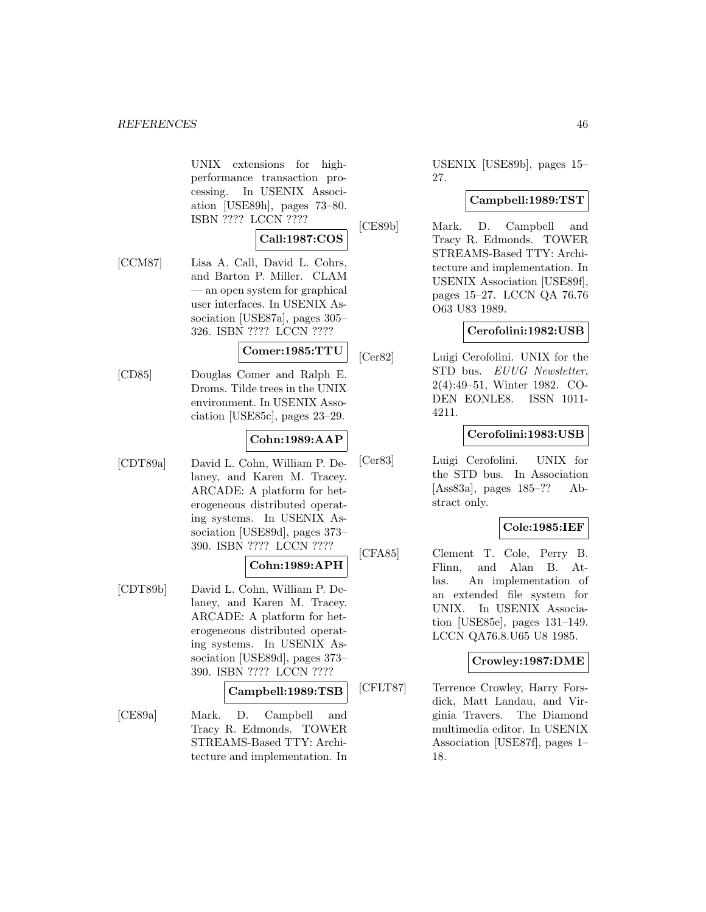UNIX extensions for highperformance transaction processing. In USENIX Association [USE89h], pages 73–80. ISBN ???? LCCN ????

# **Call:1987:COS**

[CCM87] Lisa A. Call, David L. Cohrs, and Barton P. Miller. CLAM — an open system for graphical user interfaces. In USENIX Association [USE87a], pages 305– 326. ISBN ???? LCCN ????

## **Comer:1985:TTU**

[CD85] Douglas Comer and Ralph E. Droms. Tilde trees in the UNIX environment. In USENIX Association [USE85c], pages 23–29.

# **Cohn:1989:AAP**

[CDT89a] David L. Cohn, William P. Delaney, and Karen M. Tracey. ARCADE: A platform for heterogeneous distributed operating systems. In USENIX Association [USE89d], pages 373– 390. ISBN ???? LCCN ????

$$
{\rm Cohn:} 1989{:}\mathrm{APH}
$$

[CDT89b] David L. Cohn, William P. Delaney, and Karen M. Tracey. ARCADE: A platform for heterogeneous distributed operating systems. In USENIX Association [USE89d], pages 373– 390. ISBN ???? LCCN ????

## **Campbell:1989:TSB**

[CE89a] Mark. D. Campbell and Tracy R. Edmonds. TOWER STREAMS-Based TTY: Architecture and implementation. In USENIX [USE89b], pages 15– 27.

# **Campbell:1989:TST**

[CE89b] Mark. D. Campbell and Tracy R. Edmonds. TOWER STREAMS-Based TTY: Architecture and implementation. In USENIX Association [USE89f], pages 15–27. LCCN QA 76.76 O63 U83 1989.

# **Cerofolini:1982:USB**

[Cer82] Luigi Cerofolini. UNIX for the STD bus. EUUG Newsletter, 2(4):49–51, Winter 1982. CO-DEN EONLE8. ISSN 1011- 4211.

# **Cerofolini:1983:USB**

[Cer83] Luigi Cerofolini. UNIX for the STD bus. In Association [Ass83a], pages 185–?? Abstract only.

## **Cole:1985:IEF**

[CFA85] Clement T. Cole, Perry B. Flinn, and Alan B. Atlas. An implementation of an extended file system for UNIX. In USENIX Association [USE85e], pages 131–149. LCCN QA76.8.U65 U8 1985.

## **Crowley:1987:DME**

[CFLT87] Terrence Crowley, Harry Forsdick, Matt Landau, and Virginia Travers. The Diamond multimedia editor. In USENIX Association [USE87f], pages 1– 18.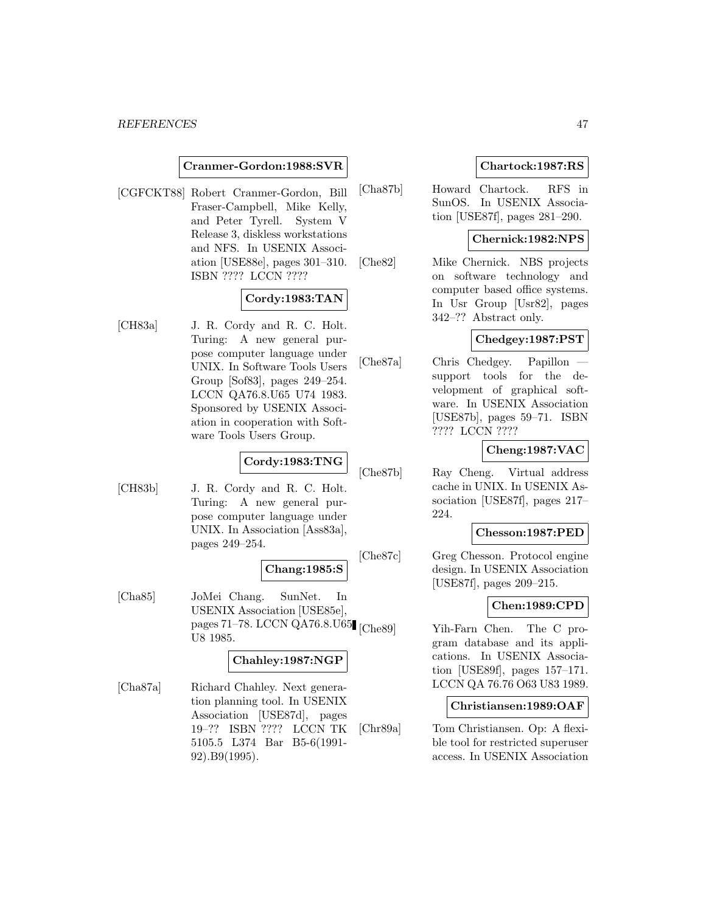### **Cranmer-Gordon:1988:SVR**

[CGFCKT88] Robert Cranmer-Gordon, Bill Fraser-Campbell, Mike Kelly, and Peter Tyrell. System V Release 3, diskless workstations and NFS. In USENIX Association [USE88e], pages 301–310. ISBN ???? LCCN ????

# **Cordy:1983:TAN**

[CH83a] J. R. Cordy and R. C. Holt. Turing: A new general purpose computer language under UNIX. In Software Tools Users Group [Sof83], pages 249–254. LCCN QA76.8.U65 U74 1983. Sponsored by USENIX Association in cooperation with Software Tools Users Group.

## **Cordy:1983:TNG**

[CH83b] J. R. Cordy and R. C. Holt. Turing: A new general purpose computer language under UNIX. In Association [Ass83a], pages 249–254.

#### **Chang:1985:S**

[Cha85] JoMei Chang. SunNet. In USENIX Association [USE85e], pages 71–78. LCCN QA76.8.U65 U8 1985.

# **Chahley:1987:NGP**

[Cha87a] Richard Chahley. Next generation planning tool. In USENIX Association [USE87d], pages 19–?? ISBN ???? LCCN TK 5105.5 L374 Bar B5-6(1991- 92).B9(1995).

## **Chartock:1987:RS**

[Cha87b] Howard Chartock. RFS in SunOS. In USENIX Association [USE87f], pages 281–290.

## **Chernick:1982:NPS**

[Che82] Mike Chernick. NBS projects on software technology and computer based office systems. In Usr Group [Usr82], pages 342–?? Abstract only.

## **Chedgey:1987:PST**

[Che87a] Chris Chedgey. Papillon support tools for the development of graphical software. In USENIX Association [USE87b], pages 59–71. ISBN ???? LCCN ????

# **Cheng:1987:VAC**

[Che87b] Ray Cheng. Virtual address cache in UNIX. In USENIX Association [USE87f], pages 217– 224.

# **Chesson:1987:PED**

[Che87c] Greg Chesson. Protocol engine design. In USENIX Association [USE87f], pages 209–215.

## **Chen:1989:CPD**

Yih-Farn Chen. The C program database and its applications. In USENIX Association [USE89f], pages 157–171. LCCN QA 76.76 O63 U83 1989.

# **Christiansen:1989:OAF**

[Chr89a] Tom Christiansen. Op: A flexible tool for restricted superuser access. In USENIX Association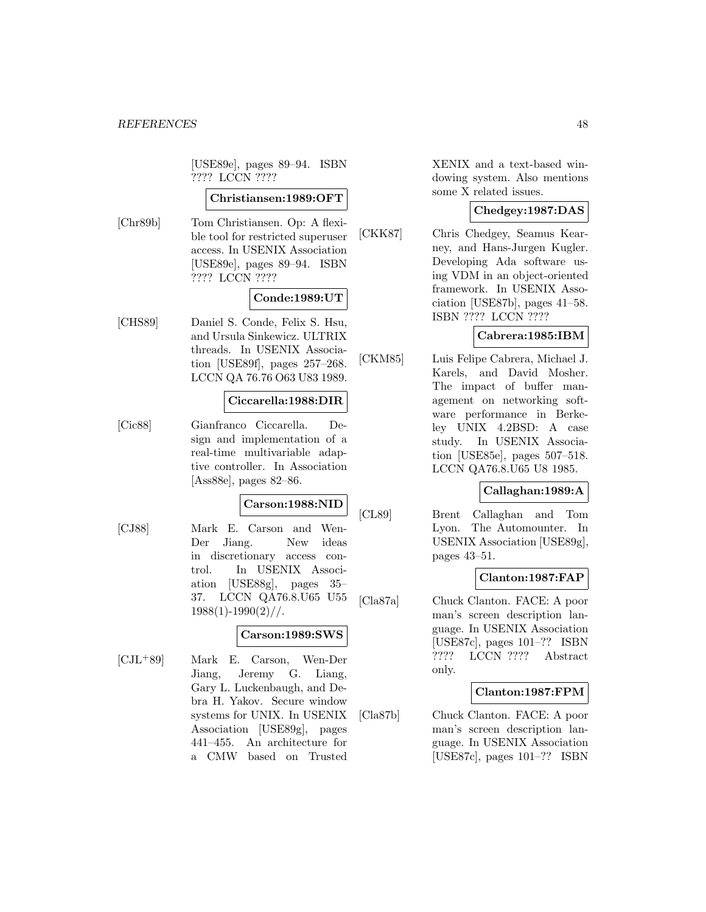[USE89e], pages 89–94. ISBN ???? LCCN ????

#### **Christiansen:1989:OFT**

[Chr89b] Tom Christiansen. Op: A flexible tool for restricted superuser access. In USENIX Association [USE89e], pages 89–94. ISBN ???? LCCN ????

### **Conde:1989:UT**

[CHS89] Daniel S. Conde, Felix S. Hsu, and Ursula Sinkewicz. ULTRIX threads. In USENIX Association [USE89f], pages 257–268. LCCN QA 76.76 O63 U83 1989.

# **Ciccarella:1988:DIR**

[Cic88] Gianfranco Ciccarella. Design and implementation of a real-time multivariable adaptive controller. In Association [Ass88e], pages 82–86.

## **Carson:1988:NID**

[CJ88] Mark E. Carson and Wen-Der Jiang. New ideas in discretionary access control. In USENIX Association [USE88g], pages 35– 37. LCCN QA76.8.U65 U55  $1988(1)$ -1990 $(2)$ //.

# **Carson:1989:SWS**

[CJL<sup>+</sup>89] Mark E. Carson, Wen-Der Jiang, Jeremy G. Liang, Gary L. Luckenbaugh, and Debra H. Yakov. Secure window systems for UNIX. In USENIX Association [USE89g], pages 441–455. An architecture for a CMW based on Trusted

XENIX and a text-based windowing system. Also mentions some X related issues.

# **Chedgey:1987:DAS**

[CKK87] Chris Chedgey, Seamus Kearney, and Hans-Jurgen Kugler. Developing Ada software using VDM in an object-oriented framework. In USENIX Association [USE87b], pages 41–58. ISBN ???? LCCN ????

# **Cabrera:1985:IBM**

[CKM85] Luis Felipe Cabrera, Michael J. Karels, and David Mosher. The impact of buffer management on networking software performance in Berkeley UNIX 4.2BSD: A case study. In USENIX Association [USE85e], pages 507–518. LCCN QA76.8.U65 U8 1985.

# **Callaghan:1989:A**

[CL89] Brent Callaghan and Tom Lyon. The Automounter. In USENIX Association [USE89g], pages 43–51.

## **Clanton:1987:FAP**

[Cla87a] Chuck Clanton. FACE: A poor man's screen description language. In USENIX Association [USE87c], pages 101–?? ISBN ???? LCCN ???? Abstract only.

## **Clanton:1987:FPM**

[Cla87b] Chuck Clanton. FACE: A poor man's screen description language. In USENIX Association [USE87c], pages 101–?? ISBN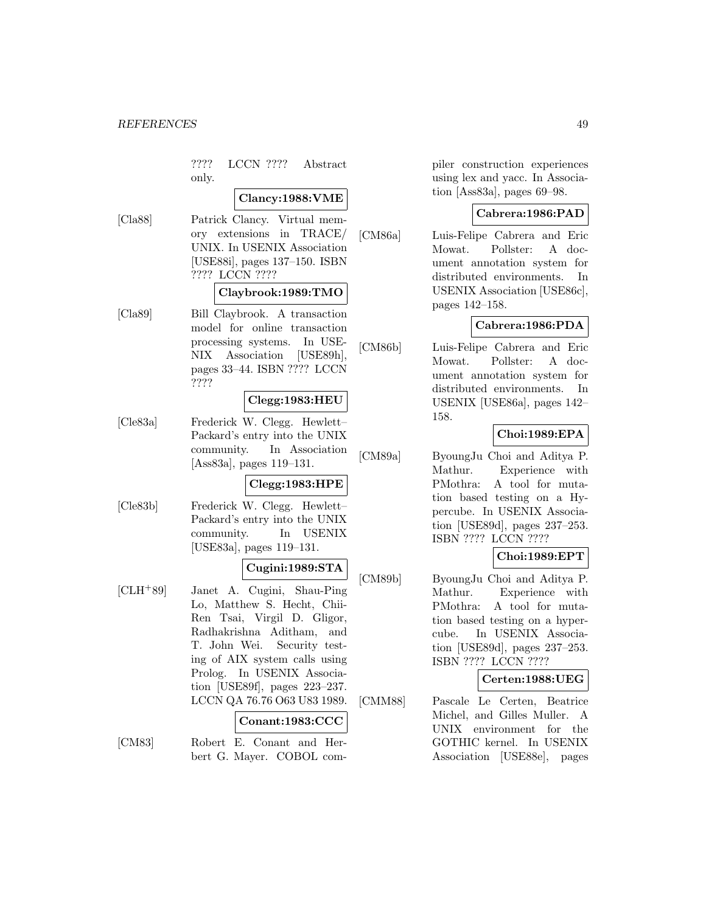???? LCCN ???? Abstract only.

#### **Clancy:1988:VME**

[Cla88] Patrick Clancy. Virtual memory extensions in TRACE/ UNIX. In USENIX Association [USE88i], pages 137–150. ISBN ???? LCCN ????

## **Claybrook:1989:TMO**

[Cla89] Bill Claybrook. A transaction model for online transaction processing systems. In USE-NIX Association [USE89h], pages 33–44. ISBN ???? LCCN ????

### **Clegg:1983:HEU**

[Cle83a] Frederick W. Clegg. Hewlett– Packard's entry into the UNIX community. In Association [Ass83a], pages 119–131.

## **Clegg:1983:HPE**

[Cle83b] Frederick W. Clegg. Hewlett– Packard's entry into the UNIX community. In USENIX [USE83a], pages 119–131.

### **Cugini:1989:STA**

[CLH<sup>+</sup>89] Janet A. Cugini, Shau-Ping Lo, Matthew S. Hecht, Chii-Ren Tsai, Virgil D. Gligor, Radhakrishna Aditham, and T. John Wei. Security testing of AIX system calls using Prolog. In USENIX Association [USE89f], pages 223–237. LCCN QA 76.76 O63 U83 1989.

## **Conant:1983:CCC**

[CM83] Robert E. Conant and Herbert G. Mayer. COBOL compiler construction experiences using lex and yacc. In Association [Ass83a], pages 69–98.

# **Cabrera:1986:PAD**

[CM86a] Luis-Felipe Cabrera and Eric Mowat. Pollster: A document annotation system for distributed environments. In USENIX Association [USE86c], pages 142–158.

# **Cabrera:1986:PDA**

[CM86b] Luis-Felipe Cabrera and Eric Mowat. Pollster: A document annotation system for distributed environments. In USENIX [USE86a], pages 142– 158.

# **Choi:1989:EPA**

[CM89a] ByoungJu Choi and Aditya P. Mathur. Experience with PMothra: A tool for mutation based testing on a Hypercube. In USENIX Association [USE89d], pages 237–253. ISBN ???? LCCN ????

# **Choi:1989:EPT**

[CM89b] ByoungJu Choi and Aditya P. Mathur. Experience with PMothra: A tool for mutation based testing on a hypercube. In USENIX Association [USE89d], pages 237–253. ISBN ???? LCCN ????

## **Certen:1988:UEG**

[CMM88] Pascale Le Certen, Beatrice Michel, and Gilles Muller. A UNIX environment for the GOTHIC kernel. In USENIX Association [USE88e], pages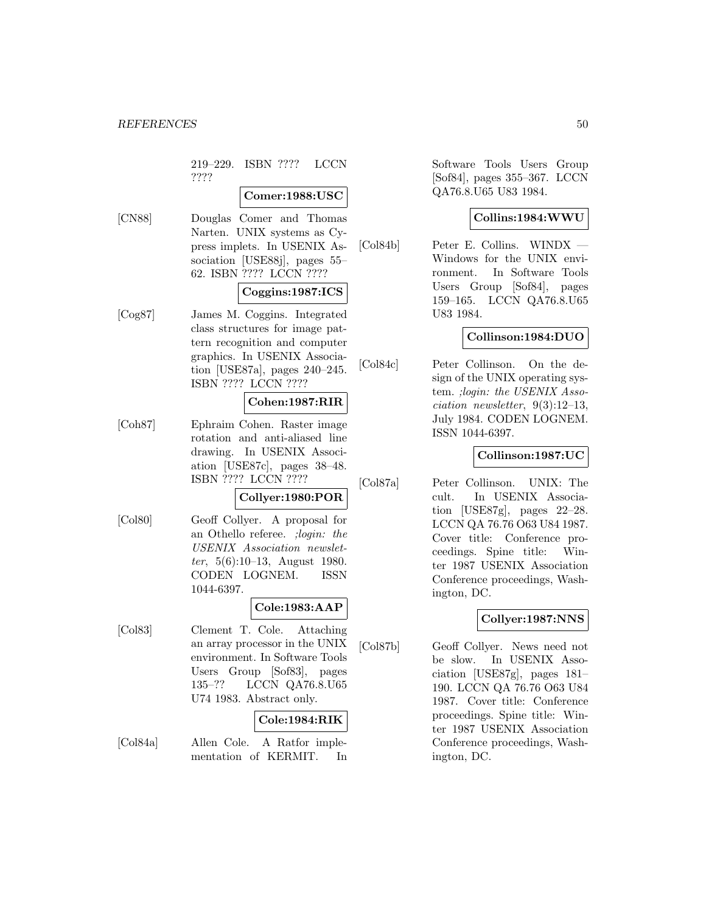219–229. ISBN ???? LCCN ????

# **Comer:1988:USC**

[CN88] Douglas Comer and Thomas Narten. UNIX systems as Cypress implets. In USENIX Association [USE88j], pages 55– 62. ISBN ???? LCCN ????

# **Coggins:1987:ICS**

[Cog87] James M. Coggins. Integrated class structures for image pattern recognition and computer graphics. In USENIX Association [USE87a], pages 240–245. ISBN ???? LCCN ????

# **Cohen:1987:RIR**

[Coh87] Ephraim Cohen. Raster image rotation and anti-aliased line drawing. In USENIX Association [USE87c], pages 38–48. ISBN ???? LCCN ????

# **Collyer:1980:POR**

[Col80] Geoff Collyer. A proposal for an Othello referee. ;login: the USENIX Association newsletter, 5(6):10–13, August 1980. CODEN LOGNEM. ISSN 1044-6397.

#### **Cole:1983:AAP**

[Col83] Clement T. Cole. Attaching an array processor in the UNIX environment. In Software Tools Users Group [Sof83], pages 135–?? LCCN QA76.8.U65 U74 1983. Abstract only.

# **Cole:1984:RIK**

[Col84a] Allen Cole. A Ratfor implementation of KERMIT. In Software Tools Users Group [Sof84], pages 355–367. LCCN QA76.8.U65 U83 1984.

### **Collins:1984:WWU**

[Col84b] Peter E. Collins. WINDX — Windows for the UNIX environment. In Software Tools Users Group [Sof84], pages 159–165. LCCN QA76.8.U65 U83 1984.

# **Collinson:1984:DUO**

[Col84c] Peter Collinson. On the design of the UNIX operating system. ;login: the USENIX Association newsletter,  $9(3):12-13$ , July 1984. CODEN LOGNEM. ISSN 1044-6397.

# **Collinson:1987:UC**

[Col87a] Peter Collinson. UNIX: The cult. In USENIX Association [USE87g], pages 22–28. LCCN QA 76.76 O63 U84 1987. Cover title: Conference proceedings. Spine title: Winter 1987 USENIX Association Conference proceedings, Washington, DC.

## **Collyer:1987:NNS**

[Col87b] Geoff Collyer. News need not be slow. In USENIX Association [USE87g], pages 181– 190. LCCN QA 76.76 O63 U84 1987. Cover title: Conference proceedings. Spine title: Winter 1987 USENIX Association Conference proceedings, Washington, DC.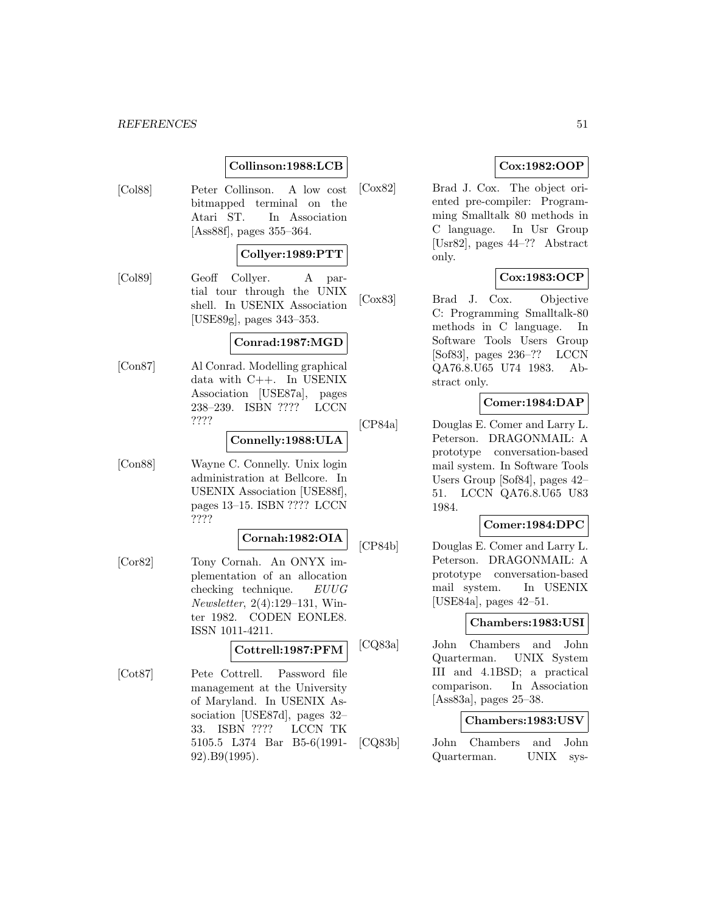# **Collinson:1988:LCB**

[Col88] Peter Collinson. A low cost bitmapped terminal on the Atari ST. In Association [Ass88f], pages 355–364.

# **Collyer:1989:PTT**

[Col89] Geoff Collyer. A partial tour through the UNIX shell. In USENIX Association [USE89g], pages 343–353.

### **Conrad:1987:MGD**

[Con87] Al Conrad. Modelling graphical data with C++. In USENIX Association [USE87a], pages 238–239. ISBN ???? LCCN ????

### **Connelly:1988:ULA**

[Con88] Wayne C. Connelly. Unix login administration at Bellcore. In USENIX Association [USE88f], pages 13–15. ISBN ???? LCCN ????

#### **Cornah:1982:OIA**

[Cor82] Tony Cornah. An ONYX implementation of an allocation checking technique. EUUG Newsletter, 2(4):129–131, Winter 1982. CODEN EONLE8. ISSN 1011-4211.

# **Cottrell:1987:PFM**

[Cot87] Pete Cottrell. Password file management at the University of Maryland. In USENIX Association [USE87d], pages 32– 33. ISBN ???? LCCN TK 5105.5 L374 Bar B5-6(1991- 92).B9(1995).

# **Cox:1982:OOP**

[Cox82] Brad J. Cox. The object oriented pre-compiler: Programming Smalltalk 80 methods in C language. In Usr Group [Usr82], pages 44–?? Abstract only.

# **Cox:1983:OCP**

[Cox83] Brad J. Cox. Objective C: Programming Smalltalk-80 methods in C language. In Software Tools Users Group [Sof83], pages 236–?? LCCN QA76.8.U65 U74 1983. Abstract only.

# **Comer:1984:DAP**

[CP84a] Douglas E. Comer and Larry L. Peterson. DRAGONMAIL: A prototype conversation-based mail system. In Software Tools Users Group [Sof84], pages 42– 51. LCCN QA76.8.U65 U83 1984.

# **Comer:1984:DPC**

[CP84b] Douglas E. Comer and Larry L. Peterson. DRAGONMAIL: A prototype conversation-based mail system. In USENIX [USE84a], pages 42–51.

## **Chambers:1983:USI**

[CQ83a] John Chambers and John Quarterman. UNIX System III and 4.1BSD; a practical comparison. In Association [Ass83a], pages 25–38.

# **Chambers:1983:USV**

[CQ83b] John Chambers and John Quarterman. UNIX sys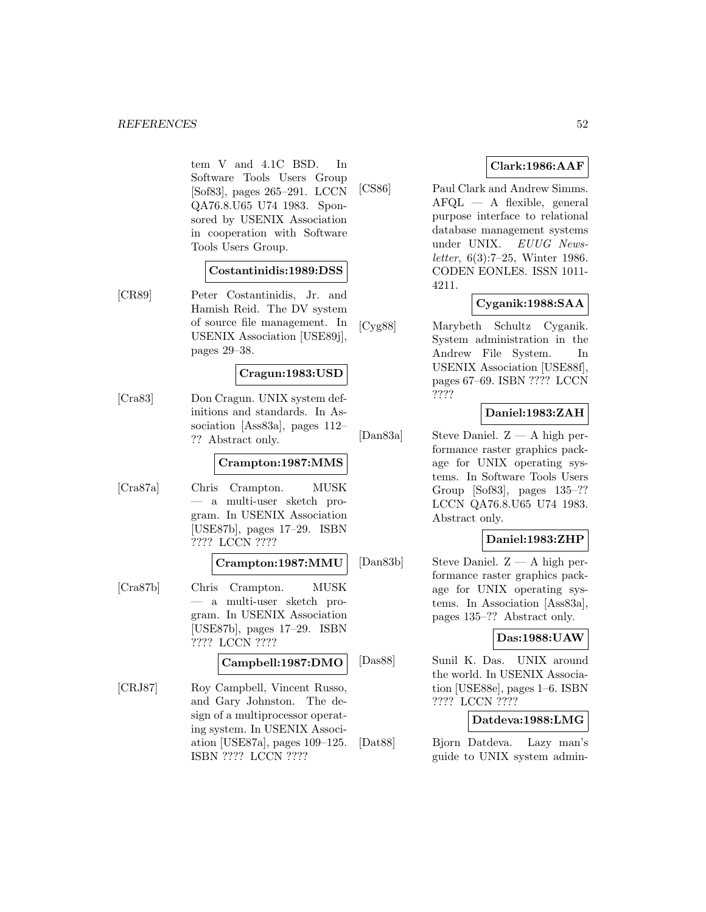tem V and 4.1C BSD. In Software Tools Users Group [Sof83], pages 265–291. LCCN QA76.8.U65 U74 1983. Sponsored by USENIX Association in cooperation with Software Tools Users Group.

### **Costantinidis:1989:DSS**

[CR89] Peter Costantinidis, Jr. and Hamish Reid. The DV system of source file management. In USENIX Association [USE89j], pages 29–38.

### **Cragun:1983:USD**

[Cra83] Don Cragun. UNIX system definitions and standards. In Association [Ass83a], pages 112– ?? Abstract only.

## **Crampton:1987:MMS**

[Cra87a] Chris Crampton. MUSK — a multi-user sketch program. In USENIX Association [USE87b], pages 17–29. ISBN ???? LCCN ????

# **Crampton:1987:MMU**

[Cra87b] Chris Crampton. MUSK — a multi-user sketch program. In USENIX Association [USE87b], pages 17–29. ISBN ???? LCCN ????

#### **Campbell:1987:DMO**

[CRJ87] Roy Campbell, Vincent Russo, and Gary Johnston. The design of a multiprocessor operating system. In USENIX Association [USE87a], pages 109–125. ISBN ???? LCCN ????

# **Clark:1986:AAF**

[CS86] Paul Clark and Andrew Simms. AFQL — A flexible, general purpose interface to relational database management systems under UNIX. EUUG Newsletter, 6(3):7–25, Winter 1986. CODEN EONLE8. ISSN 1011- 4211.

# **Cyganik:1988:SAA**

[Cyg88] Marybeth Schultz Cyganik. System administration in the Andrew File System. In USENIX Association [USE88f], pages 67–69. ISBN ???? LCCN ????

## **Daniel:1983:ZAH**

[Dan83a] Steve Daniel. Z — A high performance raster graphics package for UNIX operating systems. In Software Tools Users Group [Sof83], pages 135–?? LCCN QA76.8.U65 U74 1983. Abstract only.

# **Daniel:1983:ZHP**

[Dan83b] Steve Daniel. Z — A high performance raster graphics package for UNIX operating systems. In Association [Ass83a], pages 135–?? Abstract only.

## **Das:1988:UAW**

[Das88] Sunil K. Das. UNIX around the world. In USENIX Association [USE88e], pages 1–6. ISBN ???? LCCN ????

# **Datdeva:1988:LMG**

[Dat88] Bjorn Datdeva. Lazy man's guide to UNIX system admin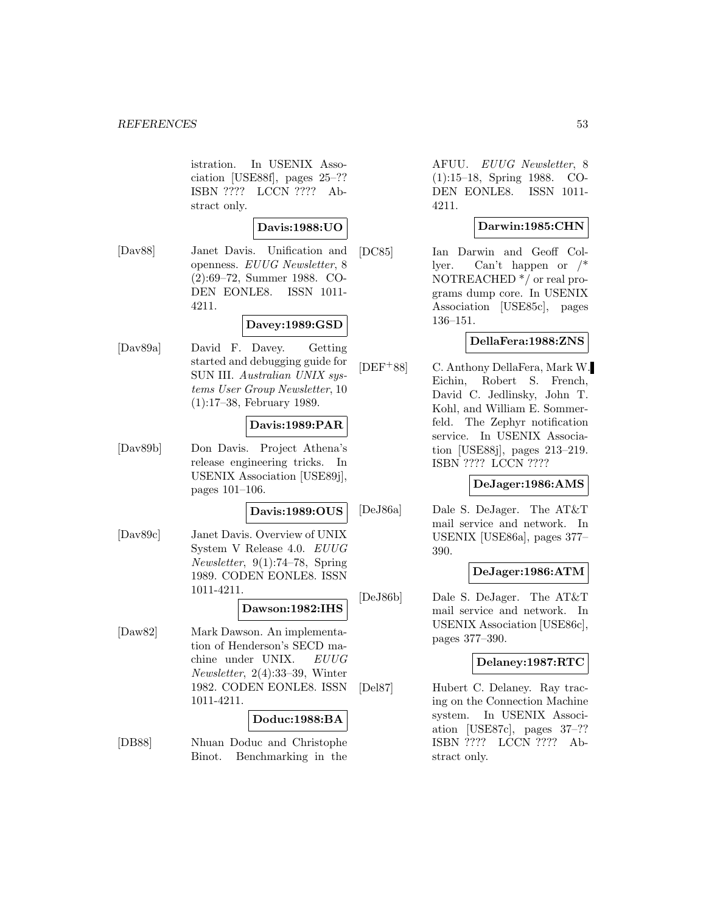istration. In USENIX Association [USE88f], pages 25–?? ISBN ???? LCCN ???? Abstract only.

# **Davis:1988:UO**

[Dav88] Janet Davis. Unification and openness. EUUG Newsletter, 8 (2):69–72, Summer 1988. CO-DEN EONLE8. ISSN 1011- 4211.

# **Davey:1989:GSD**

[Dav89a] David F. Davey. Getting started and debugging guide for SUN III. Australian UNIX systems User Group Newsletter, 10 (1):17–38, February 1989.

## **Davis:1989:PAR**

[Dav89b] Don Davis. Project Athena's release engineering tricks. In USENIX Association [USE89j], pages 101–106.

### **Davis:1989:OUS**

[Dav89c] Janet Davis. Overview of UNIX System V Release 4.0. EUUG Newsletter, 9(1):74–78, Spring 1989. CODEN EONLE8. ISSN 1011-4211.

**Dawson:1982:IHS**

[Daw82] Mark Dawson. An implementation of Henderson's SECD machine under UNIX. EUUG Newsletter, 2(4):33–39, Winter 1982. CODEN EONLE8. ISSN 1011-4211.

#### **Doduc:1988:BA**

[DB88] Nhuan Doduc and Christophe Binot. Benchmarking in the

AFUU. EUUG Newsletter, 8 (1):15–18, Spring 1988. CO-DEN EONLE8. ISSN 1011- 4211.

# **Darwin:1985:CHN**

[DC85] Ian Darwin and Geoff Collyer. Can't happen or /\* NOTREACHED \*/ or real programs dump core. In USENIX Association [USE85c], pages 136–151.

# **DellaFera:1988:ZNS**

[DEF<sup>+</sup>88] C. Anthony DellaFera, Mark W. Eichin, Robert S. French, David C. Jedlinsky, John T. Kohl, and William E. Sommerfeld. The Zephyr notification service. In USENIX Association [USE88j], pages 213–219. ISBN ???? LCCN ????

## **DeJager:1986:AMS**

[DeJ86a] Dale S. DeJager. The AT&T mail service and network. In USENIX [USE86a], pages 377– 390.

# **DeJager:1986:ATM**

[DeJ86b] Dale S. DeJager. The AT&T mail service and network. In USENIX Association [USE86c], pages 377–390.

## **Delaney:1987:RTC**

[Del87] Hubert C. Delaney. Ray tracing on the Connection Machine system. In USENIX Association [USE87c], pages 37–?? ISBN ???? LCCN ???? Abstract only.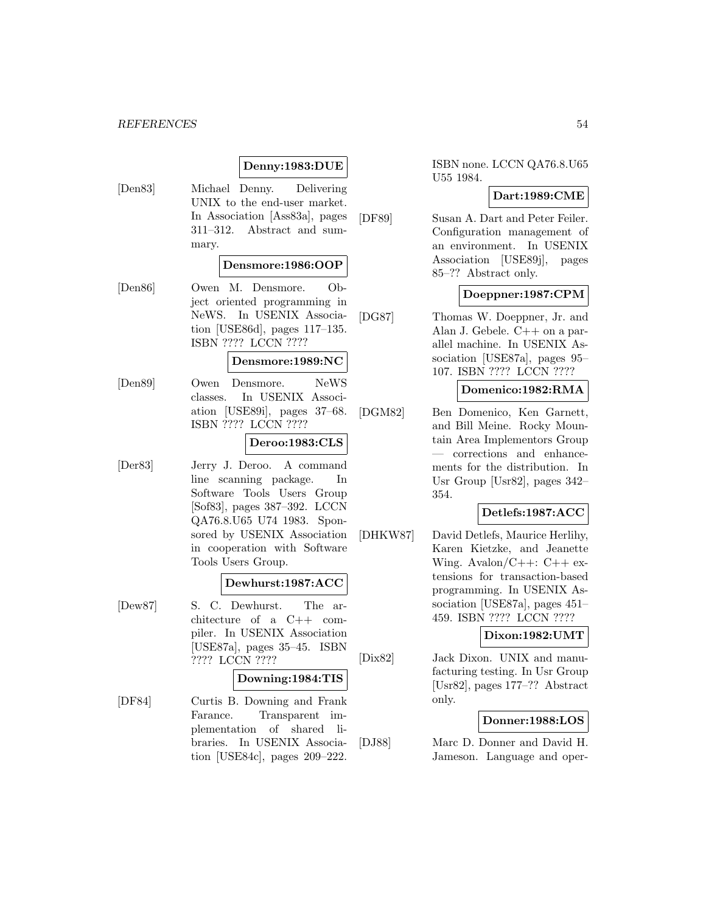# **Denny:1983:DUE**

[Den83] Michael Denny. Delivering UNIX to the end-user market. In Association [Ass83a], pages 311–312. Abstract and summary.

# **Densmore:1986:OOP**

[Den86] Owen M. Densmore. Object oriented programming in NeWS. In USENIX Association [USE86d], pages 117–135. ISBN ???? LCCN ????

#### **Densmore:1989:NC**

[Den89] Owen Densmore. NeWS classes. In USENIX Association [USE89i], pages 37–68. ISBN ???? LCCN ????

### **Deroo:1983:CLS**

[Der83] Jerry J. Deroo. A command line scanning package. In Software Tools Users Group [Sof83], pages 387–392. LCCN QA76.8.U65 U74 1983. Sponsored by USENIX Association in cooperation with Software Tools Users Group.

#### **Dewhurst:1987:ACC**

[Dew87] S. C. Dewhurst. The architecture of a C++ compiler. In USENIX Association [USE87a], pages 35–45. ISBN ???? LCCN ????

#### **Downing:1984:TIS**

[DF84] Curtis B. Downing and Frank Farance. Transparent implementation of shared libraries. In USENIX Association [USE84c], pages 209–222.

ISBN none. LCCN QA76.8.U65 U55 1984.

# **Dart:1989:CME**

[DF89] Susan A. Dart and Peter Feiler. Configuration management of an environment. In USENIX Association [USE89j], pages 85–?? Abstract only.

## **Doeppner:1987:CPM**

[DG87] Thomas W. Doeppner, Jr. and Alan J. Gebele. C++ on a parallel machine. In USENIX Association [USE87a], pages 95– 107. ISBN ???? LCCN ????

## **Domenico:1982:RMA**

[DGM82] Ben Domenico, Ken Garnett, and Bill Meine. Rocky Mountain Area Implementors Group — corrections and enhancements for the distribution. In Usr Group [Usr82], pages 342– 354.

# **Detlefs:1987:ACC**

[DHKW87] David Detlefs, Maurice Herlihy, Karen Kietzke, and Jeanette Wing. Avalon/ $C++: C++$  extensions for transaction-based programming. In USENIX Association [USE87a], pages 451– 459. ISBN ???? LCCN ????

### **Dixon:1982:UMT**

[Dix82] Jack Dixon. UNIX and manufacturing testing. In Usr Group [Usr82], pages 177–?? Abstract only.

# **Donner:1988:LOS**

[DJ88] Marc D. Donner and David H. Jameson. Language and oper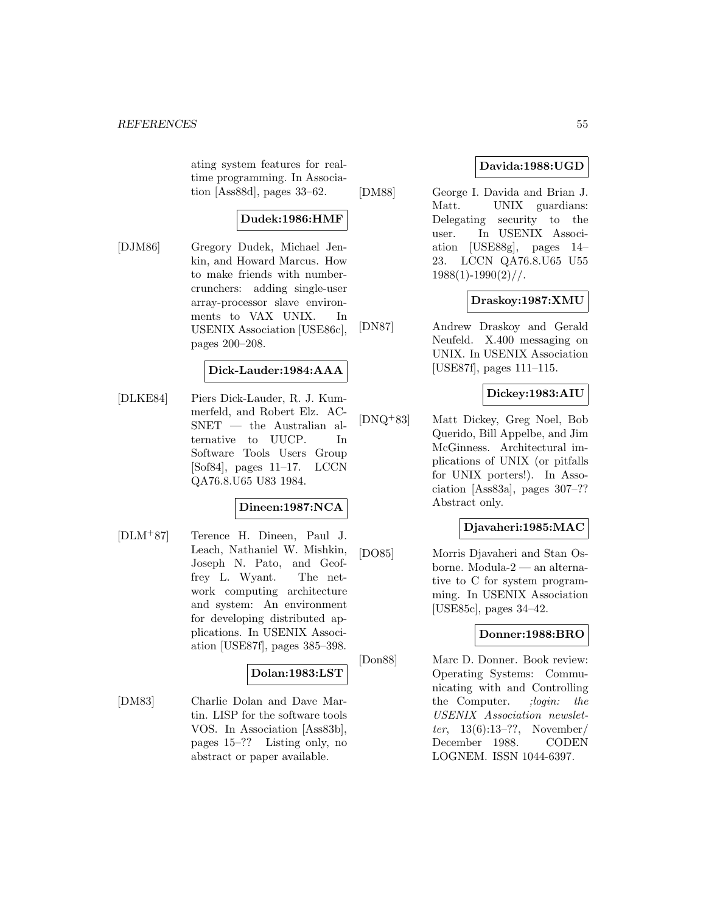ating system features for realtime programming. In Association [Ass88d], pages 33–62.

# **Dudek:1986:HMF**

[DJM86] Gregory Dudek, Michael Jenkin, and Howard Marcus. How to make friends with numbercrunchers: adding single-user array-processor slave environments to VAX UNIX. In USENIX Association [USE86c], pages 200–208.

# **Dick-Lauder:1984:AAA**

[DLKE84] Piers Dick-Lauder, R. J. Kummerfeld, and Robert Elz. AC-SNET — the Australian alternative to UUCP. In Software Tools Users Group [Sof84], pages 11–17. LCCN QA76.8.U65 U83 1984.

# **Dineen:1987:NCA**

[DLM<sup>+</sup>87] Terence H. Dineen, Paul J. Leach, Nathaniel W. Mishkin, Joseph N. Pato, and Geoffrey L. Wyant. The network computing architecture and system: An environment for developing distributed applications. In USENIX Association [USE87f], pages 385–398.

# **Dolan:1983:LST**

[DM83] Charlie Dolan and Dave Martin. LISP for the software tools VOS. In Association [Ass83b], pages 15–?? Listing only, no abstract or paper available.

# **Davida:1988:UGD**

[DM88] George I. Davida and Brian J. Matt. UNIX guardians: Delegating security to the user. In USENIX Association [USE88g], pages 14– 23. LCCN QA76.8.U65 U55  $1988(1)$ -1990 $(2)$ //.

# **Draskoy:1987:XMU**

[DN87] Andrew Draskoy and Gerald Neufeld. X.400 messaging on UNIX. In USENIX Association [USE87f], pages 111–115.

# **Dickey:1983:AIU**

[DNQ<sup>+</sup>83] Matt Dickey, Greg Noel, Bob Querido, Bill Appelbe, and Jim McGinness. Architectural implications of UNIX (or pitfalls for UNIX porters!). In Association [Ass83a], pages 307–?? Abstract only.

# **Djavaheri:1985:MAC**

[DO85] Morris Djavaheri and Stan Osborne. Modula-2 — an alternative to C for system programming. In USENIX Association [USE85c], pages 34–42.

# **Donner:1988:BRO**

[Don88] Marc D. Donner. Book review: Operating Systems: Communicating with and Controlling the Computer. *;login:* the USENIX Association newsletter, 13(6):13–??, November/ December 1988. CODEN LOGNEM. ISSN 1044-6397.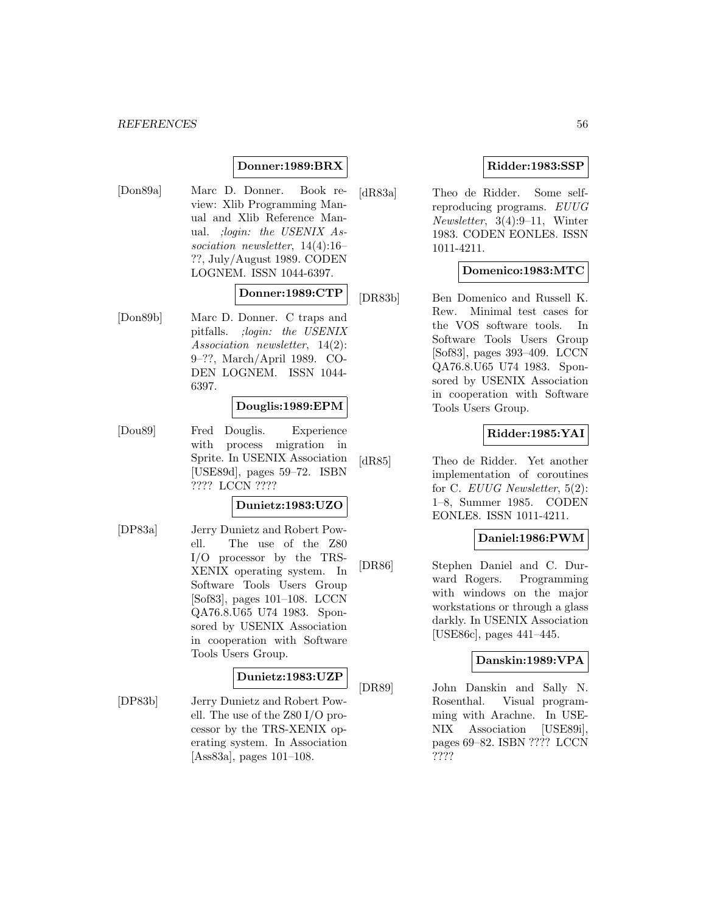# **Donner:1989:BRX**

[Don89a] Marc D. Donner. Book review: Xlib Programming Manual and Xlib Reference Manual. ;login: the USENIX Association newsletter, 14(4):16– ??, July/August 1989. CODEN LOGNEM. ISSN 1044-6397.

# **Donner:1989:CTP**

[Don89b] Marc D. Donner. C traps and pitfalls. ;login: the USENIX Association newsletter, 14(2): 9–??, March/April 1989. CO-DEN LOGNEM. ISSN 1044- 6397.

#### **Douglis:1989:EPM**

[Dou89] Fred Douglis. Experience with process migration in Sprite. In USENIX Association [USE89d], pages 59–72. ISBN ???? LCCN ????

### **Dunietz:1983:UZO**

[DP83a] Jerry Dunietz and Robert Powell. The use of the Z80 I/O processor by the TRS-XENIX operating system. In Software Tools Users Group [Sof83], pages 101–108. LCCN QA76.8.U65 U74 1983. Sponsored by USENIX Association in cooperation with Software Tools Users Group.

#### **Dunietz:1983:UZP**

[DP83b] Jerry Dunietz and Robert Powell. The use of the Z80 I/O processor by the TRS-XENIX operating system. In Association [Ass83a], pages 101–108.

# **Ridder:1983:SSP**

[dR83a] Theo de Ridder. Some selfreproducing programs. EUUG Newsletter, 3(4):9–11, Winter 1983. CODEN EONLE8. ISSN 1011-4211.

# **Domenico:1983:MTC**

[DR83b] Ben Domenico and Russell K. Rew. Minimal test cases for the VOS software tools. In Software Tools Users Group [Sof83], pages 393–409. LCCN QA76.8.U65 U74 1983. Sponsored by USENIX Association in cooperation with Software Tools Users Group.

# **Ridder:1985:YAI**

[dR85] Theo de Ridder. Yet another implementation of coroutines for C. EUUG Newsletter, 5(2): 1–8, Summer 1985. CODEN EONLE8. ISSN 1011-4211.

# **Daniel:1986:PWM**

[DR86] Stephen Daniel and C. Durward Rogers. Programming with windows on the major workstations or through a glass darkly. In USENIX Association [USE86c], pages 441–445.

#### **Danskin:1989:VPA**

[DR89] John Danskin and Sally N. Rosenthal. Visual programming with Arachne. In USE-NIX Association [USE89i], pages 69–82. ISBN ???? LCCN ????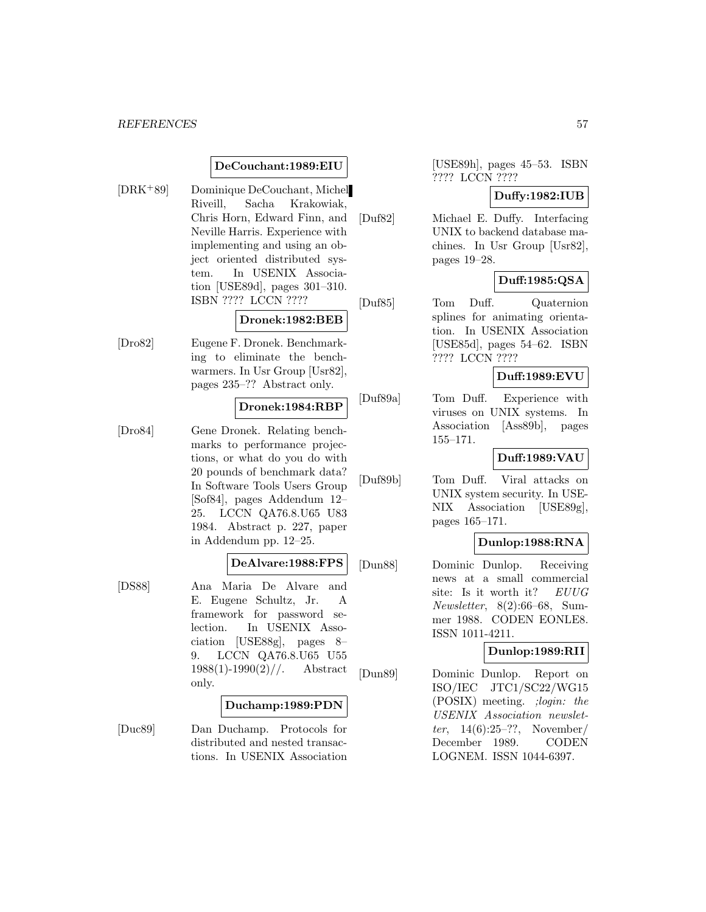# **DeCouchant:1989:EIU**

[DRK<sup>+</sup>89] Dominique DeCouchant, Michel Riveill, Sacha Krakowiak, Chris Horn, Edward Finn, and Neville Harris. Experience with implementing and using an object oriented distributed system. In USENIX Association [USE89d], pages 301–310. ISBN ???? LCCN ????

#### **Dronek:1982:BEB**

[Dro82] Eugene F. Dronek. Benchmarking to eliminate the benchwarmers. In Usr Group [Usr82], pages 235–?? Abstract only.

### **Dronek:1984:RBP**

[Dro84] Gene Dronek. Relating benchmarks to performance projections, or what do you do with 20 pounds of benchmark data? In Software Tools Users Group [Sof84], pages Addendum 12– 25. LCCN QA76.8.U65 U83 1984. Abstract p. 227, paper in Addendum pp. 12–25.

# **DeAlvare:1988:FPS**

[DS88] Ana Maria De Alvare and E. Eugene Schultz, Jr. A framework for password selection. In USENIX Association [USE88g], pages 8– 9. LCCN QA76.8.U65 U55  $1988(1)$ -1990 $(2)$ //. Abstract only.

#### **Duchamp:1989:PDN**

[Duc89] Dan Duchamp. Protocols for distributed and nested transactions. In USENIX Association [USE89h], pages 45–53. ISBN ???? LCCN ????

# **Duffy:1982:IUB**

[Duf82] Michael E. Duffy. Interfacing UNIX to backend database machines. In Usr Group [Usr82], pages 19–28.

# **Duff:1985:QSA**

[Duf85] Tom Duff. Quaternion splines for animating orientation. In USENIX Association [USE85d], pages 54–62. ISBN ???? LCCN ????

# **Duff:1989:EVU**

[Duf89a] Tom Duff. Experience with viruses on UNIX systems. In Association [Ass89b], pages 155–171.

# **Duff:1989:VAU**

[Duf89b] Tom Duff. Viral attacks on UNIX system security. In USE-NIX Association [USE89g], pages 165–171.

## **Dunlop:1988:RNA**

[Dun88] Dominic Dunlop. Receiving news at a small commercial site: Is it worth it? EUUG Newsletter, 8(2):66–68, Summer 1988. CODEN EONLE8. ISSN 1011-4211.

# **Dunlop:1989:RII**

[Dun89] Dominic Dunlop. Report on ISO/IEC JTC1/SC22/WG15 (POSIX) meeting. ;login: the USENIX Association newsletter, 14(6):25–??, November/ December 1989. CODEN LOGNEM. ISSN 1044-6397.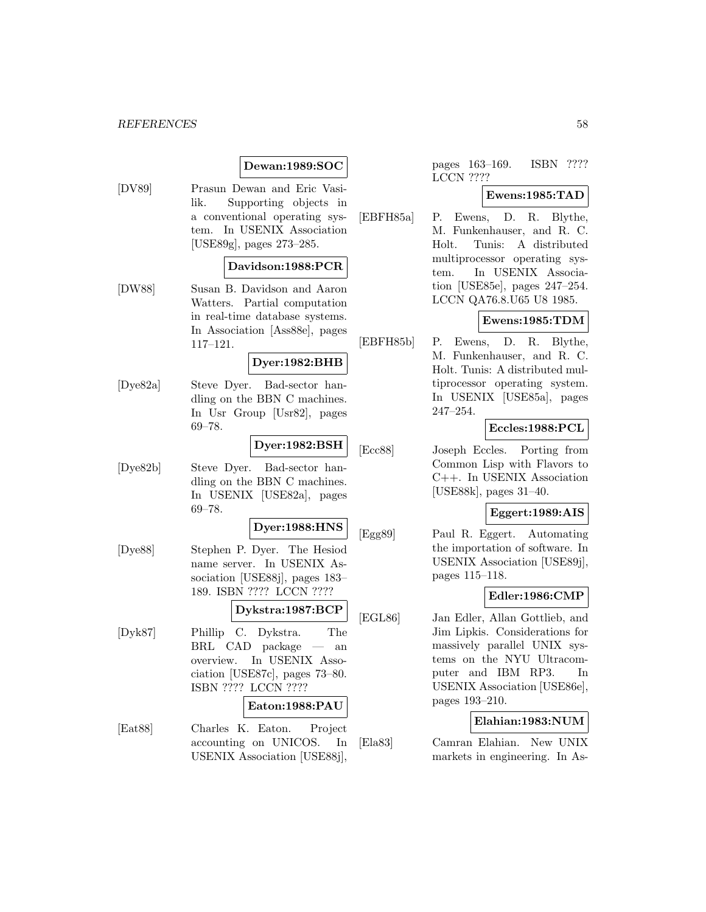# **Dewan:1989:SOC**

[DV89] Prasun Dewan and Eric Vasilik. Supporting objects in a conventional operating system. In USENIX Association [USE89g], pages 273–285.

## **Davidson:1988:PCR**

[DW88] Susan B. Davidson and Aaron Watters. Partial computation in real-time database systems. In Association [Ass88e], pages 117–121.

#### **Dyer:1982:BHB**

[Dye82a] Steve Dyer. Bad-sector handling on the BBN C machines. In Usr Group [Usr82], pages 69–78.

# **Dyer:1982:BSH**

[Dye82b] Steve Dyer. Bad-sector handling on the BBN C machines. In USENIX [USE82a], pages 69–78.

#### **Dyer:1988:HNS**

[Dye88] Stephen P. Dyer. The Hesiod name server. In USENIX Association [USE88j], pages 183– 189. ISBN ???? LCCN ????

# **Dykstra:1987:BCP**

[Dyk87] Phillip C. Dykstra. The BRL CAD package — an overview. In USENIX Association [USE87c], pages 73–80. ISBN ???? LCCN ????

### **Eaton:1988:PAU**

[Eat88] Charles K. Eaton. Project accounting on UNICOS. In USENIX Association [USE88j],

pages 163–169. ISBN ???? LCCN ????

## **Ewens:1985:TAD**

[EBFH85a] P. Ewens, D. R. Blythe, M. Funkenhauser, and R. C. Holt. Tunis: A distributed multiprocessor operating system. In USENIX Association [USE85e], pages 247–254. LCCN QA76.8.U65 U8 1985.

# **Ewens:1985:TDM**

[EBFH85b] P. Ewens, D. R. Blythe, M. Funkenhauser, and R. C. Holt. Tunis: A distributed multiprocessor operating system. In USENIX [USE85a], pages 247–254.

### **Eccles:1988:PCL**

[Ecc88] Joseph Eccles. Porting from Common Lisp with Flavors to C++. In USENIX Association [USE88k], pages 31–40.

# **Eggert:1989:AIS**

[Egg89] Paul R. Eggert. Automating the importation of software. In USENIX Association [USE89j], pages 115–118.

### **Edler:1986:CMP**

[EGL86] Jan Edler, Allan Gottlieb, and Jim Lipkis. Considerations for massively parallel UNIX systems on the NYU Ultracomputer and IBM RP3. In USENIX Association [USE86e], pages 193–210.

# **Elahian:1983:NUM**

[Ela83] Camran Elahian. New UNIX markets in engineering. In As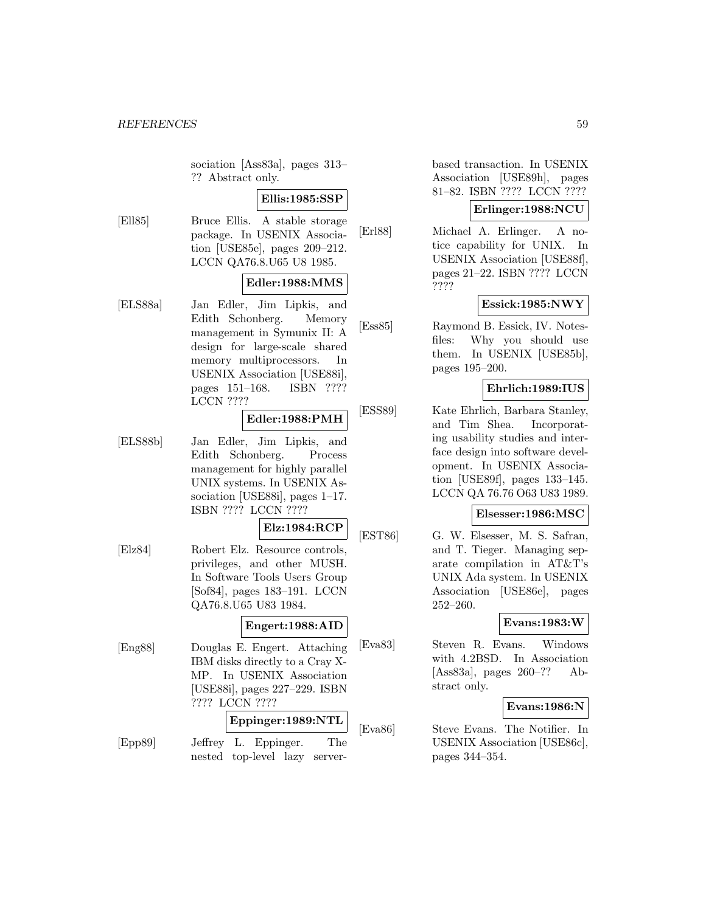sociation [Ass83a], pages 313– ?? Abstract only.

# **Ellis:1985:SSP**

[Ell85] Bruce Ellis. A stable storage package. In USENIX Association [USE85e], pages 209–212. LCCN QA76.8.U65 U8 1985.

# **Edler:1988:MMS**

[ELS88a] Jan Edler, Jim Lipkis, and Edith Schonberg. Memory management in Symunix II: A design for large-scale shared memory multiprocessors. In USENIX Association [USE88i], pages 151–168. ISBN ???? LCCN ????

# **Edler:1988:PMH**

[ELS88b] Jan Edler, Jim Lipkis, and Edith Schonberg. Process management for highly parallel UNIX systems. In USENIX Association [USE88i], pages 1–17. ISBN ???? LCCN ????

## **Elz:1984:RCP**

[Elz84] Robert Elz. Resource controls, privileges, and other MUSH. In Software Tools Users Group [Sof84], pages 183–191. LCCN QA76.8.U65 U83 1984.

#### **Engert:1988:AID**

[Eng88] Douglas E. Engert. Attaching IBM disks directly to a Cray X-MP. In USENIX Association [USE88i], pages 227–229. ISBN ???? LCCN ????

# **Eppinger:1989:NTL**

[Epp89] Jeffrey L. Eppinger. The nested top-level lazy serverbased transaction. In USENIX Association [USE89h], pages 81–82. ISBN ???? LCCN ????

# **Erlinger:1988:NCU**

[Erl88] Michael A. Erlinger. A notice capability for UNIX. In USENIX Association [USE88f], pages 21–22. ISBN ???? LCCN ????

# **Essick:1985:NWY**

[Ess85] Raymond B. Essick, IV. Notesfiles: Why you should use them. In USENIX [USE85b], pages 195–200.

## **Ehrlich:1989:IUS**

[ESS89] Kate Ehrlich, Barbara Stanley, and Tim Shea. Incorporating usability studies and interface design into software development. In USENIX Association [USE89f], pages 133–145. LCCN QA 76.76 O63 U83 1989.

# **Elsesser:1986:MSC**

[EST86] G. W. Elsesser, M. S. Safran, and T. Tieger. Managing separate compilation in AT&T's UNIX Ada system. In USENIX Association [USE86e], pages 252–260.

## **Evans:1983:W**

[Eva83] Steven R. Evans. Windows with 4.2BSD. In Association [Ass83a], pages 260–?? Abstract only.

## **Evans:1986:N**

[Eva86] Steve Evans. The Notifier. In USENIX Association [USE86c], pages 344–354.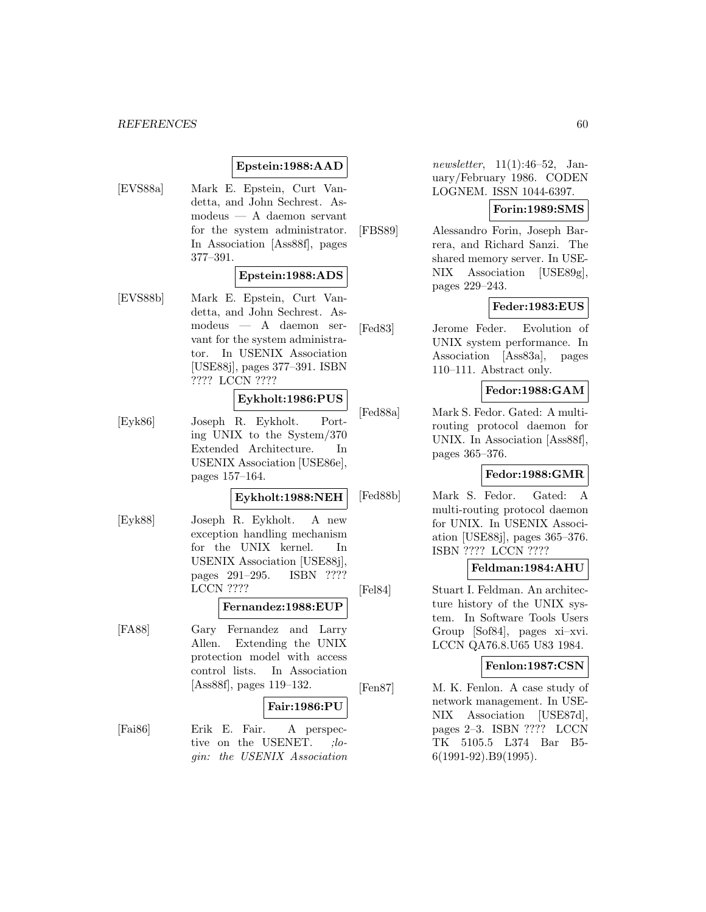## **Epstein:1988:AAD**

[EVS88a] Mark E. Epstein, Curt Vandetta, and John Sechrest. Asmodeus — A daemon servant for the system administrator. In Association [Ass88f], pages 377–391.

#### **Epstein:1988:ADS**

[EVS88b] Mark E. Epstein, Curt Vandetta, and John Sechrest. Asmodeus — A daemon servant for the system administrator. In USENIX Association [USE88j], pages 377–391. ISBN ???? LCCN ????

# **Eykholt:1986:PUS**

[Eyk86] Joseph R. Eykholt. Porting UNIX to the System/370 Extended Architecture. In USENIX Association [USE86e], pages 157–164.

#### **Eykholt:1988:NEH**

[Eyk88] Joseph R. Eykholt. A new exception handling mechanism for the UNIX kernel. In USENIX Association [USE88j], pages 291–295. ISBN ???? LCCN ????

# **Fernandez:1988:EUP**

[FA88] Gary Fernandez and Larry Allen. Extending the UNIX protection model with access control lists. In Association [Ass88f], pages 119–132.

### **Fair:1986:PU**

[Fai86] Erik E. Fair. A perspective on the USENET. :login: the USENIX Association newsletter, 11(1):46–52, January/February 1986. CODEN LOGNEM. ISSN 1044-6397.

# **Forin:1989:SMS**

[FBS89] Alessandro Forin, Joseph Barrera, and Richard Sanzi. The shared memory server. In USE-NIX Association [USE89g], pages 229–243.

# **Feder:1983:EUS**

[Fed83] Jerome Feder. Evolution of UNIX system performance. In Association [Ass83a], pages 110–111. Abstract only.

# **Fedor:1988:GAM**

[Fed88a] Mark S. Fedor. Gated: A multirouting protocol daemon for UNIX. In Association [Ass88f], pages 365–376.

# **Fedor:1988:GMR**

[Fed88b] Mark S. Fedor. Gated: A multi-routing protocol daemon for UNIX. In USENIX Association [USE88j], pages 365–376. ISBN ???? LCCN ????

# **Feldman:1984:AHU**

[Fel84] Stuart I. Feldman. An architecture history of the UNIX system. In Software Tools Users Group [Sof84], pages xi–xvi. LCCN QA76.8.U65 U83 1984.

### **Fenlon:1987:CSN**

[Fen87] M. K. Fenlon. A case study of network management. In USE-NIX Association [USE87d], pages 2–3. ISBN ???? LCCN TK 5105.5 L374 Bar B5- 6(1991-92).B9(1995).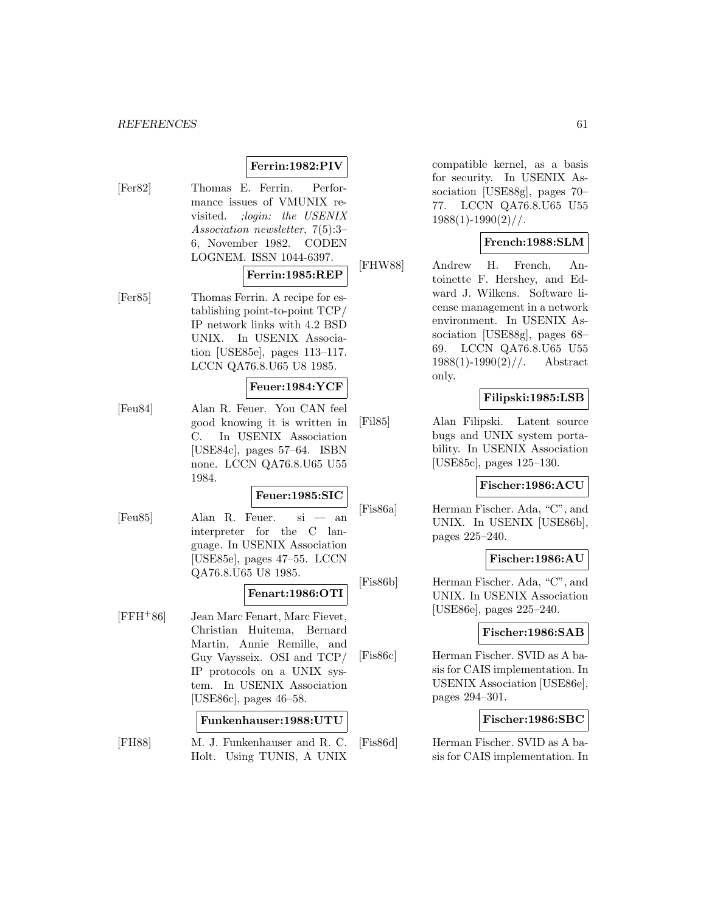# **Ferrin:1982:PIV**

[Fer82] Thomas E. Ferrin. Performance issues of VMUNIX revisited. ;login: the USENIX Association newsletter, 7(5):3– 6, November 1982. CODEN LOGNEM. ISSN 1044-6397.

# **Ferrin:1985:REP**

[Fer85] Thomas Ferrin. A recipe for establishing point-to-point TCP/ IP network links with 4.2 BSD UNIX. In USENIX Association [USE85e], pages 113–117. LCCN QA76.8.U65 U8 1985.

## **Feuer:1984:YCF**

[Feu84] Alan R. Feuer. You CAN feel good knowing it is written in C. In USENIX Association [USE84c], pages 57–64. ISBN none. LCCN QA76.8.U65 U55 1984.

#### **Feuer:1985:SIC**

[Feu85] Alan R. Feuer. si — an interpreter for the C language. In USENIX Association [USE85e], pages 47–55. LCCN QA76.8.U65 U8 1985.

# **Fenart:1986:OTI**

[FFH<sup>+</sup>86] Jean Marc Fenart, Marc Fievet, Christian Huitema, Bernard Martin, Annie Remille, and Guy Vaysseix. OSI and TCP/ IP protocols on a UNIX system. In USENIX Association [USE86c], pages 46–58.

# **Funkenhauser:1988:UTU**

[FH88] M. J. Funkenhauser and R. C. Holt. Using TUNIS, A UNIX

compatible kernel, as a basis for security. In USENIX Association [USE88g], pages 70– 77. LCCN QA76.8.U65 U55  $1988(1)-1990(2)/$ .

### **French:1988:SLM**

[FHW88] Andrew H. French, Antoinette F. Hershey, and Edward J. Wilkens. Software license management in a network environment. In USENIX Association [USE88g], pages 68– 69. LCCN QA76.8.U65 U55  $1988(1)$ -1990 $(2)$ //. Abstract only.

### **Filipski:1985:LSB**

[Fil85] Alan Filipski. Latent source bugs and UNIX system portability. In USENIX Association [USE85c], pages 125–130.

## **Fischer:1986:ACU**

[Fis86a] Herman Fischer. Ada, "C", and UNIX. In USENIX [USE86b], pages 225–240.

#### **Fischer:1986:AU**

[Fis86b] Herman Fischer. Ada, "C", and UNIX. In USENIX Association [USE86e], pages 225–240.

# **Fischer:1986:SAB**

[Fis86c] Herman Fischer. SVID as A basis for CAIS implementation. In USENIX Association [USE86e], pages 294–301.

# **Fischer:1986:SBC**

[Fis86d] Herman Fischer. SVID as A basis for CAIS implementation. In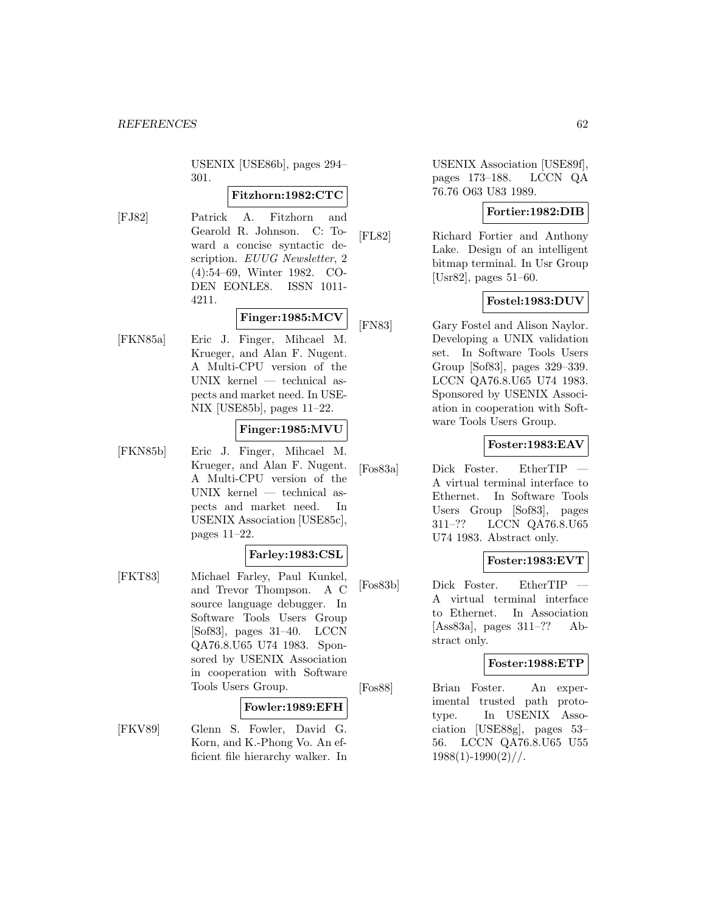USENIX [USE86b], pages 294– 301.

### **Fitzhorn:1982:CTC**

[FJ82] Patrick A. Fitzhorn and Gearold R. Johnson. C: Toward a concise syntactic description. EUUG Newsletter, 2 (4):54–69, Winter 1982. CO-DEN EONLE8. ISSN 1011- 4211.

# **Finger:1985:MCV**

[FKN85a] Eric J. Finger, Mihcael M. Krueger, and Alan F. Nugent. A Multi-CPU version of the UNIX kernel — technical aspects and market need. In USE-NIX [USE85b], pages 11–22.

# **Finger:1985:MVU**

[FKN85b] Eric J. Finger, Mihcael M. Krueger, and Alan F. Nugent. A Multi-CPU version of the UNIX kernel — technical aspects and market need. In USENIX Association [USE85c], pages 11–22.

# **Farley:1983:CSL**

[FKT83] Michael Farley, Paul Kunkel, and Trevor Thompson. A C source language debugger. In Software Tools Users Group [Sof83], pages 31–40. LCCN QA76.8.U65 U74 1983. Sponsored by USENIX Association in cooperation with Software Tools Users Group.

#### **Fowler:1989:EFH**

[FKV89] Glenn S. Fowler, David G. Korn, and K.-Phong Vo. An efficient file hierarchy walker. In USENIX Association [USE89f], pages 173–188. LCCN QA 76.76 O63 U83 1989.

# **Fortier:1982:DIB**

[FL82] Richard Fortier and Anthony Lake. Design of an intelligent bitmap terminal. In Usr Group [Usr82], pages 51–60.

## **Fostel:1983:DUV**

[FN83] Gary Fostel and Alison Naylor. Developing a UNIX validation set. In Software Tools Users Group [Sof83], pages 329–339. LCCN QA76.8.U65 U74 1983. Sponsored by USENIX Association in cooperation with Software Tools Users Group.

## **Foster:1983:EAV**

[Fos83a] Dick Foster. EtherTIP A virtual terminal interface to Ethernet. In Software Tools Users Group [Sof83], pages 311–?? LCCN QA76.8.U65 U74 1983. Abstract only.

### **Foster:1983:EVT**

[Fos83b] Dick Foster. EtherTIP A virtual terminal interface to Ethernet. In Association [Ass83a], pages 311–?? Abstract only.

# **Foster:1988:ETP**

[Fos88] Brian Foster. An experimental trusted path prototype. In USENIX Association [USE88g], pages 53– 56. LCCN QA76.8.U65 U55  $1988(1)-1990(2)/$ .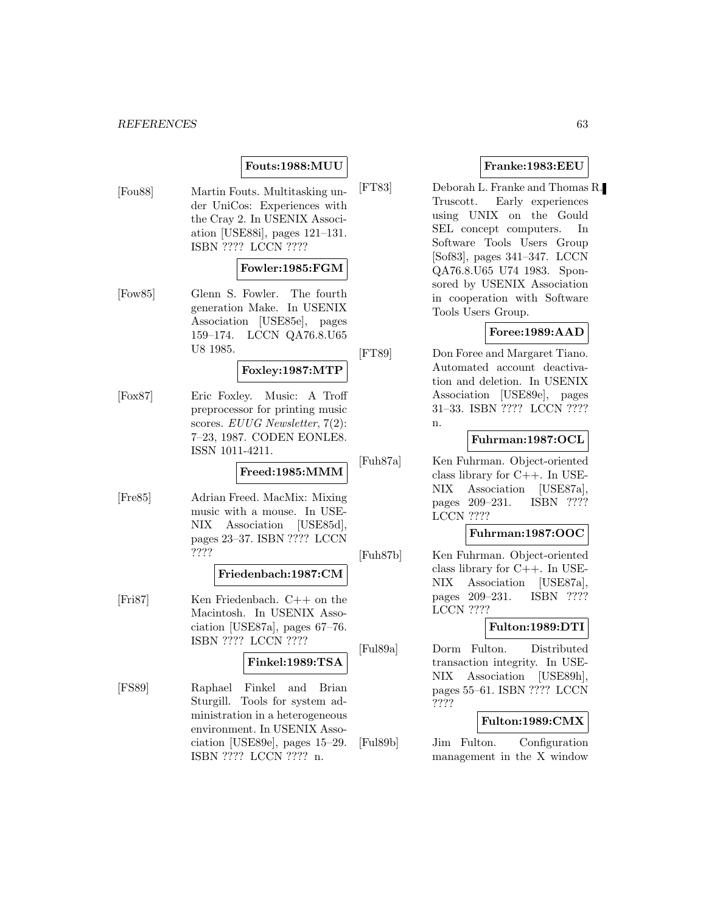# **Fouts:1988:MUU**

[Fou88] Martin Fouts. Multitasking under UniCos: Experiences with the Cray 2. In USENIX Association [USE88i], pages 121–131. ISBN ???? LCCN ????

### **Fowler:1985:FGM**

[Fow85] Glenn S. Fowler. The fourth generation Make. In USENIX Association [USE85e], pages 159–174. LCCN QA76.8.U65 U8 1985.

# **Foxley:1987:MTP**

[Fox87] Eric Foxley. Music: A Troff preprocessor for printing music scores. EUUG Newsletter, 7(2): 7–23, 1987. CODEN EONLE8. ISSN 1011-4211.

# **Freed:1985:MMM**

[Fre85] Adrian Freed. MacMix: Mixing music with a mouse. In USE-NIX Association [USE85d], pages 23–37. ISBN ???? LCCN ????

## **Friedenbach:1987:CM**

[Fri87] Ken Friedenbach. C++ on the Macintosh. In USENIX Association [USE87a], pages 67–76. ISBN ???? LCCN ????

#### **Finkel:1989:TSA**

[FS89] Raphael Finkel and Brian Sturgill. Tools for system administration in a heterogeneous environment. In USENIX Association [USE89e], pages 15–29. ISBN ???? LCCN ???? n.

# **Franke:1983:EEU**

[FT83] Deborah L. Franke and Thomas R. Truscott. Early experiences using UNIX on the Gould SEL concept computers. In Software Tools Users Group [Sof83], pages 341–347. LCCN QA76.8.U65 U74 1983. Sponsored by USENIX Association in cooperation with Software Tools Users Group.

# **Foree:1989:AAD**

[FT89] Don Foree and Margaret Tiano. Automated account deactivation and deletion. In USENIX Association [USE89e], pages 31–33. ISBN ???? LCCN ???? n.

## **Fuhrman:1987:OCL**

[Fuh87a] Ken Fuhrman. Object-oriented class library for C++. In USE-NIX Association [USE87a], pages 209–231. ISBN ???? LCCN ????

## **Fuhrman:1987:OOC**

[Fuh87b] Ken Fuhrman. Object-oriented class library for C++. In USE-NIX Association [USE87a], pages 209–231. ISBN ???? LCCN ????

# **Fulton:1989:DTI**

[Ful89a] Dorm Fulton. Distributed transaction integrity. In USE-NIX Association [USE89h], pages 55–61. ISBN ???? LCCN ????

# **Fulton:1989:CMX**

[Ful89b] Jim Fulton. Configuration management in the X window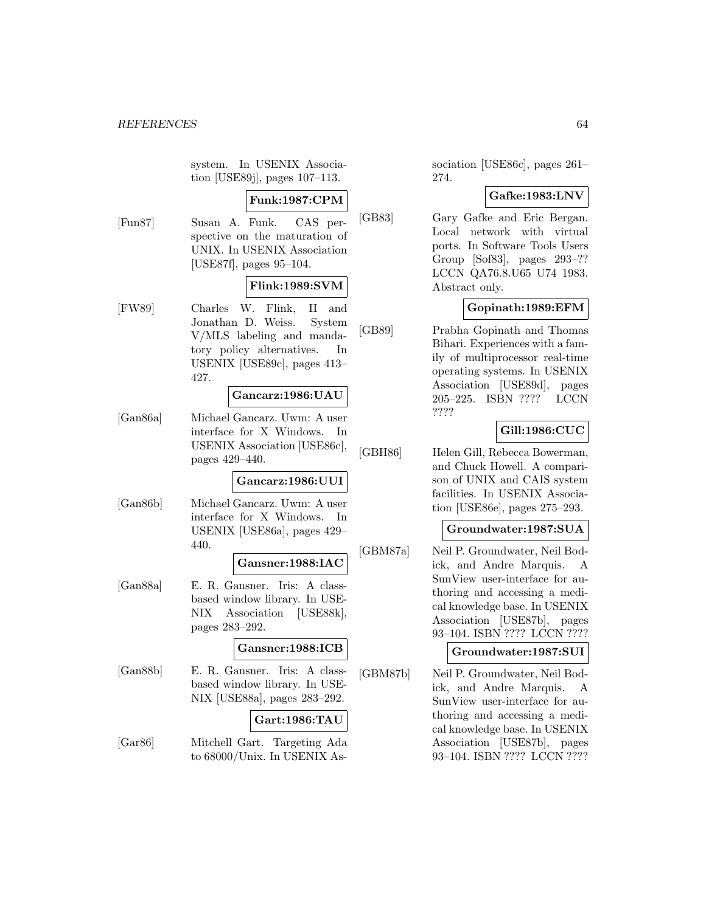system. In USENIX Association [USE89j], pages 107–113.

# **Funk:1987:CPM**

[Fun87] Susan A. Funk. CAS perspective on the maturation of UNIX. In USENIX Association [USE87f], pages 95–104.

# **Flink:1989:SVM**

[FW89] Charles W. Flink, II and Jonathan D. Weiss. System V/MLS labeling and mandatory policy alternatives. In USENIX [USE89c], pages 413– 427.

#### **Gancarz:1986:UAU**

[Gan86a] Michael Gancarz. Uwm: A user interface for X Windows. In USENIX Association [USE86c], pages 429–440.

#### **Gancarz:1986:UUI**

[Gan86b] Michael Gancarz. Uwm: A user interface for X Windows. In USENIX [USE86a], pages 429– 440.

# **Gansner:1988:IAC**

[Gan88a] E. R. Gansner. Iris: A classbased window library. In USE-NIX Association [USE88k], pages 283–292.

### **Gansner:1988:ICB**

[Gan88b] E. R. Gansner. Iris: A classbased window library. In USE-NIX [USE88a], pages 283–292.

#### **Gart:1986:TAU**

[Gar86] Mitchell Gart. Targeting Ada to 68000/Unix. In USENIX Association [USE86c], pages 261– 274.

# **Gafke:1983:LNV**

[GB83] Gary Gafke and Eric Bergan. Local network with virtual ports. In Software Tools Users Group [Sof83], pages 293–?? LCCN QA76.8.U65 U74 1983. Abstract only.

# **Gopinath:1989:EFM**

[GB89] Prabha Gopinath and Thomas Bihari. Experiences with a family of multiprocessor real-time operating systems. In USENIX Association [USE89d], pages 205–225. ISBN ???? LCCN ????

# **Gill:1986:CUC**

[GBH86] Helen Gill, Rebecca Bowerman, and Chuck Howell. A comparison of UNIX and CAIS system facilities. In USENIX Association [USE86e], pages 275–293.

### **Groundwater:1987:SUA**

[GBM87a] Neil P. Groundwater, Neil Bodick, and Andre Marquis. A SunView user-interface for authoring and accessing a medical knowledge base. In USENIX Association [USE87b], pages 93–104. ISBN ???? LCCN ????

#### **Groundwater:1987:SUI**

[GBM87b] Neil P. Groundwater, Neil Bodick, and Andre Marquis. A SunView user-interface for authoring and accessing a medical knowledge base. In USENIX Association [USE87b], pages 93–104. ISBN ???? LCCN ????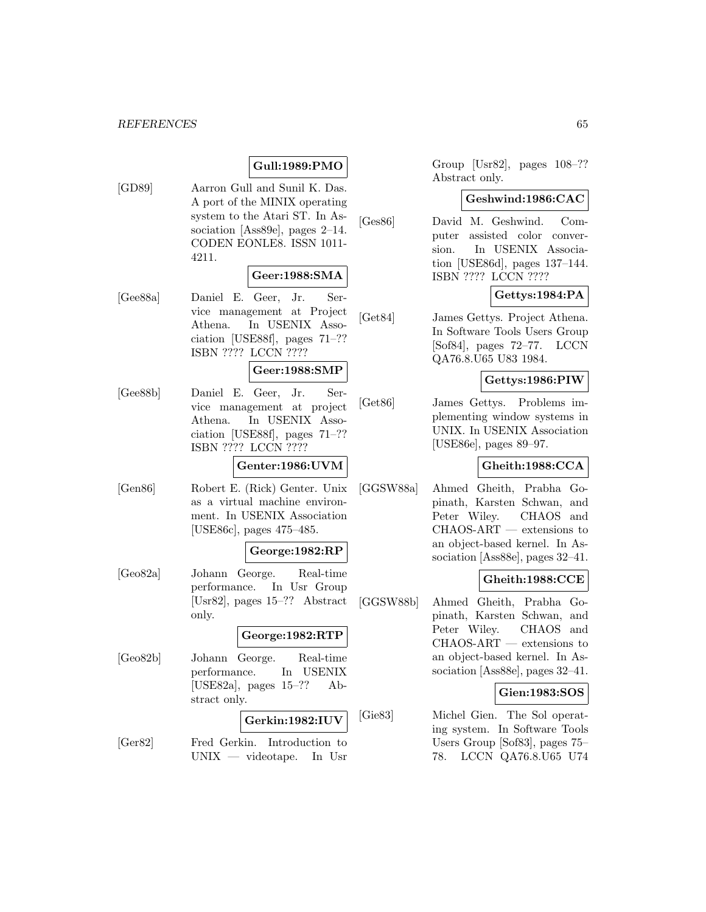# **Gull:1989:PMO**

[GD89] Aarron Gull and Sunil K. Das. A port of the MINIX operating system to the Atari ST. In Association [Ass89e], pages 2–14. CODEN EONLE8. ISSN 1011- 4211.

### **Geer:1988:SMA**

[Gee88a] Daniel E. Geer, Jr. Service management at Project Athena. In USENIX Association [USE88f], pages 71–?? ISBN ???? LCCN ????

### **Geer:1988:SMP**

[Gee88b] Daniel E. Geer, Jr. Service management at project Athena. In USENIX Association [USE88f], pages 71–?? ISBN ???? LCCN ????

## **Genter:1986:UVM**

[Gen86] Robert E. (Rick) Genter. Unix as a virtual machine environment. In USENIX Association [USE86c], pages 475–485.

## **George:1982:RP**

[Geo82a] Johann George. Real-time performance. In Usr Group [Usr82], pages 15–?? Abstract only.

## **George:1982:RTP**

[Geo82b] Johann George. Real-time performance. In USENIX [USE82a], pages 15–?? Abstract only.

# **Gerkin:1982:IUV**

[Ger82] Fred Gerkin. Introduction to UNIX — videotape. In Usr Group [Usr82], pages 108–?? Abstract only.

#### **Geshwind:1986:CAC**

[Ges86] David M. Geshwind. Computer assisted color conversion. In USENIX Association [USE86d], pages 137–144. ISBN ???? LCCN ????

# **Gettys:1984:PA**

[Get84] James Gettys. Project Athena. In Software Tools Users Group [Sof84], pages 72–77. LCCN QA76.8.U65 U83 1984.

# **Gettys:1986:PIW**

[Get86] James Gettys. Problems implementing window systems in UNIX. In USENIX Association [USE86e], pages 89–97.

## **Gheith:1988:CCA**

[GGSW88a] Ahmed Gheith, Prabha Gopinath, Karsten Schwan, and Peter Wiley. CHAOS and CHAOS-ART — extensions to an object-based kernel. In Association [Ass88e], pages 32–41.

# **Gheith:1988:CCE**

[GGSW88b] Ahmed Gheith, Prabha Gopinath, Karsten Schwan, and Peter Wiley. CHAOS and CHAOS-ART — extensions to an object-based kernel. In Association [Ass88e], pages 32–41.

# **Gien:1983:SOS**

[Gie83] Michel Gien. The Sol operating system. In Software Tools Users Group [Sof83], pages 75– 78. LCCN QA76.8.U65 U74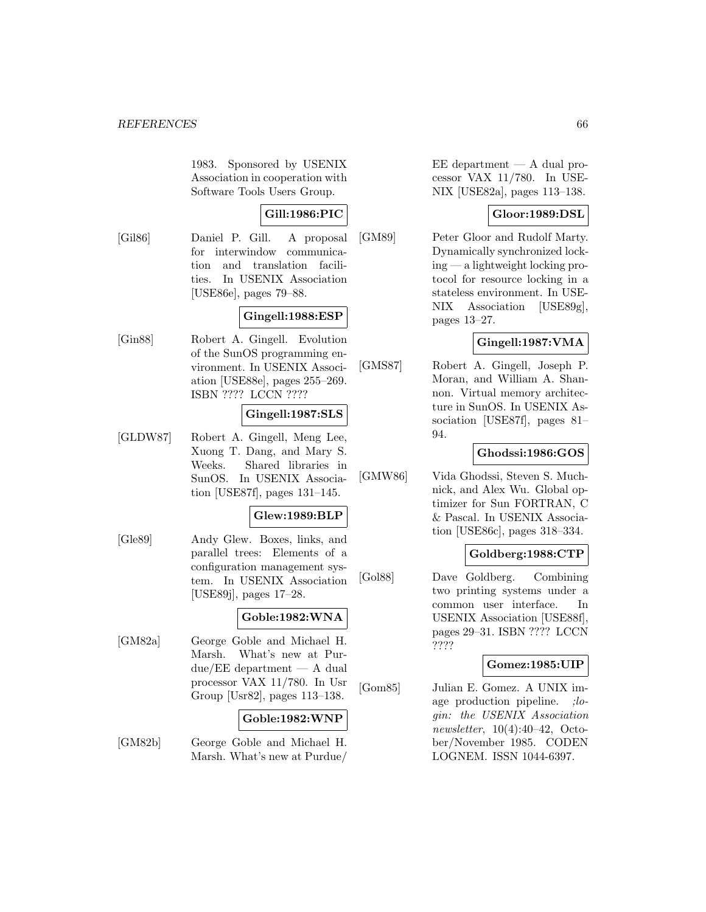1983. Sponsored by USENIX Association in cooperation with Software Tools Users Group.

# **Gill:1986:PIC**

[Gil86] Daniel P. Gill. A proposal for interwindow communication and translation facilities. In USENIX Association [USE86e], pages 79–88.

# **Gingell:1988:ESP**

[Gin88] Robert A. Gingell. Evolution of the SunOS programming environment. In USENIX Association [USE88e], pages 255–269. ISBN ???? LCCN ????

# **Gingell:1987:SLS**

[GLDW87] Robert A. Gingell, Meng Lee, Xuong T. Dang, and Mary S. Weeks. Shared libraries in SunOS. In USENIX Association [USE87f], pages 131–145.

# **Glew:1989:BLP**

[Gle89] Andy Glew. Boxes, links, and parallel trees: Elements of a configuration management system. In USENIX Association [USE89j], pages 17–28.

# **Goble:1982:WNA**

[GM82a] George Goble and Michael H. Marsh. What's new at Pur $due/EE$  department  $- A$  dual processor VAX 11/780. In Usr Group [Usr82], pages 113–138.

## **Goble:1982:WNP**

[GM82b] George Goble and Michael H. Marsh. What's new at Purdue/  $EE$  department  $-$  A dual processor VAX 11/780. In USE-NIX [USE82a], pages 113–138.

# **Gloor:1989:DSL**

[GM89] Peter Gloor and Rudolf Marty. Dynamically synchronized locking — a lightweight locking protocol for resource locking in a stateless environment. In USE-NIX Association [USE89g], pages 13–27.

# **Gingell:1987:VMA**

[GMS87] Robert A. Gingell, Joseph P. Moran, and William A. Shannon. Virtual memory architecture in SunOS. In USENIX Association [USE87f], pages 81– 94.

## **Ghodssi:1986:GOS**

[GMW86] Vida Ghodssi, Steven S. Muchnick, and Alex Wu. Global optimizer for Sun FORTRAN, C & Pascal. In USENIX Association [USE86c], pages 318–334.

# **Goldberg:1988:CTP**

[Gol88] Dave Goldberg. Combining two printing systems under a common user interface. In USENIX Association [USE88f], pages 29–31. ISBN ???? LCCN ????

# **Gomez:1985:UIP**

[Gom85] Julian E. Gomez. A UNIX image production pipeline. ;login: the USENIX Association newsletter, 10(4):40–42, October/November 1985. CODEN LOGNEM. ISSN 1044-6397.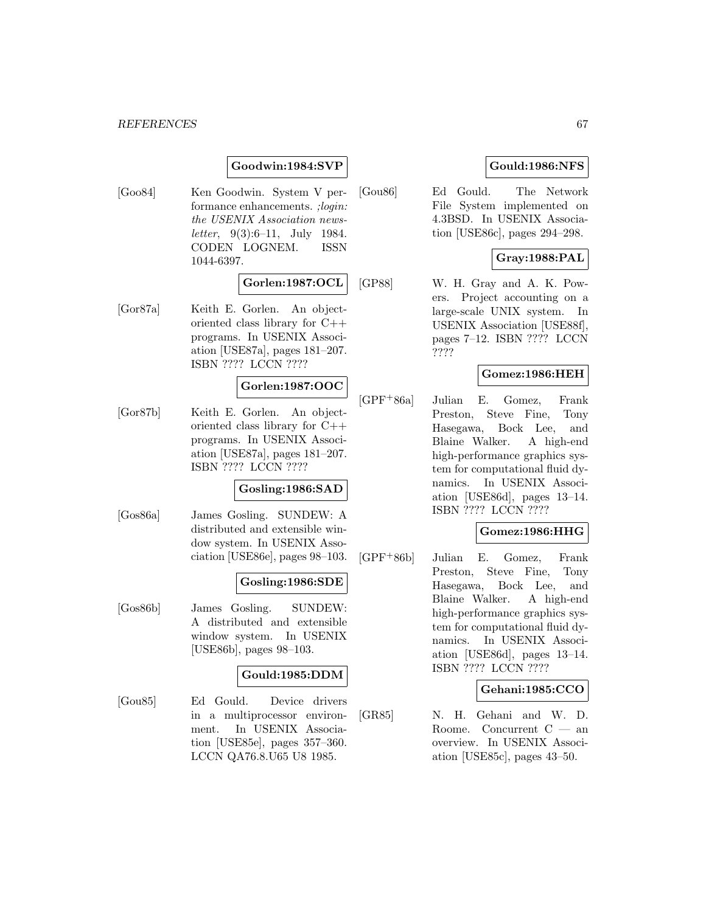# **Goodwin:1984:SVP**

[Goo84] Ken Goodwin. System V performance enhancements. ;login: the USENIX Association news*letter*, 9(3):6–11, July 1984. CODEN LOGNEM. ISSN 1044-6397.

# **Gorlen:1987:OCL**

[Gor87a] Keith E. Gorlen. An objectoriented class library for C++ programs. In USENIX Association [USE87a], pages 181–207. ISBN ???? LCCN ????

# **Gorlen:1987:OOC**

[Gor87b] Keith E. Gorlen. An objectoriented class library for C++ programs. In USENIX Association [USE87a], pages 181–207. ISBN ???? LCCN ????

## **Gosling:1986:SAD**

[Gos86a] James Gosling. SUNDEW: A distributed and extensible window system. In USENIX Association [USE86e], pages 98–103.

# **Gosling:1986:SDE**

[Gos86b] James Gosling. SUNDEW: A distributed and extensible window system. In USENIX [USE86b], pages 98–103.

## **Gould:1985:DDM**

[Gou85] Ed Gould. Device drivers in a multiprocessor environment. In USENIX Association [USE85e], pages 357–360. LCCN QA76.8.U65 U8 1985.

# **Gould:1986:NFS**

[Gou86] Ed Gould. The Network File System implemented on 4.3BSD. In USENIX Association [USE86c], pages 294–298.

# **Gray:1988:PAL**

[GP88] W. H. Gray and A. K. Powers. Project accounting on a large-scale UNIX system. In USENIX Association [USE88f], pages 7–12. ISBN ???? LCCN ????

# **Gomez:1986:HEH**

[GPF<sup>+</sup>86a] Julian E. Gomez, Frank Preston, Steve Fine, Tony Hasegawa, Bock Lee, and Blaine Walker. A high-end high-performance graphics system for computational fluid dynamics. In USENIX Association [USE86d], pages 13–14. ISBN ???? LCCN ????

# **Gomez:1986:HHG**

[GPF<sup>+</sup>86b] Julian E. Gomez, Frank Preston, Steve Fine, Tony Hasegawa, Bock Lee, and Blaine Walker. A high-end high-performance graphics system for computational fluid dynamics. In USENIX Association [USE86d], pages 13–14. ISBN ???? LCCN ????

## **Gehani:1985:CCO**

[GR85] N. H. Gehani and W. D. Roome. Concurrent C — an overview. In USENIX Association [USE85c], pages 43–50.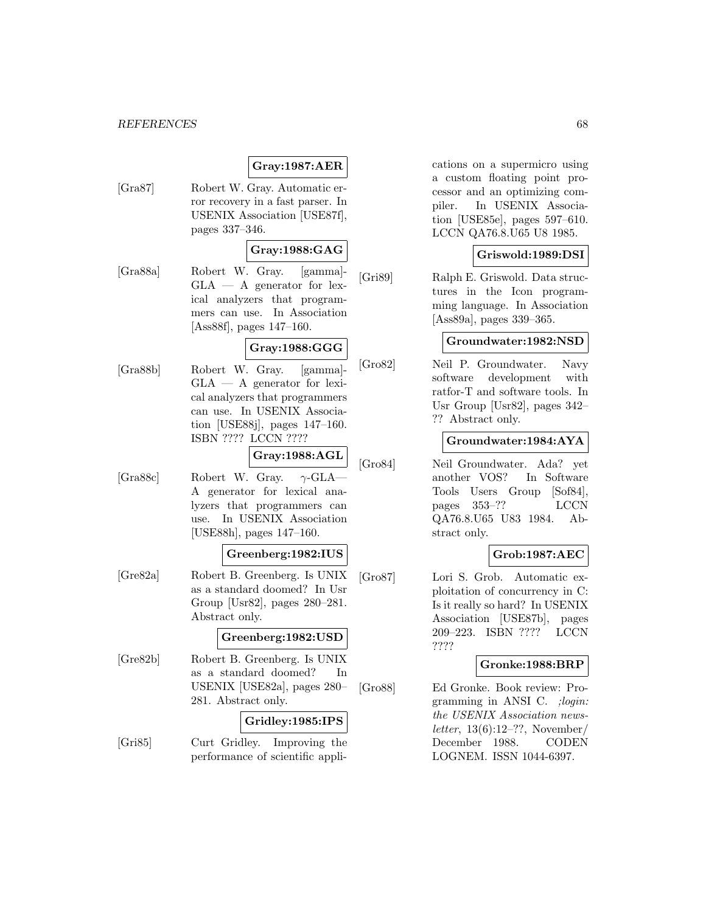# **Gray:1987:AER**

[Gra87] Robert W. Gray. Automatic error recovery in a fast parser. In USENIX Association [USE87f], pages 337–346.

# **Gray:1988:GAG**

[Gra88a] Robert W. Gray. [gamma]-  $GLA - A$  generator for lexical analyzers that programmers can use. In Association [Ass88f], pages 147–160.

# **Gray:1988:GGG**

[Gra88b] Robert W. Gray. [gamma]- GLA — A generator for lexical analyzers that programmers can use. In USENIX Association [USE88j], pages 147–160. ISBN ???? LCCN ????

#### **Gray:1988:AGL**

[Gra88c] Robert W. Gray.  $\gamma$ -GLA-A generator for lexical analyzers that programmers can use. In USENIX Association [USE88h], pages 147–160.

## **Greenberg:1982:IUS**

[Gre82a] Robert B. Greenberg. Is UNIX as a standard doomed? In Usr Group [Usr82], pages 280–281. Abstract only.

## **Greenberg:1982:USD**

[Gre82b] Robert B. Greenberg. Is UNIX as a standard doomed? In USENIX [USE82a], pages 280– 281. Abstract only.

### **Gridley:1985:IPS**

[Gri85] Curt Gridley. Improving the performance of scientific applications on a supermicro using a custom floating point processor and an optimizing compiler. In USENIX Association [USE85e], pages 597–610. LCCN QA76.8.U65 U8 1985.

## **Griswold:1989:DSI**

[Gri89] Ralph E. Griswold. Data structures in the Icon programming language. In Association [Ass89a], pages 339–365.

# **Groundwater:1982:NSD**

[Gro82] Neil P. Groundwater. Navy software development with ratfor-T and software tools. In Usr Group [Usr82], pages 342– ?? Abstract only.

### **Groundwater:1984:AYA**

[Gro84] Neil Groundwater. Ada? yet another VOS? In Software Tools Users Group [Sof84], pages 353–?? LCCN QA76.8.U65 U83 1984. Abstract only.

# **Grob:1987:AEC**

[Gro87] Lori S. Grob. Automatic exploitation of concurrency in C: Is it really so hard? In USENIX Association [USE87b], pages 209–223. ISBN ???? LCCN ????

# **Gronke:1988:BRP**

[Gro88] Ed Gronke. Book review: Programming in ANSI C. ;login: the USENIX Association newsletter, 13(6):12–??, November/ December 1988. CODEN LOGNEM. ISSN 1044-6397.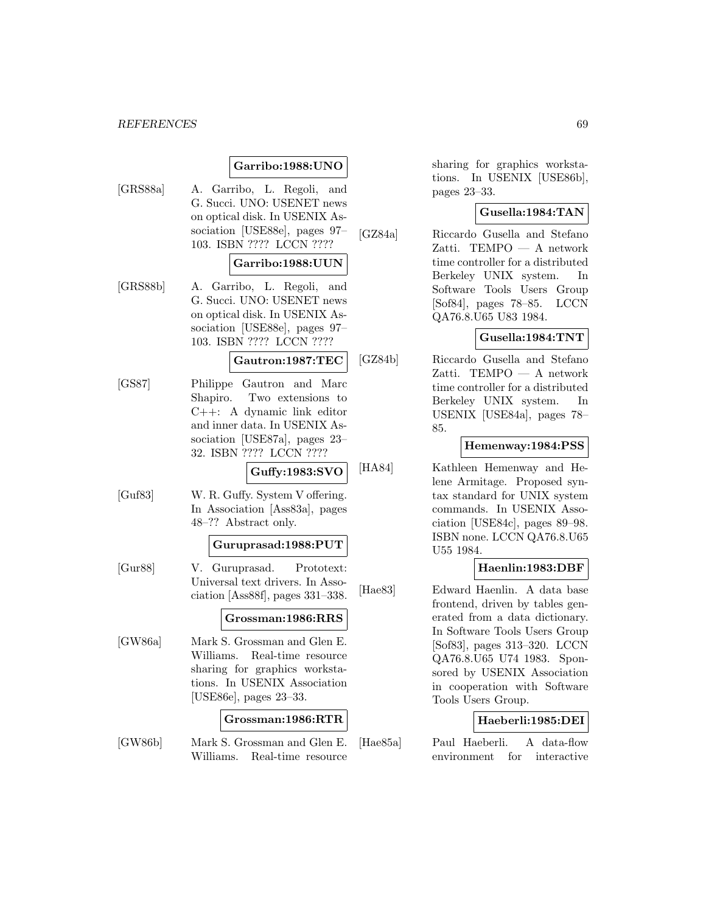# **Garribo:1988:UNO**

[GRS88a] A. Garribo, L. Regoli, and G. Succi. UNO: USENET news on optical disk. In USENIX Association [USE88e], pages 97– 103. ISBN ???? LCCN ????

#### **Garribo:1988:UUN**

[GRS88b] A. Garribo, L. Regoli, and G. Succi. UNO: USENET news on optical disk. In USENIX Association [USE88e], pages 97– 103. ISBN ???? LCCN ????

#### **Gautron:1987:TEC**

[GS87] Philippe Gautron and Marc Shapiro. Two extensions to C++: A dynamic link editor and inner data. In USENIX Association [USE87a], pages 23– 32. ISBN ???? LCCN ????

### **Guffy:1983:SVO**

[Guf83] W. R. Guffy. System V offering. In Association [Ass83a], pages 48–?? Abstract only.

#### **Guruprasad:1988:PUT**

[Gur88] V. Guruprasad. Prototext: Universal text drivers. In Association [Ass88f], pages 331–338.

#### **Grossman:1986:RRS**

[GW86a] Mark S. Grossman and Glen E. Williams. Real-time resource sharing for graphics workstations. In USENIX Association [USE86e], pages 23–33.

#### **Grossman:1986:RTR**

[GW86b] Mark S. Grossman and Glen E. Williams. Real-time resource

sharing for graphics workstations. In USENIX [USE86b], pages 23–33.

# **Gusella:1984:TAN**

[GZ84a] Riccardo Gusella and Stefano Zatti. TEMPO — A network time controller for a distributed Berkeley UNIX system. In Software Tools Users Group [Sof84], pages 78–85. LCCN QA76.8.U65 U83 1984.

## **Gusella:1984:TNT**

[GZ84b] Riccardo Gusella and Stefano Zatti. TEMPO — A network time controller for a distributed Berkeley UNIX system. In USENIX [USE84a], pages 78– 85.

### **Hemenway:1984:PSS**

[HA84] Kathleen Hemenway and Helene Armitage. Proposed syntax standard for UNIX system commands. In USENIX Association [USE84c], pages 89–98. ISBN none. LCCN QA76.8.U65 U55 1984.

## **Haenlin:1983:DBF**

[Hae83] Edward Haenlin. A data base frontend, driven by tables generated from a data dictionary. In Software Tools Users Group [Sof83], pages 313–320. LCCN QA76.8.U65 U74 1983. Sponsored by USENIX Association in cooperation with Software Tools Users Group.

# **Haeberli:1985:DEI**

[Hae85a] Paul Haeberli. A data-flow environment for interactive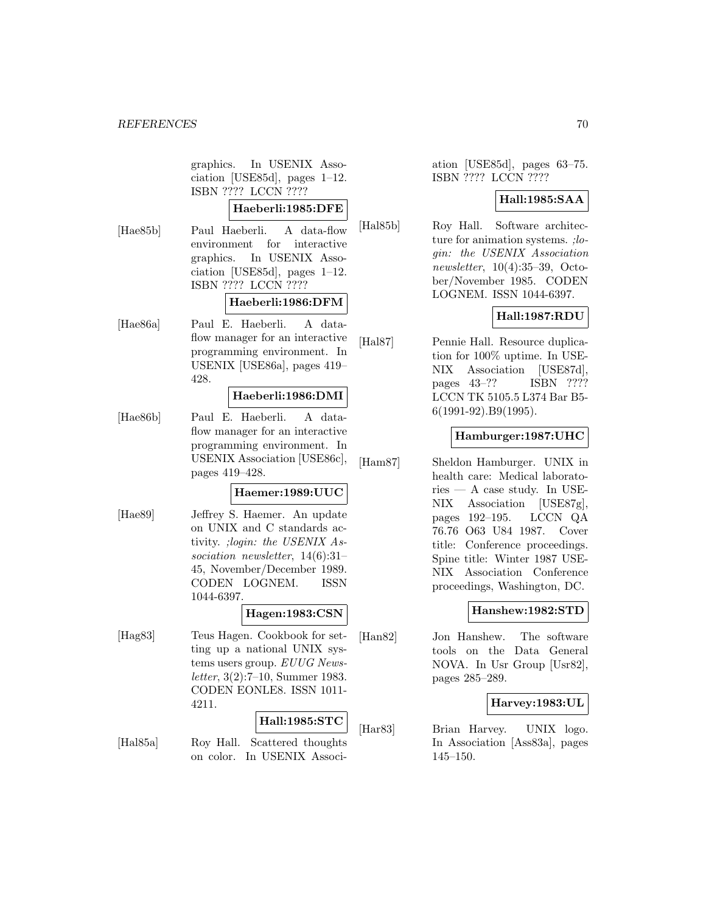graphics. In USENIX Association [USE85d], pages 1–12. ISBN ???? LCCN ????

# **Haeberli:1985:DFE**

[Hae85b] Paul Haeberli. A data-flow environment for interactive graphics. In USENIX Association [USE85d], pages 1–12. ISBN ???? LCCN ????

# **Haeberli:1986:DFM**

[Hae86a] Paul E. Haeberli. A dataflow manager for an interactive programming environment. In USENIX [USE86a], pages 419– 428.

### **Haeberli:1986:DMI**

[Hae86b] Paul E. Haeberli. A dataflow manager for an interactive programming environment. In USENIX Association [USE86c], pages 419–428.

# **Haemer:1989:UUC**

[Hae89] Jeffrey S. Haemer. An update on UNIX and C standards activity. ;login: the USENIX Association newsletter, 14(6):31– 45, November/December 1989. CODEN LOGNEM. ISSN 1044-6397.

### **Hagen:1983:CSN**

[Hag83] Teus Hagen. Cookbook for setting up a national UNIX systems users group. EUUG Newsletter, 3(2):7–10, Summer 1983. CODEN EONLE8. ISSN 1011- 4211.

#### **Hall:1985:STC**

[Hal85a] Roy Hall. Scattered thoughts on color. In USENIX Associ-

ation [USE85d], pages 63–75. ISBN ???? LCCN ????

## **Hall:1985:SAA**

[Hal85b] Roy Hall. Software architecture for animation systems. ; login: the USENIX Association newsletter, 10(4):35–39, October/November 1985. CODEN LOGNEM. ISSN 1044-6397.

# **Hall:1987:RDU**

[Hal87] Pennie Hall. Resource duplication for 100% uptime. In USE-NIX Association [USE87d], pages 43–?? ISBN ???? LCCN TK 5105.5 L374 Bar B5- 6(1991-92).B9(1995).

## **Hamburger:1987:UHC**

[Ham87] Sheldon Hamburger. UNIX in health care: Medical laborato $ries - A case study. In USE-$ NIX Association [USE87g], pages 192–195. LCCN QA 76.76 O63 U84 1987. Cover title: Conference proceedings. Spine title: Winter 1987 USE-NIX Association Conference proceedings, Washington, DC.

# **Hanshew:1982:STD**

[Han82] Jon Hanshew. The software tools on the Data General NOVA. In Usr Group [Usr82], pages 285–289.

# **Harvey:1983:UL**

[Har83] Brian Harvey. UNIX logo. In Association [Ass83a], pages 145–150.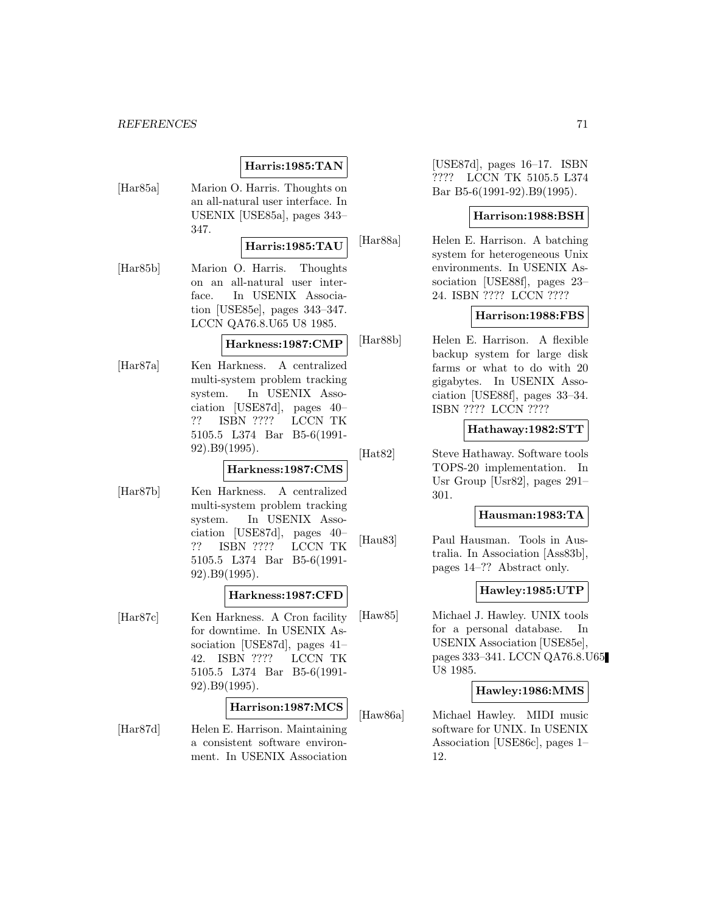# **Harris:1985:TAN**

[Har85a] Marion O. Harris. Thoughts on an all-natural user interface. In USENIX [USE85a], pages 343– 347.

### **Harris:1985:TAU**

[Har85b] Marion O. Harris. Thoughts on an all-natural user interface. In USENIX Association [USE85e], pages 343–347. LCCN QA76.8.U65 U8 1985.

**Harkness:1987:CMP**

[Har87a] Ken Harkness. A centralized multi-system problem tracking system. In USENIX Association [USE87d], pages 40– ?? ISBN ???? LCCN TK 5105.5 L374 Bar B5-6(1991- 92).B9(1995).

#### **Harkness:1987:CMS**

[Har87b] Ken Harkness. A centralized multi-system problem tracking system. In USENIX Association [USE87d], pages 40– ?? ISBN ???? LCCN TK 5105.5 L374 Bar B5-6(1991- 92).B9(1995).

## **Harkness:1987:CFD**

[Har87c] Ken Harkness. A Cron facility for downtime. In USENIX Association [USE87d], pages 41– 42. ISBN ???? LCCN TK 5105.5 L374 Bar B5-6(1991- 92).B9(1995).

# **Harrison:1987:MCS**

[Har87d] Helen E. Harrison. Maintaining a consistent software environment. In USENIX Association

[USE87d], pages 16–17. ISBN ???? LCCN TK 5105.5 L374 Bar B5-6(1991-92).B9(1995).

## **Harrison:1988:BSH**

[Har88a] Helen E. Harrison. A batching system for heterogeneous Unix environments. In USENIX Association [USE88f], pages 23– 24. ISBN ???? LCCN ????

# **Harrison:1988:FBS**

[Har88b] Helen E. Harrison. A flexible backup system for large disk farms or what to do with 20 gigabytes. In USENIX Association [USE88f], pages 33–34. ISBN ???? LCCN ????

### **Hathaway:1982:STT**

[Hat82] Steve Hathaway. Software tools TOPS-20 implementation. In Usr Group [Usr82], pages 291– 301.

### **Hausman:1983:TA**

[Hau83] Paul Hausman. Tools in Australia. In Association [Ass83b], pages 14–?? Abstract only.

## **Hawley:1985:UTP**

[Haw85] Michael J. Hawley. UNIX tools for a personal database. In USENIX Association [USE85e], pages 333–341. LCCN QA76.8.U65 U8 1985.

## **Hawley:1986:MMS**

[Haw86a] Michael Hawley. MIDI music software for UNIX. In USENIX Association [USE86c], pages 1– 12.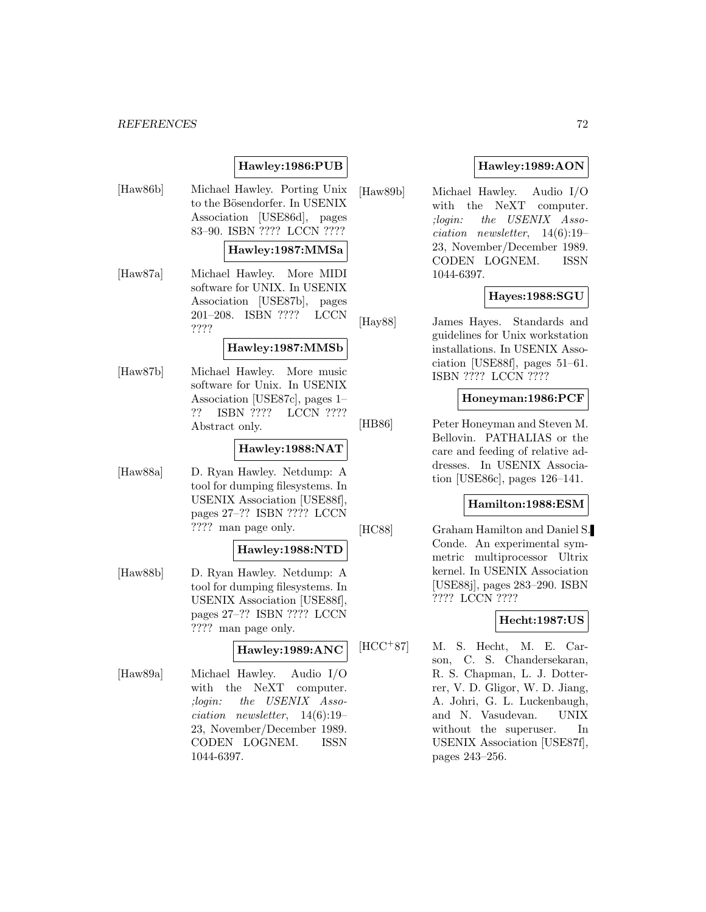# **Hawley:1986:PUB**

[Haw86b] Michael Hawley. Porting Unix to the Bösendorfer. In USENIX Association [USE86d], pages 83–90. ISBN ???? LCCN ????

### **Hawley:1987:MMSa**

[Haw87a] Michael Hawley. More MIDI software for UNIX. In USENIX Association [USE87b], pages 201–208. ISBN ???? LCCN ????

### **Hawley:1987:MMSb**

[Haw87b] Michael Hawley. More music software for Unix. In USENIX Association [USE87c], pages 1– ?? ISBN ???? LCCN ???? Abstract only.

### **Hawley:1988:NAT**

[Haw88a] D. Ryan Hawley. Netdump: A tool for dumping filesystems. In USENIX Association [USE88f], pages 27–?? ISBN ???? LCCN ???? man page only.

# **Hawley:1988:NTD**

[Haw88b] D. Ryan Hawley. Netdump: A tool for dumping filesystems. In USENIX Association [USE88f], pages 27–?? ISBN ???? LCCN ???? man page only.

#### **Hawley:1989:ANC**

[Haw89a] Michael Hawley. Audio I/O with the NeXT computer. ;login: the USENIX Association newsletter, 14(6):19– 23, November/December 1989. CODEN LOGNEM. ISSN 1044-6397.

# **Hawley:1989:AON**

[Haw89b] Michael Hawley. Audio I/O with the NeXT computer. ;login: the USENIX Association newsletter, 14(6):19– 23, November/December 1989. CODEN LOGNEM. ISSN 1044-6397.

## **Hayes:1988:SGU**

[Hay88] James Hayes. Standards and guidelines for Unix workstation installations. In USENIX Association [USE88f], pages 51–61. ISBN ???? LCCN ????

### **Honeyman:1986:PCF**

[HB86] Peter Honeyman and Steven M. Bellovin. PATHALIAS or the care and feeding of relative addresses. In USENIX Association [USE86c], pages 126–141.

## **Hamilton:1988:ESM**

[HC88] Graham Hamilton and Daniel S. Conde. An experimental symmetric multiprocessor Ultrix kernel. In USENIX Association [USE88j], pages 283–290. ISBN ???? LCCN ????

#### **Hecht:1987:US**

[HCC<sup>+</sup>87] M. S. Hecht, M. E. Carson, C. S. Chandersekaran, R. S. Chapman, L. J. Dotterrer, V. D. Gligor, W. D. Jiang, A. Johri, G. L. Luckenbaugh, and N. Vasudevan. UNIX without the superuser. In USENIX Association [USE87f], pages 243–256.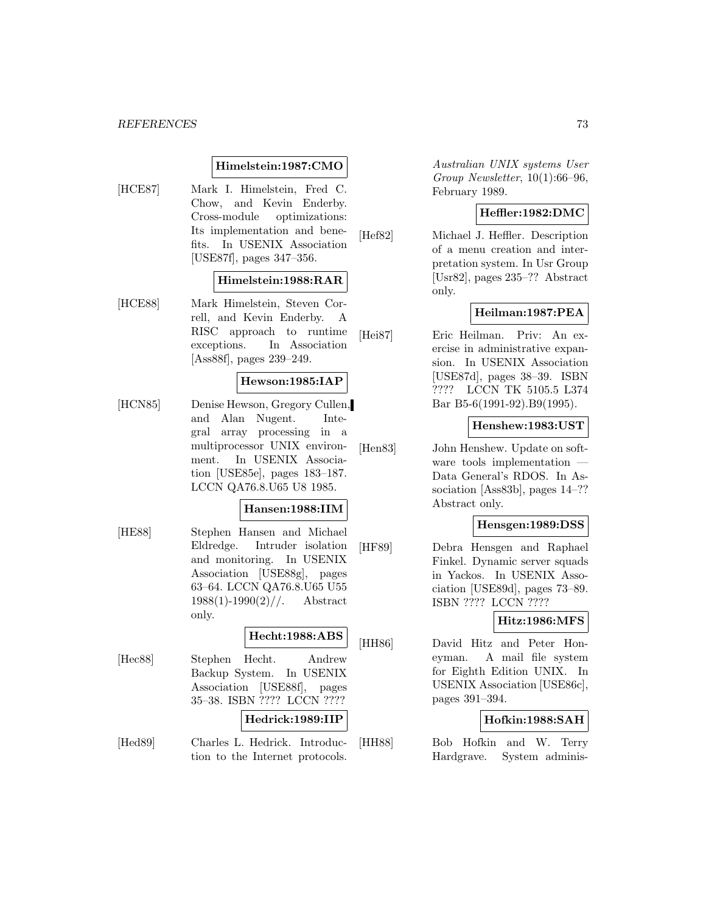## **Himelstein:1987:CMO**

[HCE87] Mark I. Himelstein, Fred C. Chow, and Kevin Enderby. Cross-module optimizations: Its implementation and benefits. In USENIX Association [USE87f], pages 347–356.

## **Himelstein:1988:RAR**

[HCE88] Mark Himelstein, Steven Correll, and Kevin Enderby. A RISC approach to runtime exceptions. In Association [Ass88f], pages 239–249.

## **Hewson:1985:IAP**

[HCN85] Denise Hewson, Gregory Cullen, and Alan Nugent. Integral array processing in a multiprocessor UNIX environment. In USENIX Association [USE85e], pages 183–187. LCCN QA76.8.U65 U8 1985.

#### **Hansen:1988:IIM**

[HE88] Stephen Hansen and Michael Eldredge. Intruder isolation and monitoring. In USENIX Association [USE88g], pages 63–64. LCCN QA76.8.U65 U55  $1988(1)$ -1990 $(2)$ //. Abstract only.

## **Hecht:1988:ABS**

[Hec88] Stephen Hecht. Andrew Backup System. In USENIX Association [USE88f], pages 35–38. ISBN ???? LCCN ????

## **Hedrick:1989:IIP**

[Hed89] Charles L. Hedrick. Introduction to the Internet protocols.

Australian UNIX systems User Group Newsletter, 10(1):66–96, February 1989.

## **Heffler:1982:DMC**

[Hef82] Michael J. Heffler. Description of a menu creation and interpretation system. In Usr Group [Usr82], pages 235–?? Abstract only.

## **Heilman:1987:PEA**

[Hei87] Eric Heilman. Priv: An exercise in administrative expansion. In USENIX Association [USE87d], pages 38–39. ISBN ???? LCCN TK 5105.5 L374 Bar B5-6(1991-92).B9(1995).

#### **Henshew:1983:UST**

[Hen83] John Henshew. Update on software tools implementation Data General's RDOS. In Association [Ass83b], pages 14–?? Abstract only.

### **Hensgen:1989:DSS**

[HF89] Debra Hensgen and Raphael Finkel. Dynamic server squads in Yackos. In USENIX Association [USE89d], pages 73–89. ISBN ???? LCCN ????

## **Hitz:1986:MFS**

[HH86] David Hitz and Peter Honeyman. A mail file system for Eighth Edition UNIX. In USENIX Association [USE86c], pages 391–394.

## **Hofkin:1988:SAH**

[HH88] Bob Hofkin and W. Terry Hardgrave. System adminis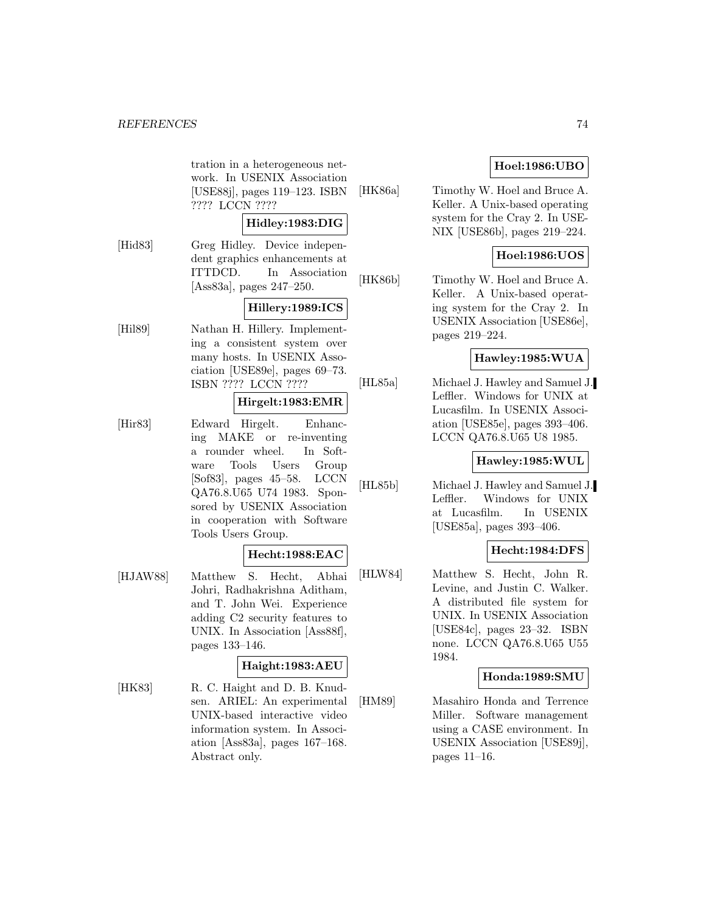tration in a heterogeneous network. In USENIX Association [USE88j], pages 119–123. ISBN ???? LCCN ????

## **Hidley:1983:DIG**

[Hid83] Greg Hidley. Device independent graphics enhancements at ITTDCD. In Association [Ass83a], pages 247–250.

## **Hillery:1989:ICS**

[Hil89] Nathan H. Hillery. Implementing a consistent system over many hosts. In USENIX Association [USE89e], pages 69–73. ISBN ???? LCCN ????

### **Hirgelt:1983:EMR**

[Hir83] Edward Hirgelt. Enhancing MAKE or re-inventing a rounder wheel. In Software Tools Users Group [Sof83], pages 45–58. LCCN QA76.8.U65 U74 1983. Sponsored by USENIX Association in cooperation with Software Tools Users Group.

## **Hecht:1988:EAC**

[HJAW88] Matthew S. Hecht, Abhai Johri, Radhakrishna Aditham, and T. John Wei. Experience adding C2 security features to UNIX. In Association [Ass88f], pages 133–146.

## **Haight:1983:AEU**

[HK83] R. C. Haight and D. B. Knudsen. ARIEL: An experimental UNIX-based interactive video information system. In Association [Ass83a], pages 167–168. Abstract only.

## **Hoel:1986:UBO**

[HK86a] Timothy W. Hoel and Bruce A. Keller. A Unix-based operating system for the Cray 2. In USE-NIX [USE86b], pages 219–224.

## **Hoel:1986:UOS**

[HK86b] Timothy W. Hoel and Bruce A. Keller. A Unix-based operating system for the Cray 2. In USENIX Association [USE86e], pages 219–224.

## **Hawley:1985:WUA**

[HL85a] Michael J. Hawley and Samuel J. Leffler. Windows for UNIX at Lucasfilm. In USENIX Association [USE85e], pages 393–406. LCCN QA76.8.U65 U8 1985.

## **Hawley:1985:WUL**

[HL85b] Michael J. Hawley and Samuel J. Leffler. Windows for UNIX at Lucasfilm. In USENIX [USE85a], pages 393–406.

## **Hecht:1984:DFS**

[HLW84] Matthew S. Hecht, John R. Levine, and Justin C. Walker. A distributed file system for UNIX. In USENIX Association [USE84c], pages 23–32. ISBN none. LCCN QA76.8.U65 U55 1984.

## **Honda:1989:SMU**

[HM89] Masahiro Honda and Terrence Miller. Software management using a CASE environment. In USENIX Association [USE89j], pages 11–16.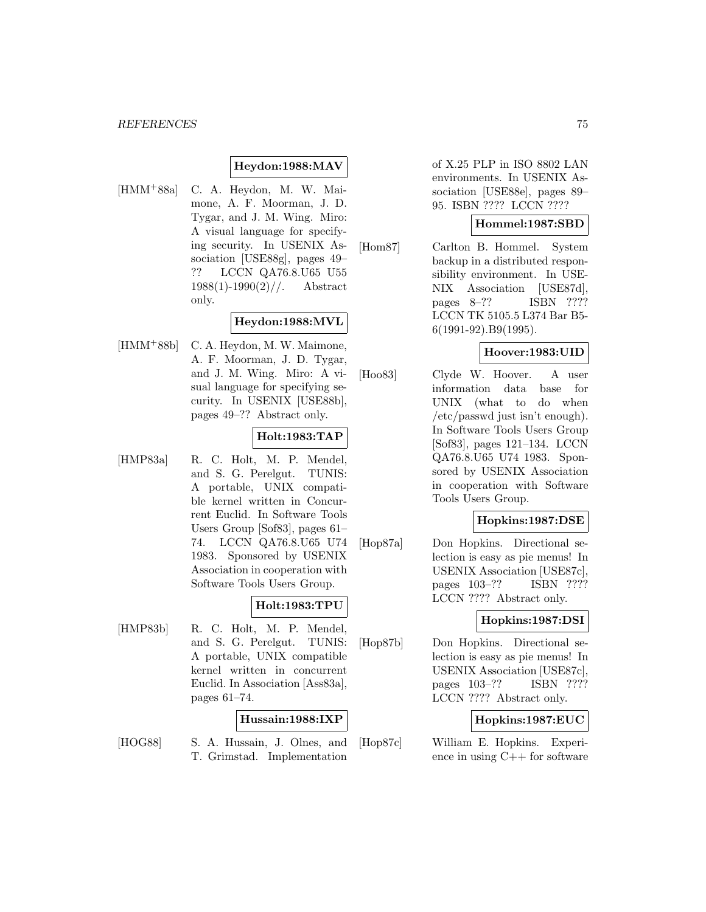## **Heydon:1988:MAV**

[HMM<sup>+</sup>88a] C. A. Heydon, M. W. Maimone, A. F. Moorman, J. D. Tygar, and J. M. Wing. Miro: A visual language for specifying security. In USENIX Association [USE88g], pages 49– ?? LCCN QA76.8.U65 U55  $1988(1)$ -1990 $(2)$ //. Abstract only.

## **Heydon:1988:MVL**

[HMM<sup>+</sup>88b] C. A. Heydon, M. W. Maimone, A. F. Moorman, J. D. Tygar, and J. M. Wing. Miro: A visual language for specifying security. In USENIX [USE88b], pages 49–?? Abstract only.

## **Holt:1983:TAP**

[HMP83a] R. C. Holt, M. P. Mendel, and S. G. Perelgut. TUNIS: A portable, UNIX compatible kernel written in Concurrent Euclid. In Software Tools Users Group [Sof83], pages 61– 74. LCCN QA76.8.U65 U74 1983. Sponsored by USENIX Association in cooperation with Software Tools Users Group.

## **Holt:1983:TPU**

[HMP83b] R. C. Holt, M. P. Mendel, and S. G. Perelgut. TUNIS: A portable, UNIX compatible kernel written in concurrent Euclid. In Association [Ass83a], pages 61–74.

## **Hussain:1988:IXP**

[HOG88] S. A. Hussain, J. Olnes, and T. Grimstad. Implementation

of X.25 PLP in ISO 8802 LAN environments. In USENIX Association [USE88e], pages 89– 95. ISBN ???? LCCN ????

### **Hommel:1987:SBD**

[Hom87] Carlton B. Hommel. System backup in a distributed responsibility environment. In USE-NIX Association [USE87d], pages 8–?? ISBN ???? LCCN TK 5105.5 L374 Bar B5- 6(1991-92).B9(1995).

## **Hoover:1983:UID**

[Hoo83] Clyde W. Hoover. A user information data base for UNIX (what to do when /etc/passwd just isn't enough). In Software Tools Users Group [Sof83], pages 121–134. LCCN QA76.8.U65 U74 1983. Sponsored by USENIX Association in cooperation with Software Tools Users Group.

## **Hopkins:1987:DSE**

[Hop87a] Don Hopkins. Directional selection is easy as pie menus! In USENIX Association [USE87c], pages 103–?? ISBN ???? LCCN ???? Abstract only.

## **Hopkins:1987:DSI**

[Hop87b] Don Hopkins. Directional selection is easy as pie menus! In USENIX Association [USE87c], pages 103–?? ISBN ???? LCCN ???? Abstract only.

## **Hopkins:1987:EUC**

[Hop87c] William E. Hopkins. Experience in using C++ for software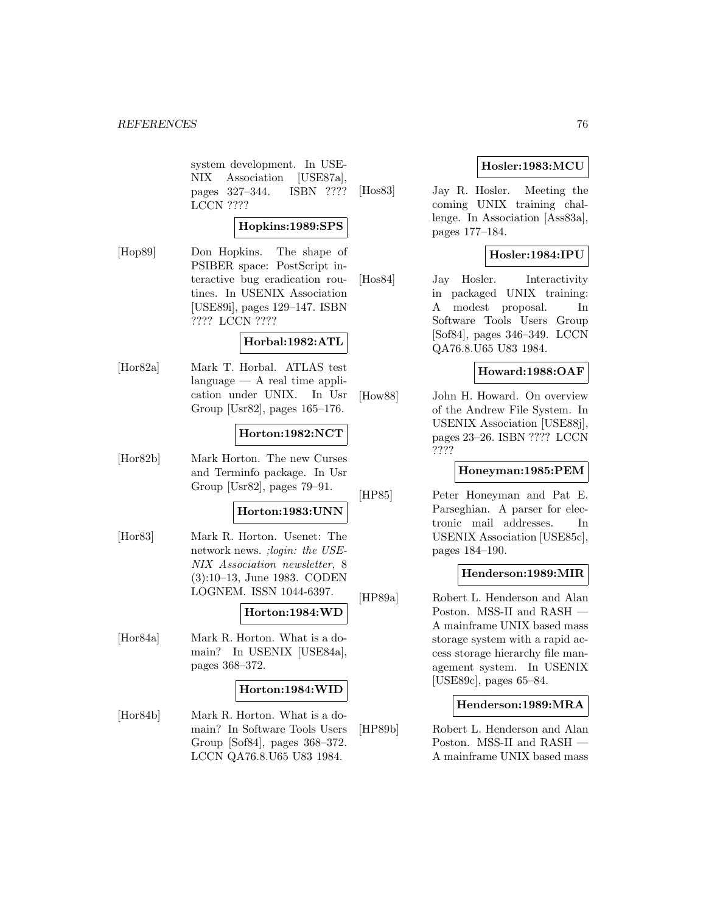system development. In USE-NIX Association [USE87a], pages 327–344. ISBN ???? LCCN ????

## **Hopkins:1989:SPS**

[Hop89] Don Hopkins. The shape of PSIBER space: PostScript interactive bug eradication routines. In USENIX Association [USE89i], pages 129–147. ISBN ???? LCCN ????

## **Horbal:1982:ATL**

[Hor82a] Mark T. Horbal. ATLAS test language — A real time application under UNIX. In Usr Group [Usr82], pages 165–176.

#### **Horton:1982:NCT**

[Hor82b] Mark Horton. The new Curses and Terminfo package. In Usr Group [Usr82], pages 79–91.

### **Horton:1983:UNN**

[Hor83] Mark R. Horton. Usenet: The network news. ;login: the USE-NIX Association newsletter, 8 (3):10–13, June 1983. CODEN LOGNEM. ISSN 1044-6397.

## **Horton:1984:WD**

[Hor84a] Mark R. Horton. What is a domain? In USENIX [USE84a], pages 368–372.

## **Horton:1984:WID**

[Hor84b] Mark R. Horton. What is a domain? In Software Tools Users Group [Sof84], pages 368–372. LCCN QA76.8.U65 U83 1984.

## **Hosler:1983:MCU**

[Hos83] Jay R. Hosler. Meeting the coming UNIX training challenge. In Association [Ass83a], pages 177–184.

## **Hosler:1984:IPU**

[Hos84] Jay Hosler. Interactivity in packaged UNIX training: A modest proposal. In Software Tools Users Group [Sof84], pages 346–349. LCCN QA76.8.U65 U83 1984.

## **Howard:1988:OAF**

[How88] John H. Howard. On overview of the Andrew File System. In USENIX Association [USE88j], pages 23–26. ISBN ???? LCCN ????

## **Honeyman:1985:PEM**

[HP85] Peter Honeyman and Pat E. Parseghian. A parser for electronic mail addresses. In USENIX Association [USE85c], pages 184–190.

## **Henderson:1989:MIR**

[HP89a] Robert L. Henderson and Alan Poston. MSS-II and RASH — A mainframe UNIX based mass storage system with a rapid access storage hierarchy file management system. In USENIX [USE89c], pages 65–84.

## **Henderson:1989:MRA**

[HP89b] Robert L. Henderson and Alan Poston. MSS-II and RASH — A mainframe UNIX based mass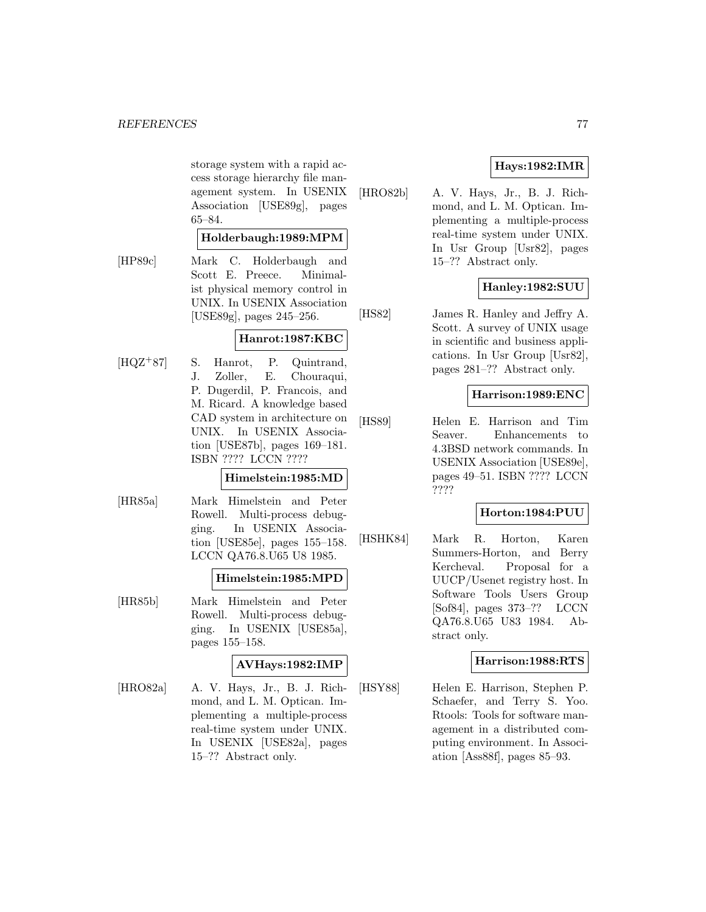storage system with a rapid access storage hierarchy file management system. In USENIX Association [USE89g], pages 65–84.

## **Holderbaugh:1989:MPM**

[HP89c] Mark C. Holderbaugh and Scott E. Preece. Minimalist physical memory control in UNIX. In USENIX Association [USE89g], pages 245–256.

## **Hanrot:1987:KBC**

[HQZ<sup>+</sup>87] S. Hanrot, P. Quintrand, J. Zoller, E. Chouraqui, P. Dugerdil, P. Francois, and M. Ricard. A knowledge based CAD system in architecture on UNIX. In USENIX Association [USE87b], pages 169–181. ISBN ???? LCCN ????

## **Himelstein:1985:MD**

[HR85a] Mark Himelstein and Peter Rowell. Multi-process debugging. In USENIX Association [USE85e], pages 155–158. LCCN QA76.8.U65 U8 1985.

## **Himelstein:1985:MPD**

[HR85b] Mark Himelstein and Peter Rowell. Multi-process debugging. In USENIX [USE85a], pages 155–158.

## **AVHays:1982:IMP**

[HRO82a] A. V. Hays, Jr., B. J. Richmond, and L. M. Optican. Implementing a multiple-process real-time system under UNIX. In USENIX [USE82a], pages 15–?? Abstract only.

## **Hays:1982:IMR**

[HRO82b] A. V. Hays, Jr., B. J. Richmond, and L. M. Optican. Implementing a multiple-process real-time system under UNIX. In Usr Group [Usr82], pages 15–?? Abstract only.

## **Hanley:1982:SUU**

[HS82] James R. Hanley and Jeffry A. Scott. A survey of UNIX usage in scientific and business applications. In Usr Group [Usr82], pages 281–?? Abstract only.

## **Harrison:1989:ENC**

[HS89] Helen E. Harrison and Tim Seaver. Enhancements to 4.3BSD network commands. In USENIX Association [USE89e], pages 49–51. ISBN ???? LCCN ????

## **Horton:1984:PUU**

[HSHK84] Mark R. Horton, Karen Summers-Horton, and Berry Kercheval. Proposal for a UUCP/Usenet registry host. In Software Tools Users Group [Sof84], pages 373–?? LCCN QA76.8.U65 U83 1984. Abstract only.

## **Harrison:1988:RTS**

[HSY88] Helen E. Harrison, Stephen P. Schaefer, and Terry S. Yoo. Rtools: Tools for software management in a distributed computing environment. In Association [Ass88f], pages 85–93.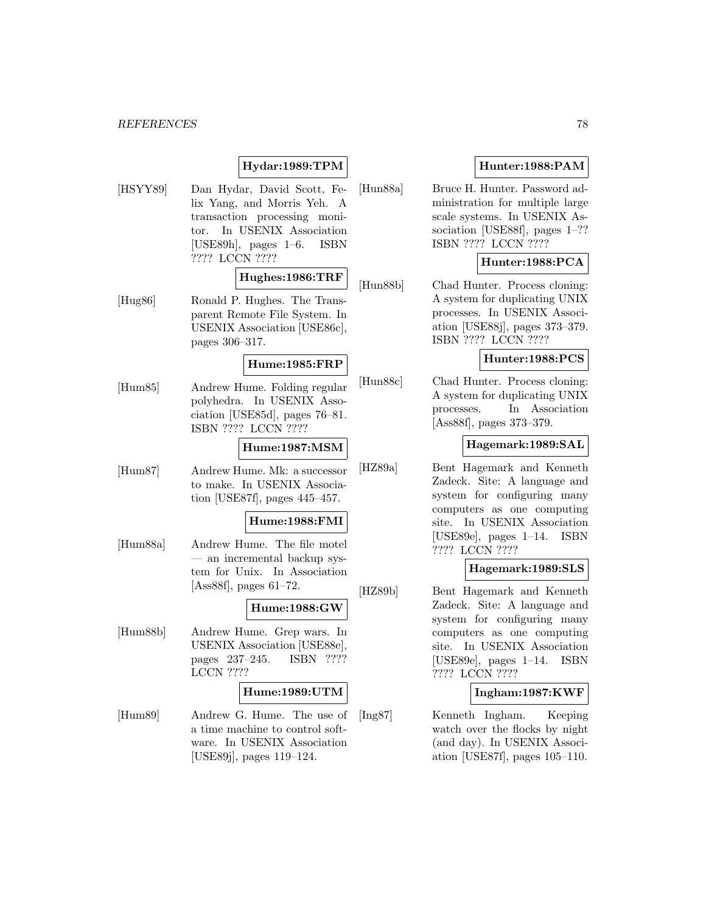## **Hydar:1989:TPM**

[HSYY89] Dan Hydar, David Scott, Felix Yang, and Morris Yeh. A transaction processing monitor. In USENIX Association [USE89h], pages 1–6. ISBN ???? LCCN ????

#### **Hughes:1986:TRF**

[Hug86] Ronald P. Hughes. The Transparent Remote File System. In USENIX Association [USE86c], pages 306–317.

## **Hume:1985:FRP**

[Hum85] Andrew Hume. Folding regular polyhedra. In USENIX Association [USE85d], pages 76–81. ISBN ???? LCCN ????

### **Hume:1987:MSM**

[Hum87] Andrew Hume. Mk: a successor to make. In USENIX Association [USE87f], pages 445–457.

#### **Hume:1988:FMI**

[Hum88a] Andrew Hume. The file motel — an incremental backup system for Unix. In Association [Ass88f], pages 61–72.

### **Hume:1988:GW**

[Hum88b] Andrew Hume. Grep wars. In USENIX Association [USE88e], pages 237–245. ISBN ???? LCCN ????

### **Hume:1989:UTM**

[Hum89] Andrew G. Hume. The use of a time machine to control software. In USENIX Association [USE89j], pages 119–124.

## **Hunter:1988:PAM**

[Hun88a] Bruce H. Hunter. Password administration for multiple large scale systems. In USENIX Association [USE88f], pages 1–?? ISBN ???? LCCN ????

## **Hunter:1988:PCA**

[Hun88b] Chad Hunter. Process cloning: A system for duplicating UNIX processes. In USENIX Association [USE88j], pages 373–379. ISBN ???? LCCN ????

### **Hunter:1988:PCS**

[Hun88c] Chad Hunter. Process cloning: A system for duplicating UNIX processes. In Association [Ass88f], pages 373–379.

#### **Hagemark:1989:SAL**

[HZ89a] Bent Hagemark and Kenneth Zadeck. Site: A language and system for configuring many computers as one computing site. In USENIX Association [USE89e], pages 1–14. ISBN ???? LCCN ????

## **Hagemark:1989:SLS**

[HZ89b] Bent Hagemark and Kenneth Zadeck. Site: A language and system for configuring many computers as one computing site. In USENIX Association [USE89e], pages 1–14. ISBN ???? LCCN ????

#### **Ingham:1987:KWF**

[Ing87] Kenneth Ingham. Keeping watch over the flocks by night (and day). In USENIX Association [USE87f], pages 105–110.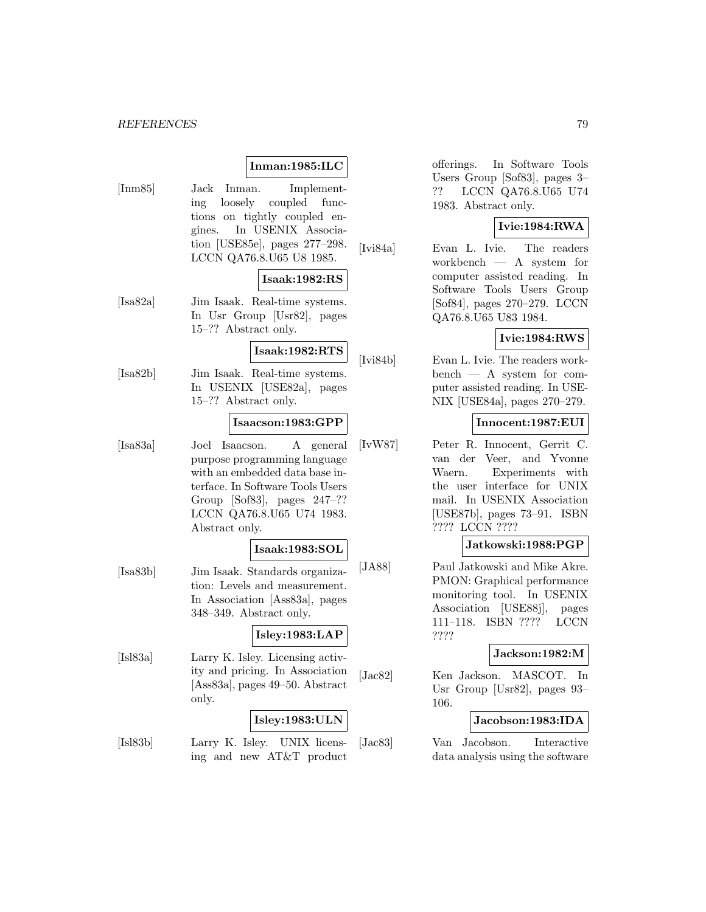## **Inman:1985:ILC**

[Inm85] Jack Inman. Implementing loosely coupled functions on tightly coupled engines. In USENIX Association [USE85e], pages 277–298. LCCN QA76.8.U65 U8 1985.

## **Isaak:1982:RS**

[Isa82a] Jim Isaak. Real-time systems. In Usr Group [Usr82], pages 15–?? Abstract only.

## **Isaak:1982:RTS**

[Isa82b] Jim Isaak. Real-time systems. In USENIX [USE82a], pages 15–?? Abstract only.

#### **Isaacson:1983:GPP**

[Isa83a] Joel Isaacson. A general purpose programming language with an embedded data base interface. In Software Tools Users Group [Sof83], pages 247–?? LCCN QA76.8.U65 U74 1983. Abstract only.

#### **Isaak:1983:SOL**

[Isa83b] Jim Isaak. Standards organization: Levels and measurement. In Association [Ass83a], pages 348–349. Abstract only.

## **Isley:1983:LAP**

[Isl83a] Larry K. Isley. Licensing activity and pricing. In Association [Ass83a], pages 49–50. Abstract only.

## **Isley:1983:ULN**

[Isl83b] Larry K. Isley. UNIX licensing and new AT&T product

offerings. In Software Tools Users Group [Sof83], pages 3– ?? LCCN QA76.8.U65 U74 1983. Abstract only.

## **Ivie:1984:RWA**

[Ivi84a] Evan L. Ivie. The readers workbench — A system for computer assisted reading. In Software Tools Users Group [Sof84], pages 270–279. LCCN QA76.8.U65 U83 1984.

## **Ivie:1984:RWS**

[Ivi84b] Evan L. Ivie. The readers workbench — A system for computer assisted reading. In USE-NIX [USE84a], pages 270–279.

## **Innocent:1987:EUI**

[IvW87] Peter R. Innocent, Gerrit C. van der Veer, and Yvonne Waern. Experiments with the user interface for UNIX mail. In USENIX Association [USE87b], pages 73–91. ISBN ???? LCCN ????

## **Jatkowski:1988:PGP**

[JA88] Paul Jatkowski and Mike Akre. PMON: Graphical performance monitoring tool. In USENIX Association [USE88j], pages 111–118. ISBN ???? LCCN ????

#### **Jackson:1982:M**

[Jac82] Ken Jackson. MASCOT. In Usr Group [Usr82], pages 93– 106.

## **Jacobson:1983:IDA**

[Jac83] Van Jacobson. Interactive data analysis using the software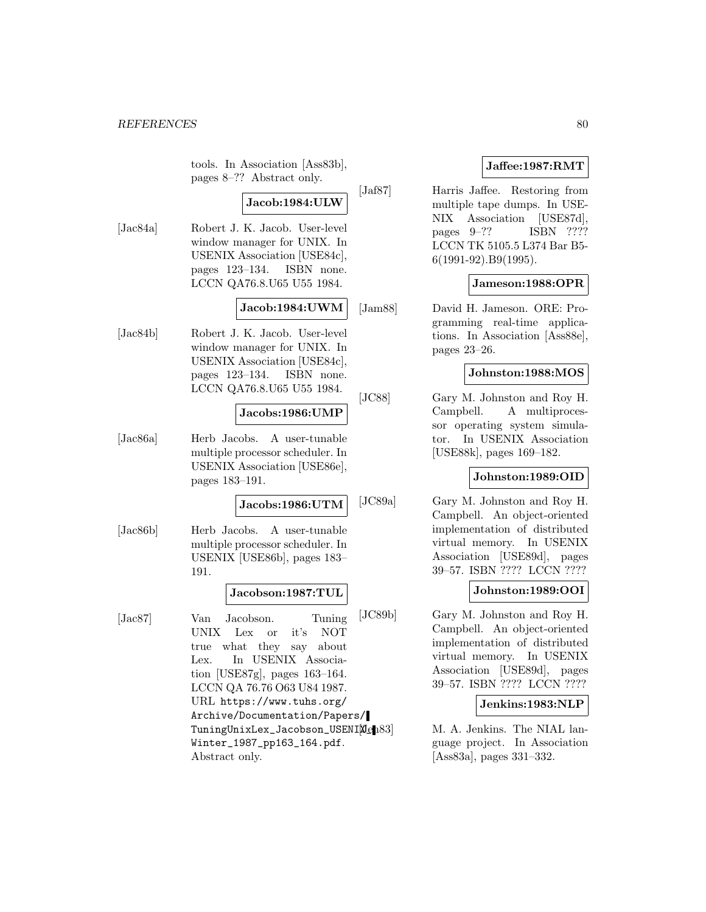tools. In Association [Ass83b], pages 8–?? Abstract only.

## **Jacob:1984:ULW**

[Jac84a] Robert J. K. Jacob. User-level window manager for UNIX. In USENIX Association [USE84c], pages 123–134. ISBN none. LCCN QA76.8.U65 U55 1984.

## **Jacob:1984:UWM**

[Jac84b] Robert J. K. Jacob. User-level window manager for UNIX. In USENIX Association [USE84c], pages 123–134. ISBN none. LCCN QA76.8.U65 U55 1984.

### **Jacobs:1986:UMP**

[Jac86a] Herb Jacobs. A user-tunable multiple processor scheduler. In USENIX Association [USE86e], pages 183–191.

### **Jacobs:1986:UTM**

[Jac86b] Herb Jacobs. A user-tunable multiple processor scheduler. In USENIX [USE86b], pages 183– 191.

## **Jacobson:1987:TUL**

[Jac87] Van Jacobson. Tuning UNIX Lex or it's NOT true what they say about Lex. In USENIX Association [USE87g], pages 163–164. LCCN QA 76.76 O63 U84 1987. URL https://www.tuhs.org/ Archive/Documentation/Papers/ TuningUnixLex\_Jacobson\_USENIXen83 Winter\_1987\_pp163\_164.pdf. Abstract only.

## **Jaffee:1987:RMT**

[Jaf87] Harris Jaffee. Restoring from multiple tape dumps. In USE-NIX Association [USE87d], pages 9–?? ISBN ???? LCCN TK 5105.5 L374 Bar B5- 6(1991-92).B9(1995).

## **Jameson:1988:OPR**

[Jam88] David H. Jameson. ORE: Programming real-time applications. In Association [Ass88e], pages 23–26.

### **Johnston:1988:MOS**

[JC88] Gary M. Johnston and Roy H. Campbell. A multiprocessor operating system simulator. In USENIX Association [USE88k], pages 169–182.

#### **Johnston:1989:OID**

[JC89a] Gary M. Johnston and Roy H. Campbell. An object-oriented implementation of distributed virtual memory. In USENIX Association [USE89d], pages 39–57. ISBN ???? LCCN ????

## **Johnston:1989:OOI**

[JC89b] Gary M. Johnston and Roy H. Campbell. An object-oriented implementation of distributed virtual memory. In USENIX Association [USE89d], pages 39–57. ISBN ???? LCCN ????

## **Jenkins:1983:NLP**

M. A. Jenkins. The NIAL language project. In Association [Ass83a], pages 331–332.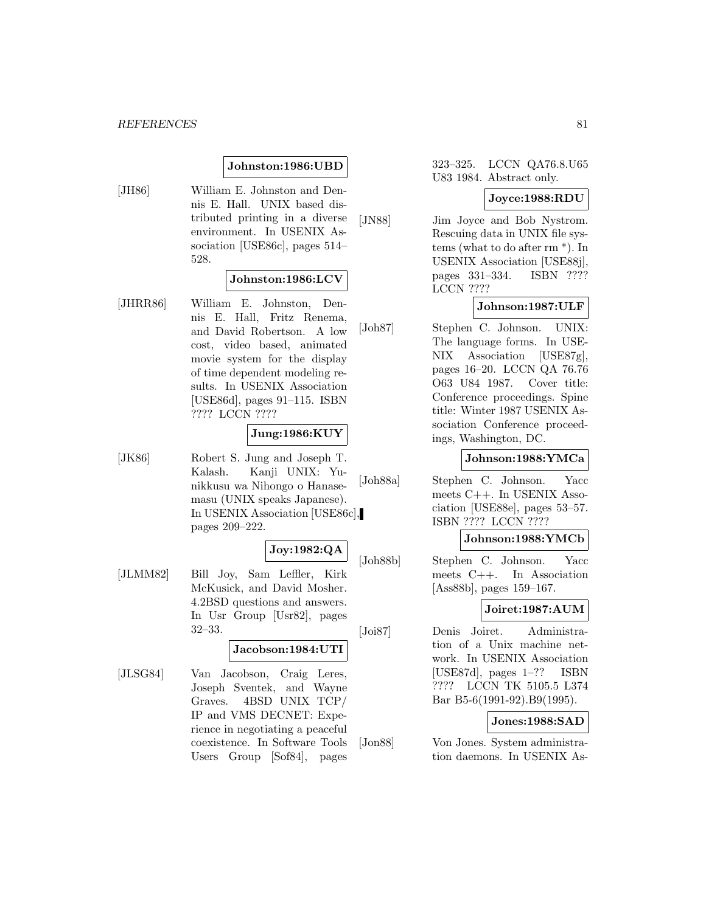## **Johnston:1986:UBD**

[JH86] William E. Johnston and Dennis E. Hall. UNIX based distributed printing in a diverse environment. In USENIX Association [USE86c], pages 514– 528.

### **Johnston:1986:LCV**

[JHRR86] William E. Johnston, Dennis E. Hall, Fritz Renema, and David Robertson. A low cost, video based, animated movie system for the display of time dependent modeling results. In USENIX Association [USE86d], pages 91–115. ISBN ???? LCCN ????

## **Jung:1986:KUY**

[JK86] Robert S. Jung and Joseph T. Kalash. Kanji UNIX: Yunikkusu wa Nihongo o Hanasemasu (UNIX speaks Japanese). In USENIX Association [USE86c], pages 209–222.

## **Joy:1982:QA**

[JLMM82] Bill Joy, Sam Leffler, Kirk McKusick, and David Mosher. 4.2BSD questions and answers. In Usr Group [Usr82], pages 32–33.

## **Jacobson:1984:UTI**

[JLSG84] Van Jacobson, Craig Leres, Joseph Sventek, and Wayne Graves. 4BSD UNIX TCP/ IP and VMS DECNET: Experience in negotiating a peaceful coexistence. In Software Tools Users Group [Sof84], pages

323–325. LCCN QA76.8.U65 U83 1984. Abstract only.

#### **Joyce:1988:RDU**

[JN88] Jim Joyce and Bob Nystrom. Rescuing data in UNIX file systems (what to do after rm \*). In USENIX Association [USE88j], pages 331–334. ISBN ???? LCCN ????

## **Johnson:1987:ULF**

[Joh87] Stephen C. Johnson. UNIX: The language forms. In USE-NIX Association [USE87g], pages 16–20. LCCN QA 76.76 O63 U84 1987. Cover title: Conference proceedings. Spine title: Winter 1987 USENIX Association Conference proceedings, Washington, DC.

## **Johnson:1988:YMCa**

[Joh88a] Stephen C. Johnson. Yacc meets C++. In USENIX Association [USE88e], pages 53–57. ISBN ???? LCCN ????

### **Johnson:1988:YMCb**

[Joh88b] Stephen C. Johnson. Yacc meets C++. In Association [Ass88b], pages 159–167.

## **Joiret:1987:AUM**

[Joi87] Denis Joiret. Administration of a Unix machine network. In USENIX Association [USE87d], pages 1–?? ISBN ???? LCCN TK 5105.5 L374 Bar B5-6(1991-92).B9(1995).

## **Jones:1988:SAD**

[Jon88] Von Jones. System administration daemons. In USENIX As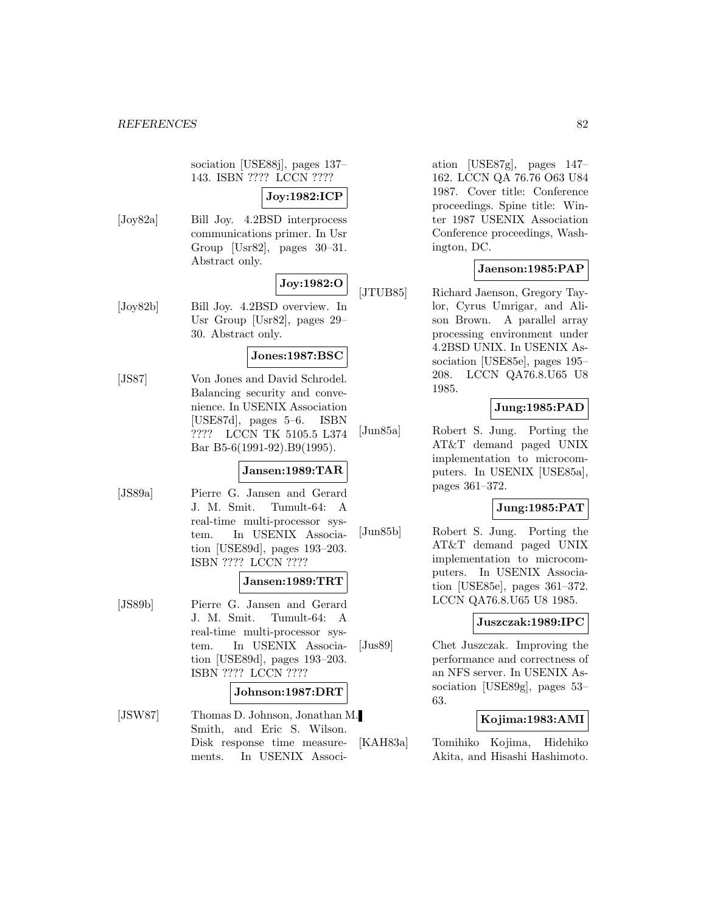sociation [USE88j], pages 137– 143. ISBN ???? LCCN ????

## **Joy:1982:ICP**

[Joy82a] Bill Joy. 4.2BSD interprocess communications primer. In Usr Group [Usr82], pages 30–31. Abstract only.

## **Joy:1982:O**

[Joy82b] Bill Joy. 4.2BSD overview. In Usr Group [Usr82], pages 29– 30. Abstract only.

## **Jones:1987:BSC**

[JS87] Von Jones and David Schrodel. Balancing security and convenience. In USENIX Association [USE87d], pages 5–6. ISBN ???? LCCN TK 5105.5 L374 Bar B5-6(1991-92).B9(1995).

## **Jansen:1989:TAR**

[JS89a] Pierre G. Jansen and Gerard J. M. Smit. Tumult-64: A real-time multi-processor system. In USENIX Association [USE89d], pages 193–203. ISBN ???? LCCN ????

## **Jansen:1989:TRT**

[JS89b] Pierre G. Jansen and Gerard J. M. Smit. Tumult-64: A real-time multi-processor system. In USENIX Association [USE89d], pages 193–203. ISBN ???? LCCN ????

#### **Johnson:1987:DRT**

[JSW87] Thomas D. Johnson, Jonathan M. Smith, and Eric S. Wilson. Disk response time measurements. In USENIX Association [USE87g], pages 147– 162. LCCN QA 76.76 O63 U84 1987. Cover title: Conference proceedings. Spine title: Winter 1987 USENIX Association Conference proceedings, Washington, DC.

## **Jaenson:1985:PAP**

[JTUB85] Richard Jaenson, Gregory Taylor, Cyrus Umrigar, and Alison Brown. A parallel array processing environment under 4.2BSD UNIX. In USENIX Association [USE85e], pages 195– 208. LCCN QA76.8.U65 U8 1985.

## **Jung:1985:PAD**

[Jun85a] Robert S. Jung. Porting the AT&T demand paged UNIX implementation to microcomputers. In USENIX [USE85a], pages 361–372.

## **Jung:1985:PAT**

[Jun85b] Robert S. Jung. Porting the AT&T demand paged UNIX implementation to microcomputers. In USENIX Association [USE85e], pages 361–372. LCCN QA76.8.U65 U8 1985.

## **Juszczak:1989:IPC**

[Jus89] Chet Juszczak. Improving the performance and correctness of an NFS server. In USENIX Association [USE89g], pages 53– 63.

## **Kojima:1983:AMI**

[KAH83a] Tomihiko Kojima, Hidehiko Akita, and Hisashi Hashimoto.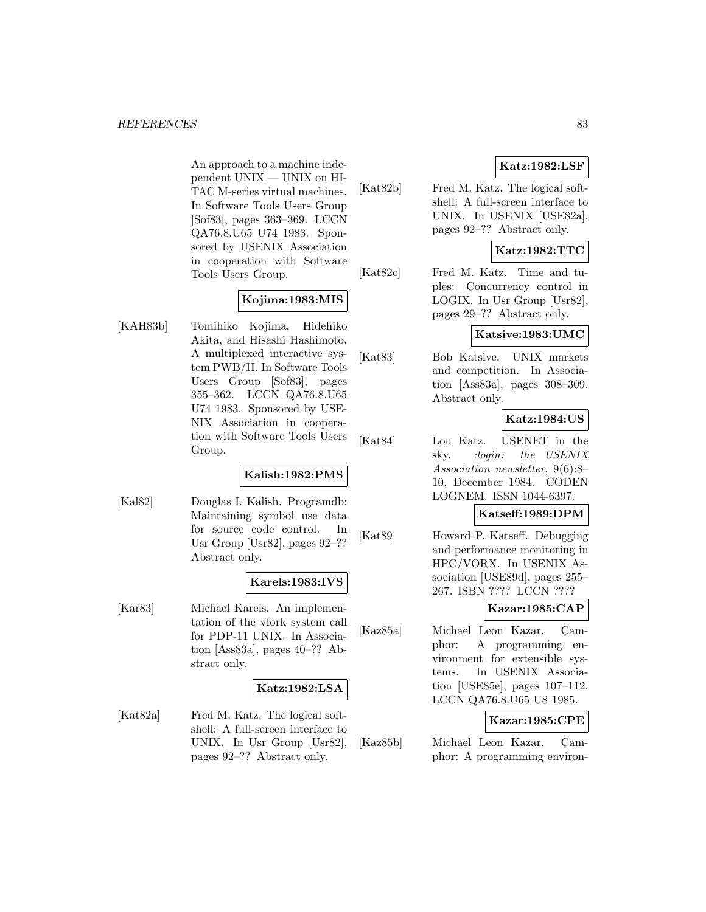An approach to a machine independent UNIX — UNIX on HI-TAC M-series virtual machines. In Software Tools Users Group [Sof83], pages 363–369. LCCN QA76.8.U65 U74 1983. Sponsored by USENIX Association in cooperation with Software Tools Users Group.

## **Kojima:1983:MIS**

[KAH83b] Tomihiko Kojima, Hidehiko Akita, and Hisashi Hashimoto. A multiplexed interactive system PWB/II. In Software Tools Users Group [Sof83], pages 355–362. LCCN QA76.8.U65 U74 1983. Sponsored by USE-NIX Association in cooperation with Software Tools Users Group.

## **Kalish:1982:PMS**

[Kal82] Douglas I. Kalish. Programdb: Maintaining symbol use data for source code control. In Usr Group [Usr82], pages 92–?? Abstract only.

## **Karels:1983:IVS**

[Kar83] Michael Karels. An implementation of the vfork system call for PDP-11 UNIX. In Association [Ass83a], pages 40–?? Abstract only.

## **Katz:1982:LSA**

[Kat82a] Fred M. Katz. The logical softshell: A full-screen interface to UNIX. In Usr Group [Usr82], pages 92–?? Abstract only.

[Kat82b] Fred M. Katz. The logical softshell: A full-screen interface to UNIX. In USENIX [USE82a], pages 92–?? Abstract only.

## **Katz:1982:TTC**

**Katz:1982:LSF**

[Kat82c] Fred M. Katz. Time and tuples: Concurrency control in LOGIX. In Usr Group [Usr82], pages 29–?? Abstract only.

## **Katsive:1983:UMC**

[Kat83] Bob Katsive. UNIX markets and competition. In Association [Ass83a], pages 308–309. Abstract only.

## **Katz:1984:US**

[Kat84] Lou Katz. USENET in the sky. ;login: the USENIX Association newsletter, 9(6):8– 10, December 1984. CODEN LOGNEM. ISSN 1044-6397.

## **Katseff:1989:DPM**

[Kat89] Howard P. Katseff. Debugging and performance monitoring in HPC/VORX. In USENIX Association [USE89d], pages 255– 267. ISBN ???? LCCN ????

## **Kazar:1985:CAP**

[Kaz85a] Michael Leon Kazar. Camphor: A programming environment for extensible systems. In USENIX Association [USE85e], pages 107–112. LCCN QA76.8.U65 U8 1985.

## **Kazar:1985:CPE**

[Kaz85b] Michael Leon Kazar. Camphor: A programming environ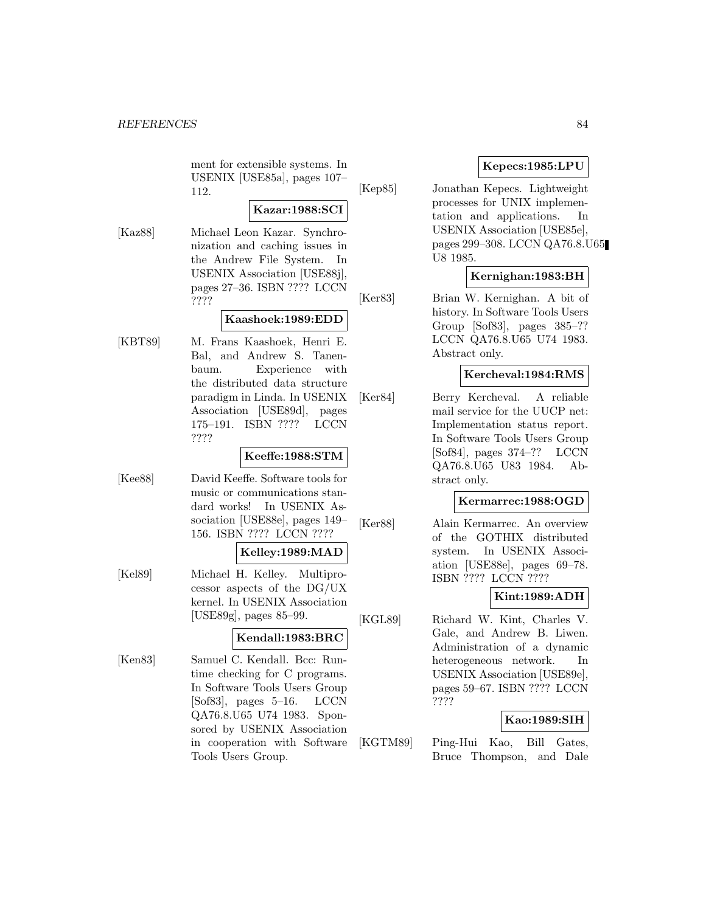ment for extensible systems. In USENIX [USE85a], pages 107– 112.

#### **Kazar:1988:SCI**

[Kaz88] Michael Leon Kazar. Synchronization and caching issues in the Andrew File System. In USENIX Association [USE88j], pages 27–36. ISBN ???? LCCN ????

## **Kaashoek:1989:EDD**

[KBT89] M. Frans Kaashoek, Henri E. Bal, and Andrew S. Tanenbaum. Experience with the distributed data structure paradigm in Linda. In USENIX Association [USE89d], pages 175–191. ISBN ???? LCCN ????

## **Keeffe:1988:STM**

[Kee88] David Keeffe. Software tools for music or communications standard works! In USENIX Association [USE88e], pages 149– 156. ISBN ???? LCCN ????

### **Kelley:1989:MAD**

[Kel89] Michael H. Kelley. Multiprocessor aspects of the DG/UX kernel. In USENIX Association [USE89g], pages 85–99.

## **Kendall:1983:BRC**

[Ken83] Samuel C. Kendall. Bcc: Runtime checking for C programs. In Software Tools Users Group [Sof83], pages 5–16. LCCN QA76.8.U65 U74 1983. Sponsored by USENIX Association in cooperation with Software Tools Users Group.

## **Kepecs:1985:LPU**

[Kep85] Jonathan Kepecs. Lightweight processes for UNIX implementation and applications. In USENIX Association [USE85e], pages 299–308. LCCN QA76.8.U65 U8 1985.

## **Kernighan:1983:BH**

[Ker83] Brian W. Kernighan. A bit of history. In Software Tools Users Group [Sof83], pages 385–?? LCCN QA76.8.U65 U74 1983. Abstract only.

#### **Kercheval:1984:RMS**

[Ker84] Berry Kercheval. A reliable mail service for the UUCP net: Implementation status report. In Software Tools Users Group [Sof84], pages 374–?? LCCN QA76.8.U65 U83 1984. Abstract only.

#### **Kermarrec:1988:OGD**

[Ker88] Alain Kermarrec. An overview of the GOTHIX distributed system. In USENIX Association [USE88e], pages 69–78. ISBN ???? LCCN ????

## **Kint:1989:ADH**

[KGL89] Richard W. Kint, Charles V. Gale, and Andrew B. Liwen. Administration of a dynamic heterogeneous network. In USENIX Association [USE89e], pages 59–67. ISBN ???? LCCN ????

## **Kao:1989:SIH**

[KGTM89] Ping-Hui Kao, Bill Gates, Bruce Thompson, and Dale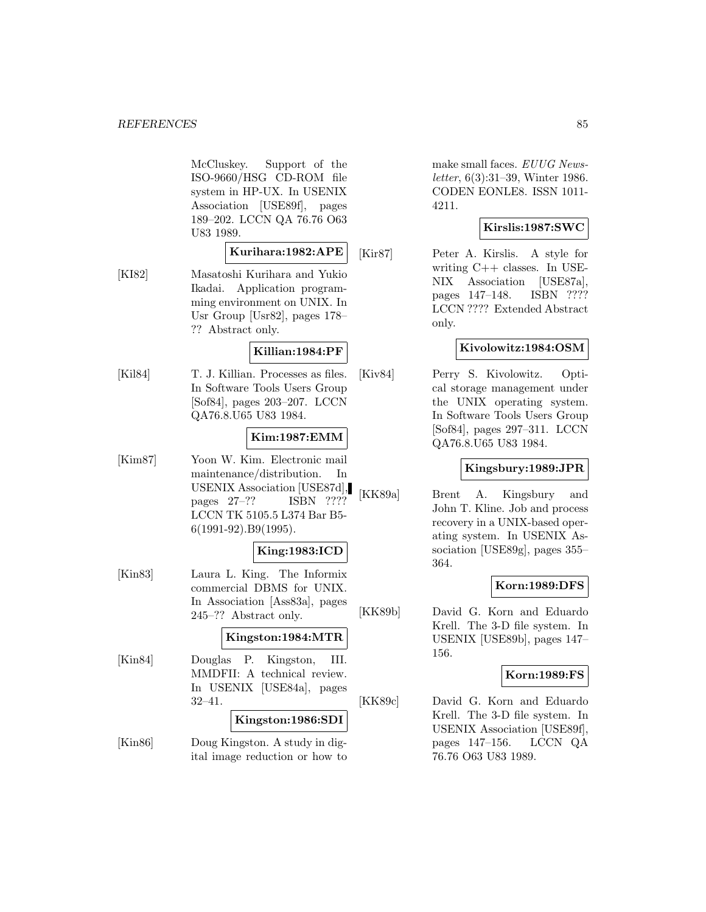McCluskey. Support of the ISO-9660/HSG CD-ROM file system in HP-UX. In USENIX Association [USE89f], pages 189–202. LCCN QA 76.76 O63 U83 1989.

## **Kurihara:1982:APE**

[KI82] Masatoshi Kurihara and Yukio Ikadai. Application programming environment on UNIX. In Usr Group [Usr82], pages 178– ?? Abstract only.

## **Killian:1984:PF**

[Kil84] T. J. Killian. Processes as files. In Software Tools Users Group [Sof84], pages 203–207. LCCN QA76.8.U65 U83 1984.

## **Kim:1987:EMM**

[Kim87] Yoon W. Kim. Electronic mail maintenance/distribution. In USENIX Association [USE87d], pages 27–?? ISBN ???? LCCN TK 5105.5 L374 Bar B5- 6(1991-92).B9(1995).

## **King:1983:ICD**

[Kin83] Laura L. King. The Informix commercial DBMS for UNIX. In Association [Ass83a], pages 245–?? Abstract only.

## **Kingston:1984:MTR**

[Kin84] Douglas P. Kingston, III. MMDFII: A technical review. In USENIX [USE84a], pages 32–41.

## **Kingston:1986:SDI**

[Kin86] Doug Kingston. A study in digital image reduction or how to make small faces. EUUG Newsletter, 6(3):31–39, Winter 1986. CODEN EONLE8. ISSN 1011- 4211.

## **Kirslis:1987:SWC**

[Kir87] Peter A. Kirslis. A style for writing C++ classes. In USE-NIX Association [USE87a], pages 147–148. ISBN ???? LCCN ???? Extended Abstract only.

## **Kivolowitz:1984:OSM**

[Kiv84] Perry S. Kivolowitz. Optical storage management under the UNIX operating system. In Software Tools Users Group [Sof84], pages 297–311. LCCN QA76.8.U65 U83 1984.

## **Kingsbury:1989:JPR**

[KK89a] Brent A. Kingsbury and John T. Kline. Job and process recovery in a UNIX-based operating system. In USENIX Association [USE89g], pages 355– 364.

## **Korn:1989:DFS**

[KK89b] David G. Korn and Eduardo Krell. The 3-D file system. In USENIX [USE89b], pages 147– 156.

## **Korn:1989:FS**

[KK89c] David G. Korn and Eduardo Krell. The 3-D file system. In USENIX Association [USE89f], pages 147–156. LCCN QA 76.76 O63 U83 1989.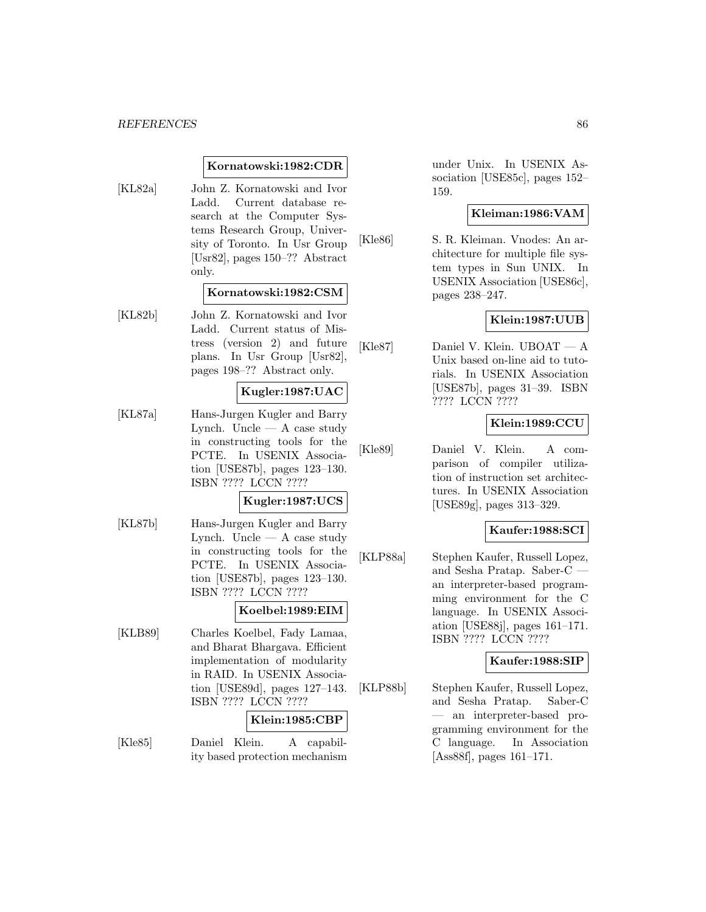### **Kornatowski:1982:CDR**

[KL82a] John Z. Kornatowski and Ivor Ladd. Current database research at the Computer Systems Research Group, University of Toronto. In Usr Group [Usr82], pages 150–?? Abstract only.

## **Kornatowski:1982:CSM**

[KL82b] John Z. Kornatowski and Ivor Ladd. Current status of Mistress (version 2) and future plans. In Usr Group [Usr82], pages 198–?? Abstract only.

## **Kugler:1987:UAC**

[KL87a] Hans-Jurgen Kugler and Barry Lynch. Uncle  $-$  A case study in constructing tools for the PCTE. In USENIX Association [USE87b], pages 123–130. ISBN ???? LCCN ????

### **Kugler:1987:UCS**

[KL87b] Hans-Jurgen Kugler and Barry Lynch. Uncle  $-$  A case study in constructing tools for the PCTE. In USENIX Association [USE87b], pages 123–130. ISBN ???? LCCN ????

#### **Koelbel:1989:EIM**

[KLB89] Charles Koelbel, Fady Lamaa, and Bharat Bhargava. Efficient implementation of modularity in RAID. In USENIX Association [USE89d], pages 127–143. ISBN ???? LCCN ????

#### **Klein:1985:CBP**

[Kle85] Daniel Klein. A capability based protection mechanism under Unix. In USENIX Association [USE85c], pages 152– 159.

### **Kleiman:1986:VAM**

[Kle86] S. R. Kleiman. Vnodes: An architecture for multiple file system types in Sun UNIX. In USENIX Association [USE86c], pages 238–247.

## **Klein:1987:UUB**

[Kle87] Daniel V. Klein. UBOAT — A Unix based on-line aid to tutorials. In USENIX Association [USE87b], pages 31–39. ISBN ???? LCCN ????

## **Klein:1989:CCU**

[Kle89] Daniel V. Klein. A comparison of compiler utilization of instruction set architectures. In USENIX Association [USE89g], pages 313–329.

## **Kaufer:1988:SCI**

[KLP88a] Stephen Kaufer, Russell Lopez, and Sesha Pratap. Saber-C an interpreter-based programming environment for the C language. In USENIX Association [USE88j], pages 161–171. ISBN ???? LCCN ????

## **Kaufer:1988:SIP**

[KLP88b] Stephen Kaufer, Russell Lopez, and Sesha Pratap. Saber-C — an interpreter-based programming environment for the C language. In Association [Ass88f], pages 161–171.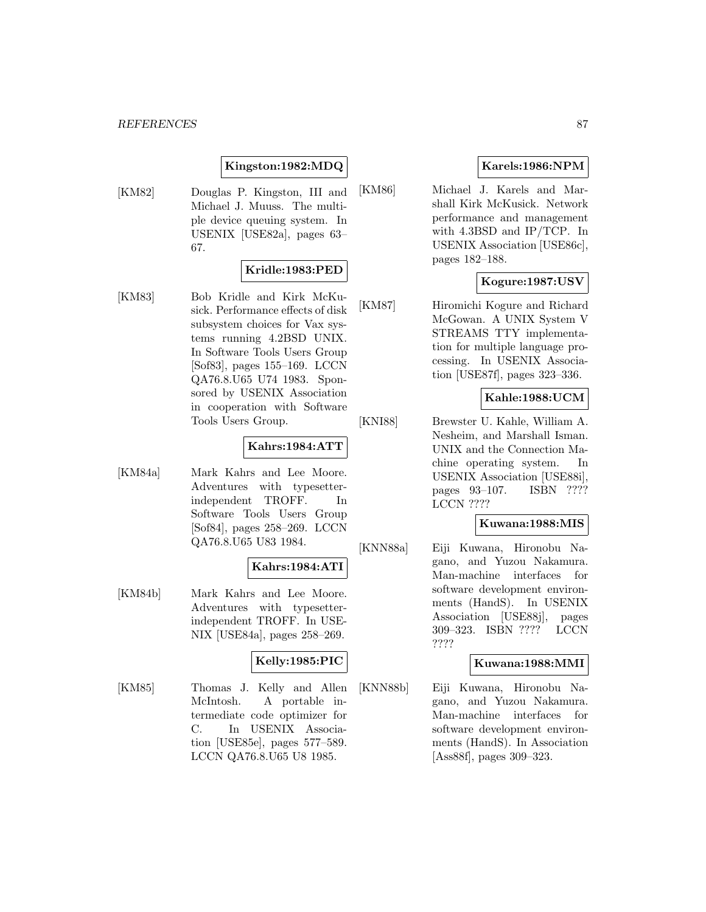## **Kingston:1982:MDQ**

[KM82] Douglas P. Kingston, III and Michael J. Muuss. The multiple device queuing system. In USENIX [USE82a], pages 63– 67.

## **Kridle:1983:PED**

[KM83] Bob Kridle and Kirk McKusick. Performance effects of disk subsystem choices for Vax systems running 4.2BSD UNIX. In Software Tools Users Group [Sof83], pages 155–169. LCCN QA76.8.U65 U74 1983. Sponsored by USENIX Association in cooperation with Software Tools Users Group.

## **Kahrs:1984:ATT**

[KM84a] Mark Kahrs and Lee Moore. Adventures with typesetterindependent TROFF. In Software Tools Users Group [Sof84], pages 258–269. LCCN QA76.8.U65 U83 1984.

#### **Kahrs:1984:ATI**

[KM84b] Mark Kahrs and Lee Moore. Adventures with typesetterindependent TROFF. In USE-NIX [USE84a], pages 258–269.

## **Kelly:1985:PIC**

[KM85] Thomas J. Kelly and Allen McIntosh. A portable intermediate code optimizer for C. In USENIX Association [USE85e], pages 577–589. LCCN QA76.8.U65 U8 1985.

## **Karels:1986:NPM**

[KM86] Michael J. Karels and Marshall Kirk McKusick. Network performance and management with 4.3BSD and IP/TCP. In USENIX Association [USE86c], pages 182–188.

## **Kogure:1987:USV**

[KM87] Hiromichi Kogure and Richard McGowan. A UNIX System V STREAMS TTY implementation for multiple language processing. In USENIX Association [USE87f], pages 323–336.

## **Kahle:1988:UCM**

[KNI88] Brewster U. Kahle, William A. Nesheim, and Marshall Isman. UNIX and the Connection Machine operating system. In USENIX Association [USE88i], pages 93–107. ISBN ???? LCCN ????

## **Kuwana:1988:MIS**

[KNN88a] Eiji Kuwana, Hironobu Nagano, and Yuzou Nakamura. Man-machine interfaces for software development environments (HandS). In USENIX Association [USE88j], pages 309–323. ISBN ???? LCCN ????

## **Kuwana:1988:MMI**

[KNN88b] Eiji Kuwana, Hironobu Nagano, and Yuzou Nakamura. Man-machine interfaces for software development environments (HandS). In Association [Ass88f], pages 309–323.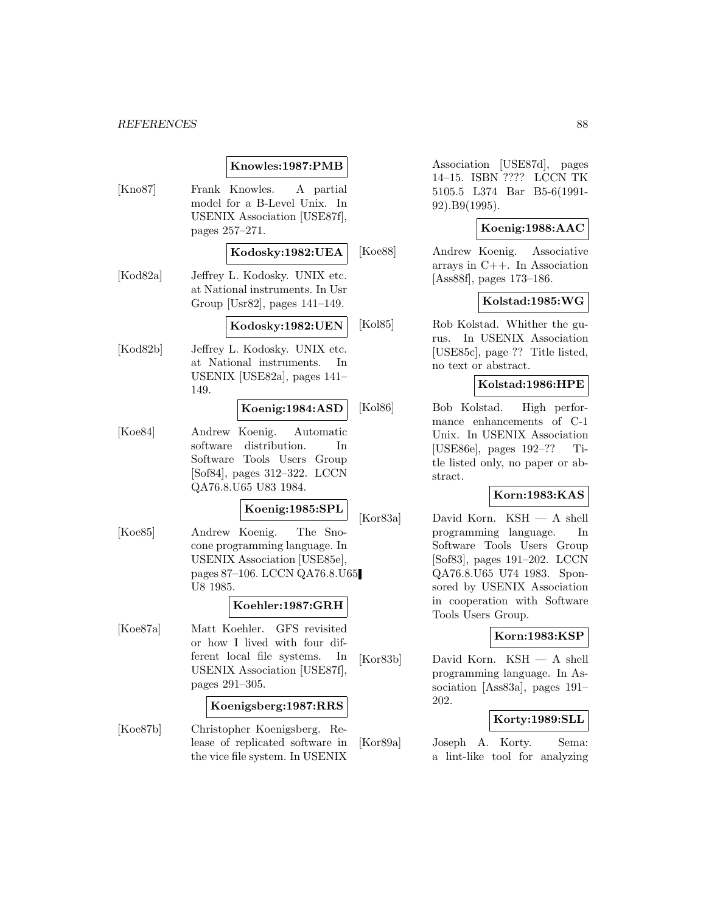|  | Knowles:1987:PMB |  |
|--|------------------|--|
|--|------------------|--|

- [Kno87] Frank Knowles. A partial model for a B-Level Unix. In USENIX Association [USE87f], pages 257–271. **Kodosky:1982:UEA** [Kod82a] Jeffrey L. Kodosky. UNIX etc. at National instruments. In Usr Group [Usr82], pages 141–149. **Kodosky:1982:UEN** [Kod82b] Jeffrey L. Kodosky. UNIX etc. at National instruments. In USENIX [USE82a], pages 141– 149. **Koenig:1984:ASD** [Koe84] Andrew Koenig. Automatic software distribution. In Software Tools Users Group [Sof84], pages 312–322. LCCN QA76.8.U65 U83 1984. **Koenig:1985:SPL** [Koe85] Andrew Koenig. The Snocone programming language. In USENIX Association [USE85e], pages 87–106. LCCN QA76.8.U65 U8 1985. **Koehler:1987:GRH** [Koe87a] Matt Koehler. GFS revisited or how I lived with four different local file systems. In USENIX Association [USE87f], pages 291–305. **Koenigsberg:1987:RRS** [Koe87b] Christopher Koenigsberg. Re
	- lease of replicated software in the vice file system. In USENIX

Association [USE87d], pages 14–15. ISBN ???? LCCN TK 5105.5 L374 Bar B5-6(1991- 92).B9(1995).

## **Koenig:1988:AAC**

[Koe88] Andrew Koenig. Associative arrays in C++. In Association [Ass88f], pages 173–186.

## **Kolstad:1985:WG**

[Kol85] Rob Kolstad. Whither the gurus. In USENIX Association [USE85c], page ?? Title listed, no text or abstract.

## **Kolstad:1986:HPE**

[Kol86] Bob Kolstad. High performance enhancements of C-1 Unix. In USENIX Association [USE86e], pages 192–?? Title listed only, no paper or abstract.

## **Korn:1983:KAS**

[Kor83a] David Korn. KSH — A shell programming language. In Software Tools Users Group [Sof83], pages 191–202. LCCN QA76.8.U65 U74 1983. Sponsored by USENIX Association in cooperation with Software Tools Users Group.

## **Korn:1983:KSP**

[Kor83b] David Korn. KSH — A shell programming language. In Association [Ass83a], pages 191– 202.

### **Korty:1989:SLL**

[Kor89a] Joseph A. Korty. Sema: a lint-like tool for analyzing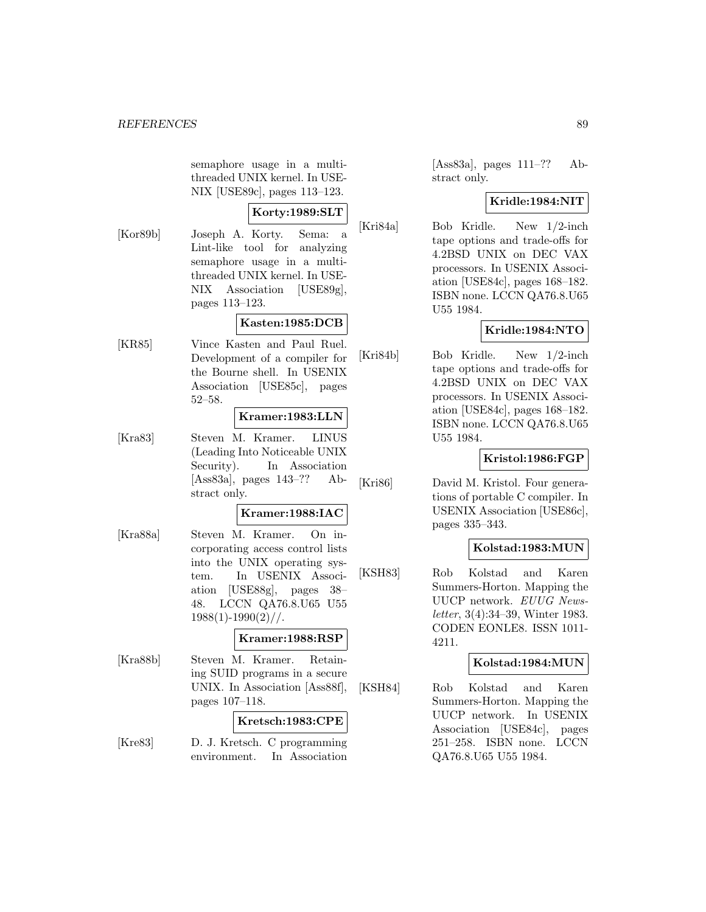semaphore usage in a multithreaded UNIX kernel. In USE-NIX [USE89c], pages 113–123.

## **Korty:1989:SLT**

[Kor89b] Joseph A. Korty. Sema: a Lint-like tool for analyzing semaphore usage in a multithreaded UNIX kernel. In USE-NIX Association [USE89g], pages 113–123.

## **Kasten:1985:DCB**

[KR85] Vince Kasten and Paul Ruel. Development of a compiler for the Bourne shell. In USENIX Association [USE85c], pages 52–58.

### **Kramer:1983:LLN**

[Kra83] Steven M. Kramer. LINUS (Leading Into Noticeable UNIX Security). In Association [Ass83a], pages 143–?? Abstract only.

## **Kramer:1988:IAC**

[Kra88a] Steven M. Kramer. On incorporating access control lists into the UNIX operating system. In USENIX Association [USE88g], pages 38– 48. LCCN QA76.8.U65 U55  $1988(1)-1990(2)/$ .

## **Kramer:1988:RSP**

[Kra88b] Steven M. Kramer. Retaining SUID programs in a secure UNIX. In Association [Ass88f], pages 107–118.

## **Kretsch:1983:CPE**

[Kre83] D. J. Kretsch. C programming environment. In Association

[Ass83a], pages 111–?? Abstract only.

## **Kridle:1984:NIT**

[Kri84a] Bob Kridle. New 1/2-inch tape options and trade-offs for 4.2BSD UNIX on DEC VAX processors. In USENIX Association [USE84c], pages 168–182. ISBN none. LCCN QA76.8.U65 U55 1984.

## **Kridle:1984:NTO**

[Kri84b] Bob Kridle. New 1/2-inch tape options and trade-offs for 4.2BSD UNIX on DEC VAX processors. In USENIX Association [USE84c], pages 168–182. ISBN none. LCCN QA76.8.U65 U55 1984.

## **Kristol:1986:FGP**

[Kri86] David M. Kristol. Four generations of portable C compiler. In USENIX Association [USE86c], pages 335–343.

## **Kolstad:1983:MUN**

[KSH83] Rob Kolstad and Karen Summers-Horton. Mapping the UUCP network. EUUG Newsletter, 3(4):34–39, Winter 1983. CODEN EONLE8. ISSN 1011- 4211.

## **Kolstad:1984:MUN**

[KSH84] Rob Kolstad and Karen Summers-Horton. Mapping the UUCP network. In USENIX Association [USE84c], pages 251–258. ISBN none. LCCN QA76.8.U65 U55 1984.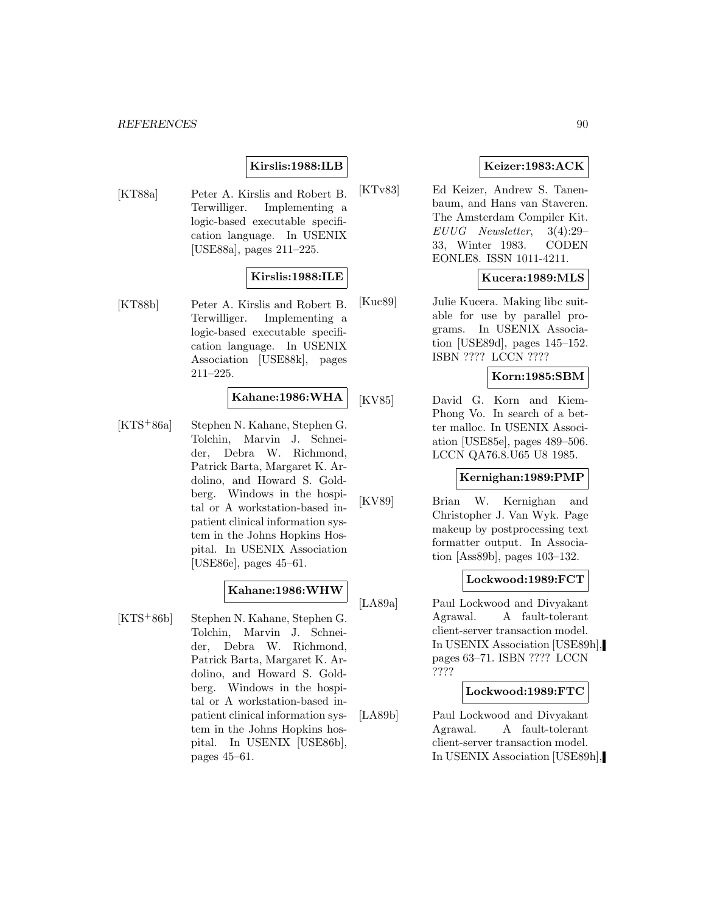## **Kirslis:1988:ILB**

[KT88a] Peter A. Kirslis and Robert B. Terwilliger. Implementing a logic-based executable specification language. In USENIX [USE88a], pages 211–225.

## **Kirslis:1988:ILE**

[KT88b] Peter A. Kirslis and Robert B. Terwilliger. Implementing a logic-based executable specification language. In USENIX Association [USE88k], pages 211–225.

## **Kahane:1986:WHA**

[KTS<sup>+</sup>86a] Stephen N. Kahane, Stephen G. Tolchin, Marvin J. Schneider, Debra W. Richmond, Patrick Barta, Margaret K. Ardolino, and Howard S. Goldberg. Windows in the hospital or A workstation-based inpatient clinical information system in the Johns Hopkins Hospital. In USENIX Association [USE86e], pages 45–61.

## **Kahane:1986:WHW**

[KTS<sup>+</sup>86b] Stephen N. Kahane, Stephen G. Tolchin, Marvin J. Schneider, Debra W. Richmond, Patrick Barta, Margaret K. Ardolino, and Howard S. Goldberg. Windows in the hospital or A workstation-based inpatient clinical information system in the Johns Hopkins hospital. In USENIX [USE86b], pages 45–61.

## **Keizer:1983:ACK**

[KTv83] Ed Keizer, Andrew S. Tanenbaum, and Hans van Staveren. The Amsterdam Compiler Kit. EUUG Newsletter, 3(4):29– 33, Winter 1983. CODEN EONLE8. ISSN 1011-4211.

## **Kucera:1989:MLS**

[Kuc89] Julie Kucera. Making libc suitable for use by parallel programs. In USENIX Association [USE89d], pages 145–152. ISBN ???? LCCN ????

## **Korn:1985:SBM**

[KV85] David G. Korn and Kiem-Phong Vo. In search of a better malloc. In USENIX Association [USE85e], pages 489–506. LCCN QA76.8.U65 U8 1985.

### **Kernighan:1989:PMP**

[KV89] Brian W. Kernighan and Christopher J. Van Wyk. Page makeup by postprocessing text formatter output. In Association [Ass89b], pages 103–132.

## **Lockwood:1989:FCT**

[LA89a] Paul Lockwood and Divyakant Agrawal. A fault-tolerant client-server transaction model. In USENIX Association [USE89h], pages 63–71. ISBN ???? LCCN ????

## **Lockwood:1989:FTC**

[LA89b] Paul Lockwood and Divyakant Agrawal. A fault-tolerant client-server transaction model. In USENIX Association [USE89h],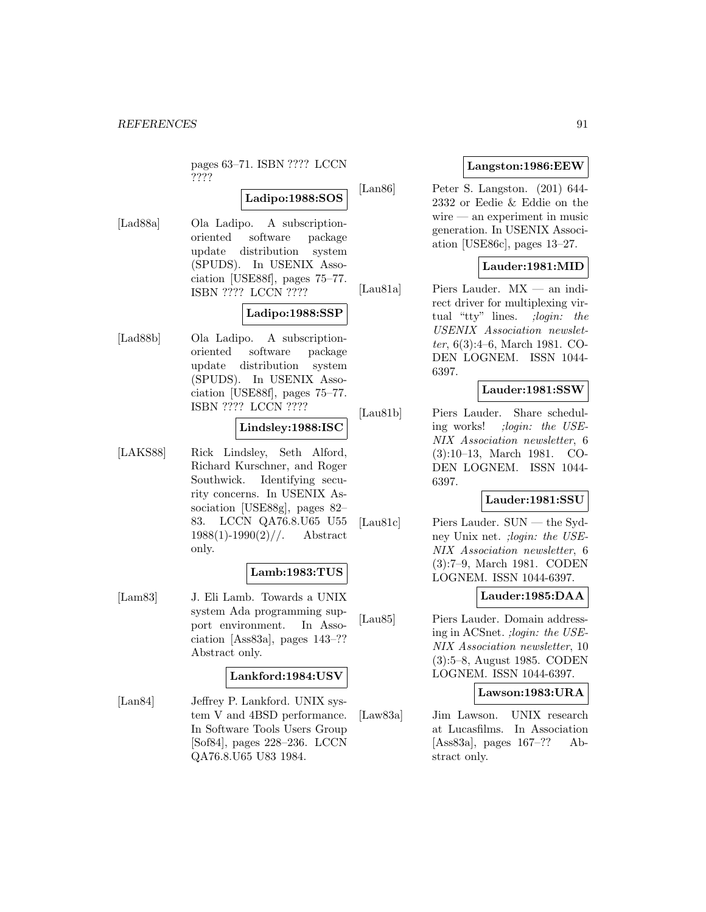pages 63–71. ISBN ???? LCCN ????

## **Ladipo:1988:SOS**

[Lad88a] Ola Ladipo. A subscriptionoriented software package update distribution system (SPUDS). In USENIX Association [USE88f], pages 75–77. ISBN ???? LCCN ????

## **Ladipo:1988:SSP**

[Lad88b] Ola Ladipo. A subscriptionoriented software package update distribution system (SPUDS). In USENIX Association [USE88f], pages 75–77. ISBN ???? LCCN ????

## **Lindsley:1988:ISC**

[LAKS88] Rick Lindsley, Seth Alford, Richard Kurschner, and Roger Southwick. Identifying security concerns. In USENIX Association [USE88g], pages 82– 83. LCCN QA76.8.U65 U55  $1988(1)$ -1990(2)//. Abstract only.

#### **Lamb:1983:TUS**

[Lam83] J. Eli Lamb. Towards a UNIX system Ada programming support environment. In Association [Ass83a], pages 143–?? Abstract only.

## **Lankford:1984:USV**

[Lan84] Jeffrey P. Lankford. UNIX system V and 4BSD performance. In Software Tools Users Group [Sof84], pages 228–236. LCCN QA76.8.U65 U83 1984.

## **Langston:1986:EEW**

[Lan86] Peter S. Langston. (201) 644- 2332 or Eedie & Eddie on the wire — an experiment in music generation. In USENIX Association [USE86c], pages 13–27.

## **Lauder:1981:MID**

[Lau81a] Piers Lauder. MX — an indirect driver for multiplexing virtual "tty" lines. ; login: the USENIX Association newsletter, 6(3):4–6, March 1981. CO-DEN LOGNEM. ISSN 1044- 6397.

## **Lauder:1981:SSW**

[Lau81b] Piers Lauder. Share scheduling works! ;login: the USE-NIX Association newsletter, 6 (3):10–13, March 1981. CO-DEN LOGNEM. ISSN 1044- 6397.

## **Lauder:1981:SSU**

[Lau81c] Piers Lauder. SUN — the Sydney Unix net. ;login: the USE-NIX Association newsletter, 6 (3):7–9, March 1981. CODEN LOGNEM. ISSN 1044-6397.

## **Lauder:1985:DAA**

[Lau85] Piers Lauder. Domain addressing in ACSnet. ;login: the USE-NIX Association newsletter, 10 (3):5–8, August 1985. CODEN LOGNEM. ISSN 1044-6397.

#### **Lawson:1983:URA**

[Law83a] Jim Lawson. UNIX research at Lucasfilms. In Association [Ass83a], pages 167–?? Abstract only.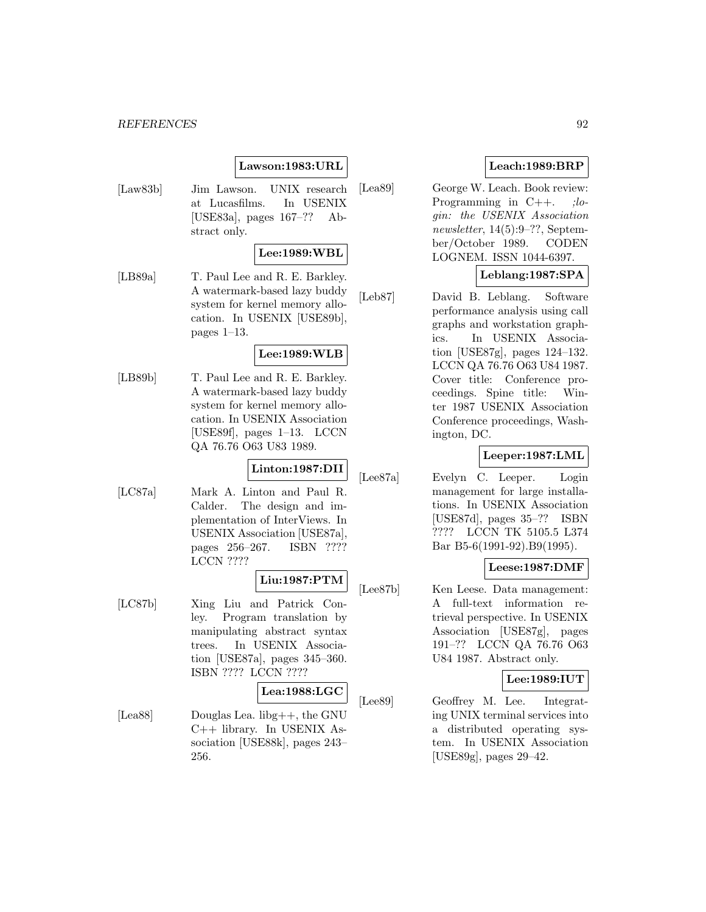## **Lawson:1983:URL**

[Law83b] Jim Lawson. UNIX research at Lucasfilms. In USENIX [USE83a], pages 167–?? Abstract only.

## **Lee:1989:WBL**

[LB89a] T. Paul Lee and R. E. Barkley. A watermark-based lazy buddy system for kernel memory allocation. In USENIX [USE89b], pages 1–13.

## **Lee:1989:WLB**

[LB89b] T. Paul Lee and R. E. Barkley. A watermark-based lazy buddy system for kernel memory allocation. In USENIX Association [USE89f], pages 1–13. LCCN QA 76.76 O63 U83 1989.

#### **Linton:1987:DII**

[LC87a] Mark A. Linton and Paul R. Calder. The design and implementation of InterViews. In USENIX Association [USE87a], pages 256–267. ISBN ???? LCCN ????

## **Liu:1987:PTM**

[LC87b] Xing Liu and Patrick Conley. Program translation by manipulating abstract syntax trees. In USENIX Association [USE87a], pages 345–360. ISBN ???? LCCN ????

## **Lea:1988:LGC**

[Lea88] Douglas Lea. libg++, the GNU C++ library. In USENIX Association [USE88k], pages 243– 256.

## **Leach:1989:BRP**

[Lea89] George W. Leach. Book review: Programming in  $C++$ . ;*lo*gin: the USENIX Association newsletter, 14(5):9–??, September/October 1989. CODEN LOGNEM. ISSN 1044-6397.

## **Leblang:1987:SPA**

[Leb87] David B. Leblang. Software performance analysis using call graphs and workstation graphics. In USENIX Association [USE87g], pages 124–132. LCCN QA 76.76 O63 U84 1987. Cover title: Conference proceedings. Spine title: Winter 1987 USENIX Association Conference proceedings, Washington, DC.

## **Leeper:1987:LML**

[Lee87a] Evelyn C. Leeper. Login management for large installations. In USENIX Association [USE87d], pages 35–?? ISBN ???? LCCN TK 5105.5 L374 Bar B5-6(1991-92).B9(1995).

#### **Leese:1987:DMF**

[Lee87b] Ken Leese. Data management: A full-text information retrieval perspective. In USENIX Association [USE87g], pages 191–?? LCCN QA 76.76 O63 U84 1987. Abstract only.

## **Lee:1989:IUT**

[Lee89] Geoffrey M. Lee. Integrating UNIX terminal services into a distributed operating system. In USENIX Association [USE89g], pages 29–42.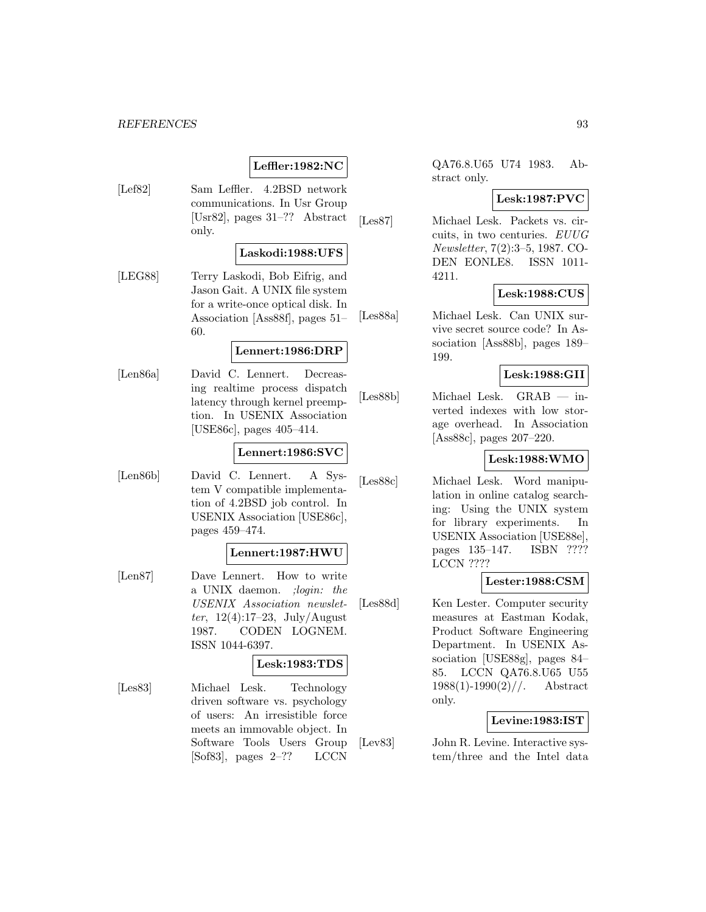## **Leffler:1982:NC**

[Lef82] Sam Leffler. 4.2BSD network communications. In Usr Group [Usr82], pages 31–?? Abstract only.

#### **Laskodi:1988:UFS**

[LEG88] Terry Laskodi, Bob Eifrig, and Jason Gait. A UNIX file system for a write-once optical disk. In Association [Ass88f], pages 51– 60.

#### **Lennert:1986:DRP**

[Len86a] David C. Lennert. Decreasing realtime process dispatch latency through kernel preemption. In USENIX Association [USE86c], pages 405–414.

#### **Lennert:1986:SVC**

[Len86b] David C. Lennert. A System V compatible implementation of 4.2BSD job control. In USENIX Association [USE86c], pages 459–474.

## **Lennert:1987:HWU**

[Len87] Dave Lennert. How to write a UNIX daemon. ;login: the USENIX Association newsletter,  $12(4):17-23$ , July/August 1987. CODEN LOGNEM. ISSN 1044-6397.

## **Lesk:1983:TDS**

[Les83] Michael Lesk. Technology driven software vs. psychology of users: An irresistible force meets an immovable object. In Software Tools Users Group [Sof83], pages 2–?? LCCN

QA76.8.U65 U74 1983. Abstract only.

#### **Lesk:1987:PVC**

[Les87] Michael Lesk. Packets vs. circuits, in two centuries. EUUG Newsletter, 7(2):3–5, 1987. CO-DEN EONLE8. ISSN 1011- 4211.

## **Lesk:1988:CUS**

[Les88a] Michael Lesk. Can UNIX survive secret source code? In Association [Ass88b], pages 189– 199.

### **Lesk:1988:GII**

[Les88b] Michael Lesk. GRAB — inverted indexes with low storage overhead. In Association [Ass88c], pages 207–220.

## **Lesk:1988:WMO**

[Les88c] Michael Lesk. Word manipulation in online catalog searching: Using the UNIX system for library experiments. In USENIX Association [USE88e], pages 135–147. ISBN ???? LCCN ????

#### **Lester:1988:CSM**

[Les88d] Ken Lester. Computer security measures at Eastman Kodak, Product Software Engineering Department. In USENIX Association [USE88g], pages 84– 85. LCCN QA76.8.U65 U55  $1988(1)$ -1990(2)//. Abstract only.

## **Levine:1983:IST**

[Lev83] John R. Levine. Interactive system/three and the Intel data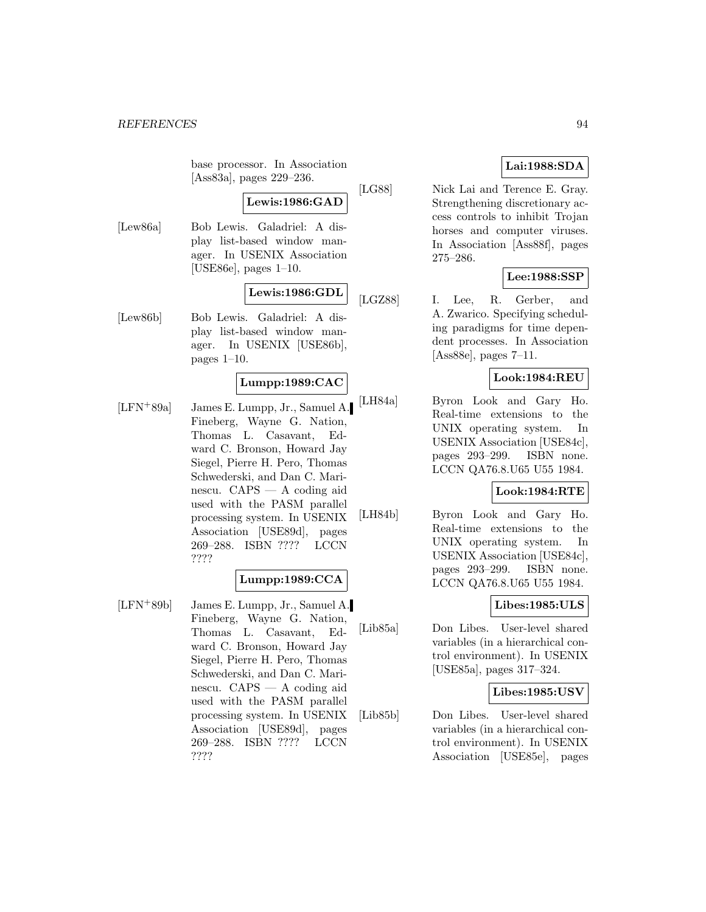base processor. In Association [Ass83a], pages 229–236.

# **Lewis:1986:GAD**

[Lew86a] Bob Lewis. Galadriel: A display list-based window manager. In USENIX Association [USE86e], pages 1–10.

# **Lewis:1986:GDL**

[Lew86b] Bob Lewis. Galadriel: A display list-based window manager. In USENIX [USE86b], pages 1–10.

## **Lumpp:1989:CAC**

[LFN<sup>+</sup>89a] James E. Lumpp, Jr., Samuel A. Fineberg, Wayne G. Nation, Thomas L. Casavant, Edward C. Bronson, Howard Jay Siegel, Pierre H. Pero, Thomas Schwederski, and Dan C. Marinescu. CAPS — A coding aid used with the PASM parallel processing system. In USENIX Association [USE89d], pages 269–288. ISBN ???? LCCN ????

## **Lumpp:1989:CCA**

[LFN<sup>+</sup>89b] James E. Lumpp, Jr., Samuel A. Fineberg, Wayne G. Nation, Thomas L. Casavant, Edward C. Bronson, Howard Jay Siegel, Pierre H. Pero, Thomas Schwederski, and Dan C. Marinescu. CAPS — A coding aid used with the PASM parallel processing system. In USENIX Association [USE89d], pages 269–288. ISBN ???? LCCN ????

## **Lai:1988:SDA**

[LG88] Nick Lai and Terence E. Gray. Strengthening discretionary access controls to inhibit Trojan horses and computer viruses. In Association [Ass88f], pages 275–286.

## **Lee:1988:SSP**

[LGZ88] I. Lee, R. Gerber, and A. Zwarico. Specifying scheduling paradigms for time dependent processes. In Association [Ass88e], pages 7–11.

## **Look:1984:REU**

[LH84a] Byron Look and Gary Ho. Real-time extensions to the UNIX operating system. In USENIX Association [USE84c], pages 293–299. ISBN none. LCCN QA76.8.U65 U55 1984.

## **Look:1984:RTE**

[LH84b] Byron Look and Gary Ho. Real-time extensions to the UNIX operating system. In USENIX Association [USE84c], pages 293–299. ISBN none. LCCN QA76.8.U65 U55 1984.

## **Libes:1985:ULS**

[Lib85a] Don Libes. User-level shared variables (in a hierarchical control environment). In USENIX [USE85a], pages 317–324.

## **Libes:1985:USV**

[Lib85b] Don Libes. User-level shared variables (in a hierarchical control environment). In USENIX Association [USE85e], pages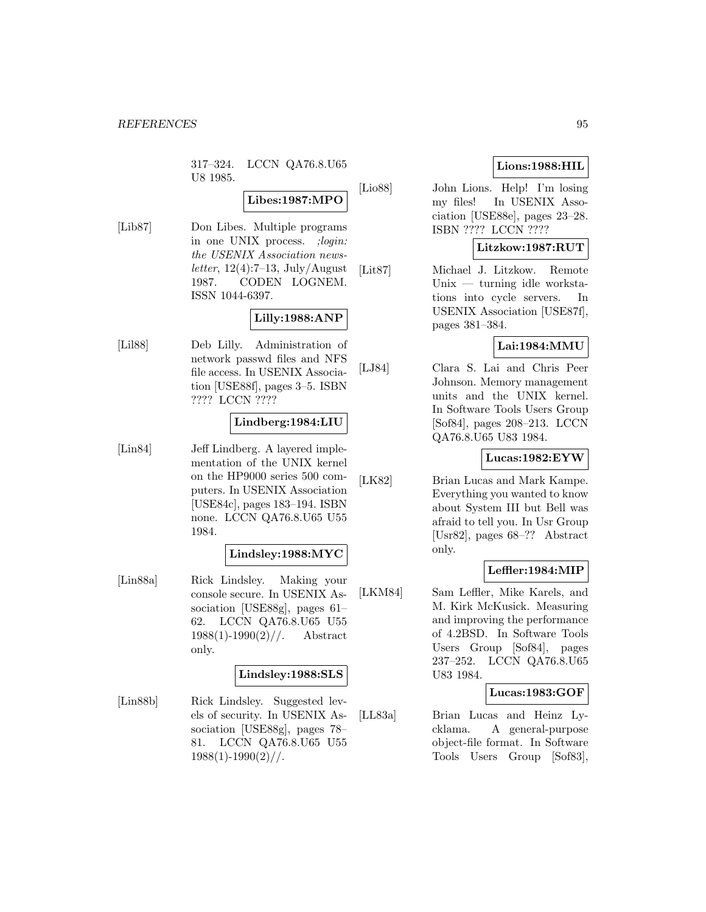317–324. LCCN QA76.8.U65 U8 1985.

## **Libes:1987:MPO**

[Lib87] Don Libes. Multiple programs in one UNIX process. ; login: the USENIX Association newsletter,  $12(4):7-13$ , July/August 1987. CODEN LOGNEM. ISSN 1044-6397.

## **Lilly:1988:ANP**

[Lil88] Deb Lilly. Administration of network passwd files and NFS file access. In USENIX Association [USE88f], pages 3–5. ISBN ???? LCCN ????

## **Lindberg:1984:LIU**

[Lin84] Jeff Lindberg. A layered implementation of the UNIX kernel on the HP9000 series 500 computers. In USENIX Association [USE84c], pages 183–194. ISBN none. LCCN QA76.8.U65 U55 1984.

## **Lindsley:1988:MYC**

[Lin88a] Rick Lindsley. Making your console secure. In USENIX Association [USE88g], pages 61– 62. LCCN QA76.8.U65 U55  $1988(1)$ -1990(2)//. Abstract only.

## **Lindsley:1988:SLS**

[Lin88b] Rick Lindsley. Suggested levels of security. In USENIX Association [USE88g], pages 78– 81. LCCN QA76.8.U65 U55  $1988(1)$ -1990(2)//.

## **Lions:1988:HIL**

[Lio88] John Lions. Help! I'm losing my files! In USENIX Association [USE88e], pages 23–28. ISBN ???? LCCN ????

## **Litzkow:1987:RUT**

[Lit87] Michael J. Litzkow. Remote Unix — turning idle workstations into cycle servers. In USENIX Association [USE87f], pages 381–384.

## **Lai:1984:MMU**

[LJ84] Clara S. Lai and Chris Peer Johnson. Memory management units and the UNIX kernel. In Software Tools Users Group [Sof84], pages 208–213. LCCN QA76.8.U65 U83 1984.

## **Lucas:1982:EYW**

[LK82] Brian Lucas and Mark Kampe. Everything you wanted to know about System III but Bell was afraid to tell you. In Usr Group [Usr82], pages 68–?? Abstract only.

## **Leffler:1984:MIP**

[LKM84] Sam Leffler, Mike Karels, and M. Kirk McKusick. Measuring and improving the performance of 4.2BSD. In Software Tools Users Group [Sof84], pages 237–252. LCCN QA76.8.U65 U83 1984.

## **Lucas:1983:GOF**

[LL83a] Brian Lucas and Heinz Lycklama. A general-purpose object-file format. In Software Tools Users Group [Sof83],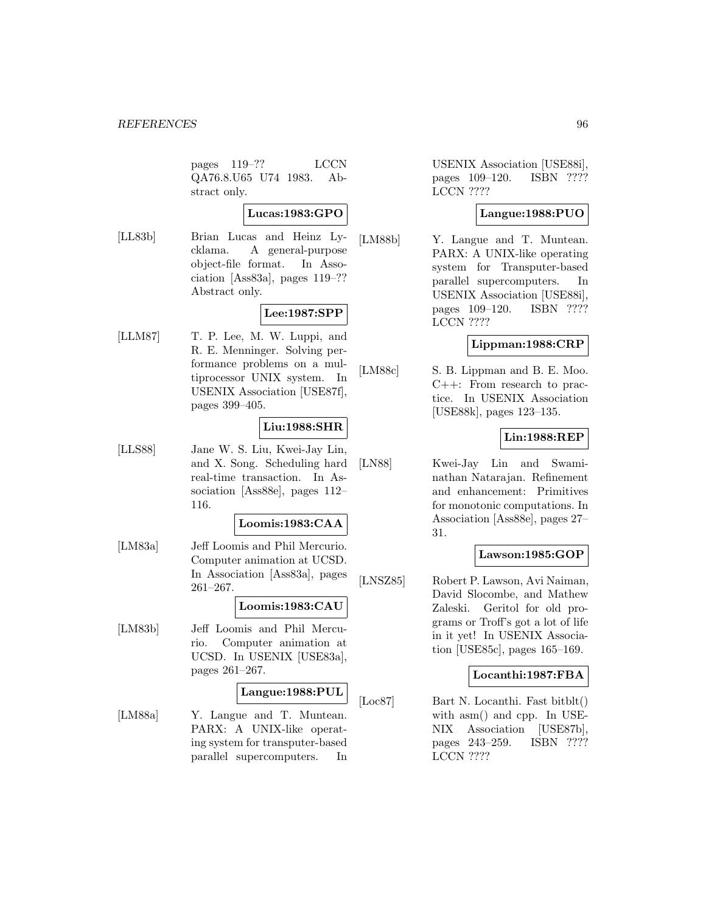pages 119–?? LCCN QA76.8.U65 U74 1983. Abstract only.

## **Lucas:1983:GPO**

[LL83b] Brian Lucas and Heinz Lycklama. A general-purpose object-file format. In Association [Ass83a], pages 119–?? Abstract only.

## **Lee:1987:SPP**

[LLM87] T. P. Lee, M. W. Luppi, and R. E. Menninger. Solving performance problems on a multiprocessor UNIX system. In USENIX Association [USE87f], pages 399–405.

## **Liu:1988:SHR**

[LLS88] Jane W. S. Liu, Kwei-Jay Lin, and X. Song. Scheduling hard real-time transaction. In Association [Ass88e], pages 112– 116.

## **Loomis:1983:CAA**

[LM83a] Jeff Loomis and Phil Mercurio. Computer animation at UCSD. In Association [Ass83a], pages 261–267.

## **Loomis:1983:CAU**

[LM83b] Jeff Loomis and Phil Mercurio. Computer animation at UCSD. In USENIX [USE83a], pages 261–267.

## **Langue:1988:PUL**

[LM88a] Y. Langue and T. Muntean. PARX: A UNIX-like operating system for transputer-based parallel supercomputers. In USENIX Association [USE88i], pages 109–120. ISBN ???? LCCN ????

## **Langue:1988:PUO**

[LM88b] Y. Langue and T. Muntean. PARX: A UNIX-like operating system for Transputer-based parallel supercomputers. In USENIX Association [USE88i], pages 109–120. ISBN ???? LCCN ????

## **Lippman:1988:CRP**

[LM88c] S. B. Lippman and B. E. Moo. C++: From research to practice. In USENIX Association [USE88k], pages 123–135.

## **Lin:1988:REP**

[LN88] Kwei-Jay Lin and Swaminathan Natarajan. Refinement and enhancement: Primitives for monotonic computations. In Association [Ass88e], pages 27– 31.

## **Lawson:1985:GOP**

[LNSZ85] Robert P. Lawson, Avi Naiman, David Slocombe, and Mathew Zaleski. Geritol for old programs or Troff's got a lot of life in it yet! In USENIX Association [USE85c], pages 165–169.

## **Locanthi:1987:FBA**

[Loc87] Bart N. Locanthi. Fast bitblt() with asm() and cpp. In USE-NIX Association [USE87b], pages 243–259. ISBN ???? LCCN ????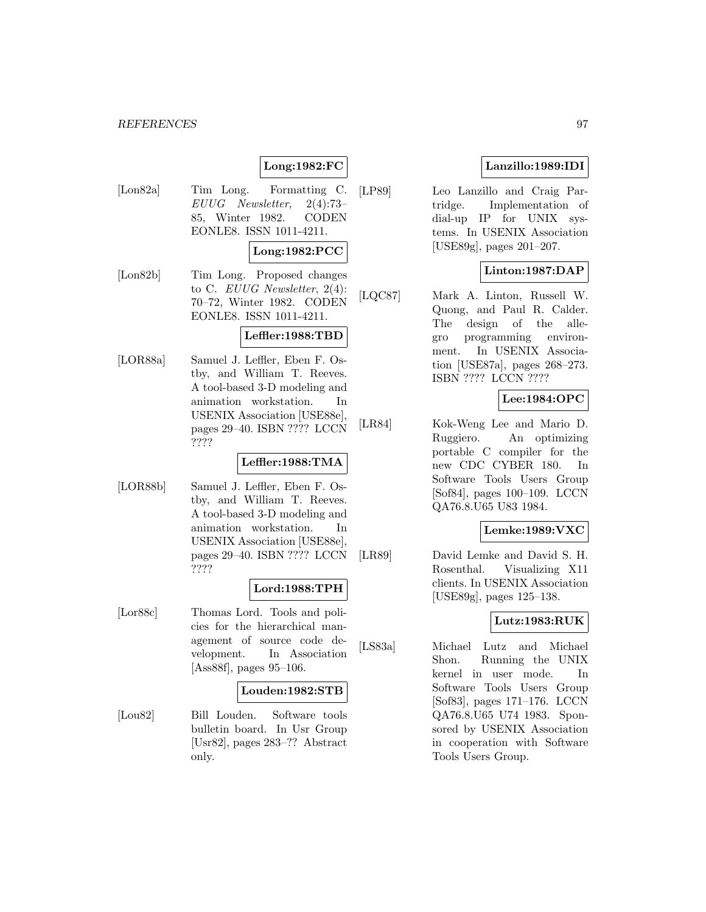## **Long:1982:FC**

[Lon82a] Tim Long. Formatting C. EUUG Newsletter, 2(4):73– 85, Winter 1982. CODEN EONLE8. ISSN 1011-4211.

### **Long:1982:PCC**

[Lon82b] Tim Long. Proposed changes to C. EUUG Newsletter, 2(4): 70–72, Winter 1982. CODEN EONLE8. ISSN 1011-4211.

## **Leffler:1988:TBD**

[LOR88a] Samuel J. Leffler, Eben F. Ostby, and William T. Reeves. A tool-based 3-D modeling and animation workstation. In USENIX Association [USE88e], pages 29–40. ISBN ???? LCCN ????

## **Leffler:1988:TMA**

[LOR88b] Samuel J. Leffler, Eben F. Ostby, and William T. Reeves. A tool-based 3-D modeling and animation workstation. In USENIX Association [USE88e], pages 29–40. ISBN ???? LCCN ????

## **Lord:1988:TPH**

[Lor88c] Thomas Lord. Tools and policies for the hierarchical management of source code development. In Association [Ass88f], pages 95–106.

#### **Louden:1982:STB**

[Lou82] Bill Louden. Software tools bulletin board. In Usr Group [Usr82], pages 283–?? Abstract only.

## **Lanzillo:1989:IDI**

[LP89] Leo Lanzillo and Craig Partridge. Implementation of dial-up IP for UNIX systems. In USENIX Association [USE89g], pages 201–207.

## **Linton:1987:DAP**

[LQC87] Mark A. Linton, Russell W. Quong, and Paul R. Calder. The design of the allegro programming environment. In USENIX Association [USE87a], pages 268–273. ISBN ???? LCCN ????

## **Lee:1984:OPC**

[LR84] Kok-Weng Lee and Mario D. Ruggiero. An optimizing portable C compiler for the new CDC CYBER 180. In Software Tools Users Group [Sof84], pages 100–109. LCCN QA76.8.U65 U83 1984.

## **Lemke:1989:VXC**

[LR89] David Lemke and David S. H. Rosenthal. Visualizing X11 clients. In USENIX Association [USE89g], pages 125–138.

## **Lutz:1983:RUK**

[LS83a] Michael Lutz and Michael Shon. Running the UNIX kernel in user mode. In Software Tools Users Group [Sof83], pages 171–176. LCCN QA76.8.U65 U74 1983. Sponsored by USENIX Association in cooperation with Software Tools Users Group.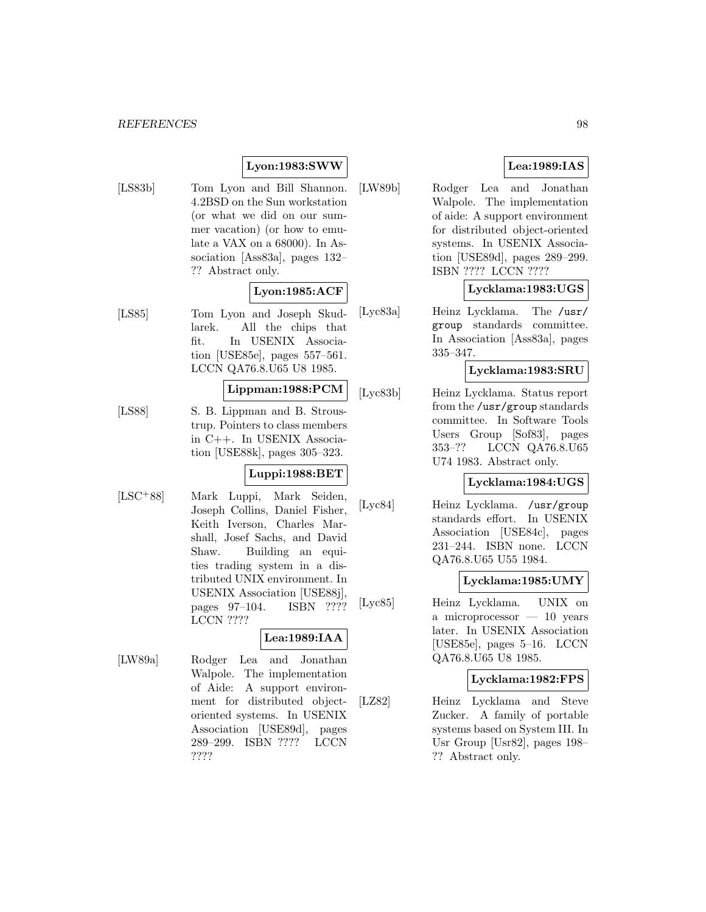## **Lyon:1983:SWW**

[LS83b] Tom Lyon and Bill Shannon. 4.2BSD on the Sun workstation (or what we did on our summer vacation) (or how to emulate a VAX on a 68000). In Association [Ass83a], pages 132– ?? Abstract only.

## **Lyon:1985:ACF**

[LS85] Tom Lyon and Joseph Skudlarek. All the chips that fit. In USENIX Association [USE85e], pages 557–561. LCCN QA76.8.U65 U8 1985.

## **Lippman:1988:PCM**

[LS88] S. B. Lippman and B. Stroustrup. Pointers to class members in C++. In USENIX Association [USE88k], pages 305–323.

## **Luppi:1988:BET**

[LSC<sup>+</sup>88] Mark Luppi, Mark Seiden, Joseph Collins, Daniel Fisher, Keith Iverson, Charles Marshall, Josef Sachs, and David Shaw. Building an equities trading system in a distributed UNIX environment. In USENIX Association [USE88j], pages 97–104. ISBN ???? LCCN ????

## **Lea:1989:IAA**

[LW89a] Rodger Lea and Jonathan Walpole. The implementation of Aide: A support environment for distributed objectoriented systems. In USENIX Association [USE89d], pages 289–299. ISBN ???? LCCN ????

## **Lea:1989:IAS**

[LW89b] Rodger Lea and Jonathan Walpole. The implementation of aide: A support environment for distributed object-oriented systems. In USENIX Association [USE89d], pages 289–299. ISBN ???? LCCN ????

## **Lycklama:1983:UGS**

[Lyc83a] Heinz Lycklama. The /usr/ group standards committee. In Association [Ass83a], pages 335–347.

#### **Lycklama:1983:SRU**

[Lyc83b] Heinz Lycklama. Status report from the /usr/group standards committee. In Software Tools Users Group [Sof83], pages 353–?? LCCN QA76.8.U65 U74 1983. Abstract only.

## **Lycklama:1984:UGS**

[Lyc84] Heinz Lycklama. /usr/group standards effort. In USENIX Association [USE84c], pages 231–244. ISBN none. LCCN QA76.8.U65 U55 1984.

## **Lycklama:1985:UMY**

[Lyc85] Heinz Lycklama. UNIX on a microprocessor — 10 years later. In USENIX Association [USE85e], pages 5–16. LCCN QA76.8.U65 U8 1985.

#### **Lycklama:1982:FPS**

[LZ82] Heinz Lycklama and Steve Zucker. A family of portable systems based on System III. In Usr Group [Usr82], pages 198– ?? Abstract only.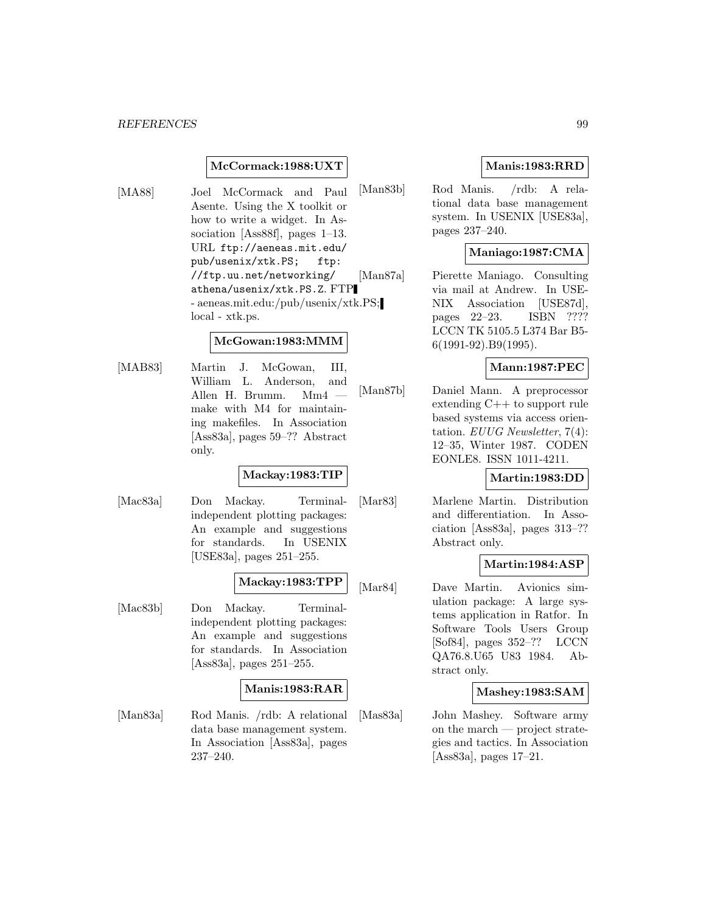## **McCormack:1988:UXT**

[MA88] Joel McCormack and Paul Asente. Using the X toolkit or how to write a widget. In Association [Ass88f], pages 1–13. URL ftp://aeneas.mit.edu/ pub/usenix/xtk.PS; ftp: //ftp.uu.net/networking/ athena/usenix/xtk.PS.Z. FTP - aeneas.mit.edu:/pub/usenix/xtk.PS; local - xtk.ps.

## **McGowan:1983:MMM**

[MAB83] Martin J. McGowan, III, William L. Anderson, and Allen H. Brumm. Mm4 make with M4 for maintaining makefiles. In Association [Ass83a], pages 59–?? Abstract only.

## **Mackay:1983:TIP**

[Mac83a] Don Mackay. Terminalindependent plotting packages: An example and suggestions for standards. In USENIX [USE83a], pages 251–255.

### **Mackay:1983:TPP**

[Mac83b] Don Mackay. Terminalindependent plotting packages: An example and suggestions for standards. In Association [Ass83a], pages 251–255.

## **Manis:1983:RAR**

[Man83a] Rod Manis. /rdb: A relational data base management system. In Association [Ass83a], pages 237–240.

## **Manis:1983:RRD**

[Man83b] Rod Manis. /rdb: A relational data base management system. In USENIX [USE83a], pages 237–240.

## **Maniago:1987:CMA**

[Man87a] Pierette Maniago. Consulting via mail at Andrew. In USE-NIX Association [USE87d], pages 22–23. ISBN ???? LCCN TK 5105.5 L374 Bar B5- 6(1991-92).B9(1995).

## **Mann:1987:PEC**

[Man87b] Daniel Mann. A preprocessor extending C++ to support rule based systems via access orientation. EUUG Newsletter, 7(4): 12–35, Winter 1987. CODEN EONLE8. ISSN 1011-4211.

## **Martin:1983:DD**

[Mar83] Marlene Martin. Distribution and differentiation. In Association [Ass83a], pages 313–?? Abstract only.

## **Martin:1984:ASP**

[Mar84] Dave Martin. Avionics simulation package: A large systems application in Ratfor. In Software Tools Users Group [Sof84], pages 352–?? LCCN QA76.8.U65 U83 1984. Abstract only.

#### **Mashey:1983:SAM**

[Mas83a] John Mashey. Software army on the march — project strategies and tactics. In Association [Ass83a], pages 17–21.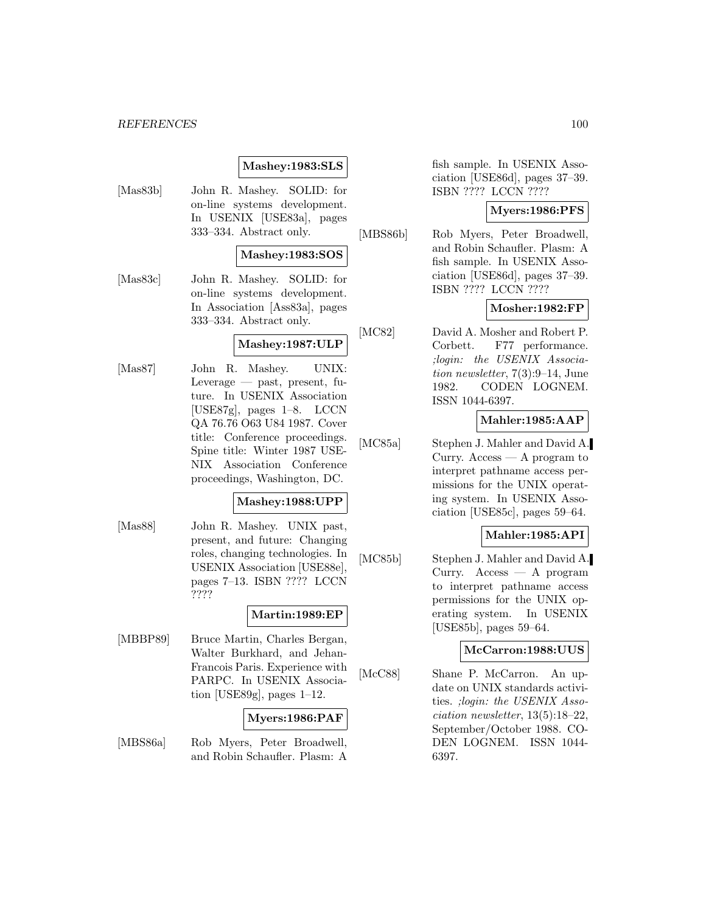## **Mashey:1983:SLS**

[Mas83b] John R. Mashey. SOLID: for on-line systems development. In USENIX [USE83a], pages 333–334. Abstract only.

## **Mashey:1983:SOS**

[Mas83c] John R. Mashey. SOLID: for on-line systems development. In Association [Ass83a], pages 333–334. Abstract only.

## **Mashey:1987:ULP**

[Mas87] John R. Mashey. UNIX: Leverage — past, present, future. In USENIX Association [USE87g], pages 1–8. LCCN QA 76.76 O63 U84 1987. Cover title: Conference proceedings. Spine title: Winter 1987 USE-NIX Association Conference proceedings, Washington, DC.

#### **Mashey:1988:UPP**

[Mas88] John R. Mashey. UNIX past, present, and future: Changing roles, changing technologies. In USENIX Association [USE88e], pages 7–13. ISBN ???? LCCN ????

## **Martin:1989:EP**

[MBBP89] Bruce Martin, Charles Bergan, Walter Burkhard, and Jehan-Francois Paris. Experience with PARPC. In USENIX Association [USE89g], pages 1–12.

## **Myers:1986:PAF**

[MBS86a] Rob Myers, Peter Broadwell, and Robin Schaufler. Plasm: A fish sample. In USENIX Association [USE86d], pages 37–39. ISBN ???? LCCN ????

## **Myers:1986:PFS**

[MBS86b] Rob Myers, Peter Broadwell, and Robin Schaufler. Plasm: A fish sample. In USENIX Association [USE86d], pages 37–39. ISBN ???? LCCN ????

## **Mosher:1982:FP**

[MC82] David A. Mosher and Robert P. Corbett. F77 performance. ;login: the USENIX Association newsletter, 7(3):9–14, June 1982. CODEN LOGNEM. ISSN 1044-6397.

## **Mahler:1985:AAP**

[MC85a] Stephen J. Mahler and David A. Curry. Access  $-$  A program to interpret pathname access permissions for the UNIX operating system. In USENIX Association [USE85c], pages 59–64.

## **Mahler:1985:API**

[MC85b] Stephen J. Mahler and David A. Curry. Access — A program to interpret pathname access permissions for the UNIX operating system. In USENIX [USE85b], pages 59–64.

## **McCarron:1988:UUS**

[McC88] Shane P. McCarron. An update on UNIX standards activities. ;login: the USENIX Association newsletter, 13(5):18–22, September/October 1988. CO-DEN LOGNEM. ISSN 1044- 6397.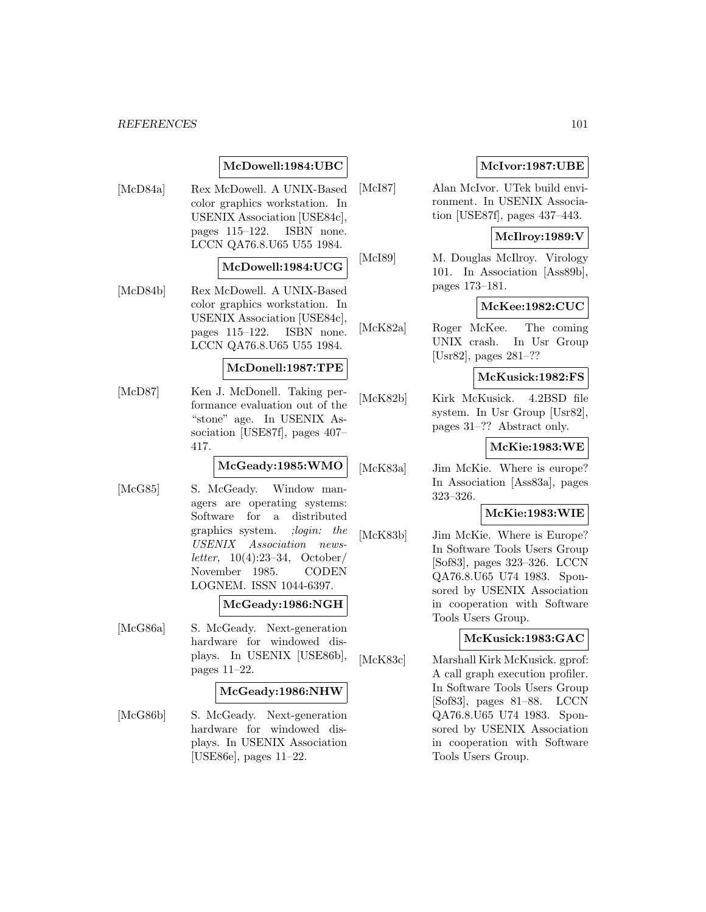## **McDowell:1984:UBC**

[McD84a] Rex McDowell. A UNIX-Based color graphics workstation. In USENIX Association [USE84c], pages 115–122. ISBN none. LCCN QA76.8.U65 U55 1984.

## **McDowell:1984:UCG**

[McD84b] Rex McDowell. A UNIX-Based color graphics workstation. In USENIX Association [USE84c], pages 115–122. ISBN none. LCCN QA76.8.U65 U55 1984.

#### **McDonell:1987:TPE**

[McD87] Ken J. McDonell. Taking performance evaluation out of the "stone" age. In USENIX Association [USE87f], pages 407– 417.

#### **McGeady:1985:WMO**

[McG85] S. McGeady. Window managers are operating systems: Software for a distributed graphics system. ;login: the USENIX Association newsletter, 10(4):23–34, October/ November 1985. CODEN LOGNEM. ISSN 1044-6397.

## **McGeady:1986:NGH**

[McG86a] S. McGeady. Next-generation hardware for windowed displays. In USENIX [USE86b], pages 11–22.

#### **McGeady:1986:NHW**

[McG86b] S. McGeady. Next-generation hardware for windowed displays. In USENIX Association [USE86e], pages 11–22.

## **McIvor:1987:UBE**

[McI87] Alan McIvor. UTek build environment. In USENIX Association [USE87f], pages 437–443.

#### **McIlroy:1989:V**

[McI89] M. Douglas McIlroy. Virology 101. In Association [Ass89b], pages 173–181.

## **McKee:1982:CUC**

[McK82a] Roger McKee. The coming UNIX crash. In Usr Group [Usr82], pages 281–??

### **McKusick:1982:FS**

[McK82b] Kirk McKusick. 4.2BSD file system. In Usr Group [Usr82], pages 31–?? Abstract only.

#### **McKie:1983:WE**

[McK83a] Jim McKie. Where is europe? In Association [Ass83a], pages 323–326.

## **McKie:1983:WIE**

[McK83b] Jim McKie. Where is Europe? In Software Tools Users Group [Sof83], pages 323–326. LCCN QA76.8.U65 U74 1983. Sponsored by USENIX Association in cooperation with Software Tools Users Group.

## **McKusick:1983:GAC**

[McK83c] Marshall Kirk McKusick. gprof: A call graph execution profiler. In Software Tools Users Group [Sof83], pages 81–88. LCCN QA76.8.U65 U74 1983. Sponsored by USENIX Association in cooperation with Software Tools Users Group.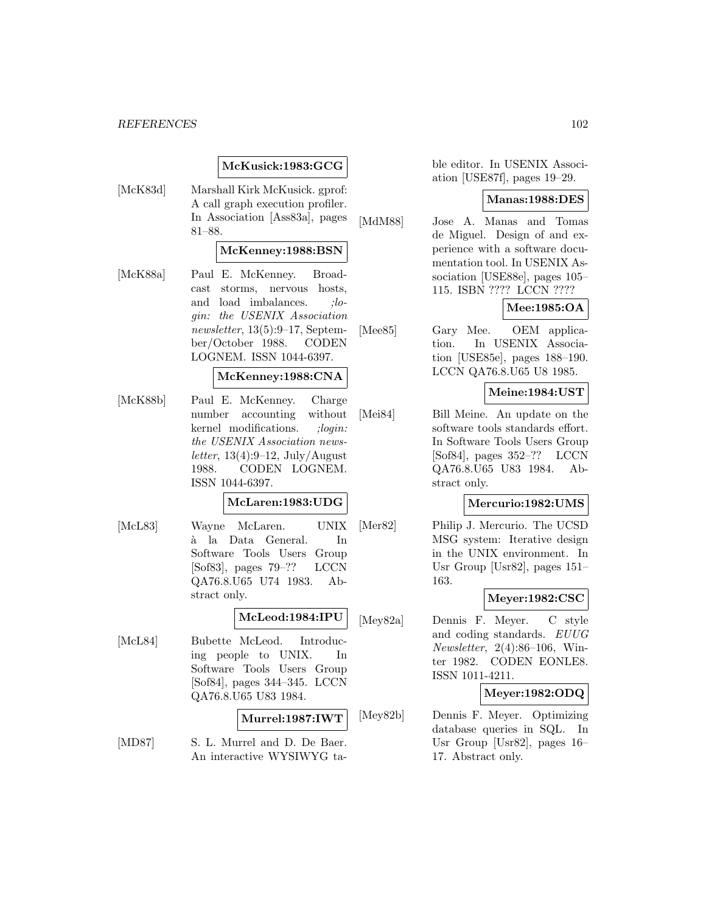## **McKusick:1983:GCG**

[McK83d] Marshall Kirk McKusick. gprof: A call graph execution profiler. In Association [Ass83a], pages 81–88.

## **McKenney:1988:BSN**

[McK88a] Paul E. McKenney. Broadcast storms, nervous hosts, and load imbalances. ; login: the USENIX Association newsletter, 13(5):9–17, September/October 1988. CODEN LOGNEM. ISSN 1044-6397.

### **McKenney:1988:CNA**

[McK88b] Paul E. McKenney. Charge number accounting without kernel modifications. ;login: the USENIX Association newsletter,  $13(4):9-12$ , July/August 1988. CODEN LOGNEM. ISSN 1044-6397.

#### **McLaren:1983:UDG**

[McL83] Wayne McLaren. UNIX a la Data General. In ` Software Tools Users Group [Sof83], pages 79–?? LCCN QA76.8.U65 U74 1983. Abstract only.

#### **McLeod:1984:IPU**

[McL84] Bubette McLeod. Introducing people to UNIX. In Software Tools Users Group [Sof84], pages 344–345. LCCN QA76.8.U65 U83 1984.

## **Murrel:1987:IWT**

[MD87] S. L. Murrel and D. De Baer. An interactive WYSIWYG table editor. In USENIX Association [USE87f], pages 19–29.

#### **Manas:1988:DES**

[MdM88] Jose A. Manas and Tomas de Miguel. Design of and experience with a software documentation tool. In USENIX Association [USE88e], pages 105– 115. ISBN ???? LCCN ????

## **Mee:1985:OA**

[Mee85] Gary Mee. OEM application. In USENIX Association [USE85e], pages 188–190. LCCN QA76.8.U65 U8 1985.

#### **Meine:1984:UST**

[Mei84] Bill Meine. An update on the software tools standards effort. In Software Tools Users Group [Sof84], pages 352–?? LCCN QA76.8.U65 U83 1984. Abstract only.

#### **Mercurio:1982:UMS**

[Mer82] Philip J. Mercurio. The UCSD MSG system: Iterative design in the UNIX environment. In Usr Group [Usr82], pages 151– 163.

#### **Meyer:1982:CSC**

[Mey82a] Dennis F. Meyer. C style and coding standards. EUUG Newsletter, 2(4):86–106, Winter 1982. CODEN EONLE8. ISSN 1011-4211.

## **Meyer:1982:ODQ**

[Mey82b] Dennis F. Meyer. Optimizing database queries in SQL. In Usr Group [Usr82], pages 16– 17. Abstract only.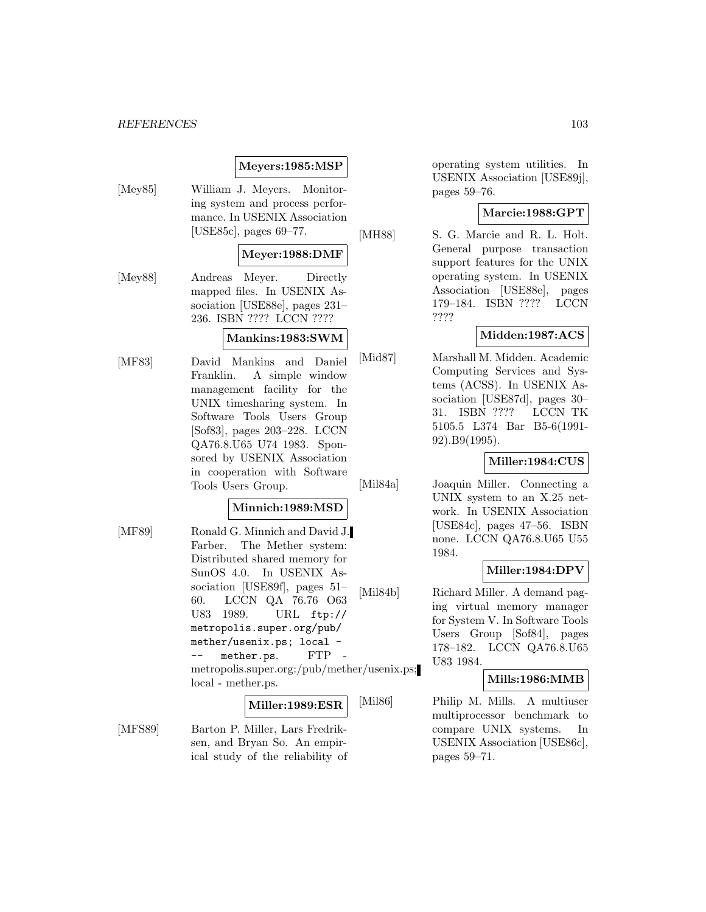## **Meyers:1985:MSP**

[Mey85] William J. Meyers. Monitoring system and process performance. In USENIX Association [USE85c], pages 69–77.

## **Meyer:1988:DMF**

[Mey88] Andreas Meyer. Directly mapped files. In USENIX Association [USE88e], pages 231– 236. ISBN ???? LCCN ????

### **Mankins:1983:SWM**

[MF83] David Mankins and Daniel Franklin. A simple window management facility for the UNIX timesharing system. In Software Tools Users Group [Sof83], pages 203–228. LCCN QA76.8.U65 U74 1983. Sponsored by USENIX Association in cooperation with Software Tools Users Group.

## **Minnich:1989:MSD**

[MF89] Ronald G. Minnich and David J. Farber. The Mether system: Distributed shared memory for SunOS 4.0. In USENIX Association [USE89f], pages 51– 60. LCCN QA 76.76 O63 U83 1989. URL ftp:// metropolis.super.org/pub/ mether/usenix.ps; local mether.ps. FTP metropolis.super.org:/pub/mether/usenix.ps; local - mether.ps.

## **Miller:1989:ESR**

[MFS89] Barton P. Miller, Lars Fredriksen, and Bryan So. An empirical study of the reliability of operating system utilities. In USENIX Association [USE89j], pages 59–76.

## **Marcie:1988:GPT**

[MH88] S. G. Marcie and R. L. Holt. General purpose transaction support features for the UNIX operating system. In USENIX Association [USE88e], pages 179–184. ISBN ???? LCCN ????

## **Midden:1987:ACS**

[Mid87] Marshall M. Midden. Academic Computing Services and Systems (ACSS). In USENIX Association [USE87d], pages 30– 31. ISBN ???? LCCN TK 5105.5 L374 Bar B5-6(1991- 92).B9(1995).

## **Miller:1984:CUS**

[Mil84a] Joaquin Miller. Connecting a UNIX system to an X.25 net-

work. In USENIX Association [USE84c], pages 47–56. ISBN none. LCCN QA76.8.U65 U55 1984.

## **Miller:1984:DPV**

[Mil84b] Richard Miller. A demand paging virtual memory manager for System V. In Software Tools Users Group [Sof84], pages 178–182. LCCN QA76.8.U65 U83 1984.

## **Mills:1986:MMB**

[Mil86] Philip M. Mills. A multiuser multiprocessor benchmark to compare UNIX systems. In USENIX Association [USE86c], pages 59–71.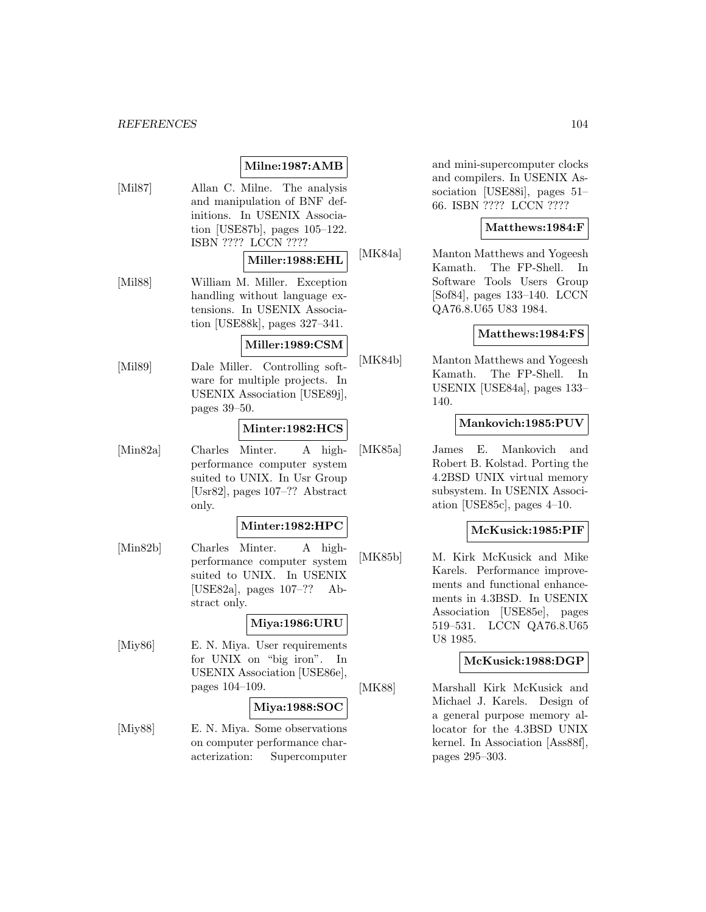## **Milne:1987:AMB**

[Mil87] Allan C. Milne. The analysis and manipulation of BNF definitions. In USENIX Association [USE87b], pages 105–122. ISBN ???? LCCN ????

## **Miller:1988:EHL**

[Mil88] William M. Miller. Exception handling without language extensions. In USENIX Association [USE88k], pages 327–341.

## **Miller:1989:CSM**

[Mil89] Dale Miller. Controlling software for multiple projects. In USENIX Association [USE89j], pages 39–50.

## **Minter:1982:HCS**

[Min82a] Charles Minter. A highperformance computer system suited to UNIX. In Usr Group [Usr82], pages 107–?? Abstract only.

## **Minter:1982:HPC**

[Min82b] Charles Minter. A highperformance computer system suited to UNIX. In USENIX [USE82a], pages 107–?? Abstract only.

## **Miya:1986:URU**

[Miy86] E. N. Miya. User requirements for UNIX on "big iron". In USENIX Association [USE86e], pages 104–109.

## **Miya:1988:SOC**

[Miy88] E. N. Miya. Some observations on computer performance characterization: Supercomputer

and mini-supercomputer clocks and compilers. In USENIX Association [USE88i], pages 51– 66. ISBN ???? LCCN ????

## **Matthews:1984:F**

[MK84a] Manton Matthews and Yogeesh Kamath. The FP-Shell. In Software Tools Users Group [Sof84], pages 133–140. LCCN QA76.8.U65 U83 1984.

## **Matthews:1984:FS**

[MK84b] Manton Matthews and Yogeesh Kamath. The FP-Shell. In USENIX [USE84a], pages 133– 140.

### **Mankovich:1985:PUV**

[MK85a] James E. Mankovich and Robert B. Kolstad. Porting the 4.2BSD UNIX virtual memory subsystem. In USENIX Association [USE85c], pages 4–10.

## **McKusick:1985:PIF**

[MK85b] M. Kirk McKusick and Mike Karels. Performance improvements and functional enhancements in 4.3BSD. In USENIX Association [USE85e], pages 519–531. LCCN QA76.8.U65 U8 1985.

## **McKusick:1988:DGP**

[MK88] Marshall Kirk McKusick and Michael J. Karels. Design of a general purpose memory allocator for the 4.3BSD UNIX kernel. In Association [Ass88f], pages 295–303.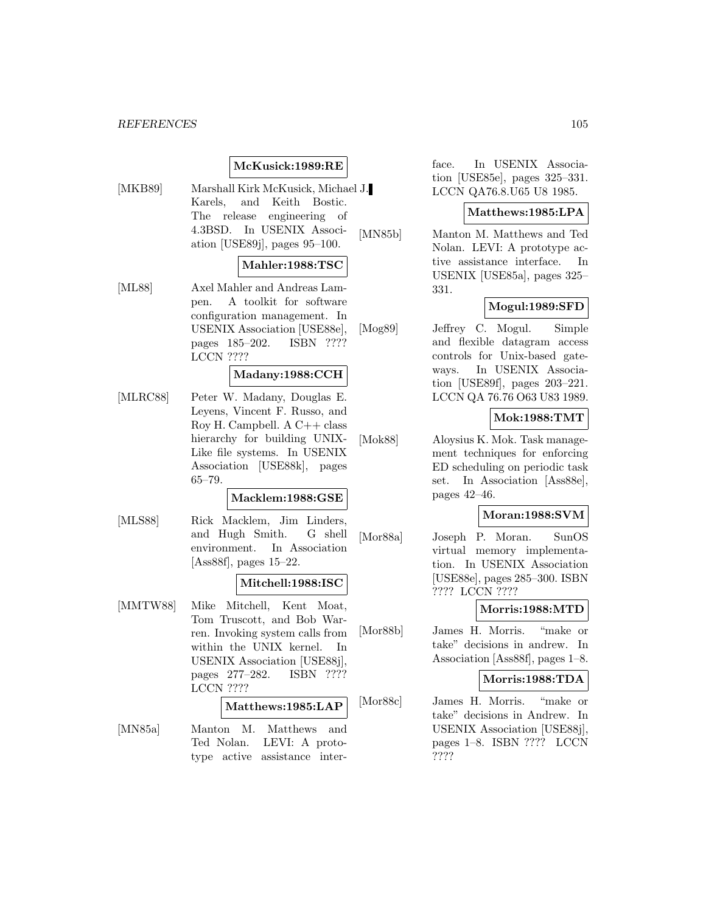## **McKusick:1989:RE**

[MKB89] Marshall Kirk McKusick, Michael J. Karels, and Keith Bostic. The release engineering of 4.3BSD. In USENIX Association [USE89j], pages 95–100.

## **Mahler:1988:TSC**

[ML88] Axel Mahler and Andreas Lampen. A toolkit for software configuration management. In USENIX Association [USE88e], pages 185–202. ISBN ???? LCCN ????

## **Madany:1988:CCH**

[MLRC88] Peter W. Madany, Douglas E. Leyens, Vincent F. Russo, and Roy H. Campbell. A C++ class hierarchy for building UNIX-Like file systems. In USENIX Association [USE88k], pages 65–79.

## **Macklem:1988:GSE**

[MLS88] Rick Macklem, Jim Linders, and Hugh Smith. G shell environment. In Association [Ass88f], pages 15–22.

## **Mitchell:1988:ISC**

[MMTW88] Mike Mitchell, Kent Moat, Tom Truscott, and Bob Warren. Invoking system calls from within the UNIX kernel. In USENIX Association [USE88j], pages 277–282. ISBN ???? LCCN ????

## **Matthews:1985:LAP**

[MN85a] Manton M. Matthews and Ted Nolan. LEVI: A prototype active assistance interface. In USENIX Association [USE85e], pages 325–331. LCCN QA76.8.U65 U8 1985.

### **Matthews:1985:LPA**

[MN85b] Manton M. Matthews and Ted Nolan. LEVI: A prototype active assistance interface. In USENIX [USE85a], pages 325– 331.

## **Mogul:1989:SFD**

[Mog89] Jeffrey C. Mogul. Simple and flexible datagram access controls for Unix-based gateways. In USENIX Association [USE89f], pages 203–221. LCCN QA 76.76 O63 U83 1989.

## **Mok:1988:TMT**

[Mok88] Aloysius K. Mok. Task management techniques for enforcing ED scheduling on periodic task set. In Association [Ass88e], pages 42–46.

## **Moran:1988:SVM**

[Mor88a] Joseph P. Moran. SunOS virtual memory implementation. In USENIX Association [USE88e], pages 285–300. ISBN ???? LCCN ????

## **Morris:1988:MTD**

[Mor88b] James H. Morris. "make or take" decisions in andrew. In Association [Ass88f], pages 1–8.

### **Morris:1988:TDA**

[Mor88c] James H. Morris. "make or take" decisions in Andrew. In USENIX Association [USE88j], pages 1–8. ISBN ???? LCCN ????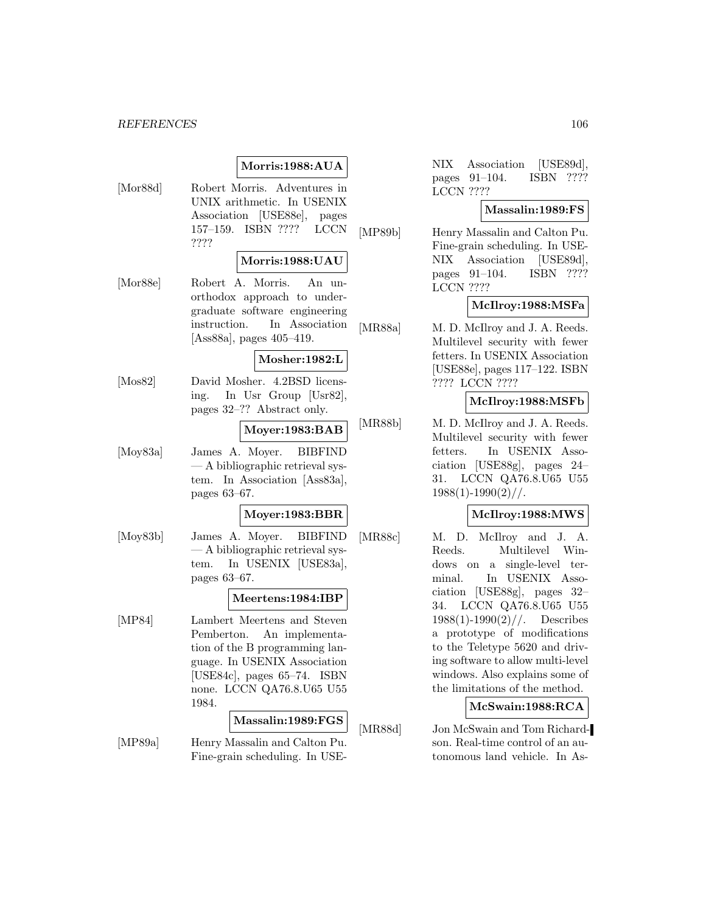## **Morris:1988:AUA**

[Mor88d] Robert Morris. Adventures in UNIX arithmetic. In USENIX Association [USE88e], pages 157–159. ISBN ???? LCCN ????

#### **Morris:1988:UAU**

[Mor88e] Robert A. Morris. An unorthodox approach to undergraduate software engineering instruction. In Association [Ass88a], pages 405–419.

## **Mosher:1982:L**

[Mos82] David Mosher. 4.2BSD licensing. In Usr Group [Usr82], pages 32–?? Abstract only.

## **Moyer:1983:BAB**

[Moy83a] James A. Moyer. BIBFIND — A bibliographic retrieval system. In Association [Ass83a], pages 63–67.

## **Moyer:1983:BBR**

[Moy83b] James A. Moyer. BIBFIND — A bibliographic retrieval system. In USENIX [USE83a], pages 63–67.

#### **Meertens:1984:IBP**

[MP84] Lambert Meertens and Steven Pemberton. An implementation of the B programming language. In USENIX Association [USE84c], pages 65–74. ISBN none. LCCN QA76.8.U65 U55 1984.

## **Massalin:1989:FGS**

[MP89a] Henry Massalin and Calton Pu. Fine-grain scheduling. In USE-

NIX Association [USE89d], pages 91–104. ISBN ???? LCCN ????

## **Massalin:1989:FS**

[MP89b] Henry Massalin and Calton Pu. Fine-grain scheduling. In USE-NIX Association [USE89d], pages 91–104. ISBN ???? LCCN ????

## **McIlroy:1988:MSFa**

[MR88a] M. D. McIlroy and J. A. Reeds. Multilevel security with fewer fetters. In USENIX Association [USE88e], pages 117–122. ISBN ???? LCCN ????

### **McIlroy:1988:MSFb**

[MR88b] M. D. McIlroy and J. A. Reeds. Multilevel security with fewer fetters. In USENIX Association [USE88g], pages 24– 31. LCCN QA76.8.U65 U55  $1988(1)$ -1990 $(2)$ //.

## **McIlroy:1988:MWS**

[MR88c] M. D. McIlroy and J. A. Reeds. Multilevel Windows on a single-level terminal. In USENIX Association [USE88g], pages 32– 34. LCCN QA76.8.U65 U55  $1988(1)$ -1990 $(2)$ //. Describes a prototype of modifications to the Teletype 5620 and driving software to allow multi-level windows. Also explains some of the limitations of the method.

## **McSwain:1988:RCA**

[MR88d] Jon McSwain and Tom Richardson. Real-time control of an autonomous land vehicle. In As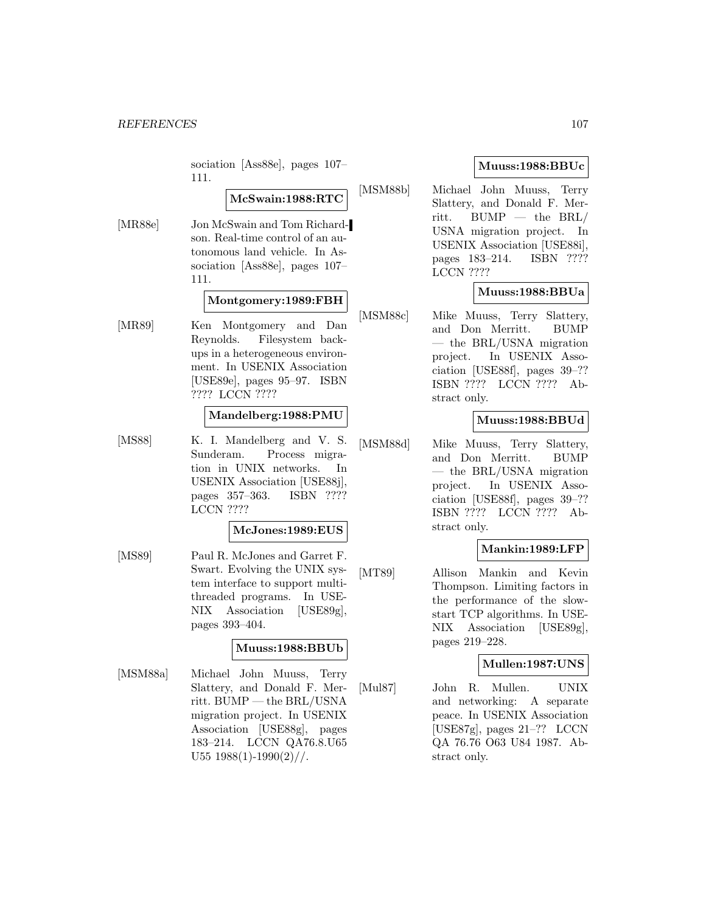sociation [Ass88e], pages 107– 111.

## **McSwain:1988:RTC**

[MR88e] Jon McSwain and Tom Richardson. Real-time control of an autonomous land vehicle. In Association [Ass88e], pages 107– 111.

#### **Montgomery:1989:FBH**

[MR89] Ken Montgomery and Dan Reynolds. Filesystem backups in a heterogeneous environment. In USENIX Association [USE89e], pages 95–97. ISBN ???? LCCN ????

#### **Mandelberg:1988:PMU**

[MS88] K. I. Mandelberg and V. S. Sunderam. Process migration in UNIX networks. In USENIX Association [USE88j], pages 357–363. ISBN ???? LCCN ????

#### **McJones:1989:EUS**

[MS89] Paul R. McJones and Garret F. Swart. Evolving the UNIX system interface to support multithreaded programs. In USE-NIX Association [USE89g], pages 393–404.

#### **Muuss:1988:BBUb**

[MSM88a] Michael John Muuss, Terry Slattery, and Donald F. Merritt. BUMP — the BRL/USNA migration project. In USENIX Association [USE88g], pages 183–214. LCCN QA76.8.U65 U55  $1988(1)$ -1990 $(2)$ //.

## **Muuss:1988:BBUc**

[MSM88b] Michael John Muuss, Terry Slattery, and Donald F. Merritt. BUMP — the BRL/ USNA migration project. In USENIX Association [USE88i], pages 183–214. ISBN ???? LCCN ????

## **Muuss:1988:BBUa**

[MSM88c] Mike Muuss, Terry Slattery, and Don Merritt. BUMP — the BRL/USNA migration project. In USENIX Association [USE88f], pages 39–?? ISBN ???? LCCN ???? Abstract only.

## **Muuss:1988:BBUd**

[MSM88d] Mike Muuss, Terry Slattery, and Don Merritt. BUMP — the BRL/USNA migration project. In USENIX Association [USE88f], pages 39–?? ISBN ???? LCCN ???? Abstract only.

## **Mankin:1989:LFP**

[MT89] Allison Mankin and Kevin Thompson. Limiting factors in the performance of the slowstart TCP algorithms. In USE-NIX Association [USE89g], pages 219–228.

## **Mullen:1987:UNS**

[Mul87] John R. Mullen. UNIX and networking: A separate peace. In USENIX Association [USE87g], pages 21–?? LCCN QA 76.76 O63 U84 1987. Abstract only.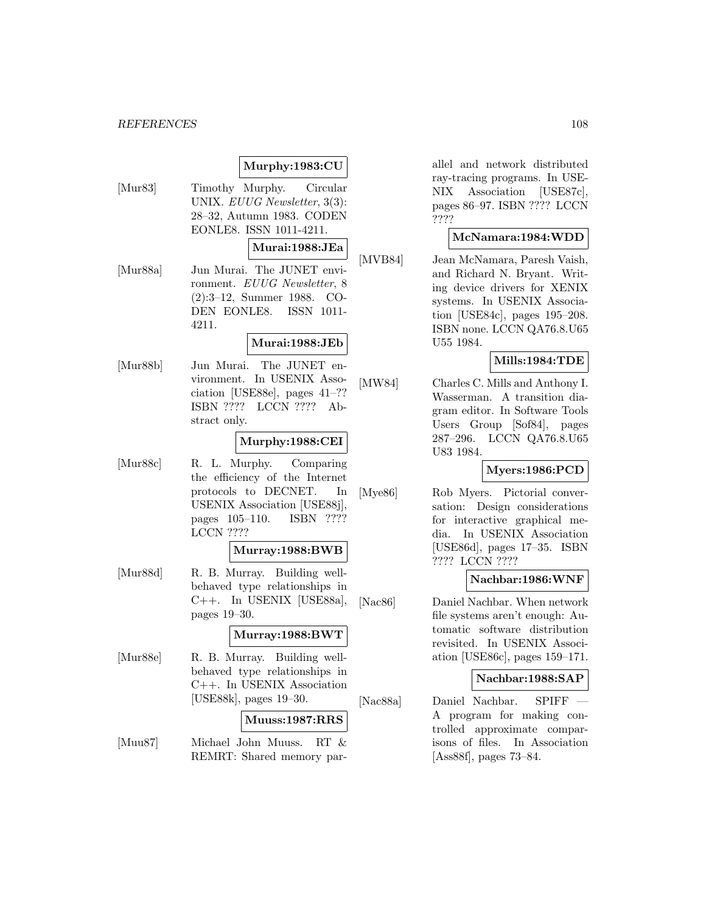## **Murphy:1983:CU**

[Mur83] Timothy Murphy. Circular UNIX. EUUG Newsletter, 3(3): 28–32, Autumn 1983. CODEN EONLE8. ISSN 1011-4211.

### **Murai:1988:JEa**

[Mur88a] Jun Murai. The JUNET environment. EUUG Newsletter, 8 (2):3–12, Summer 1988. CO-DEN EONLE8. ISSN 1011- 4211.

#### **Murai:1988:JEb**

[Mur88b] Jun Murai. The JUNET environment. In USENIX Association [USE88e], pages 41–?? ISBN ???? LCCN ???? Abstract only.

### **Murphy:1988:CEI**

[Mur88c] R. L. Murphy. Comparing the efficiency of the Internet protocols to DECNET. In USENIX Association [USE88j], pages 105–110. ISBN ???? LCCN ????

## **Murray:1988:BWB**

[Mur88d] R. B. Murray. Building wellbehaved type relationships in C++. In USENIX [USE88a], pages 19–30.

#### **Murray:1988:BWT**

[Mur88e] R. B. Murray. Building wellbehaved type relationships in C++. In USENIX Association [USE88k], pages 19–30.

#### **Muuss:1987:RRS**

[Muu87] Michael John Muuss. RT & REMRT: Shared memory parallel and network distributed ray-tracing programs. In USE-NIX Association [USE87c], pages 86–97. ISBN ???? LCCN ????

## **McNamara:1984:WDD**

[MVB84] Jean McNamara, Paresh Vaish, and Richard N. Bryant. Writing device drivers for XENIX systems. In USENIX Association [USE84c], pages 195–208. ISBN none. LCCN QA76.8.U65 U55 1984.

## **Mills:1984:TDE**

[MW84] Charles C. Mills and Anthony I. Wasserman. A transition diagram editor. In Software Tools Users Group [Sof84], pages 287–296. LCCN QA76.8.U65 U83 1984.

## **Myers:1986:PCD**

[Mye86] Rob Myers. Pictorial conversation: Design considerations for interactive graphical media. In USENIX Association [USE86d], pages 17–35. ISBN ???? LCCN ????

## **Nachbar:1986:WNF**

[Nac86] Daniel Nachbar. When network file systems aren't enough: Automatic software distribution revisited. In USENIX Association [USE86c], pages 159–171.

#### **Nachbar:1988:SAP**

[Nac88a] Daniel Nachbar. SPIFF — A program for making controlled approximate comparisons of files. In Association [Ass88f], pages 73–84.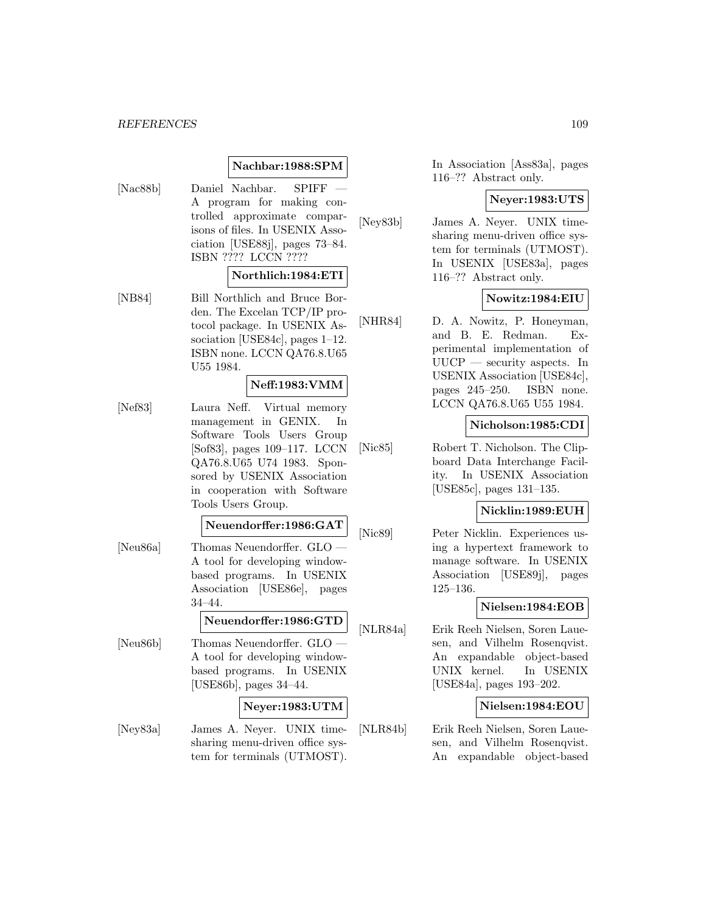# **Nachbar:1988:SPM**

[Nac88b] Daniel Nachbar. SPIFF A program for making controlled approximate comparisons of files. In USENIX Association [USE88j], pages 73–84. ISBN ???? LCCN ????

### **Northlich:1984:ETI**

[NB84] Bill Northlich and Bruce Borden. The Excelan TCP/IP protocol package. In USENIX Association [USE84c], pages 1–12. ISBN none. LCCN QA76.8.U65 U55 1984.

#### **Neff:1983:VMM**

[Nef83] Laura Neff. Virtual memory management in GENIX. In Software Tools Users Group [Sof83], pages 109–117. LCCN QA76.8.U65 U74 1983. Sponsored by USENIX Association in cooperation with Software Tools Users Group.

#### **Neuendorffer:1986:GAT**

- [Neu86a] Thomas Neuendorffer. GLO A tool for developing windowbased programs. In USENIX Association [USE86e], pages 34–44. **Neuendorffer:1986:GTD**
- [Neu86b] Thomas Neuendorffer. GLO A tool for developing windowbased programs. In USENIX [USE86b], pages 34–44.

# **Neyer:1983:UTM**

[Ney83a] James A. Neyer. UNIX timesharing menu-driven office system for terminals (UTMOST).

In Association [Ass83a], pages 116–?? Abstract only.

#### **Neyer:1983:UTS**

[Ney83b] James A. Neyer. UNIX timesharing menu-driven office system for terminals (UTMOST). In USENIX [USE83a], pages 116–?? Abstract only.

# **Nowitz:1984:EIU**

[NHR84] D. A. Nowitz, P. Honeyman, and B. E. Redman. Experimental implementation of UUCP — security aspects. In USENIX Association [USE84c], pages 245–250. ISBN none. LCCN QA76.8.U65 U55 1984.

#### **Nicholson:1985:CDI**

[Nic85] Robert T. Nicholson. The Clipboard Data Interchange Facility. In USENIX Association [USE85c], pages 131–135.

# **Nicklin:1989:EUH**

[Nic89] Peter Nicklin. Experiences using a hypertext framework to manage software. In USENIX Association [USE89j], pages 125–136.

# **Nielsen:1984:EOB**

[NLR84a] Erik Reeh Nielsen, Soren Lauesen, and Vilhelm Rosenqvist. An expandable object-based UNIX kernel. In USENIX [USE84a], pages 193–202.

# **Nielsen:1984:EOU**

[NLR84b] Erik Reeh Nielsen, Soren Lauesen, and Vilhelm Rosenqvist. An expandable object-based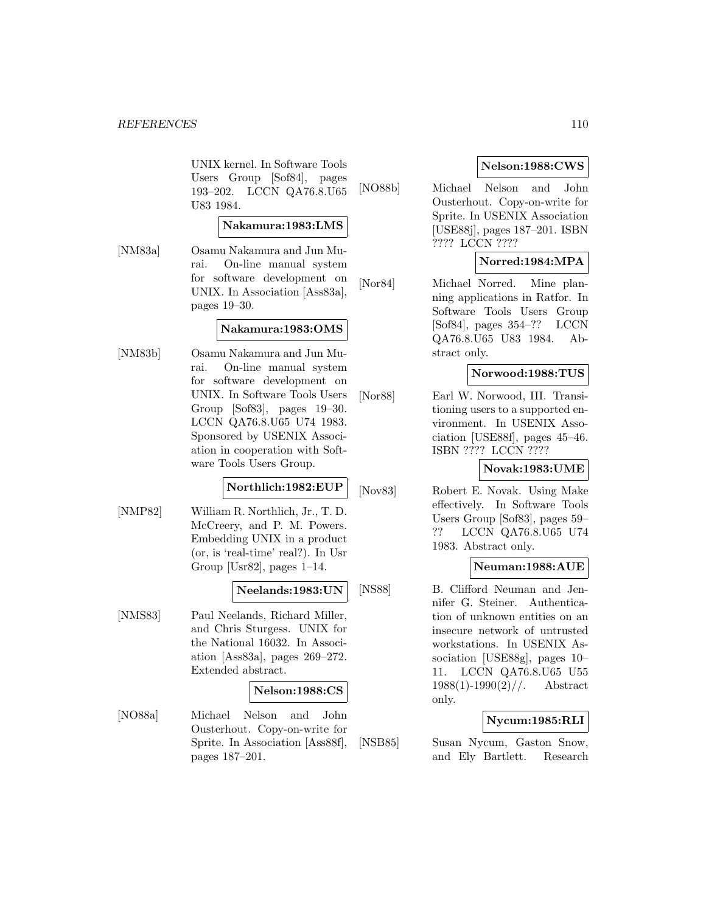UNIX kernel. In Software Tools Users Group [Sof84], pages 193–202. LCCN QA76.8.U65 U83 1984.

# **Nakamura:1983:LMS**

[NM83a] Osamu Nakamura and Jun Murai. On-line manual system for software development on UNIX. In Association [Ass83a], pages 19–30.

# **Nakamura:1983:OMS**

[NM83b] Osamu Nakamura and Jun Murai. On-line manual system for software development on UNIX. In Software Tools Users Group [Sof83], pages 19–30. LCCN QA76.8.U65 U74 1983. Sponsored by USENIX Association in cooperation with Software Tools Users Group.

# **Northlich:1982:EUP**

[NMP82] William R. Northlich, Jr., T. D. McCreery, and P. M. Powers. Embedding UNIX in a product (or, is 'real-time' real?). In Usr Group [Usr82], pages 1–14.

# **Neelands:1983:UN**

[NMS83] Paul Neelands, Richard Miller, and Chris Sturgess. UNIX for the National 16032. In Association [Ass83a], pages 269–272. Extended abstract.

# **Nelson:1988:CS**

[NO88a] Michael Nelson and John Ousterhout. Copy-on-write for Sprite. In Association [Ass88f], pages 187–201.

# **Nelson:1988:CWS**

[NO88b] Michael Nelson and John Ousterhout. Copy-on-write for Sprite. In USENIX Association [USE88j], pages 187–201. ISBN ???? LCCN ????

# **Norred:1984:MPA**

[Nor84] Michael Norred. Mine planning applications in Ratfor. In Software Tools Users Group [Sof84], pages 354–?? LCCN QA76.8.U65 U83 1984. Abstract only.

# **Norwood:1988:TUS**

[Nor88] Earl W. Norwood, III. Transitioning users to a supported environment. In USENIX Association [USE88f], pages 45–46. ISBN ???? LCCN ????

# **Novak:1983:UME**

[Nov83] Robert E. Novak. Using Make effectively. In Software Tools Users Group [Sof83], pages 59– ?? LCCN QA76.8.U65 U74 1983. Abstract only.

# **Neuman:1988:AUE**

[NS88] B. Clifford Neuman and Jennifer G. Steiner. Authentication of unknown entities on an insecure network of untrusted workstations. In USENIX Association [USE88g], pages 10– 11. LCCN QA76.8.U65 U55  $1988(1)$ -1990(2)//. Abstract only.

# **Nycum:1985:RLI**

[NSB85] Susan Nycum, Gaston Snow, and Ely Bartlett. Research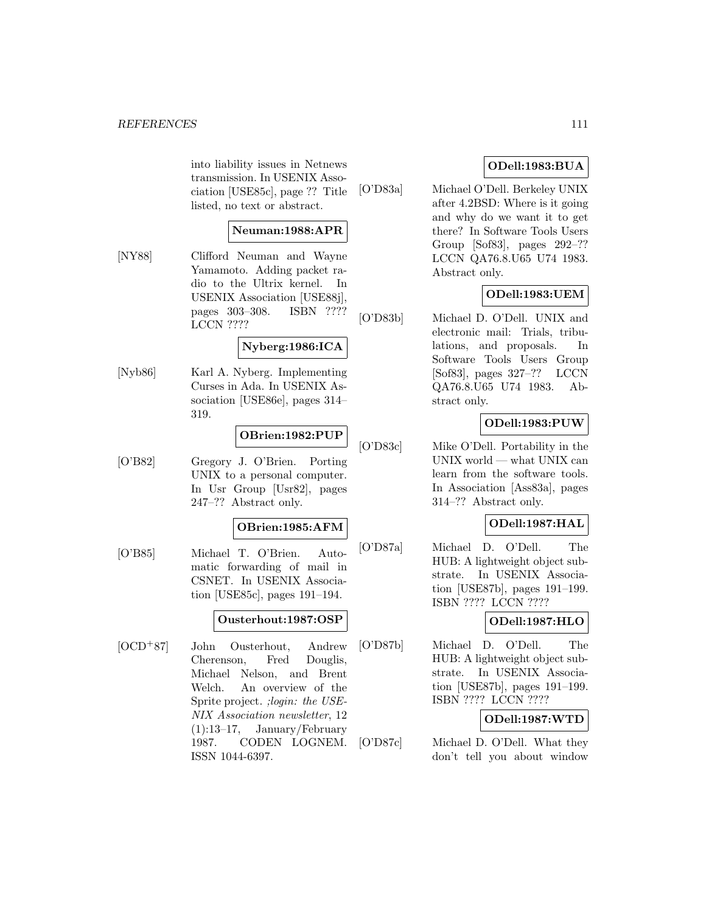into liability issues in Netnews transmission. In USENIX Association [USE85c], page ?? Title listed, no text or abstract.

# **Neuman:1988:APR**

[NY88] Clifford Neuman and Wayne Yamamoto. Adding packet radio to the Ultrix kernel. In USENIX Association [USE88j], pages 303–308. ISBN ???? LCCN ????

#### **Nyberg:1986:ICA**

[Nyb86] Karl A. Nyberg. Implementing Curses in Ada. In USENIX Association [USE86e], pages 314– 319.

# **OBrien:1982:PUP**

[O'B82] Gregory J. O'Brien. Porting UNIX to a personal computer. In Usr Group [Usr82], pages 247–?? Abstract only.

#### **OBrien:1985:AFM**

[O'B85] Michael T. O'Brien. Automatic forwarding of mail in CSNET. In USENIX Association [USE85c], pages 191–194.

# **Ousterhout:1987:OSP**

[OCD<sup>+</sup>87] John Ousterhout, Andrew Cherenson, Fred Douglis, Michael Nelson, and Brent Welch. An overview of the Sprite project. ;login: the USE-NIX Association newsletter, 12 (1):13–17, January/February 1987. CODEN LOGNEM. ISSN 1044-6397.

# **ODell:1983:BUA**

[O'D83a] Michael O'Dell. Berkeley UNIX after 4.2BSD: Where is it going and why do we want it to get there? In Software Tools Users Group [Sof83], pages 292–?? LCCN QA76.8.U65 U74 1983. Abstract only.

# **ODell:1983:UEM**

[O'D83b] Michael D. O'Dell. UNIX and electronic mail: Trials, tribulations, and proposals. In Software Tools Users Group [Sof83], pages 327–?? LCCN QA76.8.U65 U74 1983. Abstract only.

# **ODell:1983:PUW**

[O'D83c] Mike O'Dell. Portability in the UNIX world — what UNIX can learn from the software tools. In Association [Ass83a], pages 314–?? Abstract only.

# **ODell:1987:HAL**

[O'D87a] Michael D. O'Dell. The HUB: A lightweight object substrate. In USENIX Association [USE87b], pages 191–199. ISBN ???? LCCN ????

# **ODell:1987:HLO**

[O'D87b] Michael D. O'Dell. The HUB: A lightweight object substrate. In USENIX Association [USE87b], pages 191–199. ISBN ???? LCCN ????

# **ODell:1987:WTD**

[O'D87c] Michael D. O'Dell. What they don't tell you about window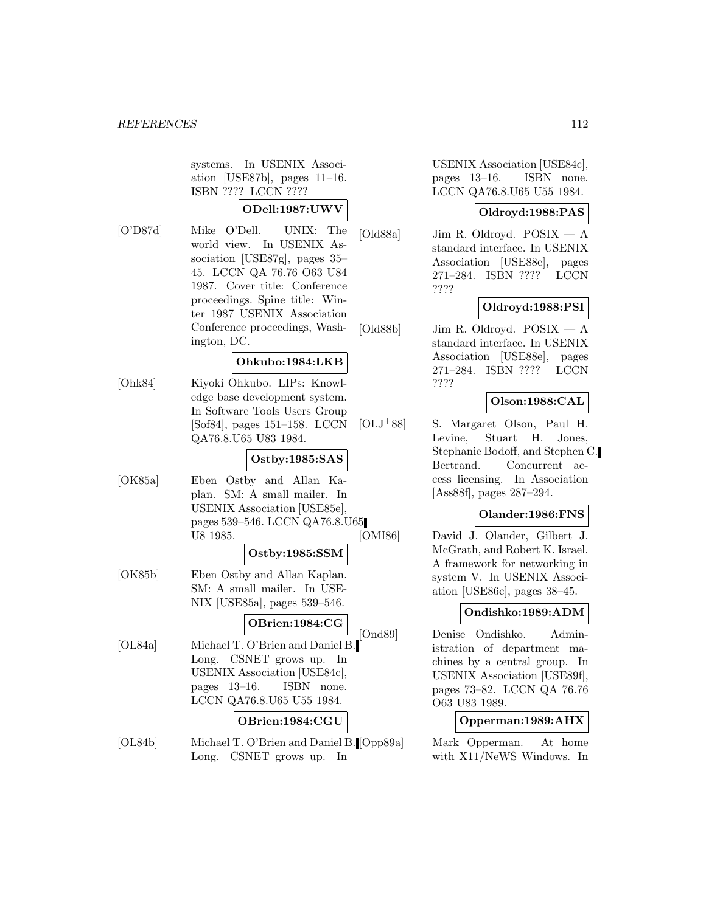systems. In USENIX Association [USE87b], pages 11–16. ISBN ???? LCCN ????

# **ODell:1987:UWV**

[O'D87d] Mike O'Dell. UNIX: The world view. In USENIX Association [USE87g], pages 35– 45. LCCN QA 76.76 O63 U84 1987. Cover title: Conference proceedings. Spine title: Winter 1987 USENIX Association Conference proceedings, Washington, DC.

# **Ohkubo:1984:LKB**

[Ohk84] Kiyoki Ohkubo. LIPs: Knowledge base development system. In Software Tools Users Group [Sof84], pages 151–158. LCCN QA76.8.U65 U83 1984.

# **Ostby:1985:SAS**

[OK85a] Eben Ostby and Allan Kaplan. SM: A small mailer. In USENIX Association [USE85e], pages 539–546. LCCN QA76.8.U65 U8 1985.

#### **Ostby:1985:SSM**

[OK85b] Eben Ostby and Allan Kaplan. SM: A small mailer. In USE-NIX [USE85a], pages 539–546.

### **OBrien:1984:CG**

[OL84a] Michael T. O'Brien and Daniel B. Long. CSNET grows up. In USENIX Association [USE84c], pages 13–16. ISBN none. LCCN QA76.8.U65 U55 1984.

# **OBrien:1984:CGU**

[OL84b] Michael T. O'Brien and Daniel B. [Opp89a] Long. CSNET grows up. In

USENIX Association [USE84c], pages 13–16. ISBN none. LCCN QA76.8.U65 U55 1984.

# **Oldroyd:1988:PAS**

[Old88a] Jim R. Oldroyd. POSIX — A standard interface. In USENIX Association [USE88e], pages 271–284. ISBN ???? LCCN ????

# **Oldroyd:1988:PSI**

[Old88b] Jim R. Oldroyd. POSIX — A standard interface. In USENIX Association [USE88e], pages 271–284. ISBN ???? LCCN ????

# **Olson:1988:CAL**

[OLJ<sup>+</sup>88] S. Margaret Olson, Paul H. Levine, Stuart H. Jones, Stephanie Bodoff, and Stephen C. Bertrand. Concurrent access licensing. In Association [Ass88f], pages 287–294.

# **Olander:1986:FNS**

[OMI86] David J. Olander, Gilbert J. McGrath, and Robert K. Israel. A framework for networking in system V. In USENIX Association [USE86c], pages 38–45.

#### **Ondishko:1989:ADM**

[Ond89] Denise Ondishko. Administration of department machines by a central group. In USENIX Association [USE89f], pages 73–82. LCCN QA 76.76 O63 U83 1989.

# **Opperman:1989:AHX**

Mark Opperman. At home with X11/NeWS Windows. In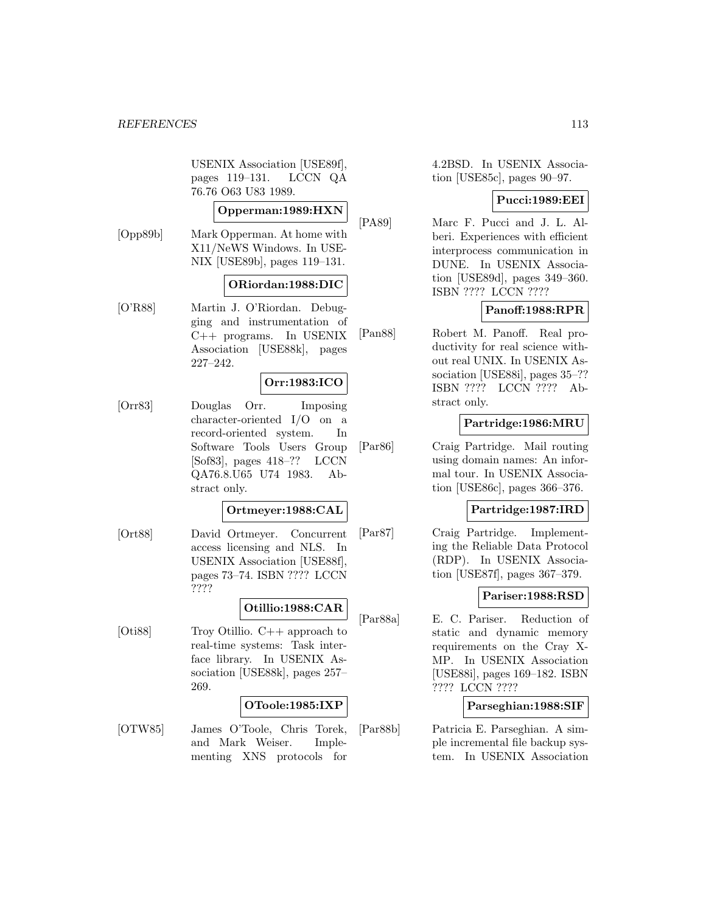USENIX Association [USE89f], pages 119–131. LCCN QA 76.76 O63 U83 1989.

# **Opperman:1989:HXN**

[Opp89b] Mark Opperman. At home with X11/NeWS Windows. In USE-NIX [USE89b], pages 119–131.

# **ORiordan:1988:DIC**

[O'R88] Martin J. O'Riordan. Debugging and instrumentation of C++ programs. In USENIX Association [USE88k], pages 227–242.

# **Orr:1983:ICO**

[Orr83] Douglas Orr. Imposing character-oriented I/O on a record-oriented system. In Software Tools Users Group [Sof83], pages 418–?? LCCN QA76.8.U65 U74 1983. Abstract only.

# **Ortmeyer:1988:CAL**

[Ort88] David Ortmeyer. Concurrent access licensing and NLS. In USENIX Association [USE88f], pages 73–74. ISBN ???? LCCN ????

#### **Otillio:1988:CAR**

[Oti88] Troy Otillio. C++ approach to real-time systems: Task interface library. In USENIX Association [USE88k], pages 257– 269.

# **OToole:1985:IXP**

[OTW85] James O'Toole, Chris Torek, and Mark Weiser. Implementing XNS protocols for

4.2BSD. In USENIX Association [USE85c], pages 90–97.

# **Pucci:1989:EEI**

[PA89] Marc F. Pucci and J. L. Alberi. Experiences with efficient interprocess communication in DUNE. In USENIX Association [USE89d], pages 349–360. ISBN ???? LCCN ????

# **Panoff:1988:RPR**

[Pan88] Robert M. Panoff. Real productivity for real science without real UNIX. In USENIX Association [USE88i], pages 35–?? ISBN ???? LCCN ???? Abstract only.

# **Partridge:1986:MRU**

[Par86] Craig Partridge. Mail routing using domain names: An informal tour. In USENIX Association [USE86c], pages 366–376.

# **Partridge:1987:IRD**

[Par87] Craig Partridge. Implementing the Reliable Data Protocol (RDP). In USENIX Association [USE87f], pages 367–379.

# **Pariser:1988:RSD**

[Par88a] E. C. Pariser. Reduction of static and dynamic memory requirements on the Cray X-MP. In USENIX Association [USE88i], pages 169–182. ISBN ???? LCCN ????

# **Parseghian:1988:SIF**

[Par88b] Patricia E. Parseghian. A simple incremental file backup system. In USENIX Association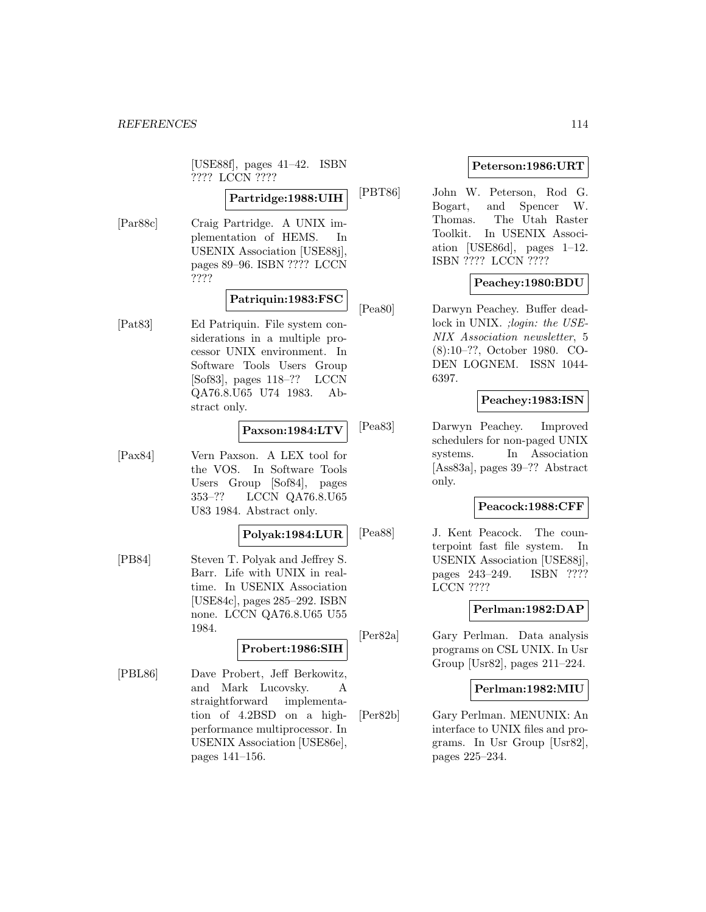[USE88f], pages 41–42. ISBN ???? LCCN ????

# **Partridge:1988:UIH**

[Par88c] Craig Partridge. A UNIX implementation of HEMS. In USENIX Association [USE88j], pages 89–96. ISBN ???? LCCN ????

# **Patriquin:1983:FSC**

[Pat83] Ed Patriquin. File system considerations in a multiple processor UNIX environment. In Software Tools Users Group [Sof83], pages 118–?? LCCN QA76.8.U65 U74 1983. Abstract only.

# **Paxson:1984:LTV**

[Pax84] Vern Paxson. A LEX tool for the VOS. In Software Tools Users Group [Sof84], pages 353–?? LCCN QA76.8.U65 U83 1984. Abstract only.

#### **Polyak:1984:LUR**

[PB84] Steven T. Polyak and Jeffrey S. Barr. Life with UNIX in realtime. In USENIX Association [USE84c], pages 285–292. ISBN none. LCCN QA76.8.U65 U55 1984.

# **Probert:1986:SIH**

[PBL86] Dave Probert, Jeff Berkowitz, and Mark Lucovsky. A straightforward implementation of 4.2BSD on a highperformance multiprocessor. In USENIX Association [USE86e], pages 141–156.

# **Peterson:1986:URT**

[PBT86] John W. Peterson, Rod G. Bogart, and Spencer W. Thomas. The Utah Raster Toolkit. In USENIX Association [USE86d], pages 1–12. ISBN ???? LCCN ????

# **Peachey:1980:BDU**

[Pea80] Darwyn Peachey. Buffer deadlock in UNIX. ; login: the USE-NIX Association newsletter, 5 (8):10–??, October 1980. CO-DEN LOGNEM. ISSN 1044- 6397.

# **Peachey:1983:ISN**

[Pea83] Darwyn Peachey. Improved schedulers for non-paged UNIX systems. In Association [Ass83a], pages 39–?? Abstract only.

# **Peacock:1988:CFF**

[Pea88] J. Kent Peacock. The counterpoint fast file system. In USENIX Association [USE88j], pages 243–249. ISBN ???? LCCN ????

# **Perlman:1982:DAP**

[Per82a] Gary Perlman. Data analysis programs on CSL UNIX. In Usr Group [Usr82], pages 211–224.

# **Perlman:1982:MIU**

[Per82b] Gary Perlman. MENUNIX: An interface to UNIX files and programs. In Usr Group [Usr82], pages 225–234.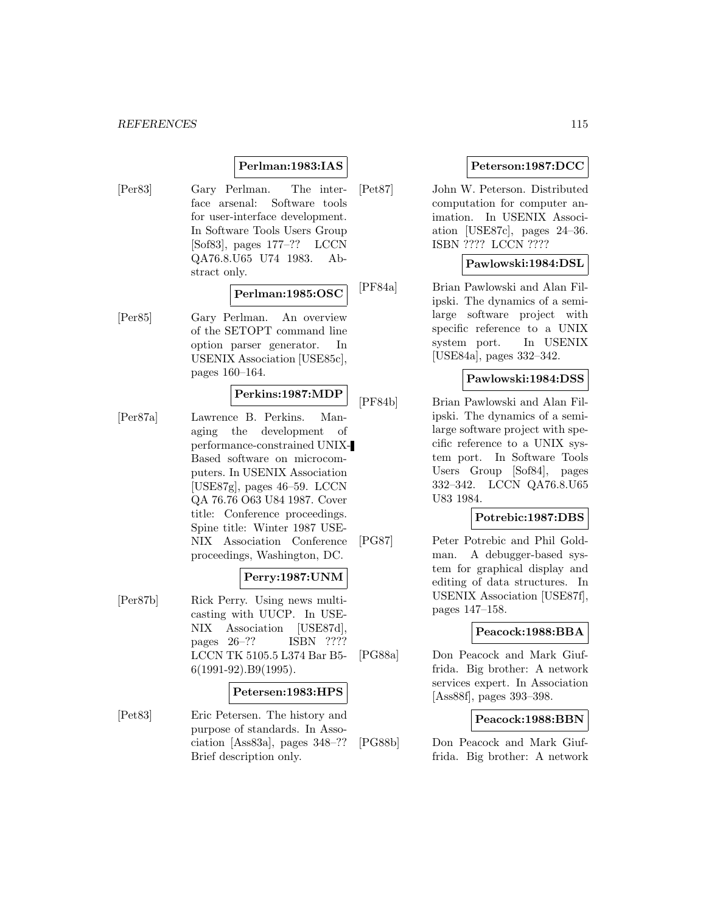# **Perlman:1983:IAS**

[Per83] Gary Perlman. The interface arsenal: Software tools for user-interface development. In Software Tools Users Group [Sof83], pages 177–?? LCCN QA76.8.U65 U74 1983. Abstract only.

# **Perlman:1985:OSC**

[Per85] Gary Perlman. An overview of the SETOPT command line option parser generator. In USENIX Association [USE85c], pages 160–164.

#### **Perkins:1987:MDP**

[Per87a] Lawrence B. Perkins. Managing the development of performance-constrained UNIX-Based software on microcomputers. In USENIX Association [USE87g], pages 46–59. LCCN QA 76.76 O63 U84 1987. Cover title: Conference proceedings. Spine title: Winter 1987 USE-NIX Association Conference proceedings, Washington, DC.

# **Perry:1987:UNM**

[Per87b] Rick Perry. Using news multicasting with UUCP. In USE-NIX Association [USE87d], pages 26–?? ISBN ???? LCCN TK 5105.5 L374 Bar B5- 6(1991-92).B9(1995).

#### **Petersen:1983:HPS**

[Pet83] Eric Petersen. The history and purpose of standards. In Association [Ass83a], pages 348–?? Brief description only.

# **Peterson:1987:DCC**

[Pet87] John W. Peterson. Distributed computation for computer animation. In USENIX Association [USE87c], pages 24–36. ISBN ???? LCCN ????

# **Pawlowski:1984:DSL**

[PF84a] Brian Pawlowski and Alan Filipski. The dynamics of a semilarge software project with specific reference to a UNIX system port. In USENIX [USE84a], pages 332–342.

# **Pawlowski:1984:DSS**

[PF84b] Brian Pawlowski and Alan Filipski. The dynamics of a semilarge software project with specific reference to a UNIX system port. In Software Tools Users Group [Sof84], pages 332–342. LCCN QA76.8.U65 U83 1984.

# **Potrebic:1987:DBS**

[PG87] Peter Potrebic and Phil Goldman. A debugger-based system for graphical display and editing of data structures. In USENIX Association [USE87f], pages 147–158.

# **Peacock:1988:BBA**

[PG88a] Don Peacock and Mark Giuffrida. Big brother: A network services expert. In Association [Ass88f], pages 393–398.

# **Peacock:1988:BBN**

[PG88b] Don Peacock and Mark Giuffrida. Big brother: A network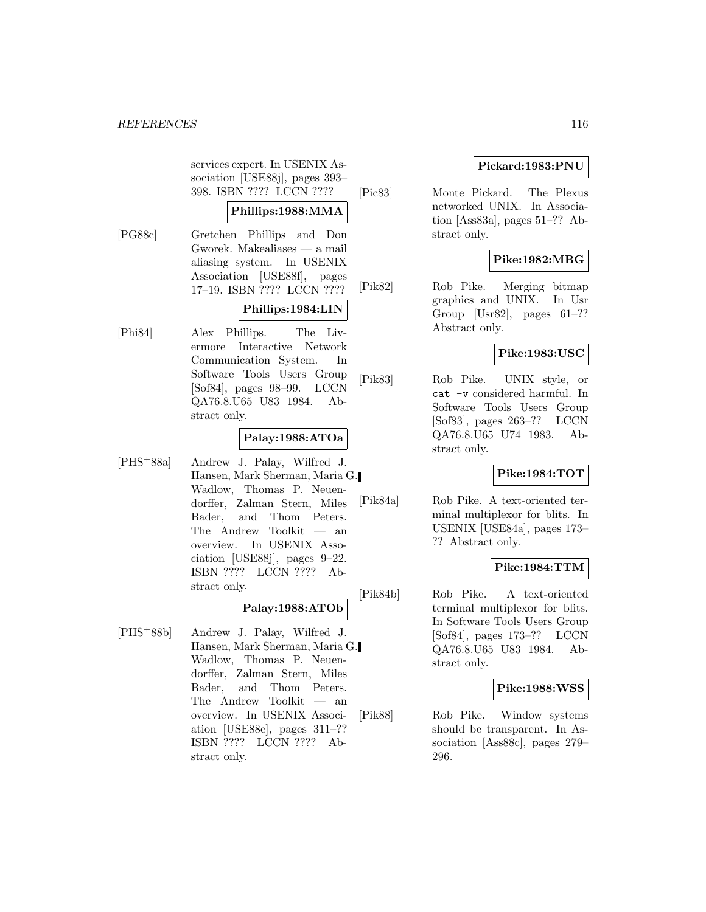services expert. In USENIX Association [USE88j], pages 393– 398. ISBN ???? LCCN ????

# **Phillips:1988:MMA**

[PG88c] Gretchen Phillips and Don Gworek. Makealiases — a mail aliasing system. In USENIX Association [USE88f], pages 17–19. ISBN ???? LCCN ????

# **Phillips:1984:LIN**

[Phi84] Alex Phillips. The Livermore Interactive Network Communication System. In Software Tools Users Group [Sof84], pages 98–99. LCCN QA76.8.U65 U83 1984. Abstract only.

# **Palay:1988:ATOa**

[PHS<sup>+</sup>88a] Andrew J. Palay, Wilfred J. Hansen, Mark Sherman, Maria G. Wadlow, Thomas P. Neuendorffer, Zalman Stern, Miles Bader, and Thom Peters. The Andrew Toolkit — an overview. In USENIX Association [USE88j], pages 9–22. ISBN ???? LCCN ???? Abstract only.

# **Palay:1988:ATOb**

[PHS<sup>+</sup>88b] Andrew J. Palay, Wilfred J. Hansen, Mark Sherman, Maria G. Wadlow, Thomas P. Neuendorffer, Zalman Stern, Miles Bader, and Thom Peters. The Andrew Toolkit — an overview. In USENIX Association [USE88e], pages 311–?? ISBN ???? LCCN ???? Abstract only.

# **Pickard:1983:PNU**

[Pic83] Monte Pickard. The Plexus networked UNIX. In Association [Ass83a], pages 51–?? Abstract only.

# **Pike:1982:MBG**

[Pik82] Rob Pike. Merging bitmap graphics and UNIX. In Usr Group  $[Usr82]$ , pages  $61-??$ Abstract only.

# **Pike:1983:USC**

[Pik83] Rob Pike. UNIX style, or cat -v considered harmful. In Software Tools Users Group [Sof83], pages 263–?? LCCN QA76.8.U65 U74 1983. Abstract only.

# **Pike:1984:TOT**

[Pik84a] Rob Pike. A text-oriented terminal multiplexor for blits. In USENIX [USE84a], pages 173– ?? Abstract only.

# **Pike:1984:TTM**

[Pik84b] Rob Pike. A text-oriented terminal multiplexor for blits. In Software Tools Users Group [Sof84], pages 173–?? LCCN QA76.8.U65 U83 1984. Abstract only.

# **Pike:1988:WSS**

[Pik88] Rob Pike. Window systems should be transparent. In Association [Ass88c], pages 279– 296.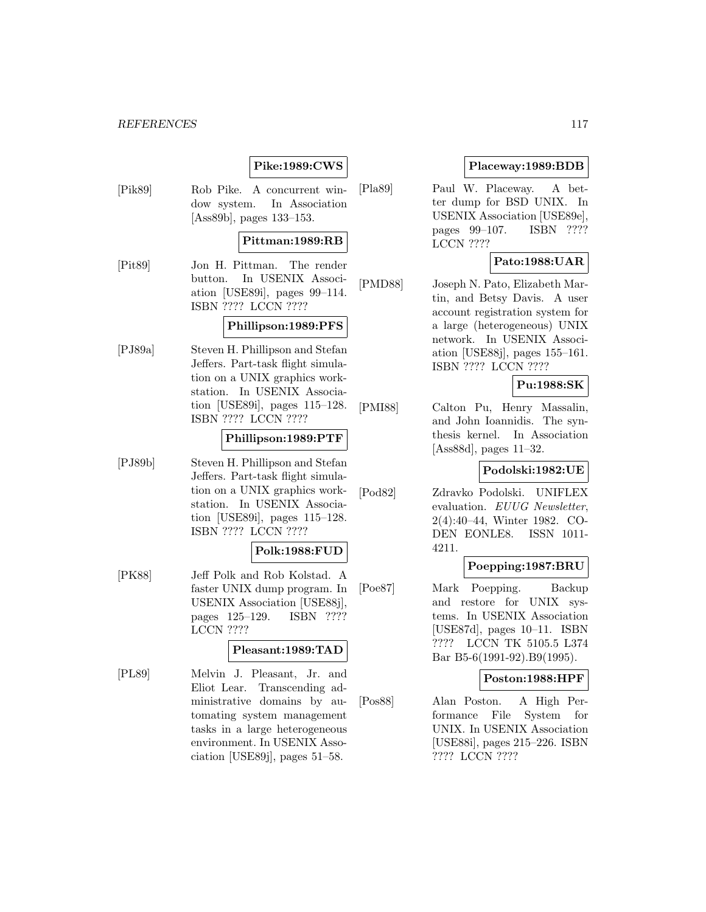# **Pike:1989:CWS**

[Pik89] Rob Pike. A concurrent window system. In Association [Ass89b], pages 133–153.

# **Pittman:1989:RB**

[Pit89] Jon H. Pittman. The render button. In USENIX Association [USE89i], pages 99–114. ISBN ???? LCCN ????

# **Phillipson:1989:PFS**

[PJ89a] Steven H. Phillipson and Stefan Jeffers. Part-task flight simulation on a UNIX graphics workstation. In USENIX Association [USE89i], pages 115–128. ISBN ???? LCCN ????

# **Phillipson:1989:PTF**

[PJ89b] Steven H. Phillipson and Stefan Jeffers. Part-task flight simulation on a UNIX graphics workstation. In USENIX Association [USE89i], pages 115–128. ISBN ???? LCCN ????

# **Polk:1988:FUD**

[PK88] Jeff Polk and Rob Kolstad. A faster UNIX dump program. In USENIX Association [USE88j], pages 125–129. ISBN ???? LCCN ????

#### **Pleasant:1989:TAD**

[PL89] Melvin J. Pleasant, Jr. and Eliot Lear. Transcending administrative domains by automating system management tasks in a large heterogeneous environment. In USENIX Association [USE89j], pages 51–58.

# **Placeway:1989:BDB**

[Pla89] Paul W. Placeway. A better dump for BSD UNIX. In USENIX Association [USE89e], pages 99–107. ISBN ???? LCCN ????

# **Pato:1988:UAR**

[PMD88] Joseph N. Pato, Elizabeth Martin, and Betsy Davis. A user account registration system for a large (heterogeneous) UNIX network. In USENIX Association [USE88j], pages 155–161. ISBN ???? LCCN ????

# **Pu:1988:SK**

[PMI88] Calton Pu, Henry Massalin, and John Ioannidis. The synthesis kernel. In Association [Ass88d], pages 11–32.

# **Podolski:1982:UE**

[Pod82] Zdravko Podolski. UNIFLEX evaluation. EUUG Newsletter, 2(4):40–44, Winter 1982. CO-DEN EONLE8. ISSN 1011- 4211.

# **Poepping:1987:BRU**

[Poe87] Mark Poepping. Backup and restore for UNIX systems. In USENIX Association [USE87d], pages 10–11. ISBN ???? LCCN TK 5105.5 L374 Bar B5-6(1991-92).B9(1995).

#### **Poston:1988:HPF**

[Pos88] Alan Poston. A High Performance File System for UNIX. In USENIX Association [USE88i], pages 215–226. ISBN ???? LCCN ????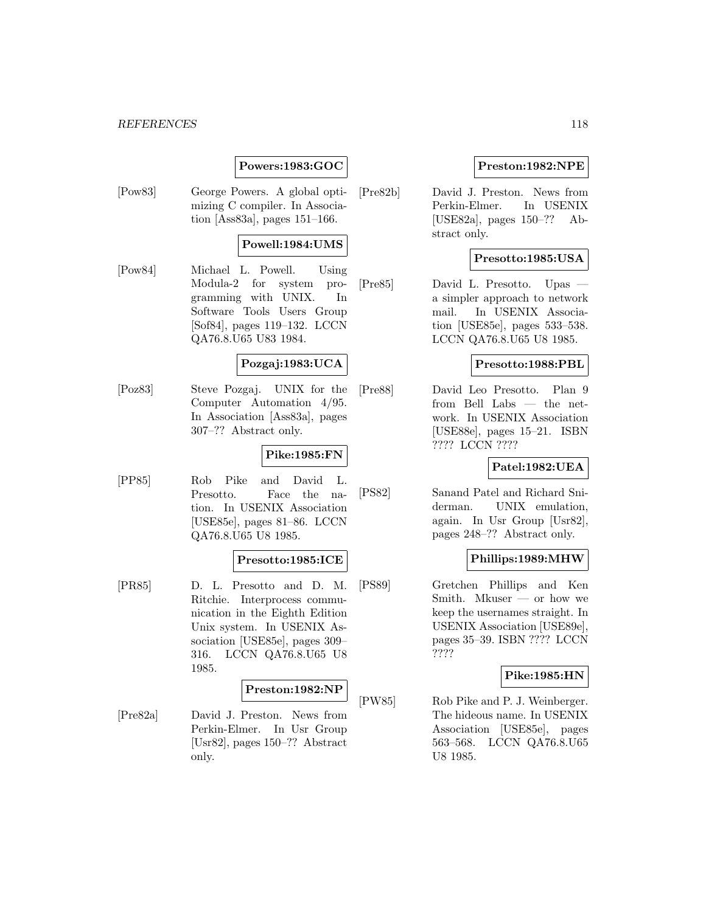# **Powers:1983:GOC**

[Pow83] George Powers. A global optimizing C compiler. In Association [Ass83a], pages 151–166.

# **Powell:1984:UMS**

[Pow84] Michael L. Powell. Using Modula-2 for system programming with UNIX. In Software Tools Users Group [Sof84], pages 119–132. LCCN QA76.8.U65 U83 1984.

# **Pozgaj:1983:UCA**

[Poz83] Steve Pozgaj. UNIX for the Computer Automation 4/95. In Association [Ass83a], pages 307–?? Abstract only.

# **Pike:1985:FN**

[PP85] Rob Pike and David L. Presotto. Face the nation. In USENIX Association [USE85e], pages 81–86. LCCN QA76.8.U65 U8 1985.

#### **Presotto:1985:ICE**

[PR85] D. L. Presotto and D. M. Ritchie. Interprocess communication in the Eighth Edition Unix system. In USENIX Association [USE85e], pages 309– 316. LCCN QA76.8.U65 U8 1985.

#### **Preston:1982:NP**

[Pre82a] David J. Preston. News from Perkin-Elmer. In Usr Group [Usr82], pages 150–?? Abstract only.

# **Preston:1982:NPE**

[Pre82b] David J. Preston. News from Perkin-Elmer. In USENIX [USE82a], pages 150–?? Abstract only.

# **Presotto:1985:USA**

[Pre85] David L. Presotto. Upas a simpler approach to network mail. In USENIX Association [USE85e], pages 533–538. LCCN QA76.8.U65 U8 1985.

#### **Presotto:1988:PBL**

[Pre88] David Leo Presotto. Plan 9 from Bell Labs — the network. In USENIX Association [USE88e], pages 15–21. ISBN ???? LCCN ????

# **Patel:1982:UEA**

[PS82] Sanand Patel and Richard Sniderman. UNIX emulation, again. In Usr Group [Usr82], pages 248–?? Abstract only.

#### **Phillips:1989:MHW**

[PS89] Gretchen Phillips and Ken Smith. Mkuser — or how we keep the usernames straight. In USENIX Association [USE89e], pages 35–39. ISBN ???? LCCN ????

#### **Pike:1985:HN**

[PW85] Rob Pike and P. J. Weinberger. The hideous name. In USENIX Association [USE85e], pages 563–568. LCCN QA76.8.U65 U8 1985.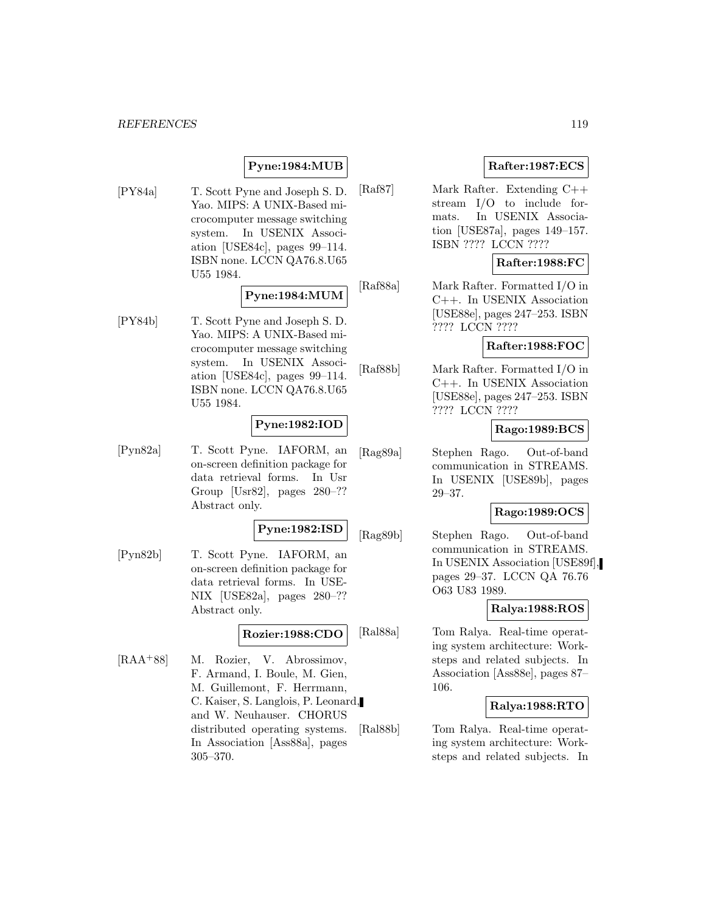# **Pyne:1984:MUB**

[PY84a] T. Scott Pyne and Joseph S. D. Yao. MIPS: A UNIX-Based microcomputer message switching system. In USENIX Association [USE84c], pages 99–114. ISBN none. LCCN QA76.8.U65 U55 1984.

# **Pyne:1984:MUM**

[PY84b] T. Scott Pyne and Joseph S. D. Yao. MIPS: A UNIX-Based microcomputer message switching system. In USENIX Association [USE84c], pages 99–114. ISBN none. LCCN QA76.8.U65 U55 1984.

# **Pyne:1982:IOD**

[Pyn82a] T. Scott Pyne. IAFORM, an on-screen definition package for data retrieval forms. In Usr Group [Usr82], pages 280–?? Abstract only.

#### **Pyne:1982:ISD**

[Pyn82b] T. Scott Pyne. IAFORM, an on-screen definition package for data retrieval forms. In USE-NIX [USE82a], pages 280–?? Abstract only.

# **Rozier:1988:CDO**

[RAA<sup>+</sup>88] M. Rozier, V. Abrossimov, F. Armand, I. Boule, M. Gien, M. Guillemont, F. Herrmann, C. Kaiser, S. Langlois, P. Leonard, and W. Neuhauser. CHORUS distributed operating systems. In Association [Ass88a], pages 305–370.

# **Rafter:1987:ECS**

[Raf87] Mark Rafter. Extending C++ stream I/O to include formats. In USENIX Association [USE87a], pages 149–157. ISBN ???? LCCN ????

# **Rafter:1988:FC**

[Raf88a] Mark Rafter. Formatted I/O in C++. In USENIX Association [USE88e], pages 247–253. ISBN ???? LCCN ????

#### **Rafter:1988:FOC**

[Raf88b] Mark Rafter. Formatted I/O in C++. In USENIX Association [USE88e], pages 247–253. ISBN ???? LCCN ????

# **Rago:1989:BCS**

[Rag89a] Stephen Rago. Out-of-band communication in STREAMS. In USENIX [USE89b], pages 29–37.

# **Rago:1989:OCS**

[Rag89b] Stephen Rago. Out-of-band communication in STREAMS. In USENIX Association [USE89f], pages 29–37. LCCN QA 76.76 O63 U83 1989.

# **Ralya:1988:ROS**

[Ral88a] Tom Ralya. Real-time operating system architecture: Worksteps and related subjects. In Association [Ass88e], pages 87– 106.

# **Ralya:1988:RTO**

[Ral88b] Tom Ralya. Real-time operating system architecture: Worksteps and related subjects. In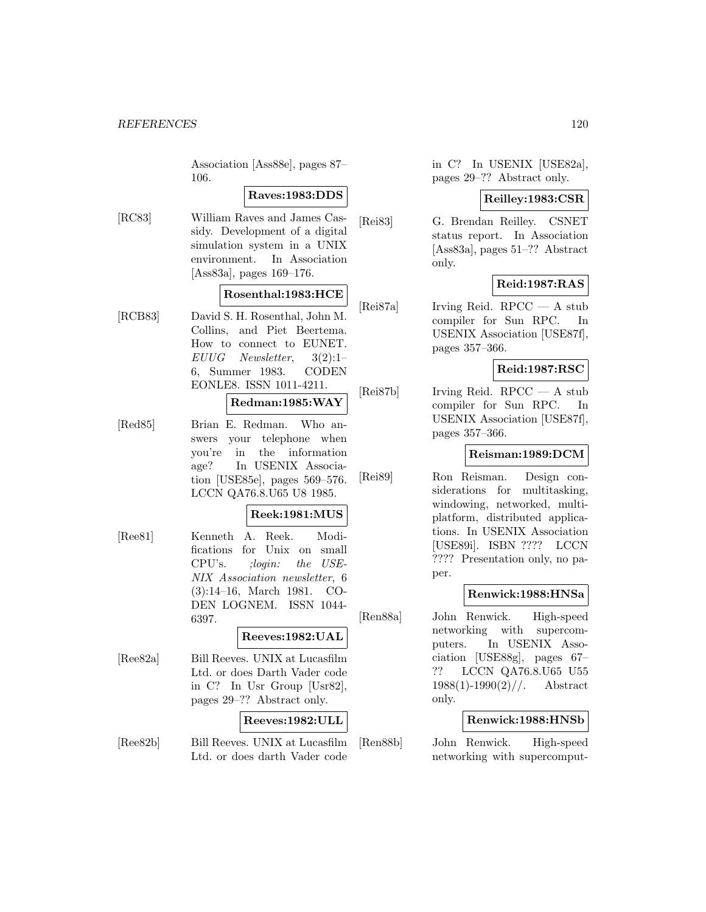Association [Ass88e], pages 87– 106.

# **Raves:1983:DDS**

[RC83] William Raves and James Cassidy. Development of a digital simulation system in a UNIX environment. In Association [Ass83a], pages 169–176.

# **Rosenthal:1983:HCE**

[RCB83] David S. H. Rosenthal, John M. Collins, and Piet Beertema. How to connect to EUNET.  $EUUG$  Newsletter,  $3(2):1-$ 6, Summer 1983. CODEN EONLE8. ISSN 1011-4211.

# **Redman:1985:WAY**

[Red85] Brian E. Redman. Who answers your telephone when you're in the information age? In USENIX Association [USE85e], pages 569–576. LCCN QA76.8.U65 U8 1985.

# **Reek:1981:MUS**

[Ree81] Kenneth A. Reek. Modifications for Unix on small CPU's. ;login: the USE-NIX Association newsletter, 6 (3):14–16, March 1981. CO-DEN LOGNEM. ISSN 1044- 6397.

# **Reeves:1982:UAL**

[Ree82a] Bill Reeves. UNIX at Lucasfilm Ltd. or does Darth Vader code in C? In Usr Group [Usr82], pages 29–?? Abstract only.

### **Reeves:1982:ULL**

[Ree82b] Bill Reeves. UNIX at Lucasfilm Ltd. or does darth Vader code

in C? In USENIX [USE82a], pages 29–?? Abstract only.

# **Reilley:1983:CSR**

[Rei83] G. Brendan Reilley. CSNET status report. In Association [Ass83a], pages 51–?? Abstract only.

# **Reid:1987:RAS**

[Rei87a] Irving Reid. RPCC — A stub compiler for Sun RPC. In USENIX Association [USE87f], pages 357–366.

# **Reid:1987:RSC**

[Rei87b] Irving Reid. RPCC — A stub compiler for Sun RPC. In USENIX Association [USE87f], pages 357–366.

# **Reisman:1989:DCM**

[Rei89] Ron Reisman. Design considerations for multitasking, windowing, networked, multiplatform, distributed applications. In USENIX Association [USE89i]. ISBN ???? LCCN ???? Presentation only, no paper.

# **Renwick:1988:HNSa**

[Ren88a] John Renwick. High-speed networking with supercomputers. In USENIX Association [USE88g], pages 67– ?? LCCN QA76.8.U65 U55  $1988(1)$ -1990 $(2)$ //. Abstract only.

# **Renwick:1988:HNSb**

[Ren88b] John Renwick. High-speed networking with supercomput-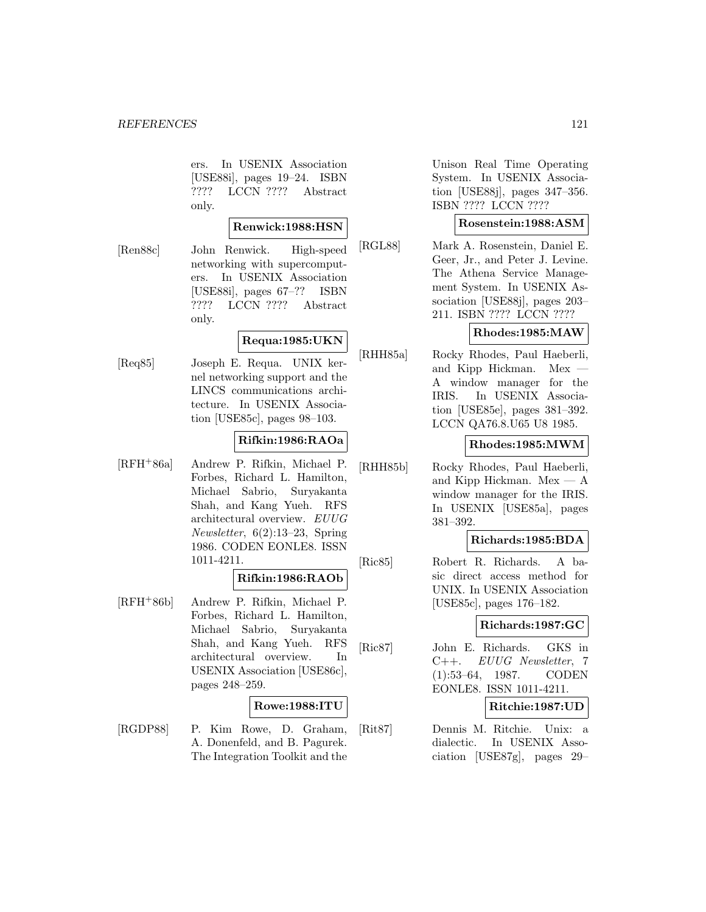ers. In USENIX Association [USE88i], pages 19–24. ISBN ???? LCCN ???? Abstract only.

# **Renwick:1988:HSN**

[Ren88c] John Renwick. High-speed networking with supercomputers. In USENIX Association [USE88i], pages 67–?? ISBN ???? LCCN ???? Abstract only.

# **Requa:1985:UKN**

[Req85] Joseph E. Requa. UNIX kernel networking support and the LINCS communications architecture. In USENIX Association [USE85c], pages 98–103.

### **Rifkin:1986:RAOa**

[RFH<sup>+</sup>86a] Andrew P. Rifkin, Michael P. Forbes, Richard L. Hamilton, Michael Sabrio, Suryakanta Shah, and Kang Yueh. RFS architectural overview. EUUG Newsletter, 6(2):13–23, Spring 1986. CODEN EONLE8. ISSN 1011-4211.

#### **Rifkin:1986:RAOb**

[RFH<sup>+</sup>86b] Andrew P. Rifkin, Michael P. Forbes, Richard L. Hamilton, Michael Sabrio, Suryakanta Shah, and Kang Yueh. RFS architectural overview. In USENIX Association [USE86c], pages 248–259.

# **Rowe:1988:ITU**

[RGDP88] P. Kim Rowe, D. Graham, A. Donenfeld, and B. Pagurek. The Integration Toolkit and the

Unison Real Time Operating System. In USENIX Association [USE88j], pages 347–356. ISBN ???? LCCN ????

#### **Rosenstein:1988:ASM**

[RGL88] Mark A. Rosenstein, Daniel E. Geer, Jr., and Peter J. Levine. The Athena Service Management System. In USENIX Association [USE88j], pages 203– 211. ISBN ???? LCCN ????

#### **Rhodes:1985:MAW**

[RHH85a] Rocky Rhodes, Paul Haeberli, and Kipp Hickman. Mex — A window manager for the IRIS. In USENIX Association [USE85e], pages 381–392. LCCN QA76.8.U65 U8 1985.

#### **Rhodes:1985:MWM**

[RHH85b] Rocky Rhodes, Paul Haeberli, and Kipp Hickman.  $Mex - A$ window manager for the IRIS. In USENIX [USE85a], pages 381–392.

#### **Richards:1985:BDA**

[Ric85] Robert R. Richards. A basic direct access method for UNIX. In USENIX Association [USE85c], pages 176–182.

### **Richards:1987:GC**

[Ric87] John E. Richards. GKS in C++. EUUG Newsletter, 7 (1):53–64, 1987. CODEN EONLE8. ISSN 1011-4211.

#### **Ritchie:1987:UD**

[Rit87] Dennis M. Ritchie. Unix: a dialectic. In USENIX Association [USE87g], pages 29–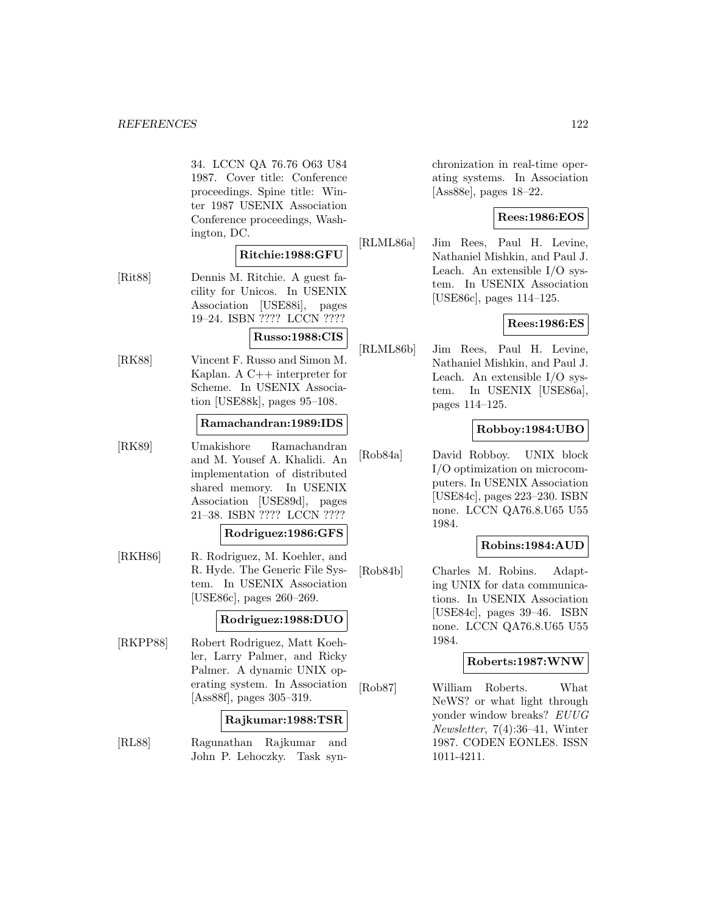34. LCCN QA 76.76 O63 U84 1987. Cover title: Conference proceedings. Spine title: Winter 1987 USENIX Association Conference proceedings, Washington, DC.

# **Ritchie:1988:GFU**

[Rit88] Dennis M. Ritchie. A guest facility for Unicos. In USENIX Association [USE88i], pages 19–24. ISBN ???? LCCN ????

#### **Russo:1988:CIS**

[RK88] Vincent F. Russo and Simon M. Kaplan. A C++ interpreter for Scheme. In USENIX Association [USE88k], pages 95–108.

#### **Ramachandran:1989:IDS**

[RK89] Umakishore Ramachandran and M. Yousef A. Khalidi. An implementation of distributed shared memory. In USENIX Association [USE89d], pages 21–38. ISBN ???? LCCN ????

#### **Rodriguez:1986:GFS**

[RKH86] R. Rodriguez, M. Koehler, and R. Hyde. The Generic File System. In USENIX Association [USE86c], pages 260–269.

# **Rodriguez:1988:DUO**

[RKPP88] Robert Rodriguez, Matt Koehler, Larry Palmer, and Ricky Palmer. A dynamic UNIX operating system. In Association [Ass88f], pages 305–319.

#### **Rajkumar:1988:TSR**

[RL88] Ragunathan Rajkumar and John P. Lehoczky. Task synchronization in real-time operating systems. In Association [Ass88e], pages 18–22.

# **Rees:1986:EOS**

[RLML86a] Jim Rees, Paul H. Levine, Nathaniel Mishkin, and Paul J. Leach. An extensible I/O system. In USENIX Association [USE86c], pages 114–125.

# **Rees:1986:ES**

[RLML86b] Jim Rees, Paul H. Levine, Nathaniel Mishkin, and Paul J. Leach. An extensible I/O system. In USENIX [USE86a], pages 114–125.

# **Robboy:1984:UBO**

[Rob84a] David Robboy. UNIX block I/O optimization on microcomputers. In USENIX Association [USE84c], pages 223–230. ISBN none. LCCN QA76.8.U65 U55 1984.

# **Robins:1984:AUD**

[Rob84b] Charles M. Robins. Adapting UNIX for data communications. In USENIX Association [USE84c], pages 39–46. ISBN none. LCCN QA76.8.U65 U55 1984.

# **Roberts:1987:WNW**

[Rob87] William Roberts. What NeWS? or what light through yonder window breaks? EUUG Newsletter, 7(4):36–41, Winter 1987. CODEN EONLE8. ISSN 1011-4211.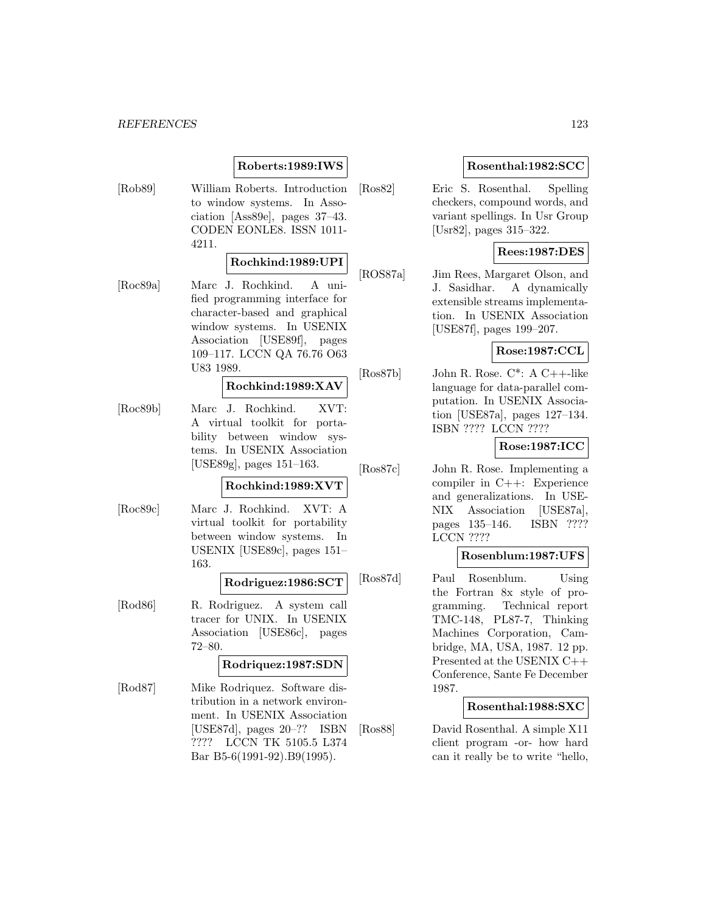# **Roberts:1989:IWS**

[Rob89] William Roberts. Introduction to window systems. In Association [Ass89e], pages 37–43. CODEN EONLE8. ISSN 1011- 4211.

# **Rochkind:1989:UPI**

[Roc89a] Marc J. Rochkind. A unified programming interface for character-based and graphical window systems. In USENIX Association [USE89f], pages 109–117. LCCN QA 76.76 O63 U83 1989.

# **Rochkind:1989:XAV**

[Roc89b] Marc J. Rochkind. XVT: A virtual toolkit for portability between window systems. In USENIX Association [USE89g], pages 151–163.

#### **Rochkind:1989:XVT**

[Roc89c] Marc J. Rochkind. XVT: A virtual toolkit for portability between window systems. In USENIX [USE89c], pages 151– 163.

# **Rodriguez:1986:SCT**

[Rod86] R. Rodriguez. A system call tracer for UNIX. In USENIX Association [USE86c], pages 72–80.

# **Rodriquez:1987:SDN**

[Rod87] Mike Rodriquez. Software distribution in a network environment. In USENIX Association [USE87d], pages 20–?? ISBN ???? LCCN TK 5105.5 L374 Bar B5-6(1991-92).B9(1995).

# **Rosenthal:1982:SCC**

[Ros82] Eric S. Rosenthal. Spelling checkers, compound words, and variant spellings. In Usr Group [Usr82], pages 315–322.

# **Rees:1987:DES**

[ROS87a] Jim Rees, Margaret Olson, and J. Sasidhar. A dynamically extensible streams implementation. In USENIX Association [USE87f], pages 199–207.

# **Rose:1987:CCL**

 $[Ros87b]$  John R. Rose.  $C^*$ : A  $C_{++-}$ like language for data-parallel computation. In USENIX Association [USE87a], pages 127–134. ISBN ???? LCCN ????

# **Rose:1987:ICC**

[Ros87c] John R. Rose. Implementing a compiler in C++: Experience and generalizations. In USE-NIX Association [USE87a], pages 135–146. ISBN ???? LCCN ????

#### **Rosenblum:1987:UFS**

[Ros87d] Paul Rosenblum. Using the Fortran 8x style of programming. Technical report TMC-148, PL87-7, Thinking Machines Corporation, Cambridge, MA, USA, 1987. 12 pp. Presented at the USENIX C++ Conference, Sante Fe December 1987.

# **Rosenthal:1988:SXC**

[Ros88] David Rosenthal. A simple X11 client program -or- how hard can it really be to write "hello,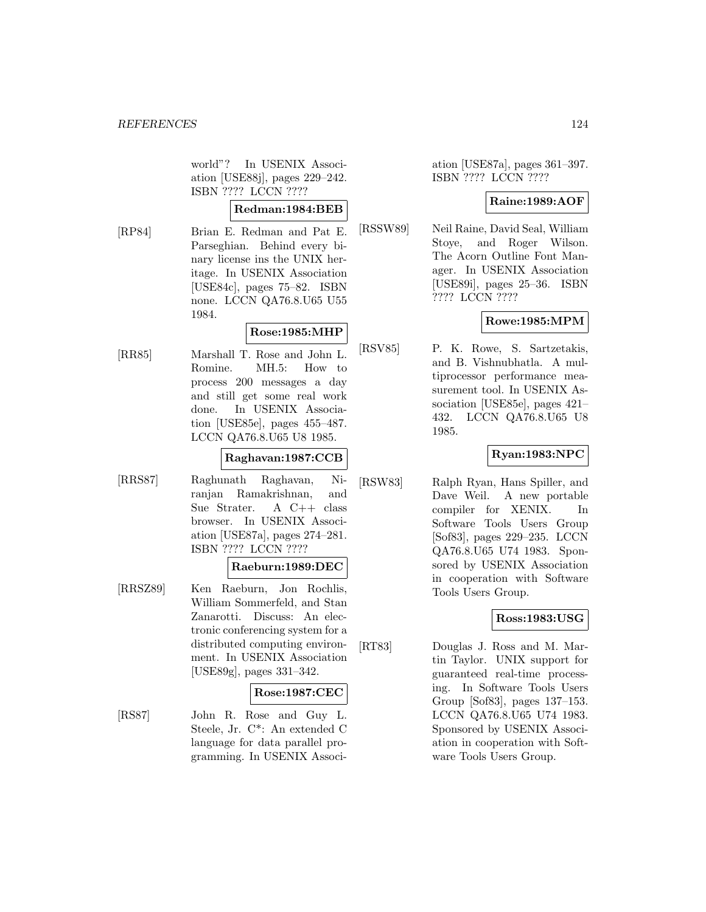world"? In USENIX Association [USE88j], pages 229–242. ISBN ???? LCCN ????

# **Redman:1984:BEB**

[RP84] Brian E. Redman and Pat E. Parseghian. Behind every binary license ins the UNIX heritage. In USENIX Association [USE84c], pages 75–82. ISBN none. LCCN QA76.8.U65 U55 1984.

# **Rose:1985:MHP**

[RR85] Marshall T. Rose and John L. Romine. MH.5: How to process 200 messages a day and still get some real work done. In USENIX Association [USE85e], pages 455–487. LCCN QA76.8.U65 U8 1985.

# **Raghavan:1987:CCB**

[RRS87] Raghunath Raghavan, Niranjan Ramakrishnan, and Sue Strater. A C++ class browser. In USENIX Association [USE87a], pages 274–281. ISBN ???? LCCN ????

# **Raeburn:1989:DEC**

[RRSZ89] Ken Raeburn, Jon Rochlis, William Sommerfeld, and Stan Zanarotti. Discuss: An electronic conferencing system for a distributed computing environment. In USENIX Association [USE89g], pages 331–342.

# **Rose:1987:CEC**

[RS87] John R. Rose and Guy L. Steele, Jr. C\*: An extended C language for data parallel programming. In USENIX Associ-

ation [USE87a], pages 361–397. ISBN ???? LCCN ????

# **Raine:1989:AOF**

[RSSW89] Neil Raine, David Seal, William Stoye, and Roger Wilson. The Acorn Outline Font Manager. In USENIX Association [USE89i], pages 25–36. ISBN ???? LCCN ????

# **Rowe:1985:MPM**

[RSV85] P. K. Rowe, S. Sartzetakis, and B. Vishnubhatla. A multiprocessor performance measurement tool. In USENIX Association [USE85e], pages 421– 432. LCCN QA76.8.U65 U8 1985.

# **Ryan:1983:NPC**

[RSW83] Ralph Ryan, Hans Spiller, and Dave Weil. A new portable compiler for XENIX. In Software Tools Users Group [Sof83], pages 229–235. LCCN QA76.8.U65 U74 1983. Sponsored by USENIX Association in cooperation with Software Tools Users Group.

# **Ross:1983:USG**

[RT83] Douglas J. Ross and M. Martin Taylor. UNIX support for guaranteed real-time processing. In Software Tools Users Group [Sof83], pages 137–153. LCCN QA76.8.U65 U74 1983. Sponsored by USENIX Association in cooperation with Software Tools Users Group.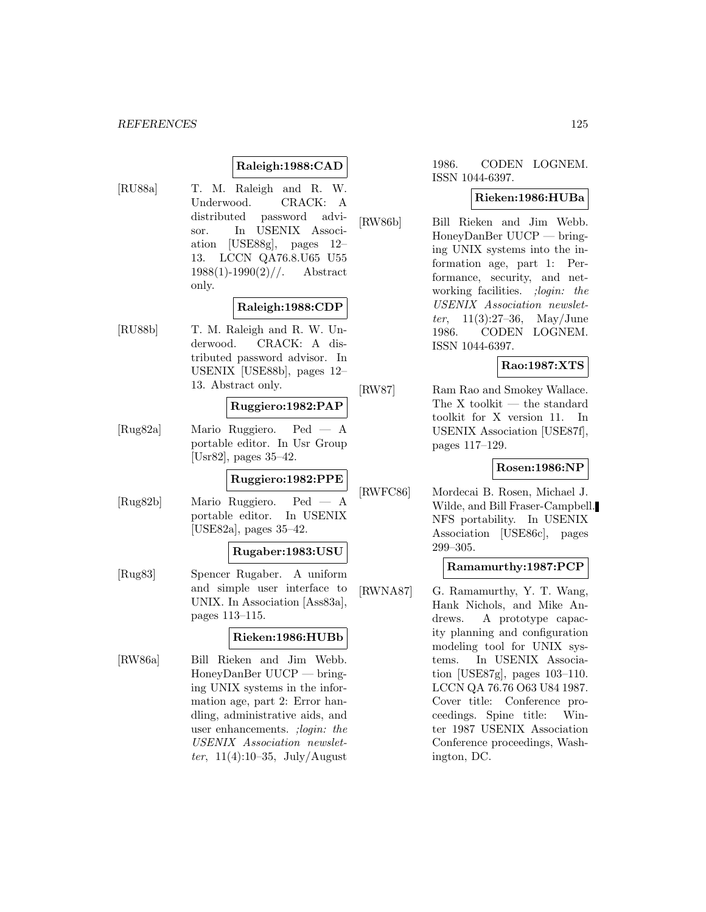# **Raleigh:1988:CAD**

[RU88a] T. M. Raleigh and R. W. Underwood. CRACK: A distributed password advisor. In USENIX Association [USE88g], pages 12– 13. LCCN QA76.8.U65 U55  $1988(1)$ -1990 $(2)$ //. Abstract only.

#### **Raleigh:1988:CDP**

[RU88b] T. M. Raleigh and R. W. Underwood. CRACK: A distributed password advisor. In USENIX [USE88b], pages 12– 13. Abstract only.

# **Ruggiero:1982:PAP**

[Rug82a] Mario Ruggiero. Ped — A portable editor. In Usr Group [Usr82], pages 35–42.

# **Ruggiero:1982:PPE**

[Rug82b] Mario Ruggiero. Ped — A portable editor. In USENIX [USE82a], pages 35–42.

# **Rugaber:1983:USU**

[Rug83] Spencer Rugaber. A uniform and simple user interface to UNIX. In Association [Ass83a], pages 113–115.

# **Rieken:1986:HUBb**

[RW86a] Bill Rieken and Jim Webb. HoneyDanBer UUCP — bringing UNIX systems in the information age, part 2: Error handling, administrative aids, and user enhancements. ;login: the USENIX Association newsletter,  $11(4):10-35$ , July/August

# 1986. CODEN LOGNEM. ISSN 1044-6397.

#### **Rieken:1986:HUBa**

[RW86b] Bill Rieken and Jim Webb. HoneyDanBer UUCP — bringing UNIX systems into the information age, part 1: Performance, security, and networking facilities. ;login: the USENIX Association newslet*ter*,  $11(3):27-36$ , May/June 1986. CODEN LOGNEM. ISSN 1044-6397.

# **Rao:1987:XTS**

[RW87] Ram Rao and Smokey Wallace. The X toolkit — the standard toolkit for X version 11. In USENIX Association [USE87f], pages 117–129.

#### **Rosen:1986:NP**

[RWFC86] Mordecai B. Rosen, Michael J. Wilde, and Bill Fraser-Campbell. NFS portability. In USENIX Association [USE86c], pages 299–305.

#### **Ramamurthy:1987:PCP**

[RWNA87] G. Ramamurthy, Y. T. Wang, Hank Nichols, and Mike Andrews. A prototype capacity planning and configuration modeling tool for UNIX systems. In USENIX Association [USE87g], pages 103–110. LCCN QA 76.76 O63 U84 1987. Cover title: Conference proceedings. Spine title: Winter 1987 USENIX Association Conference proceedings, Washington, DC.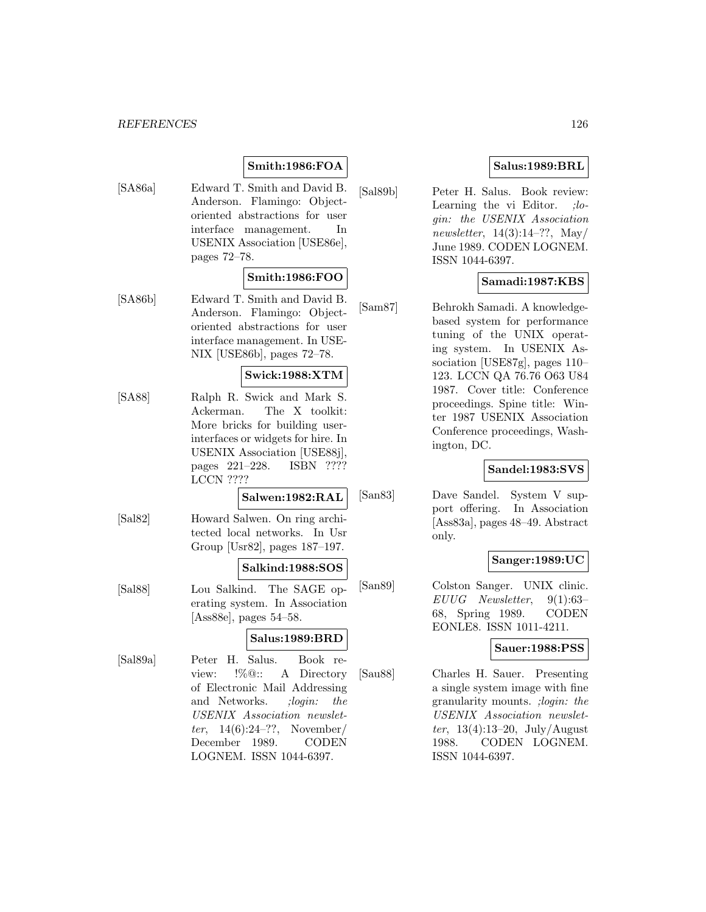# **Smith:1986:FOA**

[SA86a] Edward T. Smith and David B. Anderson. Flamingo: Objectoriented abstractions for user interface management. In USENIX Association [USE86e], pages 72–78.

# **Smith:1986:FOO**

[SA86b] Edward T. Smith and David B. Anderson. Flamingo: Objectoriented abstractions for user interface management. In USE-NIX [USE86b], pages 72–78.

# **Swick:1988:XTM**

[SA88] Ralph R. Swick and Mark S. Ackerman. The X toolkit: More bricks for building userinterfaces or widgets for hire. In USENIX Association [USE88j], pages 221–228. ISBN ???? LCCN ????

# **Salwen:1982:RAL**

[Sal82] Howard Salwen. On ring architected local networks. In Usr Group [Usr82], pages 187–197.

# **Salkind:1988:SOS**

[Sal88] Lou Salkind. The SAGE operating system. In Association [Ass88e], pages 54–58.

# **Salus:1989:BRD**

[Sal89a] Peter H. Salus. Book review: !%@:: A Directory of Electronic Mail Addressing and Networks. *;login: the* USENIX Association newsletter,  $14(6):24-??$ , November/ December 1989. CODEN LOGNEM. ISSN 1044-6397.

# **Salus:1989:BRL**

[Sal89b] Peter H. Salus. Book review: Learning the vi Editor. ;login: the USENIX Association newsletter,  $14(3):14-??$ , May/ June 1989. CODEN LOGNEM. ISSN 1044-6397.

# **Samadi:1987:KBS**

[Sam87] Behrokh Samadi. A knowledgebased system for performance tuning of the UNIX operating system. In USENIX Association [USE87g], pages 110– 123. LCCN QA 76.76 O63 U84 1987. Cover title: Conference proceedings. Spine title: Winter 1987 USENIX Association Conference proceedings, Washington, DC.

# **Sandel:1983:SVS**

[San83] Dave Sandel. System V support offering. In Association [Ass83a], pages 48–49. Abstract only.

# **Sanger:1989:UC**

[San89] Colston Sanger. UNIX clinic. EUUG Newsletter, 9(1):63– 68, Spring 1989. CODEN EONLE8. ISSN 1011-4211.

# **Sauer:1988:PSS**

[Sau88] Charles H. Sauer. Presenting a single system image with fine granularity mounts. ;login: the USENIX Association newsletter,  $13(4):13-20$ , July/August 1988. CODEN LOGNEM. ISSN 1044-6397.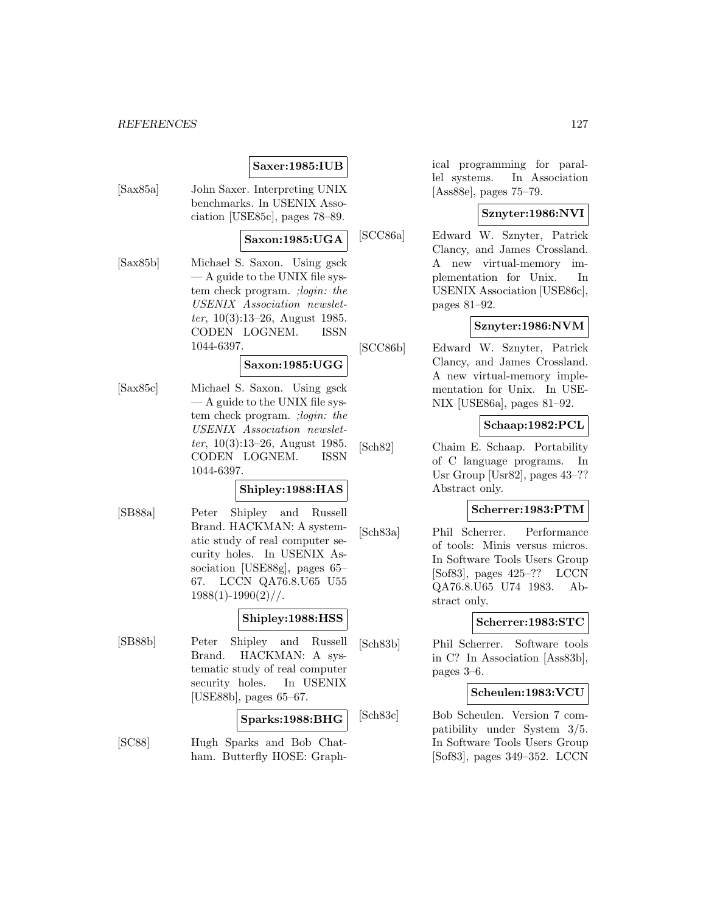# **Saxer:1985:IUB**

[Sax85a] John Saxer. Interpreting UNIX benchmarks. In USENIX Association [USE85c], pages 78–89.

# **Saxon:1985:UGA**

[Sax85b] Michael S. Saxon. Using gsck — A guide to the UNIX file system check program. ;login: the USENIX Association newsletter,  $10(3):13-26$ , August 1985. CODEN LOGNEM. ISSN 1044-6397.

#### **Saxon:1985:UGG**

[Sax85c] Michael S. Saxon. Using gsck — A guide to the UNIX file system check program. ;login: the USENIX Association newsletter, 10(3):13–26, August 1985. CODEN LOGNEM. ISSN 1044-6397.

# **Shipley:1988:HAS**

[SB88a] Peter Shipley and Russell Brand. HACKMAN: A systematic study of real computer security holes. In USENIX Association [USE88g], pages 65– 67. LCCN QA76.8.U65 U55  $1988(1)$ -1990 $(2)$ //.

#### **Shipley:1988:HSS**

[SB88b] Peter Shipley and Russell Brand. HACKMAN: A systematic study of real computer security holes. In USENIX [USE88b], pages 65–67.

# **Sparks:1988:BHG**

[SC88] Hugh Sparks and Bob Chatham. Butterfly HOSE: Graphical programming for parallel systems. In Association [Ass88e], pages 75–79.

# **Sznyter:1986:NVI**

[SCC86a] Edward W. Sznyter, Patrick Clancy, and James Crossland. A new virtual-memory implementation for Unix. In USENIX Association [USE86c], pages 81–92.

# **Sznyter:1986:NVM**

[SCC86b] Edward W. Sznyter, Patrick Clancy, and James Crossland. A new virtual-memory implementation for Unix. In USE-NIX [USE86a], pages 81–92.

# **Schaap:1982:PCL**

[Sch82] Chaim E. Schaap. Portability of C language programs. In Usr Group [Usr82], pages 43–?? Abstract only.

# **Scherrer:1983:PTM**

[Sch83a] Phil Scherrer. Performance of tools: Minis versus micros. In Software Tools Users Group [Sof83], pages 425–?? LCCN QA76.8.U65 U74 1983. Abstract only.

# **Scherrer:1983:STC**

[Sch83b] Phil Scherrer. Software tools in C? In Association [Ass83b], pages 3–6.

# **Scheulen:1983:VCU**

[Sch83c] Bob Scheulen. Version 7 compatibility under System 3/5. In Software Tools Users Group [Sof83], pages 349–352. LCCN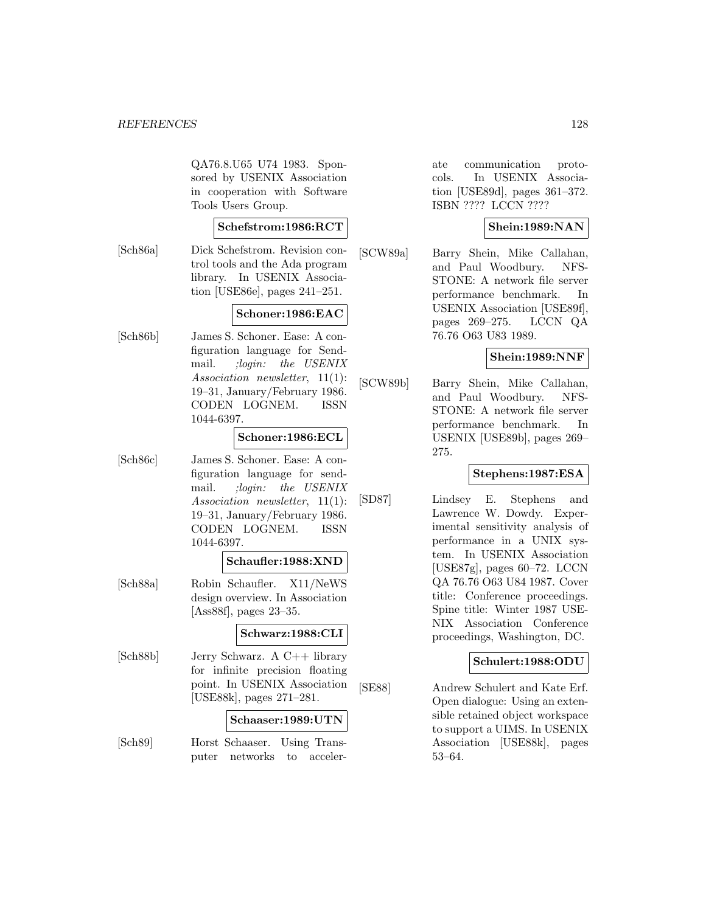QA76.8.U65 U74 1983. Sponsored by USENIX Association in cooperation with Software Tools Users Group.

# **Schefstrom:1986:RCT**

[Sch86a] Dick Schefstrom. Revision control tools and the Ada program library. In USENIX Association [USE86e], pages 241–251.

# **Schoner:1986:EAC**

[Sch86b] James S. Schoner. Ease: A configuration language for Sendmail. ;login: the USENIX Association newsletter, 11(1): 19–31, January/February 1986. CODEN LOGNEM. ISSN 1044-6397.

### **Schoner:1986:ECL**

[Sch86c] James S. Schoner. Ease: A configuration language for sendmail. ;login: the USENIX Association newsletter, 11(1): 19–31, January/February 1986. CODEN LOGNEM. ISSN 1044-6397.

### **Schaufler:1988:XND**

[Sch88a] Robin Schaufler. X11/NeWS design overview. In Association [Ass88f], pages 23–35.

# **Schwarz:1988:CLI**

[Sch88b] Jerry Schwarz. A C++ library for infinite precision floating point. In USENIX Association [USE88k], pages 271–281.

#### **Schaaser:1989:UTN**

[Sch89] Horst Schaaser. Using Transputer networks to accelerate communication protocols. In USENIX Association [USE89d], pages 361–372. ISBN ???? LCCN ????

# **Shein:1989:NAN**

[SCW89a] Barry Shein, Mike Callahan, and Paul Woodbury. NFS-STONE: A network file server performance benchmark. In USENIX Association [USE89f], pages 269–275. LCCN QA 76.76 O63 U83 1989.

#### **Shein:1989:NNF**

[SCW89b] Barry Shein, Mike Callahan, and Paul Woodbury. NFS-STONE: A network file server performance benchmark. In USENIX [USE89b], pages 269– 275.

# **Stephens:1987:ESA**

[SD87] Lindsey E. Stephens and Lawrence W. Dowdy. Experimental sensitivity analysis of performance in a UNIX system. In USENIX Association [USE87g], pages 60–72. LCCN QA 76.76 O63 U84 1987. Cover title: Conference proceedings. Spine title: Winter 1987 USE-NIX Association Conference proceedings, Washington, DC.

# **Schulert:1988:ODU**

[SE88] Andrew Schulert and Kate Erf. Open dialogue: Using an extensible retained object workspace to support a UIMS. In USENIX Association [USE88k], pages 53–64.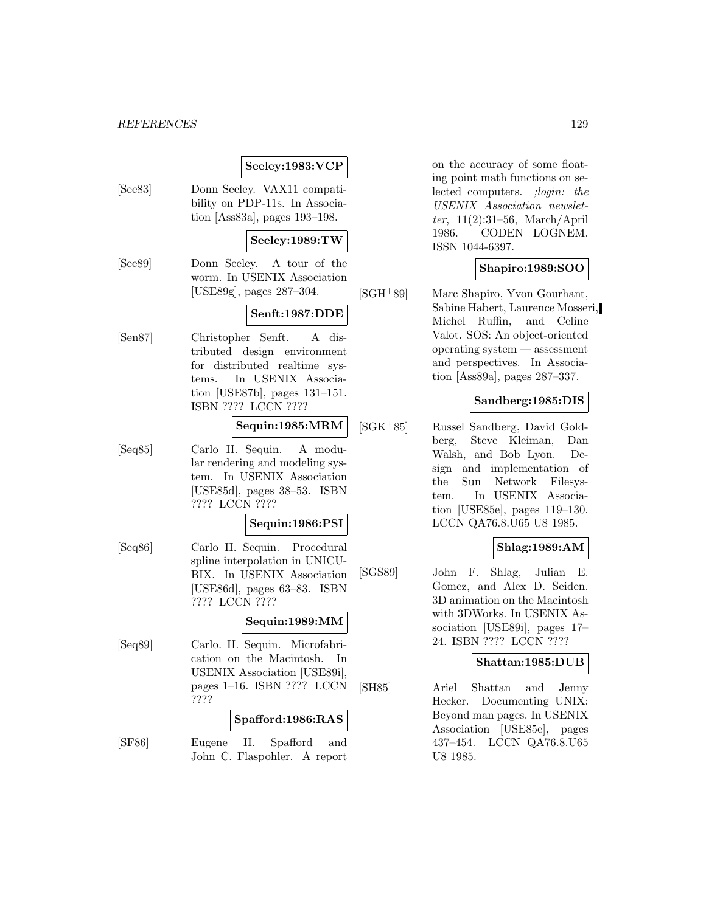# **Seeley:1983:VCP**

[See83] Donn Seeley. VAX11 compatibility on PDP-11s. In Association [Ass83a], pages 193–198.

#### **Seeley:1989:TW**

[See89] Donn Seeley. A tour of the worm. In USENIX Association [USE89g], pages 287–304.

# **Senft:1987:DDE**

[Sen87] Christopher Senft. A distributed design environment for distributed realtime systems. In USENIX Association [USE87b], pages 131–151. ISBN ???? LCCN ????

#### **Sequin:1985:MRM**

[Seq85] Carlo H. Sequin. A modular rendering and modeling system. In USENIX Association [USE85d], pages 38–53. ISBN ???? LCCN ????

# **Sequin:1986:PSI**

[Seq86] Carlo H. Sequin. Procedural spline interpolation in UNICU-BIX. In USENIX Association [USE86d], pages 63–83. ISBN ???? LCCN ????

# **Sequin:1989:MM**

[Seq89] Carlo. H. Sequin. Microfabrication on the Macintosh. In USENIX Association [USE89i], pages 1–16. ISBN ???? LCCN ????

#### **Spafford:1986:RAS**

[SF86] Eugene H. Spafford and John C. Flaspohler. A report on the accuracy of some floating point math functions on selected computers. ;login: the USENIX Association newsletter, 11(2):31–56, March/April 1986. CODEN LOGNEM. ISSN 1044-6397.

# **Shapiro:1989:SOO**

[SGH<sup>+</sup>89] Marc Shapiro, Yvon Gourhant, Sabine Habert, Laurence Mosseri, Michel Ruffin, and Celine Valot. SOS: An object-oriented operating system — assessment and perspectives. In Association [Ass89a], pages 287–337.

# **Sandberg:1985:DIS**

[SGK<sup>+</sup>85] Russel Sandberg, David Goldberg, Steve Kleiman, Dan Walsh, and Bob Lyon. Design and implementation of the Sun Network Filesystem. In USENIX Association [USE85e], pages 119–130. LCCN QA76.8.U65 U8 1985.

# **Shlag:1989:AM**

[SGS89] John F. Shlag, Julian E. Gomez, and Alex D. Seiden. 3D animation on the Macintosh with 3DWorks. In USENIX Association [USE89i], pages 17– 24. ISBN ???? LCCN ????

# **Shattan:1985:DUB**

[SH85] Ariel Shattan and Jenny Hecker. Documenting UNIX: Beyond man pages. In USENIX Association [USE85e], pages 437–454. LCCN QA76.8.U65 U8 1985.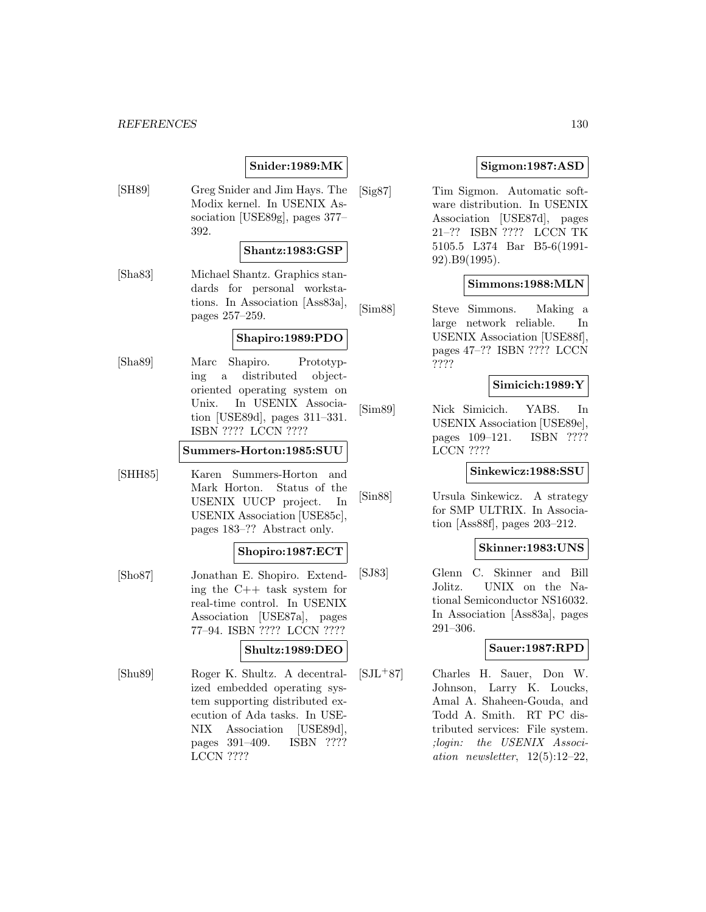# **Snider:1989:MK**

[SH89] Greg Snider and Jim Hays. The Modix kernel. In USENIX Association [USE89g], pages 377– 392.

# **Shantz:1983:GSP**

[Sha83] Michael Shantz. Graphics standards for personal workstations. In Association [Ass83a], pages 257–259.

### **Shapiro:1989:PDO**

[Sha89] Marc Shapiro. Prototyping a distributed objectoriented operating system on Unix. In USENIX Association [USE89d], pages 311–331. ISBN ???? LCCN ????

### **Summers-Horton:1985:SUU**

[SHH85] Karen Summers-Horton and Mark Horton. Status of the USENIX UUCP project. In USENIX Association [USE85c], pages 183–?? Abstract only.

# **Shopiro:1987:ECT**

- [Sho87] Jonathan E. Shopiro. Extending the C++ task system for real-time control. In USENIX Association [USE87a], pages 77–94. ISBN ???? LCCN ???? **Shultz:1989:DEO**
- [Shu89] Roger K. Shultz. A decentralized embedded operating system supporting distributed execution of Ada tasks. In USE-NIX Association [USE89d], pages 391–409. ISBN ???? LCCN ????

# **Sigmon:1987:ASD**

[Sig87] Tim Sigmon. Automatic software distribution. In USENIX Association [USE87d], pages 21–?? ISBN ???? LCCN TK 5105.5 L374 Bar B5-6(1991- 92).B9(1995).

# **Simmons:1988:MLN**

[Sim88] Steve Simmons. Making a large network reliable. In USENIX Association [USE88f], pages 47–?? ISBN ???? LCCN ????

### **Simicich:1989:Y**

[Sim89] Nick Simicich. YABS. In USENIX Association [USE89e], pages 109–121. ISBN ???? LCCN ????

#### **Sinkewicz:1988:SSU**

[Sin88] Ursula Sinkewicz. A strategy for SMP ULTRIX. In Association [Ass88f], pages 203–212.

#### **Skinner:1983:UNS**

[SJ83] Glenn C. Skinner and Bill Jolitz. UNIX on the National Semiconductor NS16032. In Association [Ass83a], pages 291–306.

# **Sauer:1987:RPD**

[SJL<sup>+</sup>87] Charles H. Sauer, Don W. Johnson, Larry K. Loucks, Amal A. Shaheen-Gouda, and Todd A. Smith. RT PC distributed services: File system. ;login: the USENIX Association newsletter,  $12(5):12-22$ .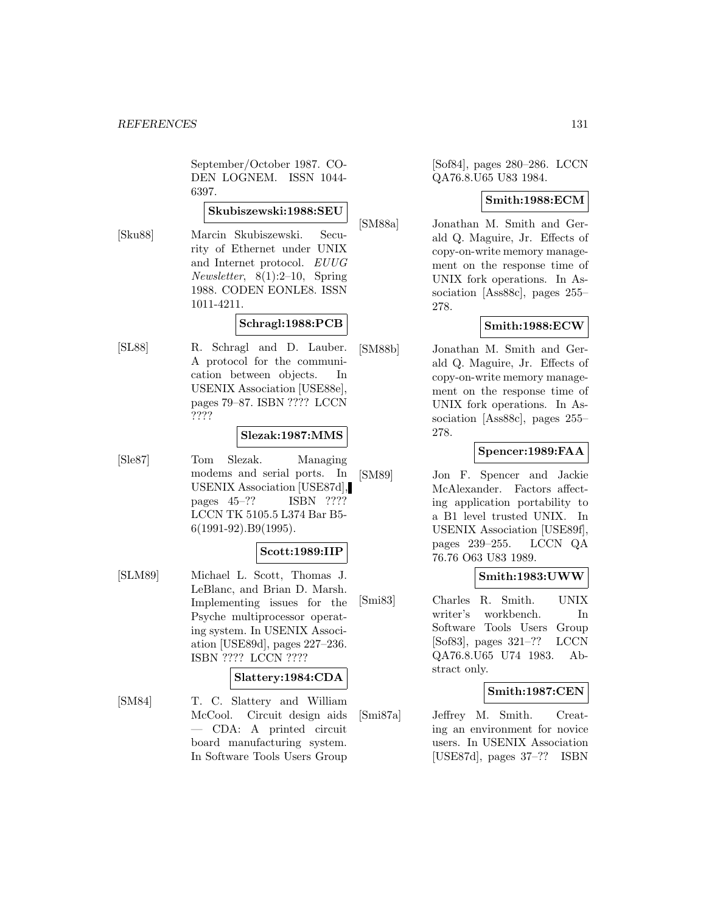September/October 1987. CO-DEN LOGNEM. ISSN 1044- 6397.

# **Skubiszewski:1988:SEU**

[Sku88] Marcin Skubiszewski. Security of Ethernet under UNIX and Internet protocol. EUUG Newsletter, 8(1):2–10, Spring 1988. CODEN EONLE8. ISSN 1011-4211.

# **Schragl:1988:PCB**

[SL88] R. Schragl and D. Lauber. A protocol for the communication between objects. In USENIX Association [USE88e], pages 79–87. ISBN ???? LCCN ????

# **Slezak:1987:MMS**

[Sle87] Tom Slezak. Managing modems and serial ports. In USENIX Association [USE87d], pages 45–?? ISBN ???? LCCN TK 5105.5 L374 Bar B5- 6(1991-92).B9(1995).

# **Scott:1989:IIP**

[SLM89] Michael L. Scott, Thomas J. LeBlanc, and Brian D. Marsh. Implementing issues for the Psyche multiprocessor operating system. In USENIX Association [USE89d], pages 227–236. ISBN ???? LCCN ????

# **Slattery:1984:CDA**

[SM84] T. C. Slattery and William McCool. Circuit design aids — CDA: A printed circuit board manufacturing system. In Software Tools Users Group

[Sof84], pages 280–286. LCCN QA76.8.U65 U83 1984.

# **Smith:1988:ECM**

[SM88a] Jonathan M. Smith and Gerald Q. Maguire, Jr. Effects of copy-on-write memory management on the response time of UNIX fork operations. In Association [Ass88c], pages 255– 278.

# **Smith:1988:ECW**

[SM88b] Jonathan M. Smith and Gerald Q. Maguire, Jr. Effects of copy-on-write memory management on the response time of UNIX fork operations. In Association [Ass88c], pages 255– 278.

# **Spencer:1989:FAA**

[SM89] Jon F. Spencer and Jackie McAlexander. Factors affecting application portability to a B1 level trusted UNIX. In USENIX Association [USE89f], pages 239–255. LCCN QA 76.76 O63 U83 1989.

# **Smith:1983:UWW**

[Smi83] Charles R. Smith. UNIX writer's workbench. In Software Tools Users Group [Sof83], pages 321–?? LCCN QA76.8.U65 U74 1983. Abstract only.

# **Smith:1987:CEN**

[Smi87a] Jeffrey M. Smith. Creating an environment for novice users. In USENIX Association [USE87d], pages 37–?? ISBN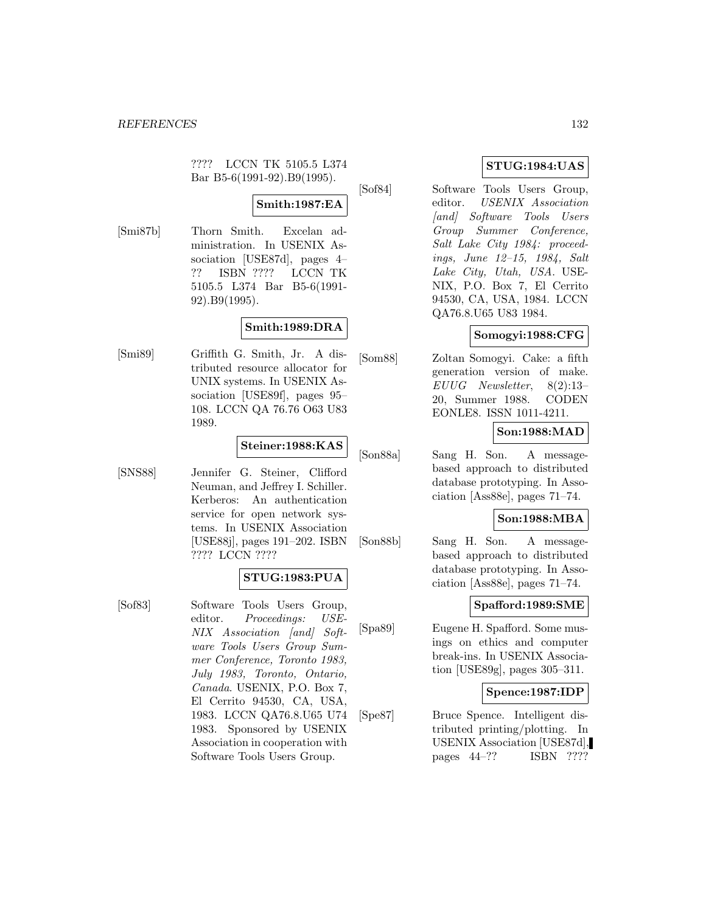???? LCCN TK 5105.5 L374 Bar B5-6(1991-92).B9(1995).

# **Smith:1987:EA**

[Smi87b] Thorn Smith. Excelan administration. In USENIX Association [USE87d], pages 4– ?? ISBN ???? LCCN TK 5105.5 L374 Bar B5-6(1991- 92).B9(1995).

# **Smith:1989:DRA**

[Smi89] Griffith G. Smith, Jr. A distributed resource allocator for UNIX systems. In USENIX Association [USE89f], pages 95– 108. LCCN QA 76.76 O63 U83 1989.

# **Steiner:1988:KAS**

[SNS88] Jennifer G. Steiner, Clifford Neuman, and Jeffrey I. Schiller. Kerberos: An authentication service for open network systems. In USENIX Association [USE88j], pages 191–202. ISBN ???? LCCN ????

# **STUG:1983:PUA**

[Sof83] Software Tools Users Group, editor. Proceedings: USE-NIX Association [and] Software Tools Users Group Summer Conference, Toronto 1983, July 1983, Toronto, Ontario, Canada. USENIX, P.O. Box 7, El Cerrito 94530, CA, USA, 1983. LCCN QA76.8.U65 U74 1983. Sponsored by USENIX Association in cooperation with Software Tools Users Group.

# **STUG:1984:UAS**

[Sof84] Software Tools Users Group, editor. USENIX Association [and] Software Tools Users Group Summer Conference, Salt Lake City 1984: proceedings, June 12–15, 1984, Salt Lake City, Utah, USA. USE-NIX, P.O. Box 7, El Cerrito 94530, CA, USA, 1984. LCCN QA76.8.U65 U83 1984.

# **Somogyi:1988:CFG**

[Som88] Zoltan Somogyi. Cake: a fifth generation version of make. EUUG Newsletter, 8(2):13– 20, Summer 1988. CODEN EONLE8. ISSN 1011-4211.

# **Son:1988:MAD**

[Son88a] Sang H. Son. A messagebased approach to distributed database prototyping. In Association [Ass88e], pages 71–74.

# **Son:1988:MBA**

[Son88b] Sang H. Son. A messagebased approach to distributed database prototyping. In Association [Ass88e], pages 71–74.

# **Spafford:1989:SME**

[Spa89] Eugene H. Spafford. Some musings on ethics and computer break-ins. In USENIX Association [USE89g], pages 305–311.

# **Spence:1987:IDP**

[Spe87] Bruce Spence. Intelligent distributed printing/plotting. In USENIX Association [USE87d], pages 44–?? ISBN ????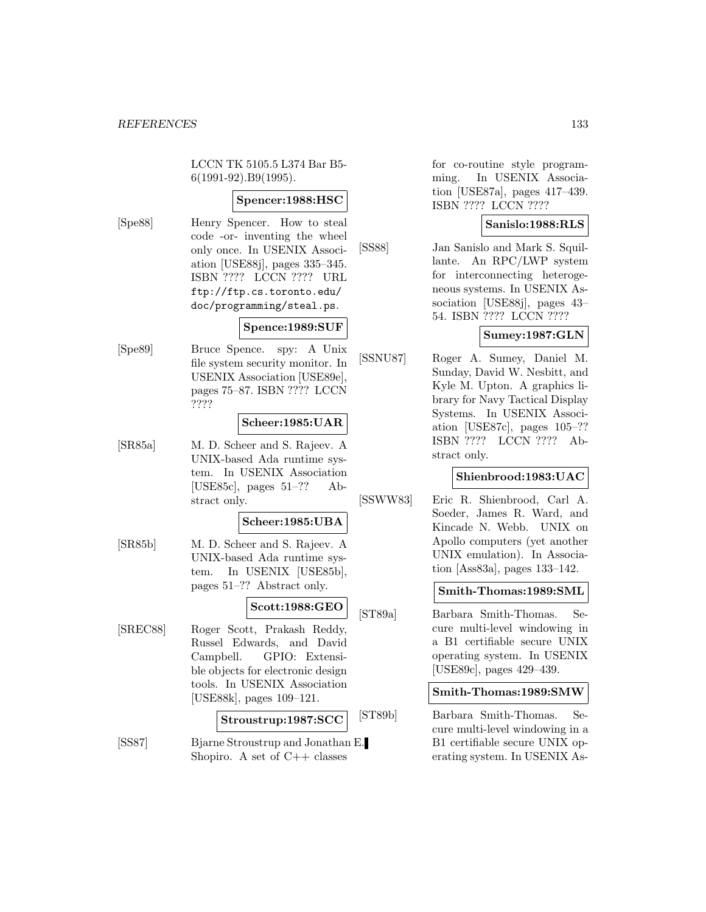LCCN TK 5105.5 L374 Bar B5- 6(1991-92).B9(1995).

# **Spencer:1988:HSC**

[Spe88] Henry Spencer. How to steal code -or- inventing the wheel only once. In USENIX Association [USE88j], pages 335–345. ISBN ???? LCCN ???? URL ftp://ftp.cs.toronto.edu/ doc/programming/steal.ps.

# **Spence:1989:SUF**

[Spe89] Bruce Spence. spy: A Unix file system security monitor. In USENIX Association [USE89e], pages 75–87. ISBN ???? LCCN ????

# **Scheer:1985:UAR**

[SR85a] M. D. Scheer and S. Rajeev. A UNIX-based Ada runtime system. In USENIX Association [USE85c], pages 51–?? Abstract only.

#### **Scheer:1985:UBA**

[SR85b] M. D. Scheer and S. Rajeev. A UNIX-based Ada runtime system. In USENIX [USE85b], pages 51–?? Abstract only.

#### **Scott:1988:GEO**

[SREC88] Roger Scott, Prakash Reddy, Russel Edwards, and David Campbell. GPIO: Extensible objects for electronic design tools. In USENIX Association [USE88k], pages 109–121.

# **Stroustrup:1987:SCC**

[SS87] Bjarne Stroustrup and Jonathan E. Shopiro. A set of  $C_{++}$  classes

for co-routine style programming. In USENIX Association [USE87a], pages 417–439. ISBN ???? LCCN ????

#### **Sanislo:1988:RLS**

[SS88] Jan Sanislo and Mark S. Squillante. An RPC/LWP system for interconnecting heterogeneous systems. In USENIX Association [USE88j], pages 43– 54. ISBN ???? LCCN ????

# **Sumey:1987:GLN**

[SSNU87] Roger A. Sumey, Daniel M. Sunday, David W. Nesbitt, and Kyle M. Upton. A graphics library for Navy Tactical Display Systems. In USENIX Association [USE87c], pages 105–?? ISBN ???? LCCN ???? Abstract only.

# **Shienbrood:1983:UAC**

[SSWW83] Eric R. Shienbrood, Carl A. Soeder, James R. Ward, and Kincade N. Webb. UNIX on Apollo computers (yet another UNIX emulation). In Association [Ass83a], pages 133–142.

# **Smith-Thomas:1989:SML**

[ST89a] Barbara Smith-Thomas. Secure multi-level windowing in a B1 certifiable secure UNIX operating system. In USENIX [USE89c], pages 429–439.

#### **Smith-Thomas:1989:SMW**

[ST89b] Barbara Smith-Thomas. Secure multi-level windowing in a B1 certifiable secure UNIX operating system. In USENIX As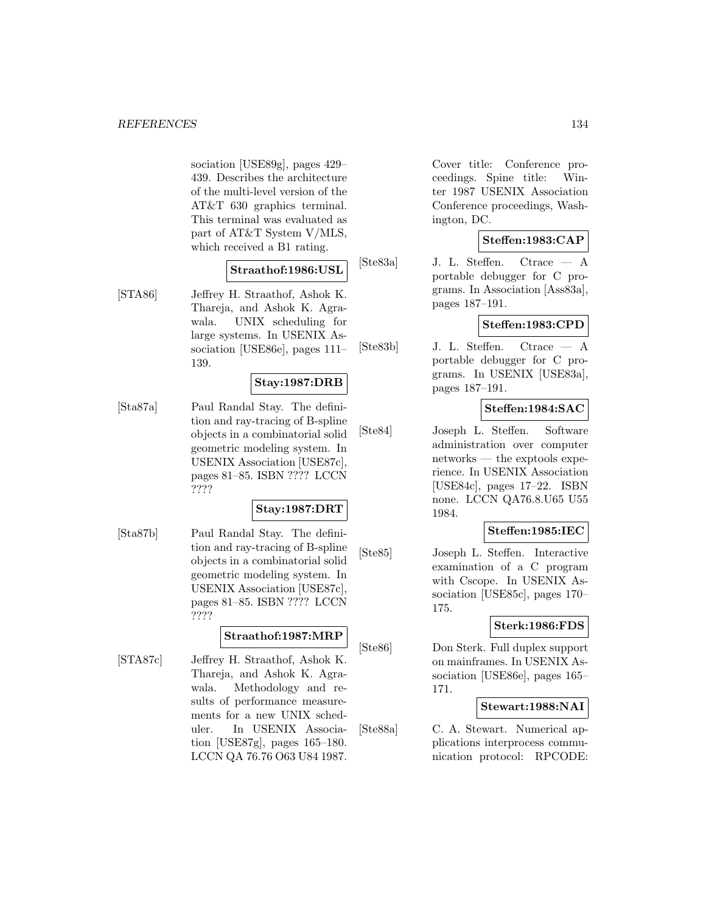sociation [USE89g], pages 429– 439. Describes the architecture of the multi-level version of the AT&T 630 graphics terminal. This terminal was evaluated as part of AT&T System V/MLS, which received a B1 rating.

# **Straathof:1986:USL**

[STA86] Jeffrey H. Straathof, Ashok K. Thareja, and Ashok K. Agrawala. UNIX scheduling for large systems. In USENIX Association [USE86e], pages 111– 139.

# **Stay:1987:DRB**

[Sta87a] Paul Randal Stay. The definition and ray-tracing of B-spline objects in a combinatorial solid geometric modeling system. In USENIX Association [USE87c], pages 81–85. ISBN ???? LCCN ????

# **Stay:1987:DRT**

[Sta87b] Paul Randal Stay. The definition and ray-tracing of B-spline objects in a combinatorial solid geometric modeling system. In USENIX Association [USE87c], pages 81–85. ISBN ???? LCCN ????

# **Straathof:1987:MRP**

[STA87c] Jeffrey H. Straathof, Ashok K. Thareja, and Ashok K. Agrawala. Methodology and results of performance measurements for a new UNIX scheduler. In USENIX Association [USE87g], pages 165–180. LCCN QA 76.76 O63 U84 1987.

Cover title: Conference proceedings. Spine title: Winter 1987 USENIX Association Conference proceedings, Washington, DC.

# **Steffen:1983:CAP**

[Ste83a] J. L. Steffen. Ctrace — A portable debugger for C programs. In Association [Ass83a], pages 187–191.

# **Steffen:1983:CPD**

[Ste83b] J. L. Steffen. Ctrace — A portable debugger for C programs. In USENIX [USE83a], pages 187–191.

# **Steffen:1984:SAC**

[Ste84] Joseph L. Steffen. Software administration over computer networks — the exptools experience. In USENIX Association [USE84c], pages 17–22. ISBN none. LCCN QA76.8.U65 U55 1984.

# **Steffen:1985:IEC**

[Ste85] Joseph L. Steffen. Interactive examination of a C program with Cscope. In USENIX Association [USE85c], pages 170– 175.

# **Sterk:1986:FDS**

[Ste86] Don Sterk. Full duplex support on mainframes. In USENIX Association [USE86e], pages 165– 171.

# **Stewart:1988:NAI**

[Ste88a] C. A. Stewart. Numerical applications interprocess communication protocol: RPCODE: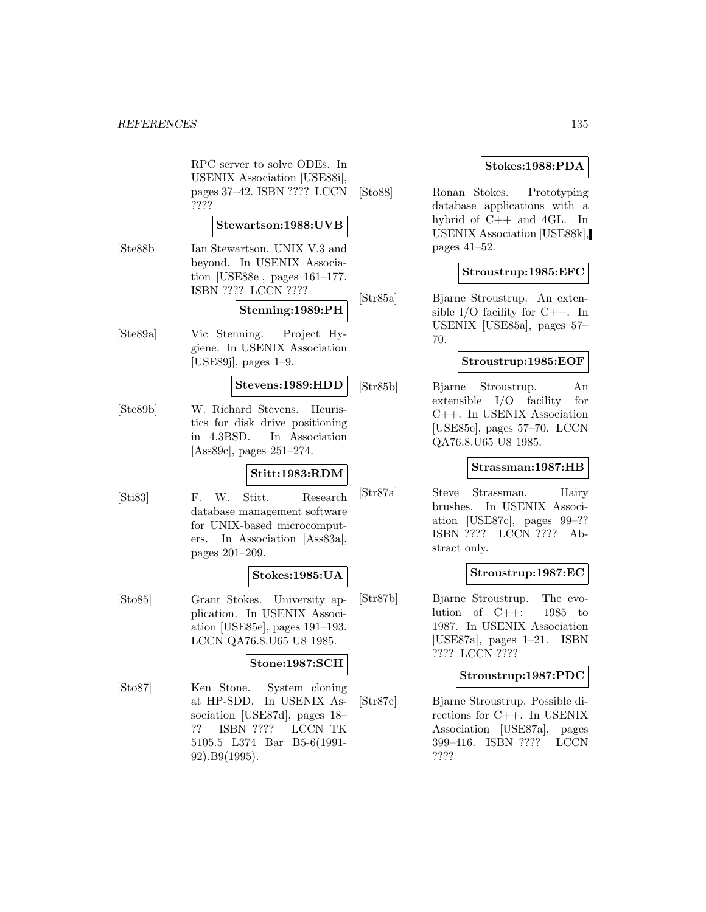RPC server to solve ODEs. In USENIX Association [USE88i], pages 37–42. ISBN ???? LCCN ????

#### **Stewartson:1988:UVB**

[Ste88b] Ian Stewartson. UNIX V.3 and beyond. In USENIX Association [USE88e], pages 161–177. ISBN ???? LCCN ????

# **Stenning:1989:PH**

[Ste89a] Vic Stenning. Project Hygiene. In USENIX Association [USE89j], pages 1–9.

# **Stevens:1989:HDD**

[Ste89b] W. Richard Stevens. Heuristics for disk drive positioning in 4.3BSD. In Association [Ass89c], pages 251–274.

#### **Stitt:1983:RDM**

[Sti83] F. W. Stitt. Research database management software for UNIX-based microcomputers. In Association [Ass83a], pages 201–209.

# **Stokes:1985:UA**

[Sto85] Grant Stokes. University application. In USENIX Association [USE85e], pages 191–193. LCCN QA76.8.U65 U8 1985.

# **Stone:1987:SCH**

[Sto87] Ken Stone. System cloning at HP-SDD. In USENIX Association [USE87d], pages 18– ?? ISBN ???? LCCN TK 5105.5 L374 Bar B5-6(1991- 92).B9(1995).

# **Stokes:1988:PDA**

[Sto88] Ronan Stokes. Prototyping database applications with a hybrid of C++ and 4GL. In USENIX Association [USE88k], pages 41–52.

# **Stroustrup:1985:EFC**

[Str85a] Bjarne Stroustrup. An extensible I/O facility for  $C_{++}$ . In USENIX [USE85a], pages 57– 70.

# **Stroustrup:1985:EOF**

[Str85b] Bjarne Stroustrup. An extensible I/O facility for C++. In USENIX Association [USE85e], pages 57–70. LCCN QA76.8.U65 U8 1985.

#### **Strassman:1987:HB**

[Str87a] Steve Strassman. Hairy brushes. In USENIX Association [USE87c], pages 99–?? ISBN ???? LCCN ???? Abstract only.

# **Stroustrup:1987:EC**

[Str87b] Bjarne Stroustrup. The evolution of  $C++: 1985$  to 1987. In USENIX Association [USE87a], pages 1–21. ISBN ???? LCCN ????

#### **Stroustrup:1987:PDC**

[Str87c] Bjarne Stroustrup. Possible directions for C++. In USENIX Association [USE87a], pages 399–416. ISBN ???? LCCN ????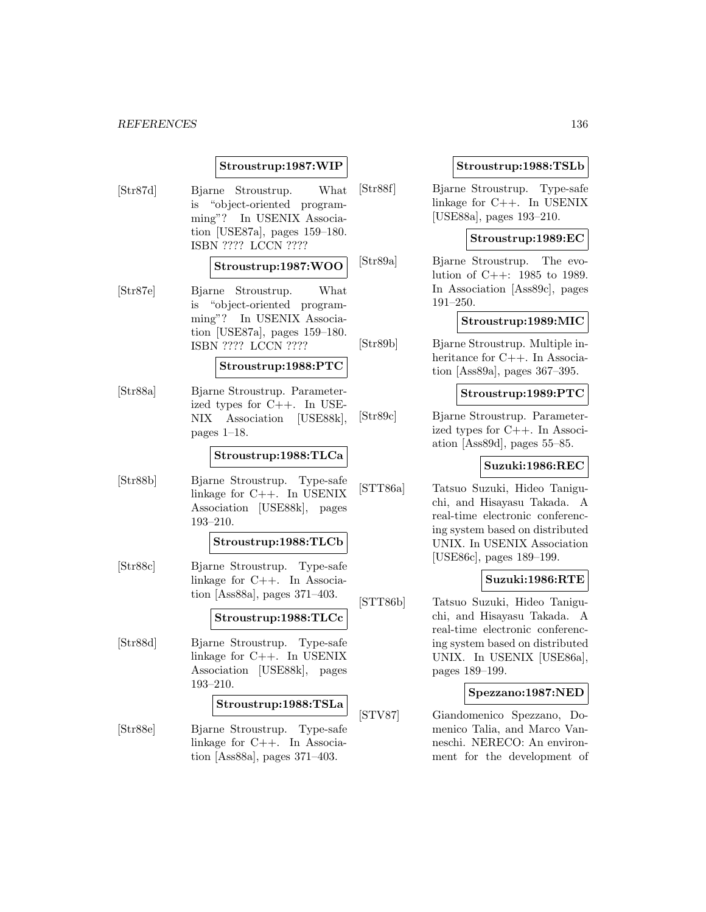# **Stroustrup:1987:WIP**

[Str87d] Bjarne Stroustrup. What is "object-oriented programming"? In USENIX Association [USE87a], pages 159–180. ISBN ???? LCCN ????

#### **Stroustrup:1987:WOO**

[Str87e] Bjarne Stroustrup. What is "object-oriented programming"? In USENIX Association [USE87a], pages 159–180. ISBN ???? LCCN ????

#### **Stroustrup:1988:PTC**

[Str88a] Bjarne Stroustrup. Parameterized types for C++. In USE-NIX Association [USE88k], pages 1–18.

#### **Stroustrup:1988:TLCa**

[Str88b] Bjarne Stroustrup. Type-safe linkage for C++. In USENIX Association [USE88k], pages 193–210.

#### **Stroustrup:1988:TLCb**

[Str88c] Bjarne Stroustrup. Type-safe linkage for C++. In Association [Ass88a], pages 371–403.

# **Stroustrup:1988:TLCc**

[Str88d] Bjarne Stroustrup. Type-safe linkage for C++. In USENIX Association [USE88k], pages 193–210.

#### **Stroustrup:1988:TSLa**

[Str88e] Bjarne Stroustrup. Type-safe linkage for C++. In Association [Ass88a], pages 371–403.

### **Stroustrup:1988:TSLb**

[Str88f] Bjarne Stroustrup. Type-safe linkage for C++. In USENIX [USE88a], pages 193–210.

# **Stroustrup:1989:EC**

[Str89a] Bjarne Stroustrup. The evolution of C++: 1985 to 1989. In Association [Ass89c], pages 191–250.

# **Stroustrup:1989:MIC**

[Str89b] Bjarne Stroustrup. Multiple inheritance for C++. In Association [Ass89a], pages 367–395.

# **Stroustrup:1989:PTC**

[Str89c] Bjarne Stroustrup. Parameterized types for C++. In Association [Ass89d], pages 55–85.

#### **Suzuki:1986:REC**

[STT86a] Tatsuo Suzuki, Hideo Taniguchi, and Hisayasu Takada. A real-time electronic conferencing system based on distributed UNIX. In USENIX Association [USE86c], pages 189–199.

#### **Suzuki:1986:RTE**

[STT86b] Tatsuo Suzuki, Hideo Taniguchi, and Hisayasu Takada. A real-time electronic conferencing system based on distributed UNIX. In USENIX [USE86a], pages 189–199.

#### **Spezzano:1987:NED**

[STV87] Giandomenico Spezzano, Domenico Talia, and Marco Vanneschi. NERECO: An environment for the development of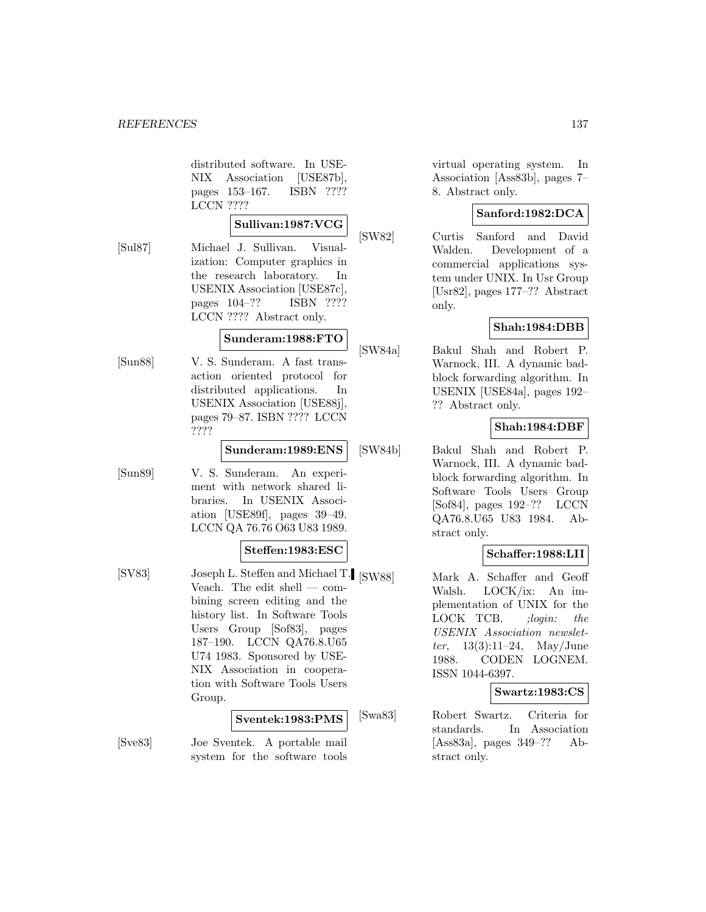distributed software. In USE-NIX Association [USE87b], pages 153–167. ISBN ???? LCCN ????

#### **Sullivan:1987:VCG**

[Sul87] Michael J. Sullivan. Visualization: Computer graphics in the research laboratory. In USENIX Association [USE87c], pages 104–?? ISBN ???? LCCN ???? Abstract only.

# **Sunderam:1988:FTO**

[Sun88] V. S. Sunderam. A fast transaction oriented protocol for distributed applications. In USENIX Association [USE88j], pages 79–87. ISBN ???? LCCN ????

### **Sunderam:1989:ENS**

[Sun89] V. S. Sunderam. An experiment with network shared libraries. In USENIX Association [USE89f], pages 39–49. LCCN QA 76.76 O63 U83 1989.

# **Steffen:1983:ESC**

[SV83] Joseph L. Steffen and Michael T. [SW88] Veach. The edit shell — combining screen editing and the history list. In Software Tools Users Group [Sof83], pages 187–190. LCCN QA76.8.U65 U74 1983. Sponsored by USE-NIX Association in cooperation with Software Tools Users Group.

# **Sventek:1983:PMS**

[Sve83] Joe Sventek. A portable mail system for the software tools virtual operating system. In Association [Ass83b], pages 7– 8. Abstract only.

# **Sanford:1982:DCA**

[SW82] Curtis Sanford and David Walden. Development of a commercial applications system under UNIX. In Usr Group [Usr82], pages 177–?? Abstract only.

# **Shah:1984:DBB**

[SW84a] Bakul Shah and Robert P. Warnock, III. A dynamic badblock forwarding algorithm. In USENIX [USE84a], pages 192– ?? Abstract only.

# **Shah:1984:DBF**

[SW84b] Bakul Shah and Robert P. Warnock, III. A dynamic badblock forwarding algorithm. In Software Tools Users Group [Sof84], pages 192–?? LCCN QA76.8.U65 U83 1984. Abstract only.

# **Schaffer:1988:LII**

Mark A. Schaffer and Geoff Walsh. LOCK/ix: An implementation of UNIX for the LOCK TCB. ;login: the USENIX Association newslet*ter*,  $13(3):11-24$ , May/June 1988. CODEN LOGNEM. ISSN 1044-6397.

# **Swartz:1983:CS**

[Swa83] Robert Swartz. Criteria for standards. In Association [Ass83a], pages 349–?? Abstract only.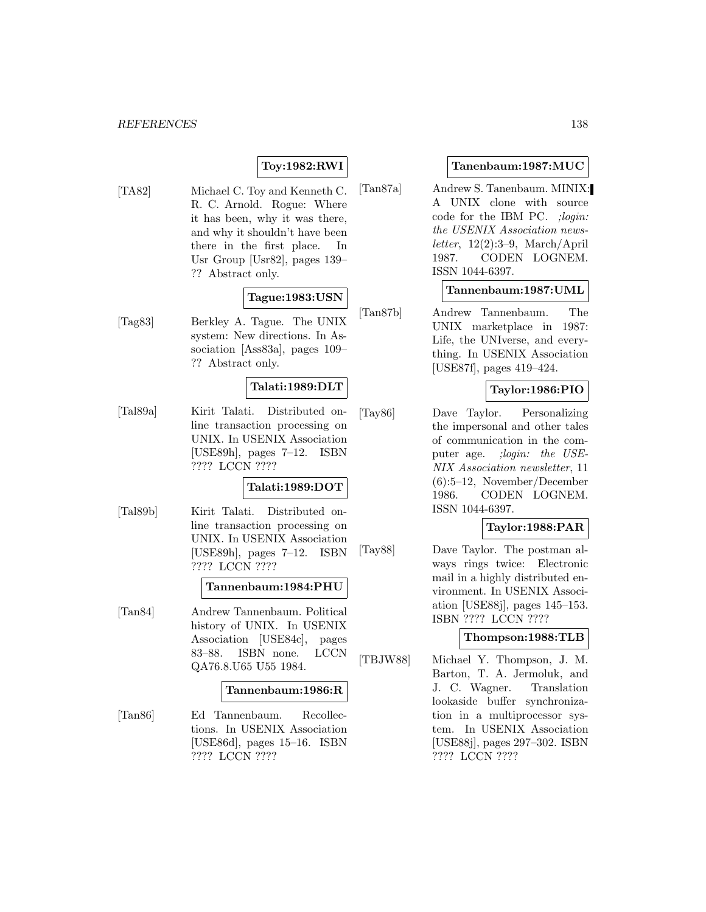# **Toy:1982:RWI**

[TA82] Michael C. Toy and Kenneth C. R. C. Arnold. Rogue: Where it has been, why it was there, and why it shouldn't have been there in the first place. In Usr Group [Usr82], pages 139– ?? Abstract only.

# **Tague:1983:USN**

[Tag83] Berkley A. Tague. The UNIX system: New directions. In Association [Ass83a], pages 109– ?? Abstract only.

# **Talati:1989:DLT**

[Tal89a] Kirit Talati. Distributed online transaction processing on UNIX. In USENIX Association [USE89h], pages 7–12. ISBN ???? LCCN ????

# **Talati:1989:DOT**

[Tal89b] Kirit Talati. Distributed online transaction processing on UNIX. In USENIX Association [USE89h], pages 7–12. ISBN ???? LCCN ????

#### **Tannenbaum:1984:PHU**

[Tan84] Andrew Tannenbaum. Political history of UNIX. In USENIX Association [USE84c], pages 83–88. ISBN none. LCCN QA76.8.U65 U55 1984.

#### **Tannenbaum:1986:R**

[Tan86] Ed Tannenbaum. Recollections. In USENIX Association [USE86d], pages 15–16. ISBN ???? LCCN ????

### **Tanenbaum:1987:MUC**

[Tan87a] Andrew S. Tanenbaum. MINIX: A UNIX clone with source code for the IBM PC. ;login: the USENIX Association newsletter,  $12(2):3-9$ , March/April 1987. CODEN LOGNEM. ISSN 1044-6397.

#### **Tannenbaum:1987:UML**

[Tan87b] Andrew Tannenbaum. The UNIX marketplace in 1987: Life, the UNIverse, and everything. In USENIX Association [USE87f], pages 419–424.

# **Taylor:1986:PIO**

[Tay86] Dave Taylor. Personalizing the impersonal and other tales of communication in the computer age. ; login: the USE-NIX Association newsletter, 11 (6):5–12, November/December 1986. CODEN LOGNEM. ISSN 1044-6397.

# **Taylor:1988:PAR**

[Tay88] Dave Taylor. The postman always rings twice: Electronic mail in a highly distributed environment. In USENIX Association [USE88j], pages 145–153. ISBN ???? LCCN ????

# **Thompson:1988:TLB**

[TBJW88] Michael Y. Thompson, J. M. Barton, T. A. Jermoluk, and J. C. Wagner. Translation lookaside buffer synchronization in a multiprocessor system. In USENIX Association [USE88j], pages 297–302. ISBN ???? LCCN ????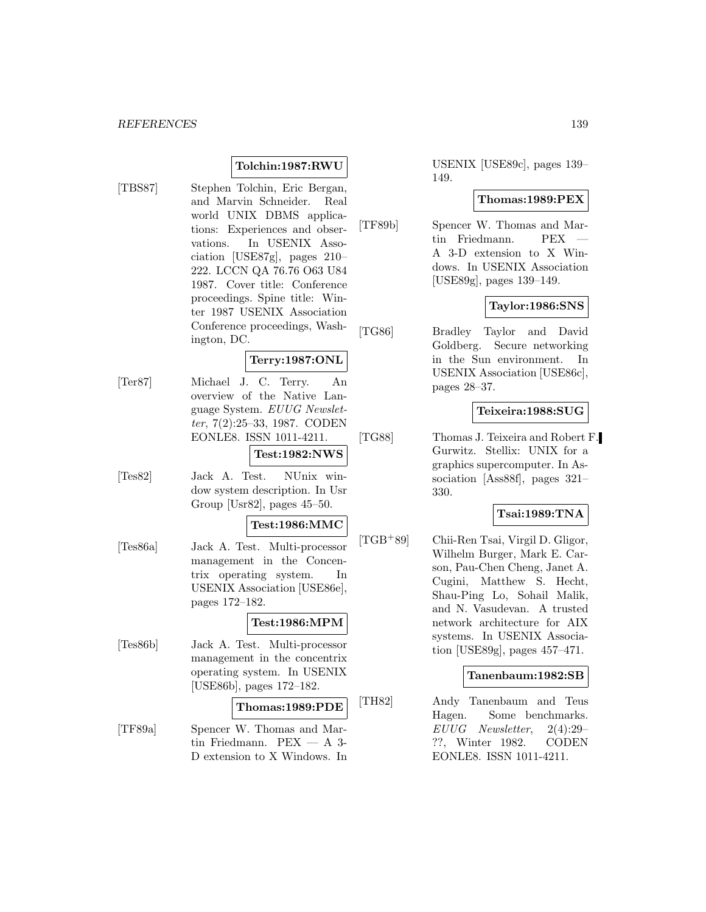# **Tolchin:1987:RWU**

[TBS87] Stephen Tolchin, Eric Bergan, and Marvin Schneider. Real world UNIX DBMS applications: Experiences and observations. In USENIX Association [USE87g], pages 210– 222. LCCN QA 76.76 O63 U84 1987. Cover title: Conference proceedings. Spine title: Winter 1987 USENIX Association Conference proceedings, Washington, DC.

# **Terry:1987:ONL**

- [Ter87] Michael J. C. Terry. An overview of the Native Language System. EUUG Newsletter, 7(2):25–33, 1987. CODEN EONLE8. ISSN 1011-4211. **Test:1982:NWS**
- [Tes82] Jack A. Test. NUnix window system description. In Usr Group [Usr82], pages 45–50.

### **Test:1986:MMC**

[Tes86a] Jack A. Test. Multi-processor management in the Concentrix operating system. In USENIX Association [USE86e], pages 172–182.

#### **Test:1986:MPM**

[Tes86b] Jack A. Test. Multi-processor management in the concentrix operating system. In USENIX [USE86b], pages 172–182.

# **Thomas:1989:PDE**

[TF89a] Spencer W. Thomas and Martin Friedmann.  $PEX - A$  3-D extension to X Windows. In USENIX [USE89c], pages 139– 149.

#### **Thomas:1989:PEX**

[TF89b] Spencer W. Thomas and Martin Friedmann. PEX A 3-D extension to X Windows. In USENIX Association [USE89g], pages 139–149.

#### **Taylor:1986:SNS**

[TG86] Bradley Taylor and David Goldberg. Secure networking in the Sun environment. In USENIX Association [USE86c], pages 28–37.

### **Teixeira:1988:SUG**

[TG88] Thomas J. Teixeira and Robert F. Gurwitz. Stellix: UNIX for a graphics supercomputer. In Association [Ass88f], pages 321– 330.

# **Tsai:1989:TNA**

[TGB<sup>+</sup>89] Chii-Ren Tsai, Virgil D. Gligor, Wilhelm Burger, Mark E. Carson, Pau-Chen Cheng, Janet A. Cugini, Matthew S. Hecht, Shau-Ping Lo, Sohail Malik, and N. Vasudevan. A trusted network architecture for AIX systems. In USENIX Association [USE89g], pages 457–471.

#### **Tanenbaum:1982:SB**

[TH82] Andy Tanenbaum and Teus Hagen. Some benchmarks. EUUG Newsletter, 2(4):29– ??, Winter 1982. CODEN EONLE8. ISSN 1011-4211.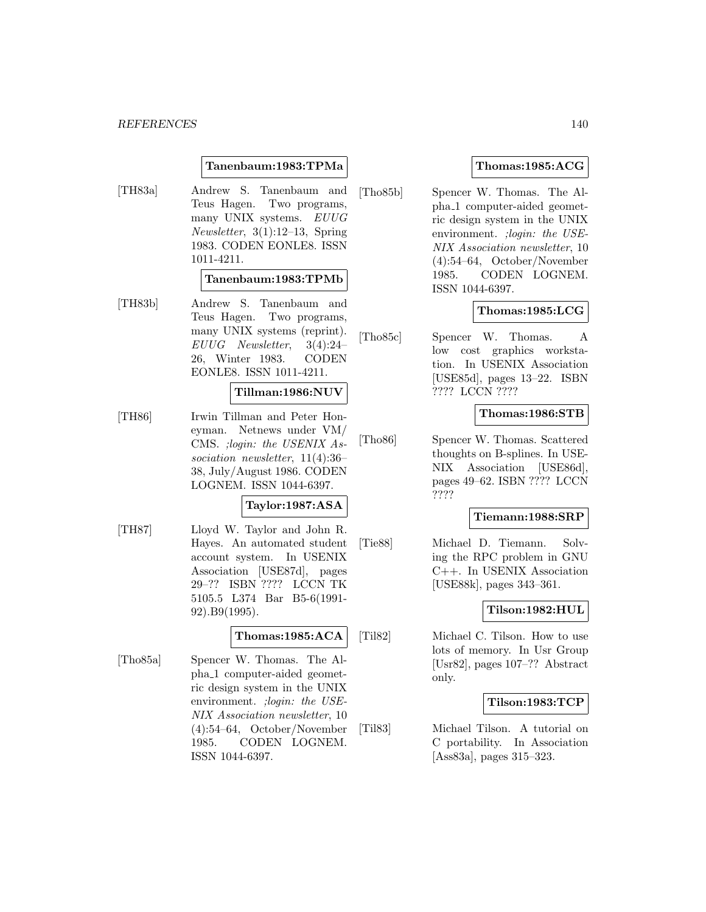### **Tanenbaum:1983:TPMa**

[TH83a] Andrew S. Tanenbaum and Teus Hagen. Two programs, many UNIX systems. EUUG Newsletter, 3(1):12–13, Spring 1983. CODEN EONLE8. ISSN 1011-4211.

# **Tanenbaum:1983:TPMb**

[TH83b] Andrew S. Tanenbaum and Teus Hagen. Two programs, many UNIX systems (reprint). EUUG Newsletter, 3(4):24– 26, Winter 1983. CODEN EONLE8. ISSN 1011-4211.

# **Tillman:1986:NUV**

[TH86] Irwin Tillman and Peter Honeyman. Netnews under VM/ CMS. ;login: the USENIX Association newsletter, 11(4):36– 38, July/August 1986. CODEN LOGNEM. ISSN 1044-6397.

# **Taylor:1987:ASA**

[TH87] Lloyd W. Taylor and John R. Hayes. An automated student account system. In USENIX Association [USE87d], pages 29–?? ISBN ???? LCCN TK 5105.5 L374 Bar B5-6(1991- 92).B9(1995).

# **Thomas:1985:ACA**

[Tho85a] Spencer W. Thomas. The Alpha 1 computer-aided geometric design system in the UNIX environment. ; login: the USE-NIX Association newsletter, 10 (4):54–64, October/November 1985. CODEN LOGNEM. ISSN 1044-6397.

# **Thomas:1985:ACG**

[Tho85b] Spencer W. Thomas. The Alpha 1 computer-aided geometric design system in the UNIX environment. ; login: the USE-NIX Association newsletter, 10 (4):54–64, October/November 1985. CODEN LOGNEM. ISSN 1044-6397.

# **Thomas:1985:LCG**

[Tho85c] Spencer W. Thomas. A low cost graphics workstation. In USENIX Association [USE85d], pages 13–22. ISBN ???? LCCN ????

# **Thomas:1986:STB**

[Tho86] Spencer W. Thomas. Scattered thoughts on B-splines. In USE-NIX Association [USE86d], pages 49–62. ISBN ???? LCCN ????

# **Tiemann:1988:SRP**

[Tie88] Michael D. Tiemann. Solving the RPC problem in GNU C++. In USENIX Association [USE88k], pages 343–361.

# **Tilson:1982:HUL**

[Til82] Michael C. Tilson. How to use lots of memory. In Usr Group [Usr82], pages 107–?? Abstract only.

# **Tilson:1983:TCP**

[Til83] Michael Tilson. A tutorial on C portability. In Association [Ass83a], pages 315–323.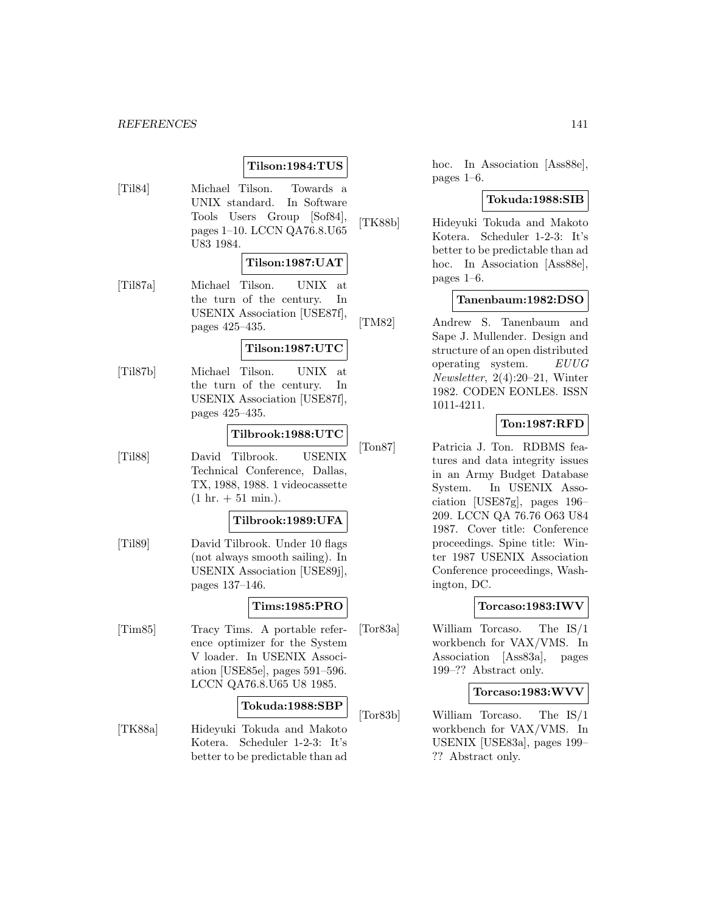# **Tilson:1984:TUS**

[Til84] Michael Tilson. Towards a UNIX standard. In Software Tools Users Group [Sof84], pages 1–10. LCCN QA76.8.U65 U83 1984.

#### **Tilson:1987:UAT**

[Til87a] Michael Tilson. UNIX at the turn of the century. In USENIX Association [USE87f], pages 425–435.

#### **Tilson:1987:UTC**

[Til87b] Michael Tilson. UNIX at the turn of the century. In USENIX Association [USE87f], pages 425–435.

#### **Tilbrook:1988:UTC**

[Til88] David Tilbrook. USENIX Technical Conference, Dallas, TX, 1988, 1988. 1 videocassette  $(1 \text{ hr.} + 51 \text{ min.}).$ 

#### **Tilbrook:1989:UFA**

[Til89] David Tilbrook. Under 10 flags (not always smooth sailing). In USENIX Association [USE89j], pages 137–146.

# **Tims:1985:PRO**

[Tim85] Tracy Tims. A portable reference optimizer for the System V loader. In USENIX Association [USE85e], pages 591–596. LCCN QA76.8.U65 U8 1985.

#### **Tokuda:1988:SBP**

[TK88a] Hideyuki Tokuda and Makoto Kotera. Scheduler 1-2-3: It's better to be predictable than ad

hoc. In Association [Ass88e], pages 1–6.

#### **Tokuda:1988:SIB**

[TK88b] Hideyuki Tokuda and Makoto Kotera. Scheduler 1-2-3: It's better to be predictable than ad hoc. In Association [Ass88e], pages 1–6.

#### **Tanenbaum:1982:DSO**

[TM82] Andrew S. Tanenbaum and Sape J. Mullender. Design and structure of an open distributed operating system. EUUG Newsletter, 2(4):20–21, Winter 1982. CODEN EONLE8. ISSN 1011-4211.

# **Ton:1987:RFD**

[Ton87] Patricia J. Ton. RDBMS features and data integrity issues in an Army Budget Database System. In USENIX Association [USE87g], pages 196– 209. LCCN QA 76.76 O63 U84 1987. Cover title: Conference proceedings. Spine title: Winter 1987 USENIX Association Conference proceedings, Washington, DC.

# **Torcaso:1983:IWV**

[Tor83a] William Torcaso. The IS/1 workbench for VAX/VMS. In Association [Ass83a], pages 199–?? Abstract only.

#### **Torcaso:1983:WVV**

[Tor83b] William Torcaso. The IS/1 workbench for VAX/VMS. In USENIX [USE83a], pages 199– ?? Abstract only.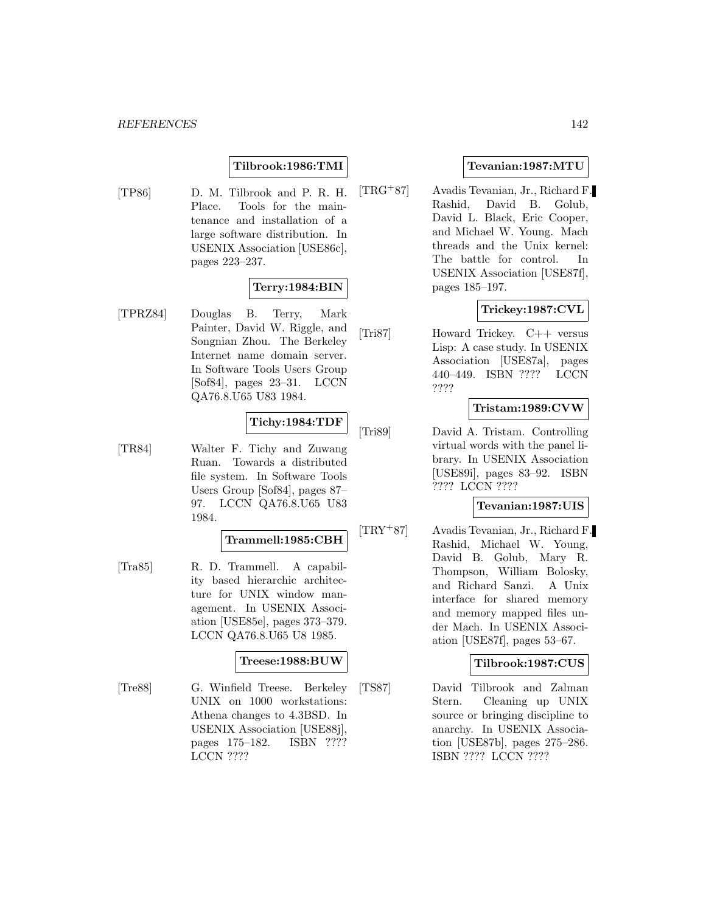# **Tilbrook:1986:TMI**

[TP86] D. M. Tilbrook and P. R. H. Place. Tools for the maintenance and installation of a large software distribution. In USENIX Association [USE86c], pages 223–237.

# **Terry:1984:BIN**

[TPRZ84] Douglas B. Terry, Mark Painter, David W. Riggle, and Songnian Zhou. The Berkeley Internet name domain server. In Software Tools Users Group [Sof84], pages 23–31. LCCN QA76.8.U65 U83 1984.

# **Tichy:1984:TDF**

[TR84] Walter F. Tichy and Zuwang Ruan. Towards a distributed file system. In Software Tools Users Group [Sof84], pages 87– 97. LCCN QA76.8.U65 U83 1984.

#### **Trammell:1985:CBH**

[Tra85] R. D. Trammell. A capability based hierarchic architecture for UNIX window management. In USENIX Association [USE85e], pages 373–379. LCCN QA76.8.U65 U8 1985.

# **Treese:1988:BUW**

[Tre88] G. Winfield Treese. Berkeley UNIX on 1000 workstations: Athena changes to 4.3BSD. In USENIX Association [USE88j], pages 175–182. ISBN ???? LCCN ????

# **Tevanian:1987:MTU**

[TRG<sup>+</sup>87] Avadis Tevanian, Jr., Richard F. Rashid, David B. Golub, David L. Black, Eric Cooper, and Michael W. Young. Mach threads and the Unix kernel: The battle for control. In USENIX Association [USE87f], pages 185–197.

# **Trickey:1987:CVL**

[Tri87] Howard Trickey. C++ versus Lisp: A case study. In USENIX Association [USE87a], pages 440–449. ISBN ???? LCCN ????

# **Tristam:1989:CVW**

[Tri89] David A. Tristam. Controlling virtual words with the panel library. In USENIX Association [USE89i], pages 83–92. ISBN ???? LCCN ????

# **Tevanian:1987:UIS**

[TRY<sup>+</sup>87] Avadis Tevanian, Jr., Richard F. Rashid, Michael W. Young, David B. Golub, Mary R. Thompson, William Bolosky, and Richard Sanzi. A Unix interface for shared memory and memory mapped files under Mach. In USENIX Association [USE87f], pages 53–67.

# **Tilbrook:1987:CUS**

[TS87] David Tilbrook and Zalman Stern. Cleaning up UNIX source or bringing discipline to anarchy. In USENIX Association [USE87b], pages 275–286. ISBN ???? LCCN ????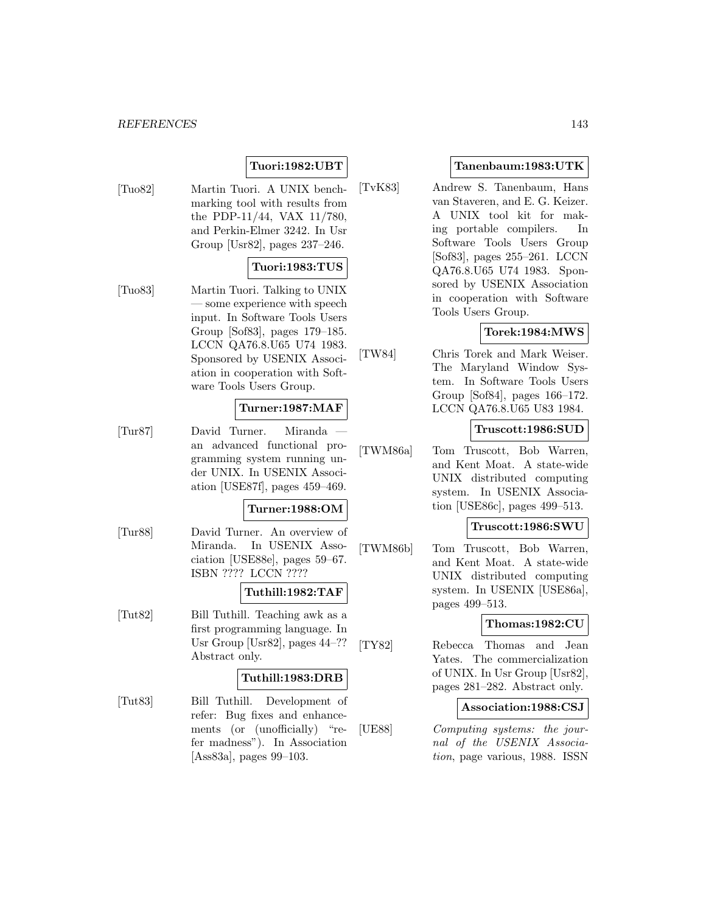# **Tuori:1982:UBT**

[Tuo82] Martin Tuori. A UNIX benchmarking tool with results from the PDP-11/44, VAX 11/780, and Perkin-Elmer 3242. In Usr Group [Usr82], pages 237–246.

# **Tuori:1983:TUS**

[Tuo83] Martin Tuori. Talking to UNIX — some experience with speech input. In Software Tools Users Group [Sof83], pages 179–185. LCCN QA76.8.U65 U74 1983. Sponsored by USENIX Association in cooperation with Software Tools Users Group.

# **Turner:1987:MAF**

[Tur87] David Turner. Miranda an advanced functional programming system running under UNIX. In USENIX Association [USE87f], pages 459–469.

#### **Turner:1988:OM**

[Tur88] David Turner. An overview of Miranda. In USENIX Association [USE88e], pages 59–67. ISBN ???? LCCN ????

# **Tuthill:1982:TAF**

[Tut82] Bill Tuthill. Teaching awk as a first programming language. In Usr Group [Usr82], pages 44–?? Abstract only.

# **Tuthill:1983:DRB**

[Tut83] Bill Tuthill. Development of refer: Bug fixes and enhancements (or (unofficially) "refer madness"). In Association [Ass83a], pages 99–103.

# **Tanenbaum:1983:UTK**

[TvK83] Andrew S. Tanenbaum, Hans van Staveren, and E. G. Keizer. A UNIX tool kit for making portable compilers. In Software Tools Users Group [Sof83], pages 255–261. LCCN QA76.8.U65 U74 1983. Sponsored by USENIX Association in cooperation with Software Tools Users Group.

# **Torek:1984:MWS**

[TW84] Chris Torek and Mark Weiser. The Maryland Window System. In Software Tools Users Group [Sof84], pages 166–172. LCCN QA76.8.U65 U83 1984.

# **Truscott:1986:SUD**

[TWM86a] Tom Truscott, Bob Warren, and Kent Moat. A state-wide UNIX distributed computing system. In USENIX Association [USE86c], pages 499–513.

#### **Truscott:1986:SWU**

[TWM86b] Tom Truscott, Bob Warren, and Kent Moat. A state-wide UNIX distributed computing system. In USENIX [USE86a], pages 499–513.

# **Thomas:1982:CU**

[TY82] Rebecca Thomas and Jean Yates. The commercialization of UNIX. In Usr Group [Usr82], pages 281–282. Abstract only.

### **Association:1988:CSJ**

[UE88] Computing systems: the journal of the USENIX Association, page various, 1988. ISSN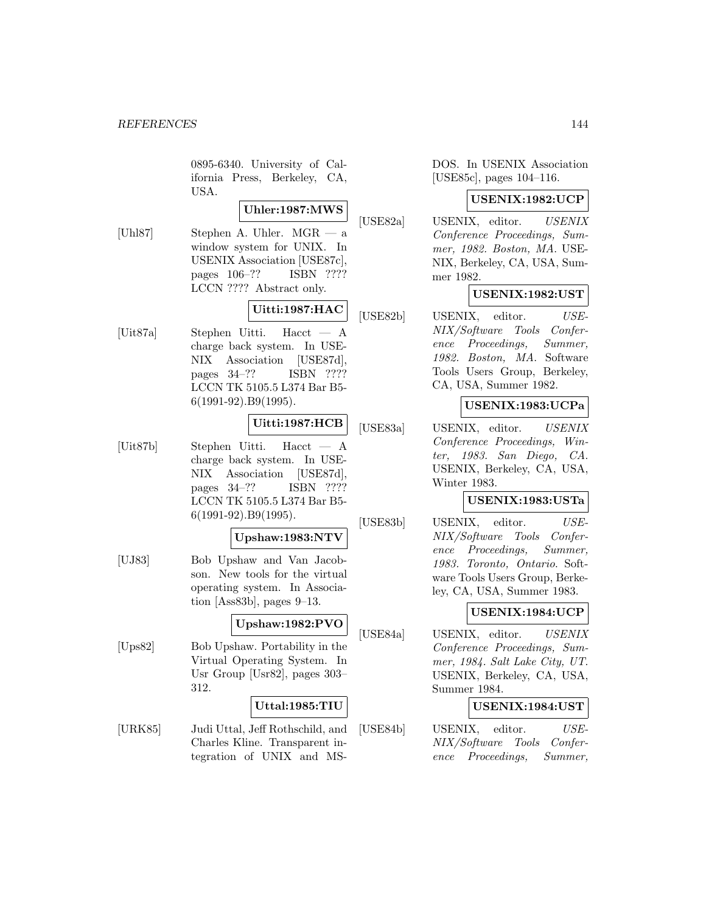0895-6340. University of California Press, Berkeley, CA, USA.

# **Uhler:1987:MWS**

[Uhl87] Stephen A. Uhler. MGR — a window system for UNIX. In USENIX Association [USE87c], pages 106–?? ISBN ???? LCCN ???? Abstract only.

# **Uitti:1987:HAC**

[Uit87a] Stephen Uitti. Hacct — A charge back system. In USE-NIX Association [USE87d], pages 34–?? ISBN ???? LCCN TK 5105.5 L374 Bar B5- 6(1991-92).B9(1995).

### **Uitti:1987:HCB**

[Uit87b] Stephen Uitti. Hacct — A charge back system. In USE-NIX Association [USE87d], pages 34–?? ISBN ???? LCCN TK 5105.5 L374 Bar B5- 6(1991-92).B9(1995).

# **Upshaw:1983:NTV**

[UJ83] Bob Upshaw and Van Jacobson. New tools for the virtual operating system. In Association [Ass83b], pages 9–13.

#### **Upshaw:1982:PVO**

[Ups82] Bob Upshaw. Portability in the Virtual Operating System. In Usr Group [Usr82], pages 303– 312.

# **Uttal:1985:TIU**

[URK85] Judi Uttal, Jeff Rothschild, and Charles Kline. Transparent integration of UNIX and MS-

DOS. In USENIX Association [USE85c], pages 104–116.

#### **USENIX:1982:UCP**

[USE82a] USENIX, editor. USENIX Conference Proceedings, Summer, 1982. Boston, MA. USE-NIX, Berkeley, CA, USA, Summer 1982.

# **USENIX:1982:UST**

[USE82b] USENIX, editor. USE-NIX/Software Tools Conference Proceedings, Summer, 1982. Boston, MA. Software Tools Users Group, Berkeley, CA, USA, Summer 1982.

# **USENIX:1983:UCPa**

[USE83a] USENIX, editor. USENIX Conference Proceedings, Winter, 1983. San Diego, CA. USENIX, Berkeley, CA, USA, Winter 1983.

### **USENIX:1983:USTa**

[USE83b] USENIX, editor. USE-NIX/Software Tools Conference Proceedings, Summer, 1983. Toronto, Ontario. Software Tools Users Group, Berkeley, CA, USA, Summer 1983.

# **USENIX:1984:UCP**

[USE84a] USENIX, editor. USENIX Conference Proceedings, Summer, 1984. Salt Lake City, UT. USENIX, Berkeley, CA, USA, Summer 1984.

# **USENIX:1984:UST**

[USE84b] USENIX, editor. USE-NIX/Software Tools Conference Proceedings, Summer,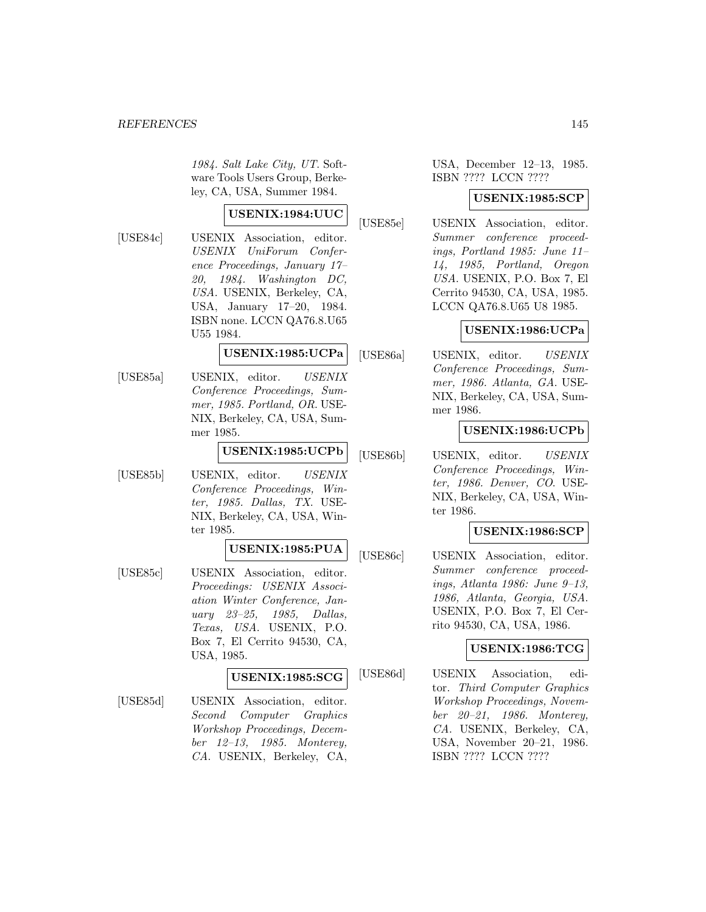1984. Salt Lake City, UT. Software Tools Users Group, Berkeley, CA, USA, Summer 1984.

# **USENIX:1984:UUC**

[USE84c] USENIX Association, editor. USENIX UniForum Conference Proceedings, January 17– 20, 1984. Washington DC, USA. USENIX, Berkeley, CA, USA, January 17–20, 1984. ISBN none. LCCN QA76.8.U65 U55 1984.

## **USENIX:1985:UCPa**

[USE85a] USENIX, editor. USENIX Conference Proceedings, Summer, 1985. Portland, OR. USE-NIX, Berkeley, CA, USA, Summer 1985.

### **USENIX:1985:UCPb**

[USE85b] USENIX, editor. USENIX Conference Proceedings, Winter, 1985. Dallas, TX. USE-NIX, Berkeley, CA, USA, Winter 1985.

# **USENIX:1985:PUA**

[USE85c] USENIX Association, editor. Proceedings: USENIX Association Winter Conference, January 23–25, 1985, Dallas, Texas, USA. USENIX, P.O. Box 7, El Cerrito 94530, CA, USA, 1985.

# **USENIX:1985:SCG**

[USE85d] USENIX Association, editor. Second Computer Graphics Workshop Proceedings, December 12–13, 1985. Monterey, CA. USENIX, Berkeley, CA,

# USA, December 12–13, 1985. ISBN ???? LCCN ????

#### **USENIX:1985:SCP**

[USE85e] USENIX Association, editor. Summer conference proceedings, Portland 1985: June 11– 14, 1985, Portland, Oregon USA. USENIX, P.O. Box 7, El Cerrito 94530, CA, USA, 1985. LCCN QA76.8.U65 U8 1985.

## **USENIX:1986:UCPa**

[USE86a] USENIX, editor. USENIX Conference Proceedings, Summer, 1986. Atlanta, GA. USE-NIX, Berkeley, CA, USA, Summer 1986.

# **USENIX:1986:UCPb**

[USE86b] USENIX, editor. USENIX Conference Proceedings, Winter, 1986. Denver, CO. USE-NIX, Berkeley, CA, USA, Winter 1986.

# **USENIX:1986:SCP**

[USE86c] USENIX Association, editor. Summer conference proceedings, Atlanta 1986: June 9–13, 1986, Atlanta, Georgia, USA. USENIX, P.O. Box 7, El Cerrito 94530, CA, USA, 1986.

## **USENIX:1986:TCG**

[USE86d] USENIX Association, editor. Third Computer Graphics Workshop Proceedings, November 20–21, 1986. Monterey, CA. USENIX, Berkeley, CA, USA, November 20–21, 1986. ISBN ???? LCCN ????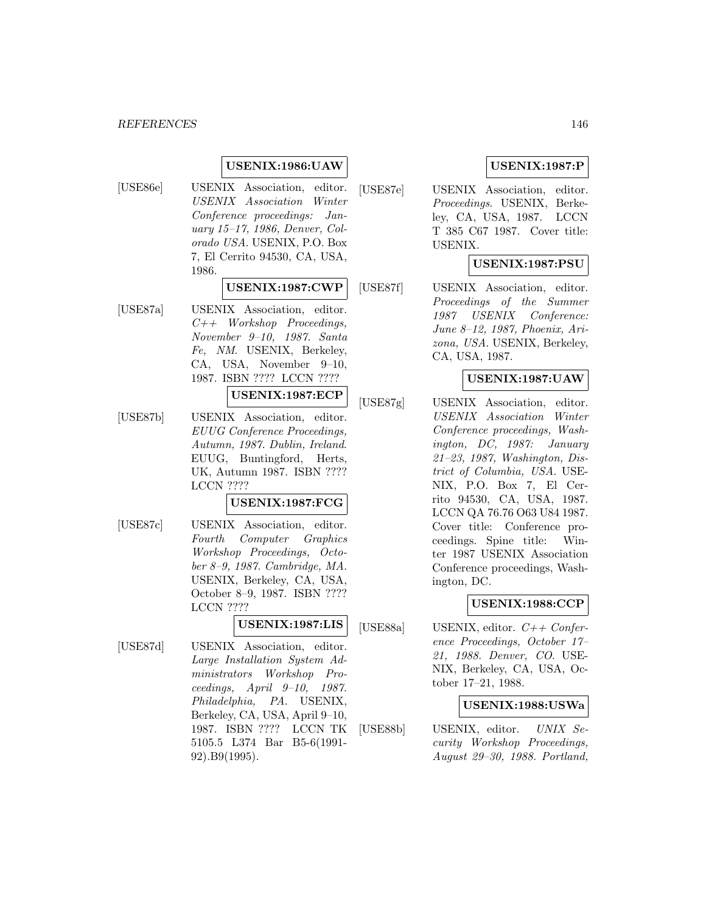# **USENIX:1986:UAW**

[USE86e] USENIX Association, editor. USENIX Association Winter Conference proceedings: January 15–17, 1986, Denver, Colorado USA. USENIX, P.O. Box 7, El Cerrito 94530, CA, USA, 1986.

## **USENIX:1987:CWP**

[USE87a] USENIX Association, editor. C++ Workshop Proceedings, November 9–10, 1987. Santa Fe, NM. USENIX, Berkeley, CA, USA, November 9–10, 1987. ISBN ???? LCCN ????

# **USENIX:1987:ECP**

[USE87b] USENIX Association, editor. EUUG Conference Proceedings, Autumn, 1987. Dublin, Ireland. EUUG, Buntingford, Herts, UK, Autumn 1987. ISBN ???? LCCN ????

#### **USENIX:1987:FCG**

[USE87c] USENIX Association, editor. Fourth Computer Graphics Workshop Proceedings, October 8–9, 1987. Cambridge, MA. USENIX, Berkeley, CA, USA, October 8–9, 1987. ISBN ???? LCCN ????

# **USENIX:1987:LIS**

[USE87d] USENIX Association, editor. Large Installation System Administrators Workshop Proceedings, April 9–10, 1987. Philadelphia, PA. USENIX, Berkeley, CA, USA, April 9–10, 1987. ISBN ???? LCCN TK 5105.5 L374 Bar B5-6(1991- 92).B9(1995).

# **USENIX:1987:P**

[USE87e] USENIX Association, editor. Proceedings. USENIX, Berkeley, CA, USA, 1987. LCCN T 385 C67 1987. Cover title: USENIX.

## **USENIX:1987:PSU**

[USE87f] USENIX Association, editor. Proceedings of the Summer 1987 USENIX Conference: June 8–12, 1987, Phoenix, Arizona, USA. USENIX, Berkeley, CA, USA, 1987.

# **USENIX:1987:UAW**

[USE87g] USENIX Association, editor. USENIX Association Winter Conference proceedings, Washington, DC, 1987: January 21–23, 1987, Washington, District of Columbia, USA. USE-NIX, P.O. Box 7, El Cerrito 94530, CA, USA, 1987. LCCN QA 76.76 O63 U84 1987. Cover title: Conference proceedings. Spine title: Winter 1987 USENIX Association Conference proceedings, Washington, DC.

## **USENIX:1988:CCP**

[USE88a] USENIX, editor.  $C++$  Conference Proceedings, October 17– 21, 1988. Denver, CO. USE-NIX, Berkeley, CA, USA, October 17–21, 1988.

# **USENIX:1988:USWa**

[USE88b] USENIX, editor. UNIX Security Workshop Proceedings, August 29–30, 1988. Portland,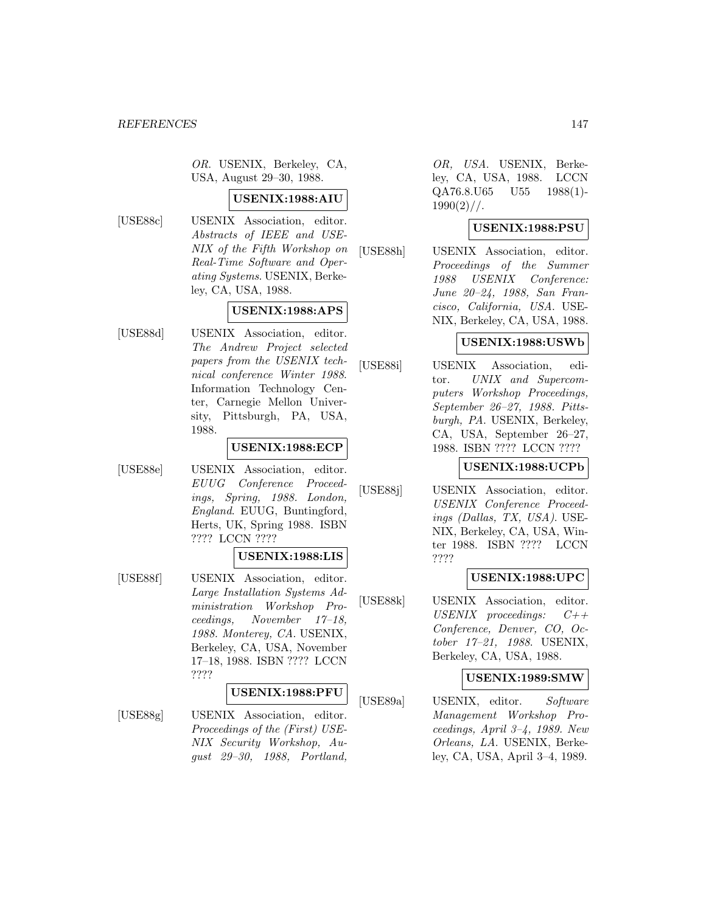OR. USENIX, Berkeley, CA, USA, August 29–30, 1988.

#### **USENIX:1988:AIU**

[USE88c] USENIX Association, editor. Abstracts of IEEE and USE-NIX of the Fifth Workshop on Real-Time Software and Operating Systems. USENIX, Berkeley, CA, USA, 1988.

# **USENIX:1988:APS**

[USE88d] USENIX Association, editor. The Andrew Project selected papers from the USENIX technical conference Winter 1988. Information Technology Center, Carnegie Mellon University, Pittsburgh, PA, USA, 1988.

# **USENIX:1988:ECP**

[USE88e] USENIX Association, editor. EUUG Conference Proceedings, Spring, 1988. London, England. EUUG, Buntingford, Herts, UK, Spring 1988. ISBN ???? LCCN ????

#### **USENIX:1988:LIS**

[USE88f] USENIX Association, editor. Large Installation Systems Administration Workshop Proceedings, November 17–18, 1988. Monterey, CA. USENIX, Berkeley, CA, USA, November 17–18, 1988. ISBN ???? LCCN ????

#### **USENIX:1988:PFU**

[USE88g] USENIX Association, editor. Proceedings of the (First) USE-NIX Security Workshop, August 29–30, 1988, Portland,

OR, USA. USENIX, Berkeley, CA, USA, 1988. LCCN QA76.8.U65 U55 1988(1)-  $1990(2)$  / /.

## **USENIX:1988:PSU**

[USE88h] USENIX Association, editor. Proceedings of the Summer 1988 USENIX Conference: June 20–24, 1988, San Francisco, California, USA. USE-NIX, Berkeley, CA, USA, 1988.

# **USENIX:1988:USWb**

[USE88i] USENIX Association, editor. UNIX and Supercomputers Workshop Proceedings, September 26–27, 1988. Pittsburgh, PA. USENIX, Berkeley, CA, USA, September 26–27, 1988. ISBN ???? LCCN ????

# **USENIX:1988:UCPb**

[USE88] USENIX Association, editor. USENIX Conference Proceedings (Dallas, TX, USA). USE-NIX, Berkeley, CA, USA, Winter 1988. ISBN ???? LCCN ????

## **USENIX:1988:UPC**

[USE88k] USENIX Association, editor. USENIX proceedings: C++ Conference, Denver, CO, October 17–21, 1988. USENIX, Berkeley, CA, USA, 1988.

#### **USENIX:1989:SMW**

[USE89a] USENIX, editor. Software Management Workshop Proceedings, April 3–4, 1989. New Orleans, LA. USENIX, Berkeley, CA, USA, April 3–4, 1989.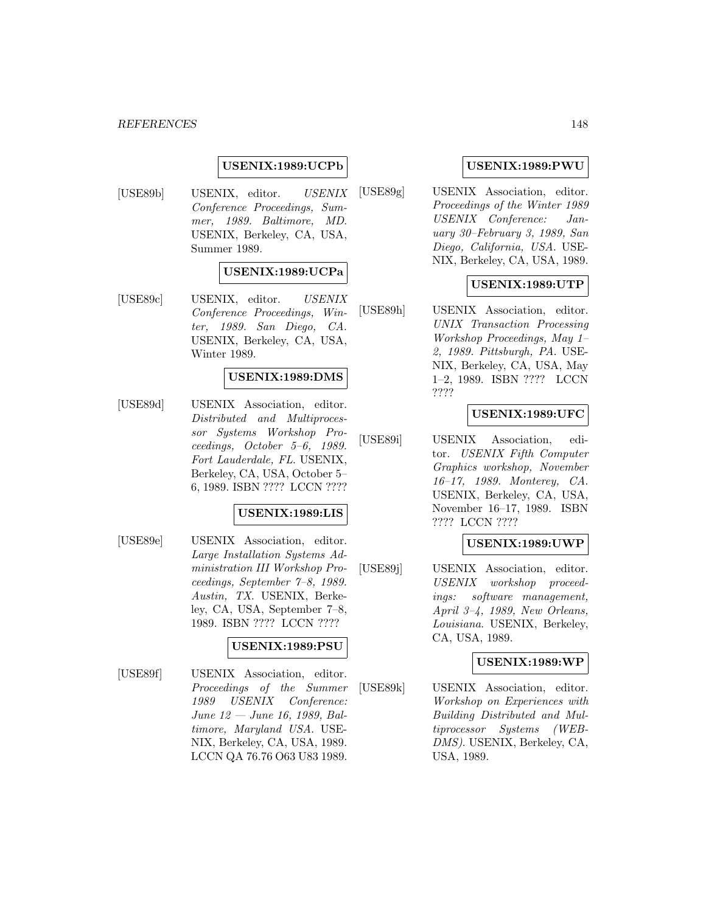## **USENIX:1989:UCPb**

[USE89b] USENIX, editor. USENIX Conference Proceedings, Summer, 1989. Baltimore, MD. USENIX, Berkeley, CA, USA, Summer 1989.

## **USENIX:1989:UCPa**

[USE89c] USENIX, editor. USENIX Conference Proceedings, Winter, 1989. San Diego, CA. USENIX, Berkeley, CA, USA, Winter 1989.

#### **USENIX:1989:DMS**

[USE89d] USENIX Association, editor. Distributed and Multiprocessor Systems Workshop Proceedings, October 5–6, 1989. Fort Lauderdale, FL. USENIX, Berkeley, CA, USA, October 5– 6, 1989. ISBN ???? LCCN ????

# **USENIX:1989:LIS**

[USE89e] USENIX Association, editor. Large Installation Systems Administration III Workshop Proceedings, September 7–8, 1989. Austin, TX. USENIX, Berkeley, CA, USA, September 7–8, 1989. ISBN ???? LCCN ????

#### **USENIX:1989:PSU**

[USE89f] USENIX Association, editor. Proceedings of the Summer 1989 USENIX Conference: June 12 — June 16, 1989, Baltimore, Maryland USA. USE-NIX, Berkeley, CA, USA, 1989. LCCN QA 76.76 O63 U83 1989.

# **USENIX:1989:PWU**

[USE89g] USENIX Association, editor. Proceedings of the Winter 1989 USENIX Conference: January 30–February 3, 1989, San Diego, California, USA. USE-NIX, Berkeley, CA, USA, 1989.

## **USENIX:1989:UTP**

[USE89h] USENIX Association, editor. UNIX Transaction Processing Workshop Proceedings, May 1– 2, 1989. Pittsburgh, PA. USE-NIX, Berkeley, CA, USA, May 1–2, 1989. ISBN ???? LCCN ????

## **USENIX:1989:UFC**

[USE89i] USENIX Association, editor. USENIX Fifth Computer Graphics workshop, November 16–17, 1989. Monterey, CA. USENIX, Berkeley, CA, USA, November 16–17, 1989. ISBN ???? LCCN ????

## **USENIX:1989:UWP**

[USE89j] USENIX Association, editor. USENIX workshop proceedings: software management, April 3–4, 1989, New Orleans, Louisiana. USENIX, Berkeley, CA, USA, 1989.

#### **USENIX:1989:WP**

[USE89k] USENIX Association, editor. Workshop on Experiences with Building Distributed and Multiprocessor Systems (WEB-DMS). USENIX, Berkeley, CA, USA, 1989.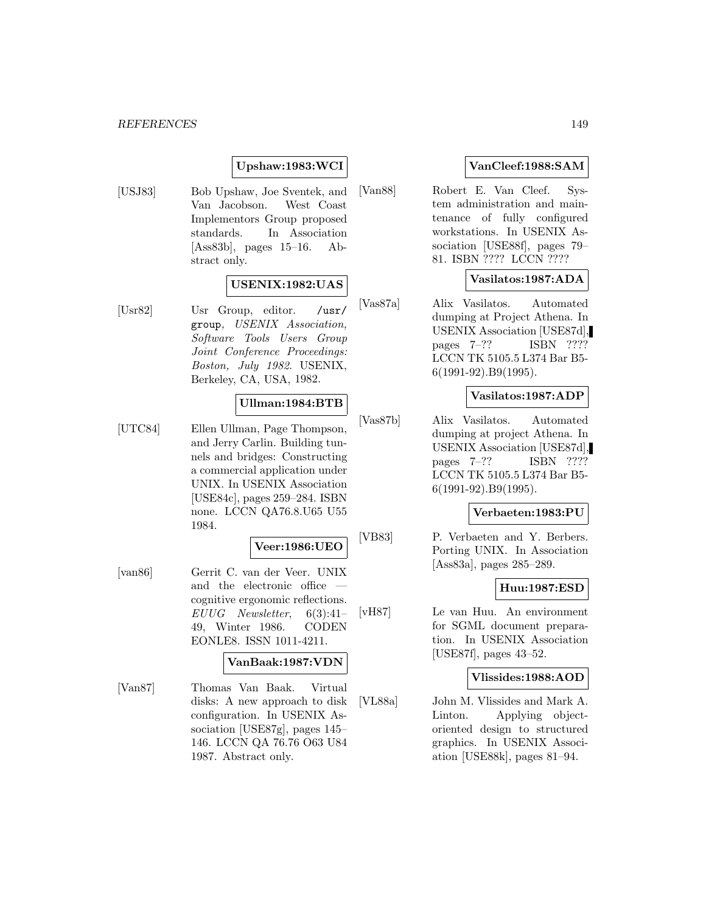# **Upshaw:1983:WCI**

[USJ83] Bob Upshaw, Joe Sventek, and Van Jacobson. West Coast Implementors Group proposed standards. In Association [Ass83b], pages 15–16. Abstract only.

# **USENIX:1982:UAS**

[Usr82] Usr Group, editor. /usr/ group, USENIX Association, Software Tools Users Group Joint Conference Proceedings: Boston, July 1982. USENIX, Berkeley, CA, USA, 1982.

# **Ullman:1984:BTB**

[UTC84] Ellen Ullman, Page Thompson, and Jerry Carlin. Building tunnels and bridges: Constructing a commercial application under UNIX. In USENIX Association [USE84c], pages 259–284. ISBN none. LCCN QA76.8.U65 U55 1984.

# **Veer:1986:UEO**

[van86] Gerrit C. van der Veer. UNIX and the electronic office cognitive ergonomic reflections. EUUG Newsletter, 6(3):41– 49, Winter 1986. CODEN EONLE8. ISSN 1011-4211.

#### **VanBaak:1987:VDN**

[Van87] Thomas Van Baak. Virtual disks: A new approach to disk configuration. In USENIX Association [USE87g], pages 145– 146. LCCN QA 76.76 O63 U84 1987. Abstract only.

# **VanCleef:1988:SAM**

[Van88] Robert E. Van Cleef. System administration and maintenance of fully configured workstations. In USENIX Association [USE88f], pages 79– 81. ISBN ???? LCCN ????

# **Vasilatos:1987:ADA**

[Vas87a] Alix Vasilatos. Automated dumping at Project Athena. In USENIX Association [USE87d], pages 7–?? ISBN ???? LCCN TK 5105.5 L374 Bar B5- 6(1991-92).B9(1995).

#### **Vasilatos:1987:ADP**

[Vas87b] Alix Vasilatos. Automated dumping at project Athena. In USENIX Association [USE87d], pages 7–?? ISBN ???? LCCN TK 5105.5 L374 Bar B5- 6(1991-92).B9(1995).

### **Verbaeten:1983:PU**

[VB83] P. Verbaeten and Y. Berbers. Porting UNIX. In Association [Ass83a], pages 285–289.

# **Huu:1987:ESD**

[vH87] Le van Huu. An environment for SGML document preparation. In USENIX Association [USE87f], pages 43–52.

#### **Vlissides:1988:AOD**

[VL88a] John M. Vlissides and Mark A. Linton. Applying objectoriented design to structured graphics. In USENIX Association [USE88k], pages 81–94.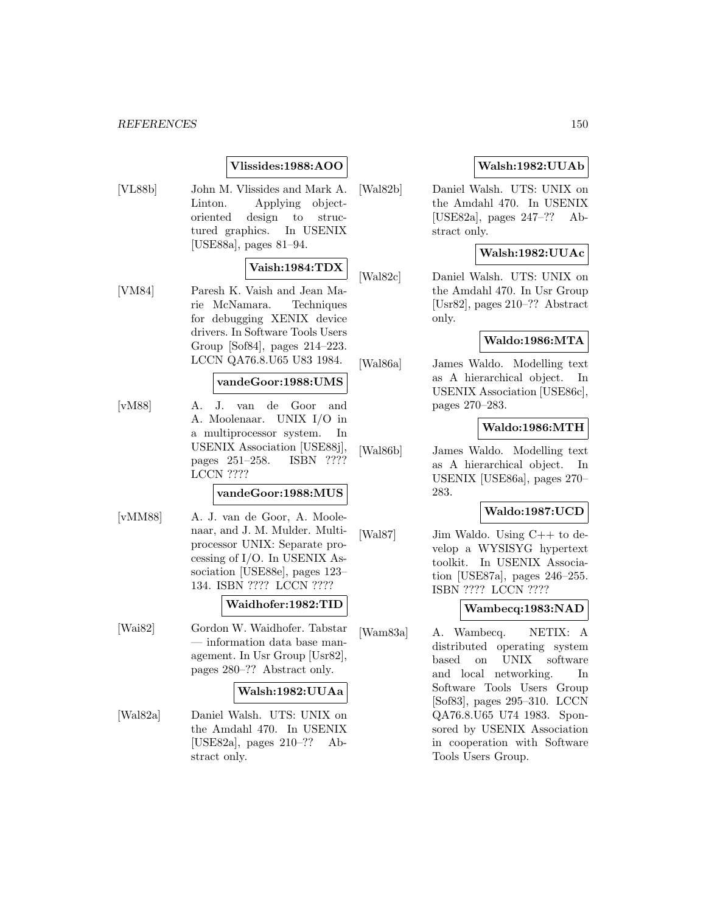# **Vlissides:1988:AOO**

[VL88b] John M. Vlissides and Mark A. Linton. Applying objectoriented design to structured graphics. In USENIX [USE88a], pages 81–94.

# **Vaish:1984:TDX**

[VM84] Paresh K. Vaish and Jean Marie McNamara. Techniques for debugging XENIX device drivers. In Software Tools Users Group [Sof84], pages 214–223. LCCN QA76.8.U65 U83 1984.

# **vandeGoor:1988:UMS**

[vM88] A. J. van de Goor and A. Moolenaar. UNIX I/O in a multiprocessor system. In USENIX Association [USE88j], pages 251–258. ISBN ???? LCCN ????

## **vandeGoor:1988:MUS**

[vMM88] A. J. van de Goor, A. Moolenaar, and J. M. Mulder. Multiprocessor UNIX: Separate processing of I/O. In USENIX Association [USE88e], pages 123– 134. ISBN ???? LCCN ????

#### **Waidhofer:1982:TID**

[Wai82] Gordon W. Waidhofer. Tabstar — information data base management. In Usr Group [Usr82], pages 280–?? Abstract only.

#### **Walsh:1982:UUAa**

[Wal82a] Daniel Walsh. UTS: UNIX on the Amdahl 470. In USENIX [USE82a], pages 210–?? Abstract only.

# **Walsh:1982:UUAb**

[Wal82b] Daniel Walsh. UTS: UNIX on the Amdahl 470. In USENIX [USE82a], pages 247–?? Abstract only.

# **Walsh:1982:UUAc**

[Wal82c] Daniel Walsh. UTS: UNIX on the Amdahl 470. In Usr Group [Usr82], pages 210–?? Abstract only.

# **Waldo:1986:MTA**

[Wal86a] James Waldo. Modelling text as A hierarchical object. In USENIX Association [USE86c], pages 270–283.

# **Waldo:1986:MTH**

[Wal86b] James Waldo. Modelling text as A hierarchical object. In USENIX [USE86a], pages 270– 283.

# **Waldo:1987:UCD**

[Wal87] Jim Waldo. Using C++ to develop a WYSISYG hypertext toolkit. In USENIX Association [USE87a], pages 246–255. ISBN ???? LCCN ????

# **Wambecq:1983:NAD**

[Wam83a] A. Wambecq. NETIX: A distributed operating system based on UNIX software and local networking. In Software Tools Users Group [Sof83], pages 295–310. LCCN QA76.8.U65 U74 1983. Sponsored by USENIX Association in cooperation with Software Tools Users Group.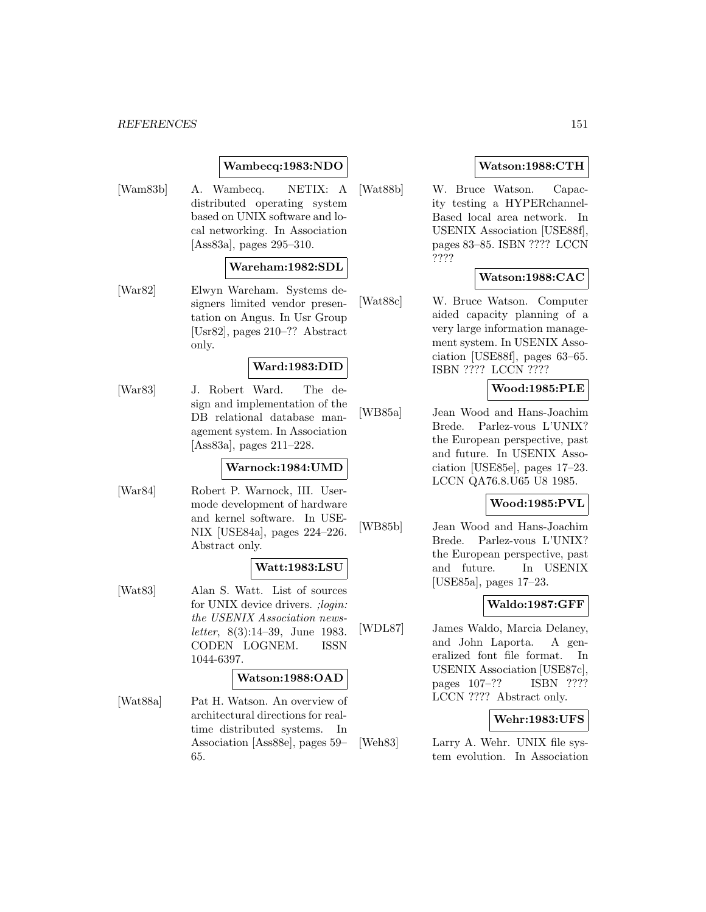# **Wambecq:1983:NDO**

[Wam83b] A. Wambecq. NETIX: A distributed operating system based on UNIX software and local networking. In Association [Ass83a], pages 295–310.

### **Wareham:1982:SDL**

[War82] Elwyn Wareham. Systems designers limited vendor presentation on Angus. In Usr Group [Usr82], pages 210–?? Abstract only.

# **Ward:1983:DID**

[War83] J. Robert Ward. The design and implementation of the DB relational database management system. In Association [Ass83a], pages 211–228.

# **Warnock:1984:UMD**

[War84] Robert P. Warnock, III. Usermode development of hardware and kernel software. In USE-NIX [USE84a], pages 224–226. Abstract only.

#### **Watt:1983:LSU**

[Wat83] Alan S. Watt. List of sources for UNIX device drivers. ;login: the USENIX Association newsletter, 8(3):14–39, June 1983. CODEN LOGNEM. ISSN 1044-6397.

#### **Watson:1988:OAD**

[Wat88a] Pat H. Watson. An overview of architectural directions for realtime distributed systems. In Association [Ass88e], pages 59– 65.

# **Watson:1988:CTH**

[Wat88b] W. Bruce Watson. Capacity testing a HYPERchannel-Based local area network. In USENIX Association [USE88f], pages 83–85. ISBN ???? LCCN ????

# **Watson:1988:CAC**

[Wat88c] W. Bruce Watson. Computer aided capacity planning of a very large information management system. In USENIX Association [USE88f], pages 63–65. ISBN ???? LCCN ????

## **Wood:1985:PLE**

[WB85a] Jean Wood and Hans-Joachim Brede. Parlez-vous L'UNIX? the European perspective, past and future. In USENIX Association [USE85e], pages 17–23. LCCN QA76.8.U65 U8 1985.

#### **Wood:1985:PVL**

[WB85b] Jean Wood and Hans-Joachim Brede. Parlez-vous L'UNIX? the European perspective, past and future. In USENIX [USE85a], pages 17–23.

## **Waldo:1987:GFF**

[WDL87] James Waldo, Marcia Delaney, and John Laporta. A generalized font file format. In USENIX Association [USE87c], pages 107–?? ISBN ???? LCCN ???? Abstract only.

## **Wehr:1983:UFS**

[Weh83] Larry A. Wehr. UNIX file system evolution. In Association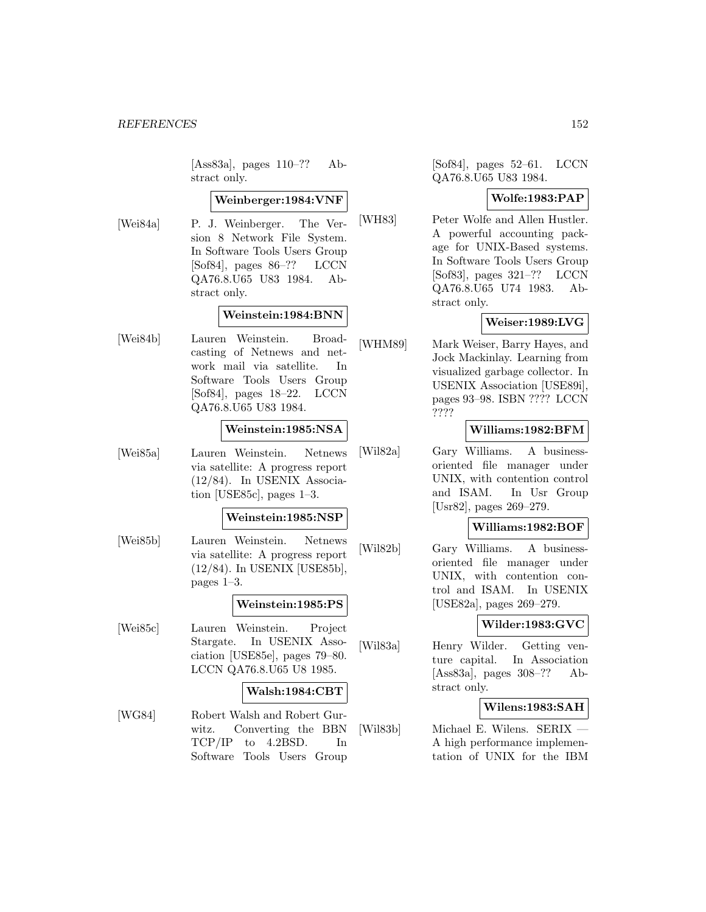[Ass83a], pages 110–?? Abstract only.

### **Weinberger:1984:VNF**

[Wei84a] P. J. Weinberger. The Version 8 Network File System. In Software Tools Users Group [Sof84], pages 86–?? LCCN QA76.8.U65 U83 1984. Abstract only.

## **Weinstein:1984:BNN**

[Wei84b] Lauren Weinstein. Broadcasting of Netnews and network mail via satellite. In Software Tools Users Group [Sof84], pages 18–22. LCCN QA76.8.U65 U83 1984.

### **Weinstein:1985:NSA**

[Wei85a] Lauren Weinstein. Netnews via satellite: A progress report (12/84). In USENIX Association [USE85c], pages 1–3.

#### **Weinstein:1985:NSP**

[Wei85b] Lauren Weinstein. Netnews via satellite: A progress report (12/84). In USENIX [USE85b], pages 1–3.

#### **Weinstein:1985:PS**

[Wei85c] Lauren Weinstein. Project Stargate. In USENIX Association [USE85e], pages 79–80. LCCN QA76.8.U65 U8 1985.

## **Walsh:1984:CBT**

[WG84] Robert Walsh and Robert Gurwitz. Converting the BBN TCP/IP to 4.2BSD. In Software Tools Users Group

[Sof84], pages 52–61. LCCN QA76.8.U65 U83 1984.

#### **Wolfe:1983:PAP**

[WH83] Peter Wolfe and Allen Hustler. A powerful accounting package for UNIX-Based systems. In Software Tools Users Group [Sof83], pages 321–?? LCCN QA76.8.U65 U74 1983. Abstract only.

# **Weiser:1989:LVG**

[WHM89] Mark Weiser, Barry Hayes, and Jock Mackinlay. Learning from visualized garbage collector. In USENIX Association [USE89i], pages 93–98. ISBN ???? LCCN ????

# **Williams:1982:BFM**

[Wil82a] Gary Williams. A businessoriented file manager under UNIX, with contention control and ISAM. In Usr Group [Usr82], pages 269–279.

# **Williams:1982:BOF**

[Wil82b] Gary Williams. A businessoriented file manager under UNIX, with contention control and ISAM. In USENIX [USE82a], pages 269–279.

# **Wilder:1983:GVC**

[Wil83a] Henry Wilder. Getting venture capital. In Association [Ass83a], pages 308–?? Abstract only.

## **Wilens:1983:SAH**

[Wil83b] Michael E. Wilens. SERIX — A high performance implementation of UNIX for the IBM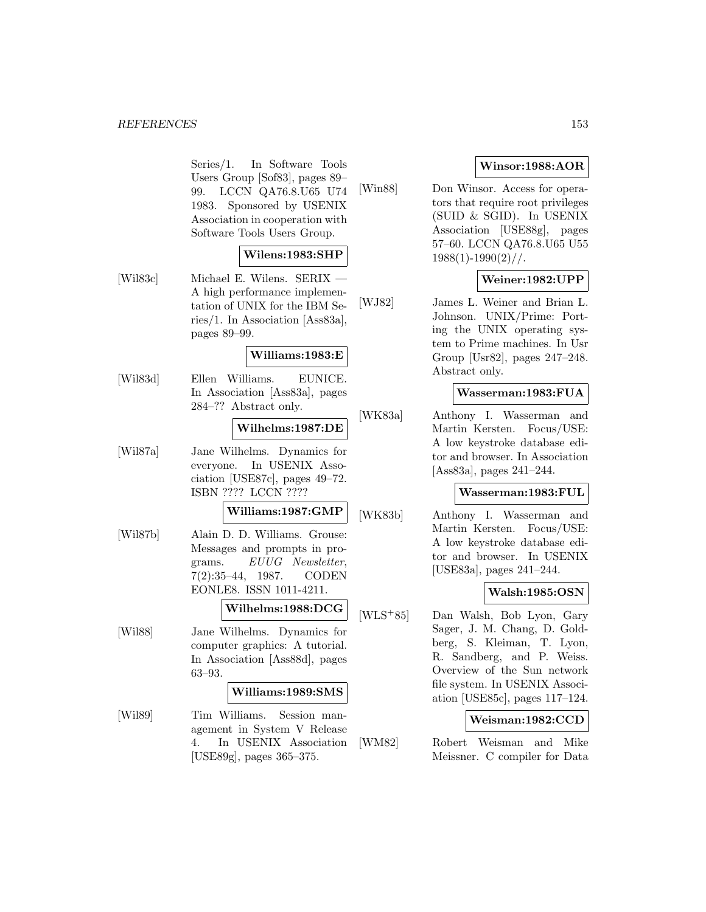Series/1. In Software Tools Users Group [Sof83], pages 89– 99. LCCN QA76.8.U65 U74 1983. Sponsored by USENIX Association in cooperation with Software Tools Users Group.

## **Wilens:1983:SHP**

[Wil83c] Michael E. Wilens. SERIX A high performance implementation of UNIX for the IBM Series/1. In Association [Ass83a], pages 89–99.

## **Williams:1983:E**

[Wil83d] Ellen Williams. EUNICE. In Association [Ass83a], pages 284–?? Abstract only.

# **Wilhelms:1987:DE**

[Wil87a] Jane Wilhelms. Dynamics for everyone. In USENIX Association [USE87c], pages 49–72. ISBN ???? LCCN ????

# **Williams:1987:GMP**

[Wil87b] Alain D. D. Williams. Grouse: Messages and prompts in programs. EUUG Newsletter, 7(2):35–44, 1987. CODEN EONLE8. ISSN 1011-4211.

#### **Wilhelms:1988:DCG**

[Wil88] Jane Wilhelms. Dynamics for computer graphics: A tutorial. In Association [Ass88d], pages 63–93.

#### **Williams:1989:SMS**

[Wil89] Tim Williams. Session management in System V Release 4. In USENIX Association [USE89g], pages 365–375.

# **Winsor:1988:AOR**

[Win88] Don Winsor. Access for operators that require root privileges (SUID & SGID). In USENIX Association [USE88g], pages 57–60. LCCN QA76.8.U65 U55  $1988(1)$ -1990 $(2)$ //.

# **Weiner:1982:UPP**

[WJ82] James L. Weiner and Brian L. Johnson. UNIX/Prime: Porting the UNIX operating system to Prime machines. In Usr Group [Usr82], pages 247–248. Abstract only.

#### **Wasserman:1983:FUA**

[WK83a] Anthony I. Wasserman and Martin Kersten. Focus/USE: A low keystroke database editor and browser. In Association [Ass83a], pages 241–244.

#### **Wasserman:1983:FUL**

[WK83b] Anthony I. Wasserman and Martin Kersten. Focus/USE: A low keystroke database editor and browser. In USENIX [USE83a], pages 241–244.

## **Walsh:1985:OSN**

[WLS<sup>+</sup>85] Dan Walsh, Bob Lyon, Gary Sager, J. M. Chang, D. Goldberg, S. Kleiman, T. Lyon, R. Sandberg, and P. Weiss. Overview of the Sun network file system. In USENIX Association [USE85c], pages 117–124.

## **Weisman:1982:CCD**

[WM82] Robert Weisman and Mike Meissner. C compiler for Data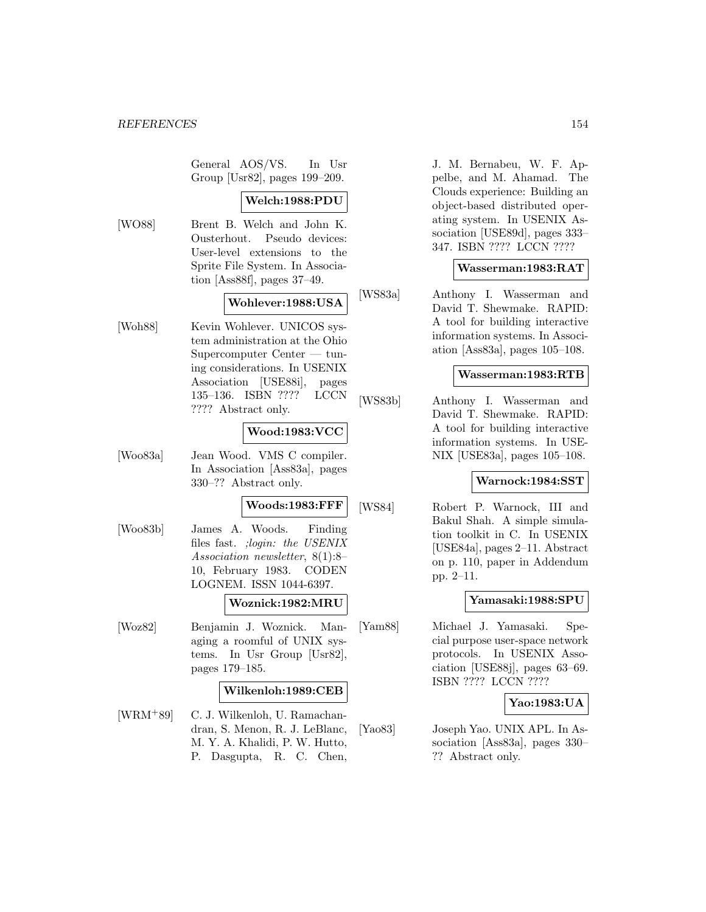General AOS/VS. In Usr Group [Usr82], pages 199–209.

# **Welch:1988:PDU**

[WO88] Brent B. Welch and John K. Ousterhout. Pseudo devices: User-level extensions to the Sprite File System. In Association [Ass88f], pages 37–49.

## **Wohlever:1988:USA**

[Woh88] Kevin Wohlever. UNICOS system administration at the Ohio Supercomputer Center — tuning considerations. In USENIX Association [USE88i], pages 135–136. ISBN ???? LCCN ???? Abstract only.

# **Wood:1983:VCC**

[Woo83a] Jean Wood. VMS C compiler. In Association [Ass83a], pages 330–?? Abstract only.

#### **Woods:1983:FFF**

[Woo83b] James A. Woods. Finding files fast. ;login: the USENIX Association newsletter, 8(1):8– 10, February 1983. CODEN LOGNEM. ISSN 1044-6397.

## **Woznick:1982:MRU**

[Woz82] Benjamin J. Woznick. Managing a roomful of UNIX systems. In Usr Group [Usr82], pages 179–185.

#### **Wilkenloh:1989:CEB**

[WRM<sup>+</sup>89] C. J. Wilkenloh, U. Ramachandran, S. Menon, R. J. LeBlanc, M. Y. A. Khalidi, P. W. Hutto, P. Dasgupta, R. C. Chen,

J. M. Bernabeu, W. F. Appelbe, and M. Ahamad. The Clouds experience: Building an object-based distributed operating system. In USENIX Association [USE89d], pages 333– 347. ISBN ???? LCCN ????

# **Wasserman:1983:RAT**

[WS83a] Anthony I. Wasserman and David T. Shewmake. RAPID: A tool for building interactive information systems. In Association [Ass83a], pages 105–108.

#### **Wasserman:1983:RTB**

[WS83b] Anthony I. Wasserman and David T. Shewmake. RAPID: A tool for building interactive information systems. In USE-NIX [USE83a], pages 105–108.

# **Warnock:1984:SST**

[WS84] Robert P. Warnock, III and Bakul Shah. A simple simulation toolkit in C. In USENIX [USE84a], pages 2–11. Abstract on p. 110, paper in Addendum pp. 2–11.

## **Yamasaki:1988:SPU**

[Yam88] Michael J. Yamasaki. Special purpose user-space network protocols. In USENIX Association [USE88j], pages 63–69. ISBN ???? LCCN ????

## **Yao:1983:UA**

[Yao83] Joseph Yao. UNIX APL. In Association [Ass83a], pages 330– ?? Abstract only.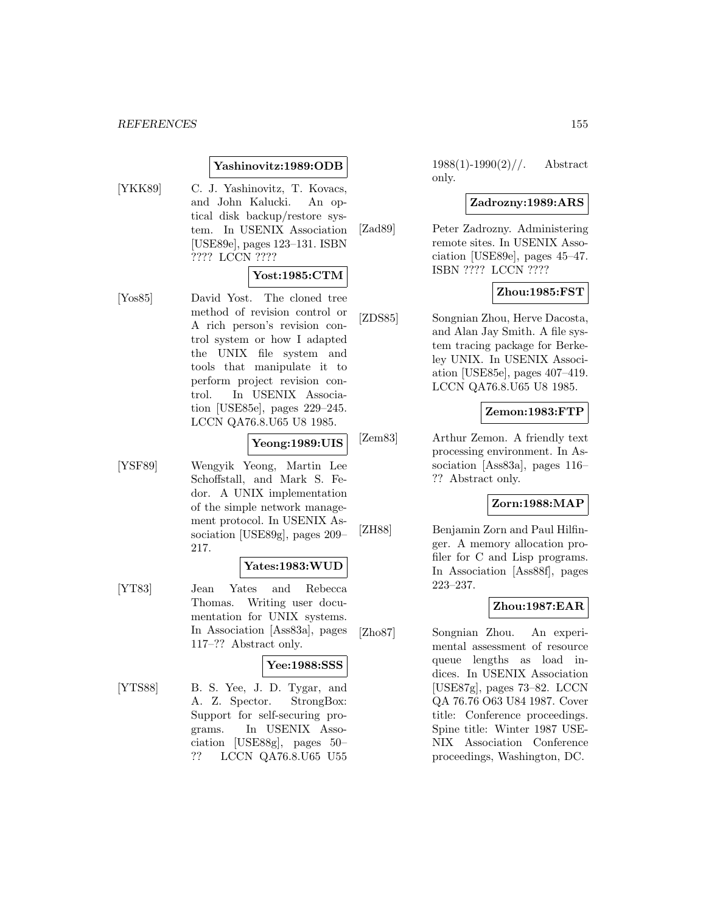# **Yashinovitz:1989:ODB**

[YKK89] C. J. Yashinovitz, T. Kovacs, and John Kalucki. An optical disk backup/restore system. In USENIX Association [USE89e], pages 123–131. ISBN ???? LCCN ????

## **Yost:1985:CTM**

[Yos85] David Yost. The cloned tree method of revision control or A rich person's revision control system or how I adapted the UNIX file system and tools that manipulate it to perform project revision control. In USENIX Association [USE85e], pages 229–245. LCCN QA76.8.U65 U8 1985.

# **Yeong:1989:UIS**

[YSF89] Wengyik Yeong, Martin Lee Schoffstall, and Mark S. Fedor. A UNIX implementation of the simple network management protocol. In USENIX Association [USE89g], pages 209– 217.

# **Yates:1983:WUD**

[YT83] Jean Yates and Rebecca Thomas. Writing user documentation for UNIX systems. In Association [Ass83a], pages 117–?? Abstract only.

#### **Yee:1988:SSS**

[YTS88] B. S. Yee, J. D. Tygar, and A. Z. Spector. StrongBox: Support for self-securing programs. In USENIX Association [USE88g], pages 50– ?? LCCN QA76.8.U65 U55

 $1988(1)-1990(2)/\ldots$  Abstract only.

# **Zadrozny:1989:ARS**

[Zad89] Peter Zadrozny. Administering remote sites. In USENIX Association [USE89e], pages 45–47. ISBN ???? LCCN ????

# **Zhou:1985:FST**

[ZDS85] Songnian Zhou, Herve Dacosta, and Alan Jay Smith. A file system tracing package for Berkeley UNIX. In USENIX Association [USE85e], pages 407–419. LCCN QA76.8.U65 U8 1985.

### **Zemon:1983:FTP**

[Zem83] Arthur Zemon. A friendly text processing environment. In Association [Ass83a], pages 116– ?? Abstract only.

#### **Zorn:1988:MAP**

[ZH88] Benjamin Zorn and Paul Hilfinger. A memory allocation profiler for C and Lisp programs. In Association [Ass88f], pages 223–237.

# **Zhou:1987:EAR**

[Zho87] Songnian Zhou. An experimental assessment of resource queue lengths as load indices. In USENIX Association [USE87g], pages 73–82. LCCN QA 76.76 O63 U84 1987. Cover title: Conference proceedings. Spine title: Winter 1987 USE-NIX Association Conference proceedings, Washington, DC.